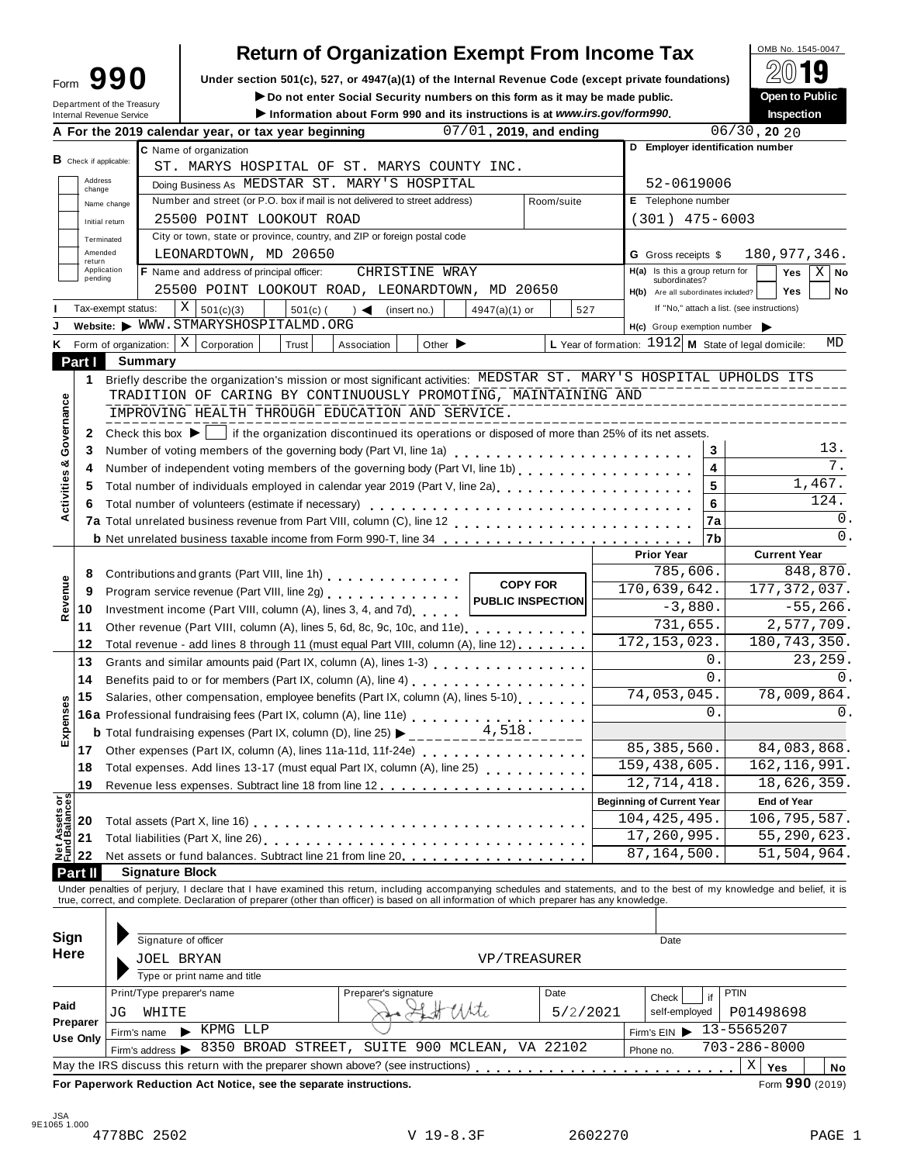|                                           | <b>Return of Organization Exempt From Income Tax</b>                                                                                                                                                                                                                   |          |                                                      |            | OMB No. 1545-0047                          |                |
|-------------------------------------------|------------------------------------------------------------------------------------------------------------------------------------------------------------------------------------------------------------------------------------------------------------------------|----------|------------------------------------------------------|------------|--------------------------------------------|----------------|
| 990<br>Form<br>Department of the Treasury | Under section 501(c), 527, or 4947(a)(1) of the Internal Revenue Code (except private foundations)<br>Do not enter Social Security numbers on this form as it may be made public.                                                                                      |          |                                                      |            | Open to Public                             |                |
| <b>Internal Revenue Service</b>           | Information about Form 990 and its instructions is at www.irs.gov/form990.                                                                                                                                                                                             |          |                                                      |            | Inspection                                 |                |
|                                           | 07/01, 2019, and ending<br>A For the 2019 calendar year, or tax year beginning                                                                                                                                                                                         |          |                                                      |            | $06/30$ , 20 20                            |                |
|                                           | C Name of organization                                                                                                                                                                                                                                                 |          | D Employer identification number                     |            |                                            |                |
| $B$ Check if applicable:                  | ST. MARYS HOSPITAL OF ST. MARYS COUNTY INC.                                                                                                                                                                                                                            |          |                                                      |            |                                            |                |
| Address<br>change                         | Doing Business As MEDSTAR ST. MARY'S HOSPITAL                                                                                                                                                                                                                          |          | 52-0619006                                           |            |                                            |                |
| Name change                               | Number and street (or P.O. box if mail is not delivered to street address)<br>Room/suite                                                                                                                                                                               |          | E Telephone number                                   |            |                                            |                |
| Initial return                            | 25500 POINT LOOKOUT ROAD                                                                                                                                                                                                                                               |          | $(301)$ 475-6003                                     |            |                                            |                |
| Terminated                                | City or town, state or province, country, and ZIP or foreign postal code                                                                                                                                                                                               |          |                                                      |            |                                            |                |
| Amended<br>return                         | LEONARDTOWN, MD 20650                                                                                                                                                                                                                                                  |          | <b>G</b> Gross receipts \$                           |            | 180,977,346.                               |                |
| Application<br>pending                    | F Name and address of principal officer:<br>CHRISTINE WRAY                                                                                                                                                                                                             |          | H(a) Is this a group return for<br>subordinates?     |            | Yes                                        | $X \mid$<br>No |
|                                           | 25500 POINT LOOKOUT ROAD, LEONARDTOWN, MD 20650                                                                                                                                                                                                                        |          | Are all subordinates included?<br>H(b)               |            | Yes                                        | No             |
| Tax-exempt status:                        | $X \mid$<br>501(c)(3)<br>$) \triangleleft$ (insert no.)<br>4947(a)(1) or<br>$501(c)$ (<br>Website: WWW.STMARYSHOSPITALMD.ORG                                                                                                                                           | 527      | H(c) Group exemption number                          |            | If "No," attach a list. (see instructions) |                |
|                                           | Form of organization: $X \mid$ Corporation<br>Other $\blacktriangleright$<br>Trust<br>Association                                                                                                                                                                      |          | L Year of formation: 1912 M State of legal domicile: |            |                                            | MD             |
| Part I                                    | <b>Summary</b>                                                                                                                                                                                                                                                         |          |                                                      |            |                                            |                |
| 1                                         | Briefly describe the organization's mission or most significant activities: MEDSTAR ST. MARY'S HOSPITAL UPHOLDS ITS                                                                                                                                                    |          |                                                      |            |                                            |                |
| 2                                         | TRADITION OF CARING BY CONTINUOUSLY PROMOTING, MAINTAINING AND<br>IMPROVING HEALTH THROUGH EDUCATION AND SERVICE.<br>Check this box $\blacktriangleright$   if the organization discontinued its operations or disposed of more than 25% of its net assets.            |          |                                                      |            |                                            |                |
| 3                                         | Number of voting members of the governing body (Part VI, line 1a)                                                                                                                                                                                                      |          |                                                      | 3          |                                            | 13.            |
| 4                                         |                                                                                                                                                                                                                                                                        |          |                                                      | 4          |                                            | 7.             |
| 5                                         | Total number of individuals employed in calendar year 2019 (Part V, line 2a)<br>The 2a)                                                                                                                                                                                |          |                                                      | 5          |                                            | 1,467.         |
| 6                                         | Total number of volunteers (estimate if necessary)                                                                                                                                                                                                                     |          |                                                      | 6          |                                            | 124.           |
|                                           |                                                                                                                                                                                                                                                                        |          |                                                      | 7a         |                                            | 0.             |
|                                           |                                                                                                                                                                                                                                                                        |          |                                                      | 7b         |                                            | 0.             |
|                                           |                                                                                                                                                                                                                                                                        |          | <b>Prior Year</b>                                    |            | <b>Current Year</b>                        |                |
| 8                                         |                                                                                                                                                                                                                                                                        |          | 785,606.                                             |            |                                            | 848,870.       |
|                                           | Contributions and grants (Part VIII, line 1h) Contributions and grants (Part VIII, line 1h)<br><b>COPY FOR</b>                                                                                                                                                         |          | 170,639,642.                                         |            | 177, 372, 037.                             |                |
| 9                                         | Program service revenue (Part VIII, line 2g)   PUBLIC INSPECTION                                                                                                                                                                                                       |          | $-3,880.$                                            |            |                                            | $-55, 266.$    |
| 10                                        | Investment income (Part VIII, column (A), lines 3, 4, and 7d)                                                                                                                                                                                                          |          | $\overline{731}$ , 655.                              |            | $\overline{2,577,709}$ .                   |                |
| 11                                        | Other revenue (Part VIII, column (A), lines 5, 6d, 8c, 9c, 10c, and 11e)                                                                                                                                                                                               |          | 172, 153, 023.                                       |            | 180, 743, 350.                             |                |
| 12                                        | Total revenue - add lines 8 through 11 (must equal Part VIII, column (A), line 12)                                                                                                                                                                                     |          |                                                      | 0.         |                                            | 23, 259.       |
| 13                                        | Grants and similar amounts paid (Part IX, column (A), lines 1-3)                                                                                                                                                                                                       |          |                                                      | 0.         |                                            | 0.             |
| 14                                        | Benefits paid to or for members (Part IX, column (A), line 4)                                                                                                                                                                                                          |          | 74,053,045.                                          |            | 78,009,864.                                |                |
| 15                                        | Salaries, other compensation, employee benefits (Part IX, column (A), lines 5-10)<br><b>15</b> Salaries, only componently rest (Part IX, column (A), line 11e)<br><b>16a</b> Professional fundraising fees (Part IX, column (A), line 11e)<br>$(5.18 - 4.518 - 4.518)$ |          |                                                      |            |                                            |                |
|                                           |                                                                                                                                                                                                                                                                        |          |                                                      | 0.         |                                            | 0.             |
|                                           |                                                                                                                                                                                                                                                                        |          | 85, 385, 560.                                        |            |                                            |                |
| 17                                        |                                                                                                                                                                                                                                                                        |          |                                                      |            | 84,083,868.                                |                |
| 18                                        | Total expenses. Add lines 13-17 (must equal Part IX, column (A), line 25)                                                                                                                                                                                              |          | 159,438,605.                                         |            | 162, 116, 991.                             |                |
| 19                                        |                                                                                                                                                                                                                                                                        |          | 12,714,418.                                          |            | 18,626,359.                                |                |
|                                           |                                                                                                                                                                                                                                                                        |          | <b>Beginning of Current Year</b>                     |            | <b>End of Year</b>                         |                |
|                                           |                                                                                                                                                                                                                                                                        |          | 104, 425, 495.                                       |            | 106,795,587.                               |                |
|                                           |                                                                                                                                                                                                                                                                        |          | 17,260,995.                                          |            | 55,290,623.                                |                |
|                                           |                                                                                                                                                                                                                                                                        |          | 87, 164, 500.                                        |            | 51, 504, 964.                              |                |
|                                           |                                                                                                                                                                                                                                                                        |          |                                                      |            |                                            |                |
|                                           | <b>Signature Block</b>                                                                                                                                                                                                                                                 |          |                                                      |            |                                            |                |
|                                           | Under penalties of perjury, I declare that I have examined this return, including accompanying schedules and statements, and to the best of my knowledge and belief, it is                                                                                             |          |                                                      |            |                                            |                |
|                                           | true, correct, and complete. Declaration of preparer (other than officer) is based on all information of which preparer has any knowledge.                                                                                                                             |          |                                                      |            |                                            |                |
|                                           |                                                                                                                                                                                                                                                                        |          |                                                      |            |                                            |                |
| Part II<br>Sign                           | Signature of officer                                                                                                                                                                                                                                                   |          | Date                                                 |            |                                            |                |
|                                           | JOEL BRYAN<br>VP/TREASURER                                                                                                                                                                                                                                             |          |                                                      |            |                                            |                |
|                                           | Type or print name and title                                                                                                                                                                                                                                           |          |                                                      |            |                                            |                |
| Here                                      | Print/Type preparer's name<br>Preparer's signature<br>Date                                                                                                                                                                                                             |          | Check                                                | PTIN<br>if |                                            |                |
| JG                                        | 1 Habite<br>WHITE                                                                                                                                                                                                                                                      | 5/2/2021 | self-employed                                        |            | P01498698                                  |                |
|                                           | KPMG LLP<br>Firm's name                                                                                                                                                                                                                                                |          | Firm's EIN                                           | 13-5565207 |                                            |                |
| Preparer<br><b>Use Only</b>               | 8350 BROAD STREET, SUITE 900 MCLEAN, VA 22102                                                                                                                                                                                                                          |          | Phone no.                                            |            | $703 - 286 - 8000$                         |                |
|                                           | Firm's address ><br>May the IRS discuss this return with the preparer shown above? (see instructions)                                                                                                                                                                  |          |                                                      |            | $\mathbf{X}$<br>Yes                        | No             |

 $\ddot{\phantom{a}}$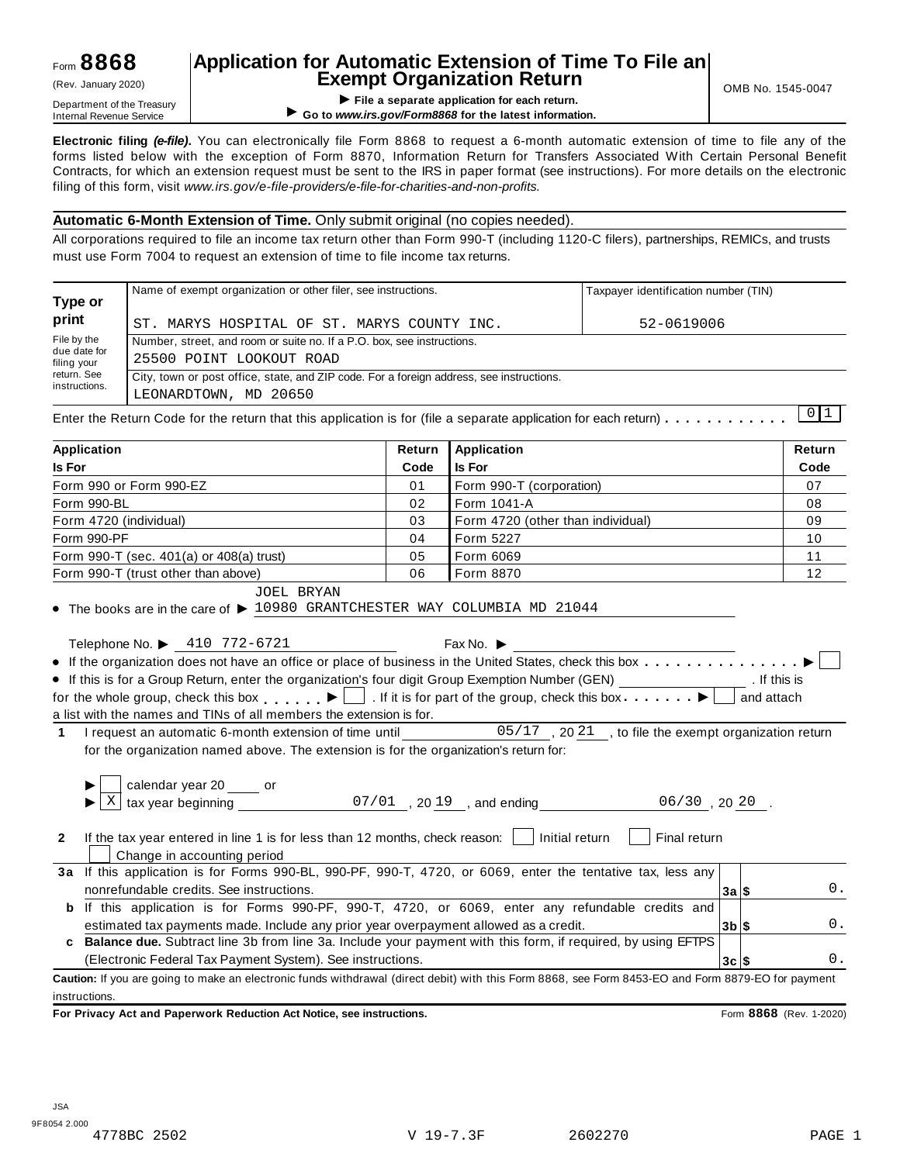# **Application for Automatic Extension of Time To File an Exempt Organization Return** (Rev. January 2020) OMB No. 1545-0047

**EXEMPL OF GET APPLICATION RETURN (Rev. January 2020)<br>Department of the Treasury<br>Internal Revenue Service <b>COMPLICATION**<br>Co to www.irs.gov/Form8868 for the latest information for each return. ▶ Go to www.irs.gov/Form8868 for the latest information.

**Electronic filing** *(e-file)***.** You can electronically file Form 8868 to request a 6-month automatic extension of time to file any of the forms listed below with the exception of Form 8870, Information Return for Transfers Associated With Certain Personal Benefit Contracts, for which an extension request must be sent to the IRS in paper format (see instructions). For more details on the electronic filing of this form, visit *www.irs.gov/e-file-providers/e-file-for-charities-and-non-profits.*

#### **Automatic 6-Month Extension of Time.** Only submit original (no copies needed).

All corporations required to file an income tax return other than Form 990-T (including 1120-C filers), partnerships, REMICs, and trusts must use Form 7004 to request an extension of time to file income tax returns.

| Type or                     | Name of exempt organization or other filer, see instructions.                                                 | Taxpayer identification number (TIN) |  |  |  |  |  |  |  |
|-----------------------------|---------------------------------------------------------------------------------------------------------------|--------------------------------------|--|--|--|--|--|--|--|
| print                       | ST. MARYS HOSPITAL OF ST. MARYS COUNTY INC.                                                                   | 52-0619006                           |  |  |  |  |  |  |  |
| File by the                 | Number, street, and room or suite no. If a P.O. box, see instructions.                                        |                                      |  |  |  |  |  |  |  |
| due date for<br>filing your | 25500 POINT LOOKOUT ROAD                                                                                      |                                      |  |  |  |  |  |  |  |
| return. See                 | City, town or post office, state, and ZIP code. For a foreign address, see instructions.                      |                                      |  |  |  |  |  |  |  |
| instructions.               | LEONARDTOWN, MD 20650                                                                                         |                                      |  |  |  |  |  |  |  |
|                             | Enter the Return Code for the return that this annisotion is for (file a senarate annisotion for each return) |                                      |  |  |  |  |  |  |  |

Enter the Return Code for the return that this application is for (file a separate application for each return)  $\dots \dots \dots$ L

| <b>Application</b>                                                                                                                                 |      |                                                                                       | Return   |            |    |  |  |
|----------------------------------------------------------------------------------------------------------------------------------------------------|------|---------------------------------------------------------------------------------------|----------|------------|----|--|--|
| <b>Is For</b>                                                                                                                                      | Code | <b>Is For</b><br>Code                                                                 |          |            |    |  |  |
| Form 990 or Form 990-EZ                                                                                                                            | 01   | Form 990-T (corporation)                                                              |          |            | 07 |  |  |
| Form 990-BL                                                                                                                                        |      |                                                                                       | 08       |            |    |  |  |
| 03<br>Form 4720 (individual)<br>Form 4720 (other than individual)<br>09                                                                            |      |                                                                                       |          |            |    |  |  |
| Form 990-PF<br>04<br>Form 5227                                                                                                                     |      |                                                                                       |          |            |    |  |  |
| Form 990-T (sec. 401(a) or 408(a) trust)                                                                                                           | 05   | Form 6069                                                                             |          |            | 11 |  |  |
| Form 990-T (trust other than above)                                                                                                                | 06   | Form 8870                                                                             |          |            | 12 |  |  |
| <b>JOEL BRYAN</b><br>$\bullet$ The books are in the care of $\triangleright$ 10980 GRANTCHESTER WAY COLUMBIA MD 21044                              |      | Fax No. $\blacktriangleright$                                                         |          |            |    |  |  |
| Telephone No. ▶ 410 772-6721                                                                                                                       |      |                                                                                       |          |            |    |  |  |
|                                                                                                                                                    |      |                                                                                       |          |            |    |  |  |
| • If this is for a Group Return, enter the organization's four digit Group Exemption Number (GEN) _________________. If this is                    |      |                                                                                       |          |            |    |  |  |
| for the whole group, check this box $\Box$ If it is for part of the group, check this box $\Box$                                                   |      |                                                                                       |          | and attach |    |  |  |
| a list with the names and TINs of all members the extension is for.                                                                                |      |                                                                                       |          |            |    |  |  |
| I request an automatic 6-month extension of time until 05/17, 2021, to file the exempt organization return<br>$\mathbf 1$                          |      |                                                                                       |          |            |    |  |  |
| for the organization named above. The extension is for the organization's return for:                                                              |      |                                                                                       |          |            |    |  |  |
|                                                                                                                                                    |      |                                                                                       |          |            |    |  |  |
| calendar year 20 _____ or<br>X                                                                                                                     |      | $\frac{1}{20}$ tax year beginning $\frac{1}{20}$ 07/01, 2019, and ending 06/30, 2020. |          |            |    |  |  |
|                                                                                                                                                    |      |                                                                                       |          |            |    |  |  |
| If the tax year entered in line 1 is for less than 12 months, check reason: $\vert$   Initial return<br>$\mathbf{2}$                               |      | Final return                                                                          |          |            |    |  |  |
| Change in accounting period                                                                                                                        |      |                                                                                       |          |            |    |  |  |
| 3a If this application is for Forms 990-BL, 990-PF, 990-T, 4720, or 6069, enter the tentative tax, less any                                        |      |                                                                                       |          |            | 0. |  |  |
| nonrefundable credits. See instructions.                                                                                                           |      |                                                                                       | 3a S     |            |    |  |  |
| If this application is for Forms 990-PF, 990-T, 4720, or 6069, enter any refundable credits and<br>b                                               |      |                                                                                       |          |            |    |  |  |
| estimated tax payments made. Include any prior year overpayment allowed as a credit.                                                               |      |                                                                                       | $3b$ \$  |            | 0. |  |  |
| c Balance due. Subtract line 3b from line 3a. Include your payment with this form, if required, by using EFTPS                                     |      |                                                                                       |          |            |    |  |  |
| (Electronic Federal Tax Payment System). See instructions.                                                                                         |      |                                                                                       | $3c$ $s$ |            | 0. |  |  |
| Caution: If you are going to make an electronic funds withdrawal (direct debit) with this Form 8868, see Form 8453-EO and Form 8879-EO for payment |      |                                                                                       |          |            |    |  |  |
| instructions.                                                                                                                                      |      |                                                                                       |          |            |    |  |  |

**For Privacy Act and Paperwork Reduction Act Notice, see instructions.** Form **8868** (Rev. 1-2020)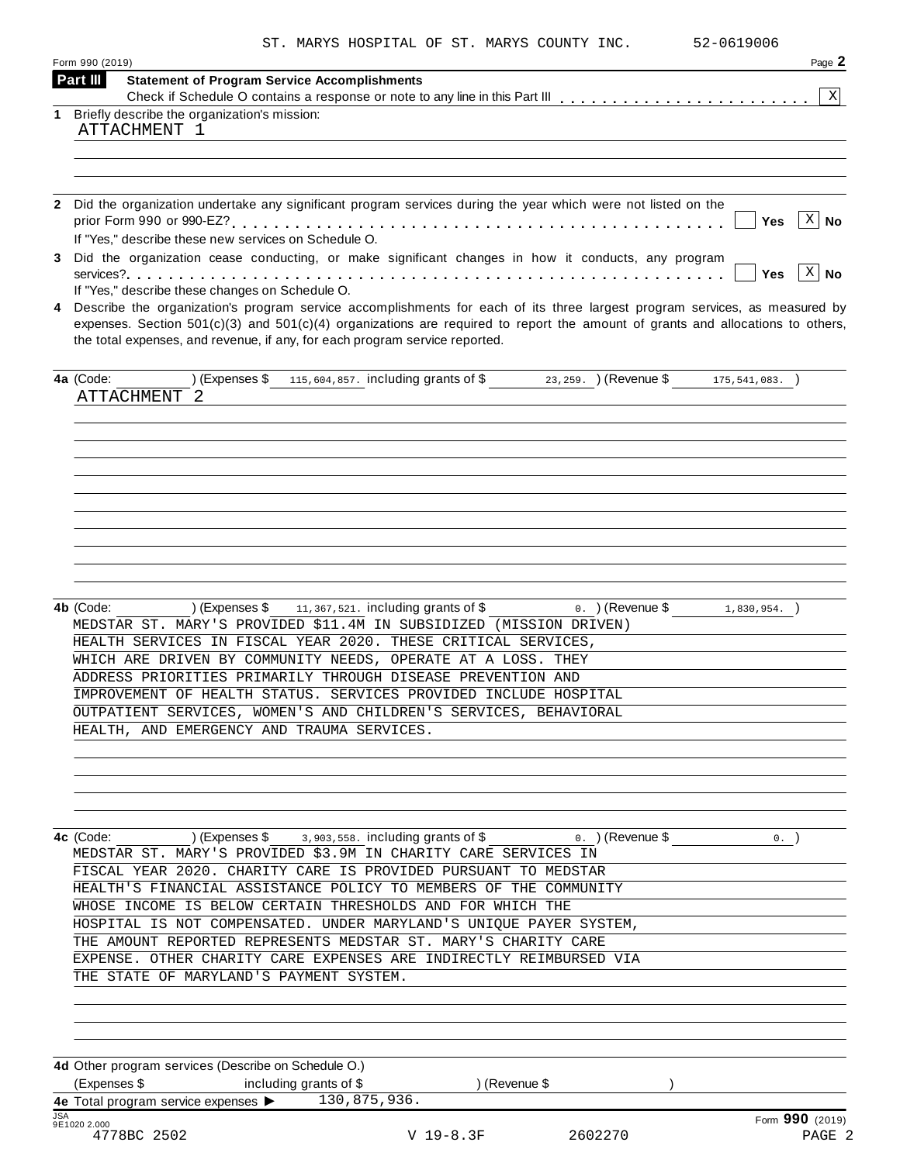|  |  |  | ST. MARYS HOSPITAL OF ST. MARYS COUNTY INC. |  |  |  |  |  |  |
|--|--|--|---------------------------------------------|--|--|--|--|--|--|
|--|--|--|---------------------------------------------|--|--|--|--|--|--|

52-0619006

| Form 990 (2019)            |                                                                                                                                                                                 | Page 2                             |
|----------------------------|---------------------------------------------------------------------------------------------------------------------------------------------------------------------------------|------------------------------------|
| Part III                   | <b>Statement of Program Service Accomplishments</b>                                                                                                                             | X                                  |
|                            | Briefly describe the organization's mission:                                                                                                                                    |                                    |
|                            | ATTACHMENT 1                                                                                                                                                                    |                                    |
|                            |                                                                                                                                                                                 |                                    |
|                            |                                                                                                                                                                                 |                                    |
|                            |                                                                                                                                                                                 |                                    |
|                            | 2 Did the organization undertake any significant program services during the year which were not listed on the                                                                  |                                    |
|                            |                                                                                                                                                                                 | 「X   No<br>Yes                     |
|                            | If "Yes," describe these new services on Schedule O.                                                                                                                            |                                    |
|                            | Did the organization cease conducting, or make significant changes in how it conducts, any program                                                                              |                                    |
|                            |                                                                                                                                                                                 | $\lceil x \rceil$ No<br><b>Yes</b> |
|                            | If "Yes," describe these changes on Schedule O.<br>4 Describe the organization's program service accomplishments for each of its three largest program services, as measured by |                                    |
|                            | expenses. Section $501(c)(3)$ and $501(c)(4)$ organizations are required to report the amount of grants and allocations to others,                                              |                                    |
|                            | the total expenses, and revenue, if any, for each program service reported.                                                                                                     |                                    |
|                            |                                                                                                                                                                                 |                                    |
| 4a (Code:                  | (Expenses \$ 115,604,857. including grants of \$ 23,259. ) (Revenue \$ 175,541,083. )                                                                                           |                                    |
|                            | ATTACHMENT 2                                                                                                                                                                    |                                    |
|                            |                                                                                                                                                                                 |                                    |
|                            |                                                                                                                                                                                 |                                    |
|                            |                                                                                                                                                                                 |                                    |
|                            |                                                                                                                                                                                 |                                    |
|                            |                                                                                                                                                                                 |                                    |
|                            |                                                                                                                                                                                 |                                    |
|                            |                                                                                                                                                                                 |                                    |
|                            |                                                                                                                                                                                 |                                    |
|                            |                                                                                                                                                                                 |                                    |
|                            |                                                                                                                                                                                 |                                    |
|                            |                                                                                                                                                                                 |                                    |
|                            |                                                                                                                                                                                 |                                    |
| 4b (Code:                  | ) (Expenses \$<br>$11,367,521$ . including grants of $\$$<br>0. $)($ Revenue \$ 1,830,954. $)$<br>MEDSTAR ST. MARY'S PROVIDED \$11.4M IN SUBSIDIZED (MISSION DRIVEN)            |                                    |
|                            | HEALTH SERVICES IN FISCAL YEAR 2020. THESE CRITICAL SERVICES,                                                                                                                   |                                    |
|                            | WHICH ARE DRIVEN BY COMMUNITY NEEDS, OPERATE AT A LOSS. THEY                                                                                                                    |                                    |
|                            | ADDRESS PRIORITIES PRIMARILY THROUGH DISEASE PREVENTION AND                                                                                                                     |                                    |
|                            | IMPROVEMENT OF HEALTH STATUS. SERVICES PROVIDED INCLUDE HOSPITAL                                                                                                                |                                    |
|                            |                                                                                                                                                                                 |                                    |
|                            | OUTPATIENT SERVICES, WOMEN'S AND CHILDREN'S SERVICES, BEHAVIORAL                                                                                                                |                                    |
|                            | HEALTH, AND EMERGENCY AND TRAUMA SERVICES.                                                                                                                                      |                                    |
|                            |                                                                                                                                                                                 |                                    |
|                            |                                                                                                                                                                                 |                                    |
|                            |                                                                                                                                                                                 |                                    |
|                            |                                                                                                                                                                                 |                                    |
|                            |                                                                                                                                                                                 |                                    |
|                            | <b>4c</b> (Code: $\qquad$ ) (Expenses \$ $\qquad$ 3,903,558. including grants of \$<br>$0.$ ) (Revenue \$                                                                       | 0.                                 |
|                            | MEDSTAR ST. MARY'S PROVIDED \$3.9M IN CHARITY CARE SERVICES IN                                                                                                                  |                                    |
|                            | FISCAL YEAR 2020. CHARITY CARE IS PROVIDED PURSUANT TO MEDSTAR                                                                                                                  |                                    |
|                            | HEALTH'S FINANCIAL ASSISTANCE POLICY TO MEMBERS OF THE COMMUNITY                                                                                                                |                                    |
|                            | WHOSE INCOME IS BELOW CERTAIN THRESHOLDS AND FOR WHICH THE                                                                                                                      |                                    |
|                            | HOSPITAL IS NOT COMPENSATED. UNDER MARYLAND'S UNIQUE PAYER SYSTEM,                                                                                                              |                                    |
|                            | THE AMOUNT REPORTED REPRESENTS MEDSTAR ST. MARY'S CHARITY CARE                                                                                                                  |                                    |
|                            | EXPENSE. OTHER CHARITY CARE EXPENSES ARE INDIRECTLY REIMBURSED VIA                                                                                                              |                                    |
|                            | THE STATE OF MARYLAND'S PAYMENT SYSTEM.                                                                                                                                         |                                    |
|                            |                                                                                                                                                                                 |                                    |
|                            |                                                                                                                                                                                 |                                    |
|                            |                                                                                                                                                                                 |                                    |
|                            |                                                                                                                                                                                 |                                    |
|                            | 4d Other program services (Describe on Schedule O.)                                                                                                                             |                                    |
|                            | (Expenses \$ including grants of \$<br>) (Revenue \$                                                                                                                            |                                    |
|                            | 4e Total program service expenses > 130,875,936.                                                                                                                                |                                    |
| <b>JSA</b><br>9E1020 2.000 |                                                                                                                                                                                 | Form $990$ (2019)                  |
|                            | 4778BC 2502<br>V 19-8.3F<br>2602270                                                                                                                                             | PAGE 2                             |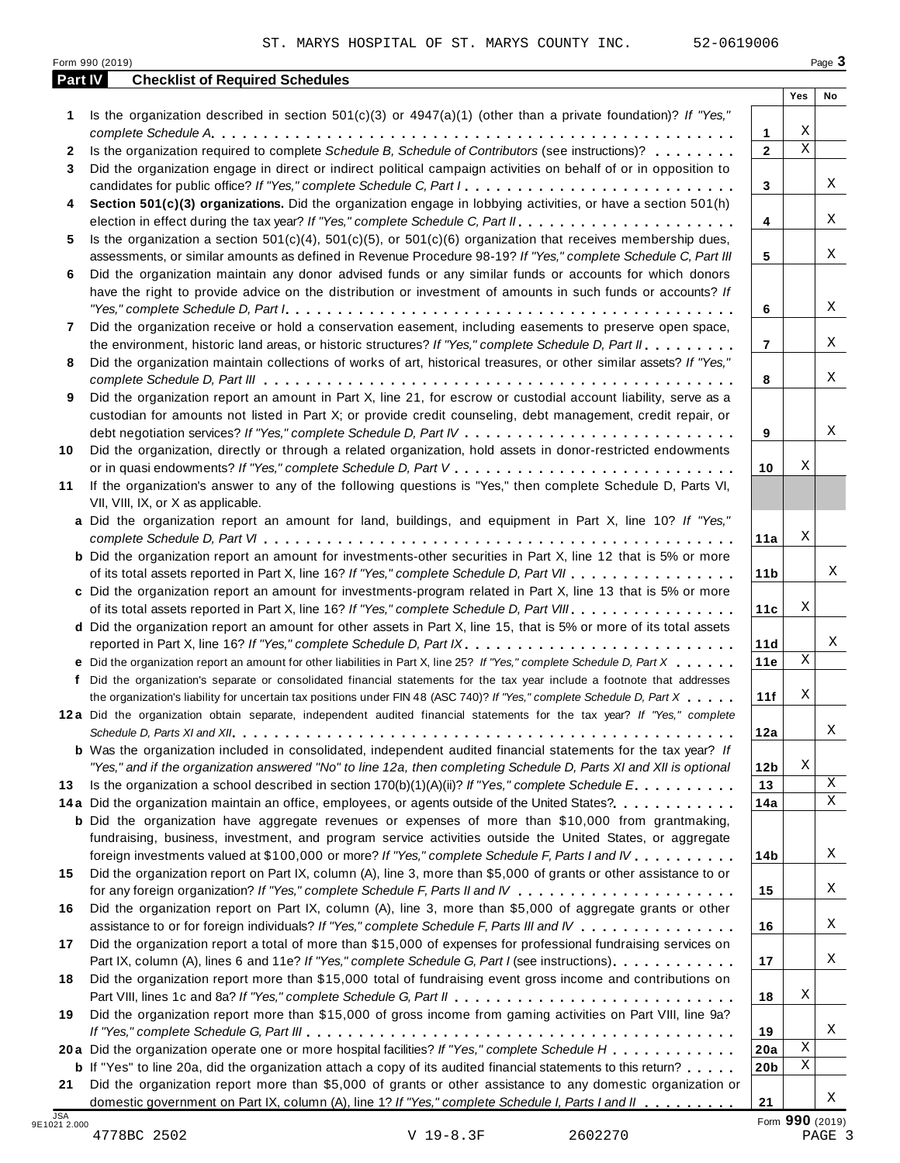|    | Part IV<br><b>Checklist of Required Schedules</b>                                                                                                                                                                 |                 | Yes                     | No |
|----|-------------------------------------------------------------------------------------------------------------------------------------------------------------------------------------------------------------------|-----------------|-------------------------|----|
| 1  | Is the organization described in section $501(c)(3)$ or $4947(a)(1)$ (other than a private foundation)? If "Yes,"                                                                                                 |                 |                         |    |
|    |                                                                                                                                                                                                                   | $\mathbf{1}$    | Χ                       |    |
| 2  | Is the organization required to complete Schedule B, Schedule of Contributors (see instructions)?                                                                                                                 | $\mathbf{2}$    | $\overline{\mathbf{x}}$ |    |
| 3  | Did the organization engage in direct or indirect political campaign activities on behalf of or in opposition to                                                                                                  |                 |                         |    |
|    | candidates for public office? If "Yes," complete Schedule C, Part I.                                                                                                                                              | 3               |                         | X  |
| 4  | Section 501(c)(3) organizations. Did the organization engage in lobbying activities, or have a section 501(h)                                                                                                     |                 |                         |    |
|    |                                                                                                                                                                                                                   | 4               |                         | Χ  |
| 5  | Is the organization a section $501(c)(4)$ , $501(c)(5)$ , or $501(c)(6)$ organization that receives membership dues,                                                                                              |                 |                         |    |
|    | assessments, or similar amounts as defined in Revenue Procedure 98-19? If "Yes," complete Schedule C, Part III                                                                                                    | 5               |                         | Χ  |
| 6  | Did the organization maintain any donor advised funds or any similar funds or accounts for which donors                                                                                                           |                 |                         |    |
|    | have the right to provide advice on the distribution or investment of amounts in such funds or accounts? If                                                                                                       |                 |                         |    |
|    |                                                                                                                                                                                                                   | 6               |                         | X  |
| 7  | Did the organization receive or hold a conservation easement, including easements to preserve open space,                                                                                                         |                 |                         |    |
|    | the environment, historic land areas, or historic structures? If "Yes," complete Schedule D, Part II.                                                                                                             | $\overline{7}$  |                         | X  |
| 8  | Did the organization maintain collections of works of art, historical treasures, or other similar assets? If "Yes,"                                                                                               |                 |                         |    |
|    |                                                                                                                                                                                                                   | 8               |                         | Χ  |
| 9  | Did the organization report an amount in Part X, line 21, for escrow or custodial account liability, serve as a                                                                                                   |                 |                         |    |
|    | custodian for amounts not listed in Part X; or provide credit counseling, debt management, credit repair, or                                                                                                      |                 |                         |    |
|    |                                                                                                                                                                                                                   | 9               |                         | Χ  |
| 10 | Did the organization, directly or through a related organization, hold assets in donor-restricted endowments                                                                                                      |                 |                         |    |
|    |                                                                                                                                                                                                                   | 10              | Χ                       |    |
| 11 | If the organization's answer to any of the following questions is "Yes," then complete Schedule D, Parts VI,                                                                                                      |                 |                         |    |
|    | VII, VIII, IX, or X as applicable.                                                                                                                                                                                |                 |                         |    |
|    | a Did the organization report an amount for land, buildings, and equipment in Part X, line 10? If "Yes,"                                                                                                          |                 | Χ                       |    |
|    |                                                                                                                                                                                                                   | 11a             |                         |    |
|    | <b>b</b> Did the organization report an amount for investments-other securities in Part X, line 12 that is 5% or more<br>of its total assets reported in Part X, line 16? If "Yes," complete Schedule D, Part VII | 11 <sub>b</sub> |                         | Χ  |
|    | c Did the organization report an amount for investments-program related in Part X, line 13 that is 5% or more                                                                                                     |                 |                         |    |
|    | of its total assets reported in Part X, line 16? If "Yes," complete Schedule D, Part VIII                                                                                                                         | 11c             | Χ                       |    |
|    | d Did the organization report an amount for other assets in Part X, line 15, that is 5% or more of its total assets                                                                                               |                 |                         |    |
|    | reported in Part X, line 16? If "Yes," complete Schedule D, Part IX.                                                                                                                                              | 11d             |                         | X  |
|    | e Did the organization report an amount for other liabilities in Part X, line 25? If "Yes," complete Schedule D, Part X                                                                                           | 11e             | $\mathbf X$             |    |
| f. | Did the organization's separate or consolidated financial statements for the tax year include a footnote that addresses                                                                                           |                 |                         |    |
|    | the organization's liability for uncertain tax positions under FIN 48 (ASC 740)? If "Yes," complete Schedule D, Part X                                                                                            | 11f             | Χ                       |    |
|    | 12a Did the organization obtain separate, independent audited financial statements for the tax year? If "Yes," complete                                                                                           |                 |                         |    |
|    |                                                                                                                                                                                                                   | 12a             |                         | Χ  |
|    | <b>b</b> Was the organization included in consolidated, independent audited financial statements for the tax year? If                                                                                             |                 |                         |    |
|    | "Yes," and if the organization answered "No" to line 12a, then completing Schedule D, Parts XI and XII is optional                                                                                                | 12 <sub>b</sub> | Χ                       |    |
| 13 | Is the organization a school described in section $170(b)(1)(A)(ii)?$ If "Yes," complete Schedule E.                                                                                                              | 13              |                         | X  |
|    | 14a Did the organization maintain an office, employees, or agents outside of the United States?                                                                                                                   | 14a             |                         | X  |
|    | <b>b</b> Did the organization have aggregate revenues or expenses of more than \$10,000 from grantmaking,                                                                                                         |                 |                         |    |
|    | fundraising, business, investment, and program service activities outside the United States, or aggregate                                                                                                         |                 |                         |    |
|    | foreign investments valued at \$100,000 or more? If "Yes," complete Schedule F, Parts I and IV                                                                                                                    | 14b             |                         | Χ  |
| 15 | Did the organization report on Part IX, column (A), line 3, more than \$5,000 of grants or other assistance to or                                                                                                 |                 |                         |    |
|    |                                                                                                                                                                                                                   | 15              |                         | Χ  |
| 16 | Did the organization report on Part IX, column (A), line 3, more than \$5,000 of aggregate grants or other                                                                                                        |                 |                         |    |
|    | assistance to or for foreign individuals? If "Yes," complete Schedule F, Parts III and IV                                                                                                                         | 16              |                         | Χ  |
| 17 | Did the organization report a total of more than \$15,000 of expenses for professional fundraising services on                                                                                                    |                 |                         |    |
|    | Part IX, column (A), lines 6 and 11e? If "Yes," complete Schedule G, Part I (see instructions)                                                                                                                    | 17              |                         | Χ  |
| 18 | Did the organization report more than \$15,000 total of fundraising event gross income and contributions on                                                                                                       |                 |                         |    |
|    |                                                                                                                                                                                                                   | 18              | Χ                       |    |
| 19 | Did the organization report more than \$15,000 of gross income from gaming activities on Part VIII, line 9a?                                                                                                      |                 |                         |    |
|    |                                                                                                                                                                                                                   | 19              |                         | Χ  |
|    | 20a Did the organization operate one or more hospital facilities? If "Yes," complete Schedule H                                                                                                                   | 20a             | Χ                       |    |
|    | <b>b</b> If "Yes" to line 20a, did the organization attach a copy of its audited financial statements to this return?                                                                                             | 20 <sub>b</sub> | Χ                       |    |
| 21 | Did the organization report more than \$5,000 of grants or other assistance to any domestic organization or                                                                                                       |                 |                         |    |
|    | domestic government on Part IX, column (A), line 1? If "Yes," complete Schedule I, Parts I and II                                                                                                                 | 21              |                         | X  |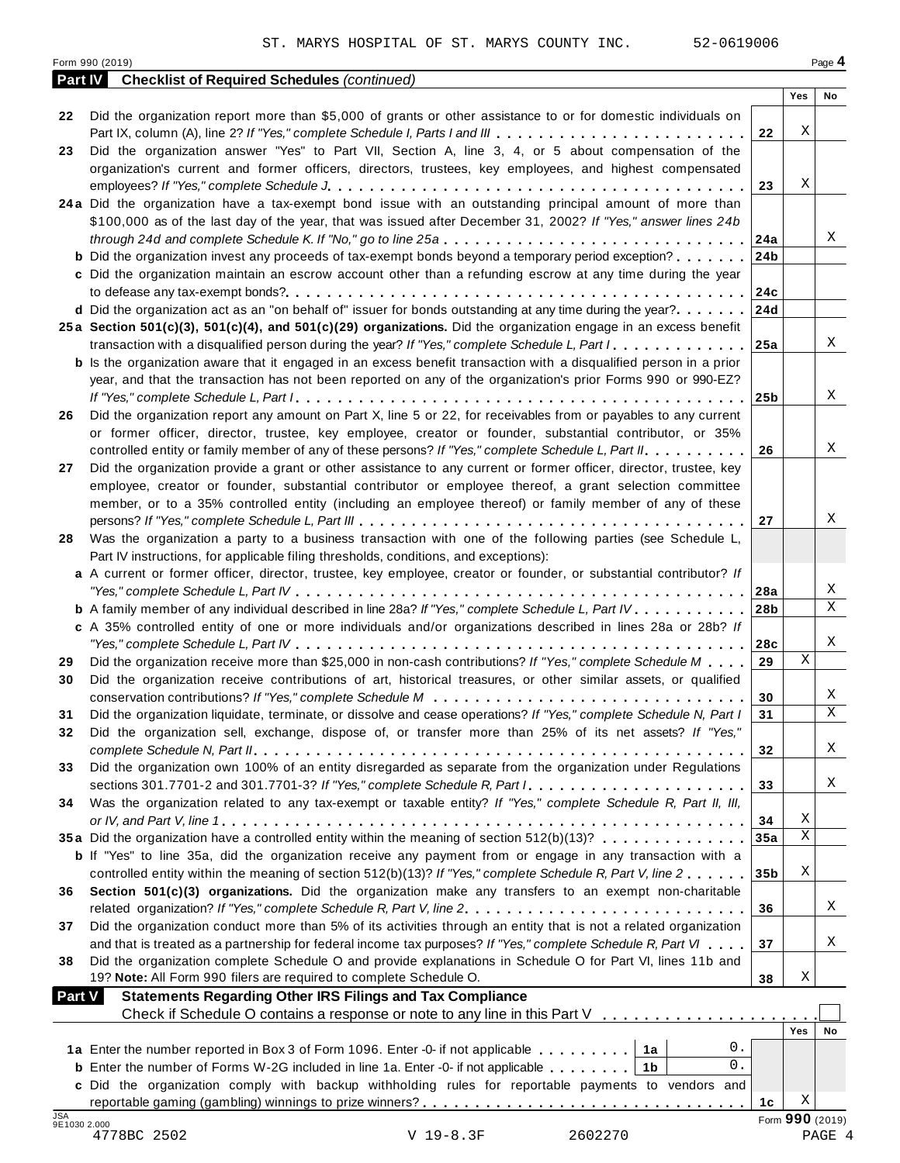|                            | 52-0619006<br>ST. MARYS HOSPITAL OF ST. MARYS COUNTY INC.                                                                                                                                                                       |                 |             |                 |
|----------------------------|---------------------------------------------------------------------------------------------------------------------------------------------------------------------------------------------------------------------------------|-----------------|-------------|-----------------|
|                            | Form 990 (2019)                                                                                                                                                                                                                 |                 |             | Page 4          |
| <b>Part IV</b>             | <b>Checklist of Required Schedules (continued)</b>                                                                                                                                                                              |                 | Yes         | No              |
| 22                         | Did the organization report more than \$5,000 of grants or other assistance to or for domestic individuals on                                                                                                                   |                 |             |                 |
|                            | Part IX, column (A), line 2? If "Yes," complete Schedule I, Parts I and III                                                                                                                                                     | 22              | Χ           |                 |
| 23                         | Did the organization answer "Yes" to Part VII, Section A, line 3, 4, or 5 about compensation of the                                                                                                                             |                 |             |                 |
|                            | organization's current and former officers, directors, trustees, key employees, and highest compensated                                                                                                                         |                 |             |                 |
|                            |                                                                                                                                                                                                                                 | 23              | Χ           |                 |
|                            | 24a Did the organization have a tax-exempt bond issue with an outstanding principal amount of more than                                                                                                                         |                 |             |                 |
|                            | \$100,000 as of the last day of the year, that was issued after December 31, 2002? If "Yes," answer lines 24b                                                                                                                   |                 |             |                 |
|                            | through 24d and complete Schedule K. If "No," go to line 25a                                                                                                                                                                    | 24a             |             | Χ               |
|                            | <b>b</b> Did the organization invest any proceeds of tax-exempt bonds beyond a temporary period exception?                                                                                                                      | 24b             |             |                 |
|                            | c Did the organization maintain an escrow account other than a refunding escrow at any time during the year                                                                                                                     |                 |             |                 |
|                            | d Did the organization act as an "on behalf of" issuer for bonds outstanding at any time during the year?                                                                                                                       | 24c<br>24d      |             |                 |
|                            | 25a Section 501(c)(3), 501(c)(4), and 501(c)(29) organizations. Did the organization engage in an excess benefit                                                                                                                |                 |             |                 |
|                            | transaction with a disqualified person during the year? If "Yes," complete Schedule L, Part I                                                                                                                                   | 25a             |             | X               |
|                            | <b>b</b> Is the organization aware that it engaged in an excess benefit transaction with a disqualified person in a prior                                                                                                       |                 |             |                 |
|                            | year, and that the transaction has not been reported on any of the organization's prior Forms 990 or 990-EZ?                                                                                                                    |                 |             |                 |
|                            |                                                                                                                                                                                                                                 | 25 <sub>b</sub> |             | Χ               |
| 26                         | Did the organization report any amount on Part X, line 5 or 22, for receivables from or payables to any current                                                                                                                 |                 |             |                 |
|                            | or former officer, director, trustee, key employee, creator or founder, substantial contributor, or 35%                                                                                                                         |                 |             |                 |
|                            | controlled entity or family member of any of these persons? If "Yes," complete Schedule L, Part II.                                                                                                                             | 26              |             | Χ               |
| 27                         | Did the organization provide a grant or other assistance to any current or former officer, director, trustee, key                                                                                                               |                 |             |                 |
|                            | employee, creator or founder, substantial contributor or employee thereof, a grant selection committee<br>member, or to a 35% controlled entity (including an employee thereof) or family member of any of these                |                 |             |                 |
|                            |                                                                                                                                                                                                                                 | 27              |             | Χ               |
| 28                         | Was the organization a party to a business transaction with one of the following parties (see Schedule L,                                                                                                                       |                 |             |                 |
|                            | Part IV instructions, for applicable filing thresholds, conditions, and exceptions):                                                                                                                                            |                 |             |                 |
|                            | a A current or former officer, director, trustee, key employee, creator or founder, or substantial contributor? If                                                                                                              |                 |             |                 |
|                            |                                                                                                                                                                                                                                 |                 |             | Χ               |
|                            | b A family member of any individual described in line 28a? If "Yes," complete Schedule L, Part IV.                                                                                                                              | 28b             |             | X               |
|                            | c A 35% controlled entity of one or more individuals and/or organizations described in lines 28a or 28b? If                                                                                                                     |                 |             |                 |
|                            |                                                                                                                                                                                                                                 | 28c             | $\mathbf x$ | Χ               |
| 29                         | Did the organization receive more than \$25,000 in non-cash contributions? If "Yes," complete Schedule M                                                                                                                        | 29              |             |                 |
| 30                         | Did the organization receive contributions of art, historical treasures, or other similar assets, or qualified                                                                                                                  | 30              |             | Χ               |
| 31                         | Did the organization liquidate, terminate, or dissolve and cease operations? If "Yes," complete Schedule N, Part I                                                                                                              | 31              |             | X               |
| 32                         | Did the organization sell, exchange, dispose of, or transfer more than 25% of its net assets? If "Yes,"                                                                                                                         |                 |             |                 |
|                            |                                                                                                                                                                                                                                 | 32              |             | X               |
| 33                         | Did the organization own 100% of an entity disregarded as separate from the organization under Regulations                                                                                                                      |                 |             |                 |
|                            |                                                                                                                                                                                                                                 | 33              |             | Χ               |
| 34                         | Was the organization related to any tax-exempt or taxable entity? If "Yes," complete Schedule R, Part II, III,                                                                                                                  |                 |             |                 |
|                            |                                                                                                                                                                                                                                 | 34              | Χ           |                 |
|                            | 35a Did the organization have a controlled entity within the meaning of section 512(b)(13)?                                                                                                                                     | 35a             | X           |                 |
|                            | <b>b</b> If "Yes" to line 35a, did the organization receive any payment from or engage in any transaction with a<br>controlled entity within the meaning of section 512(b)(13)? If "Yes," complete Schedule R, Part V, line 2   |                 | Χ           |                 |
| 36                         | Section 501(c)(3) organizations. Did the organization make any transfers to an exempt non-charitable                                                                                                                            | 35 <sub>b</sub> |             |                 |
|                            |                                                                                                                                                                                                                                 | 36              |             | X               |
| 37                         | Did the organization conduct more than 5% of its activities through an entity that is not a related organization                                                                                                                |                 |             |                 |
|                            | and that is treated as a partnership for federal income tax purposes? If "Yes," complete Schedule R, Part VI                                                                                                                    | 37              |             | Χ               |
| 38                         | Did the organization complete Schedule O and provide explanations in Schedule O for Part VI, lines 11b and                                                                                                                      |                 |             |                 |
|                            | 19? Note: All Form 990 filers are required to complete Schedule O.                                                                                                                                                              | 38              | Χ           |                 |
| Part V                     | <b>Statements Regarding Other IRS Filings and Tax Compliance</b>                                                                                                                                                                |                 |             |                 |
|                            | Check if Schedule O contains a response or note to any line in this Part V                                                                                                                                                      |                 |             |                 |
|                            |                                                                                                                                                                                                                                 |                 | Yes         | No              |
|                            | 0.<br>1a Enter the number reported in Box 3 of Form 1096. Enter -0- if not applicable<br>1а<br>0.                                                                                                                               |                 |             |                 |
|                            | <b>b</b> Enter the number of Forms W-2G included in line 1a. Enter -0- if not applicable $\ldots$ ,,,,,<br>1 <sub>b</sub><br>c Did the organization comply with backup withholding rules for reportable payments to vendors and |                 |             |                 |
|                            |                                                                                                                                                                                                                                 | 1c              | Χ           |                 |
| <b>JSA</b><br>9E1030 2.000 |                                                                                                                                                                                                                                 |                 |             | Form 990 (2019) |
|                            | 2602270<br>4778BC 2502<br>V 19-8.3F                                                                                                                                                                                             |                 |             | PAGE 4          |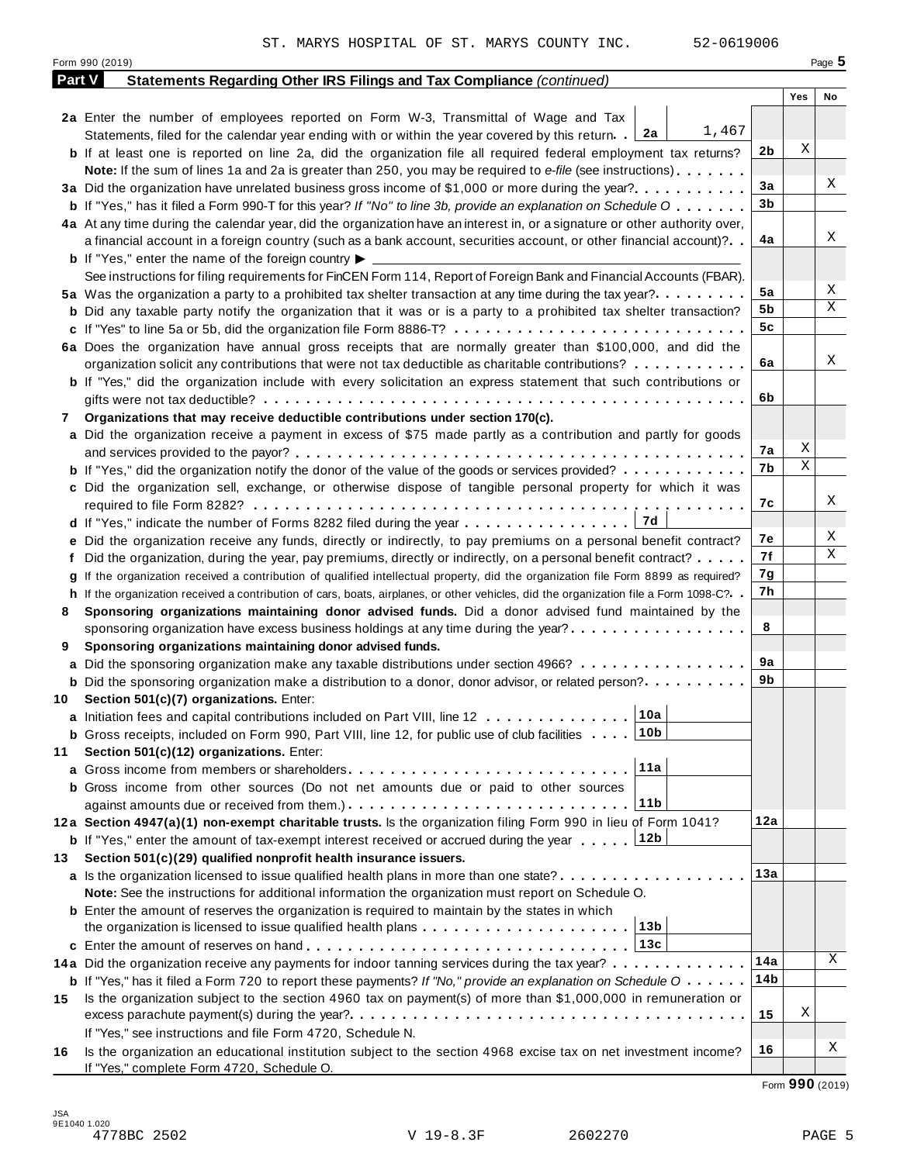|               | ST. MARYS HOSPITAL OF ST. MARYS COUNTY INC.<br>52-0619006                                                                                                                                                                   |                |     |          |
|---------------|-----------------------------------------------------------------------------------------------------------------------------------------------------------------------------------------------------------------------------|----------------|-----|----------|
|               | Form 990 (2019)                                                                                                                                                                                                             |                |     | Page $5$ |
| <b>Part V</b> | Statements Regarding Other IRS Filings and Tax Compliance (continued)                                                                                                                                                       |                |     |          |
|               |                                                                                                                                                                                                                             |                | Yes | No       |
|               | 2a Enter the number of employees reported on Form W-3, Transmittal of Wage and Tax<br>1,467                                                                                                                                 |                |     |          |
|               | Statements, filed for the calendar year ending with or within the year covered by this return. 2a                                                                                                                           |                | Χ   |          |
|               | <b>b</b> If at least one is reported on line 2a, did the organization file all required federal employment tax returns?                                                                                                     | 2b             |     |          |
|               | Note: If the sum of lines 1a and 2a is greater than 250, you may be required to e-file (see instructions)                                                                                                                   |                |     | Χ        |
|               | 3a Did the organization have unrelated business gross income of \$1,000 or more during the year?                                                                                                                            | 3a             |     |          |
|               | <b>b</b> If "Yes," has it filed a Form 990-T for this year? If "No" to line 3b, provide an explanation on Schedule O                                                                                                        | 3b             |     |          |
|               | 4a At any time during the calendar year, did the organization have an interest in, or a signature or other authority over,                                                                                                  |                |     | Χ        |
|               | a financial account in a foreign country (such as a bank account, securities account, or other financial account)?                                                                                                          | 4a             |     |          |
|               | <b>b</b> If "Yes," enter the name of the foreign country $\blacktriangleright$                                                                                                                                              |                |     |          |
|               | See instructions for filing requirements for FinCEN Form 114, Report of Foreign Bank and Financial Accounts (FBAR).                                                                                                         | 5a             |     | Χ        |
|               | 5a Was the organization a party to a prohibited tax shelter transaction at any time during the tax year?                                                                                                                    | 5b             |     | X        |
|               | <b>b</b> Did any taxable party notify the organization that it was or is a party to a prohibited tax shelter transaction?                                                                                                   | 5 <sub>c</sub> |     |          |
|               |                                                                                                                                                                                                                             |                |     |          |
|               | 6a Does the organization have annual gross receipts that are normally greater than \$100,000, and did the                                                                                                                   | 6a             |     | Χ        |
|               | organization solicit any contributions that were not tax deductible as charitable contributions?<br><b>b</b> If "Yes," did the organization include with every solicitation an express statement that such contributions or |                |     |          |
|               |                                                                                                                                                                                                                             | 6b             |     |          |
|               |                                                                                                                                                                                                                             |                |     |          |
| 7             | Organizations that may receive deductible contributions under section 170(c).<br>a Did the organization receive a payment in excess of \$75 made partly as a contribution and partly for goods                              |                |     |          |
|               |                                                                                                                                                                                                                             | 7а             | Χ   |          |
|               | <b>b</b> If "Yes," did the organization notify the donor of the value of the goods or services provided?                                                                                                                    | 7b             | X   |          |
|               | c Did the organization sell, exchange, or otherwise dispose of tangible personal property for which it was                                                                                                                  |                |     |          |
|               |                                                                                                                                                                                                                             | 7с             |     | Χ        |
|               |                                                                                                                                                                                                                             |                |     |          |
|               | e Did the organization receive any funds, directly or indirectly, to pay premiums on a personal benefit contract?                                                                                                           | 7е             |     | Χ        |
|               | f Did the organization, during the year, pay premiums, directly or indirectly, on a personal benefit contract?                                                                                                              | 7f             |     | Χ        |
|               | If the organization received a contribution of qualified intellectual property, did the organization file Form 8899 as required?                                                                                            | 7g             |     |          |
| g             | h If the organization received a contribution of cars, boats, airplanes, or other vehicles, did the organization file a Form 1098-C?. .                                                                                     | 7h             |     |          |
| 8             | Sponsoring organizations maintaining donor advised funds. Did a donor advised fund maintained by the                                                                                                                        |                |     |          |
|               | sponsoring organization have excess business holdings at any time during the year?                                                                                                                                          | 8              |     |          |
| 9             | Sponsoring organizations maintaining donor advised funds.                                                                                                                                                                   |                |     |          |
|               | a Did the sponsoring organization make any taxable distributions under section 4966?                                                                                                                                        | 9a             |     |          |
|               | <b>b</b> Did the sponsoring organization make a distribution to a donor, donor advisor, or related person?                                                                                                                  | 9b             |     |          |
| 10            | Section 501(c)(7) organizations. Enter:                                                                                                                                                                                     |                |     |          |
|               | 10a<br>a Initiation fees and capital contributions included on Part VIII, line 12                                                                                                                                           |                |     |          |
|               | 10 <sub>b</sub><br><b>b</b> Gross receipts, included on Form 990, Part VIII, line 12, for public use of club facilities                                                                                                     |                |     |          |
| 11            | Section 501(c)(12) organizations. Enter:                                                                                                                                                                                    |                |     |          |
| a             | 11a                                                                                                                                                                                                                         |                |     |          |
|               | <b>b</b> Gross income from other sources (Do not net amounts due or paid to other sources                                                                                                                                   |                |     |          |
|               | 11b                                                                                                                                                                                                                         |                |     |          |
|               | 12a Section 4947(a)(1) non-exempt charitable trusts. Is the organization filing Form 990 in lieu of Form 1041?                                                                                                              | 12a            |     |          |
|               | <b>b</b> If "Yes," enter the amount of tax-exempt interest received or accrued during the year 12b                                                                                                                          |                |     |          |
| 13            | Section 501(c)(29) qualified nonprofit health insurance issuers.                                                                                                                                                            |                |     |          |
|               | a Is the organization licensed to issue qualified health plans in more than one state?                                                                                                                                      | 13a            |     |          |
|               | Note: See the instructions for additional information the organization must report on Schedule O.                                                                                                                           |                |     |          |
|               | <b>b</b> Enter the amount of reserves the organization is required to maintain by the states in which                                                                                                                       |                |     |          |
|               | 13 <sub>b</sub><br>the organization is licensed to issue qualified health plans                                                                                                                                             |                |     |          |
|               | 13c                                                                                                                                                                                                                         |                |     |          |
|               | 14a Did the organization receive any payments for indoor tanning services during the tax year?                                                                                                                              | 14a            |     | Χ        |
|               | <b>b</b> If "Yes," has it filed a Form 720 to report these payments? If "No," provide an explanation on Schedule $0 \cdot \cdot \cdot \cdot$                                                                                | 14b            |     |          |
| 15            | Is the organization subject to the section 4960 tax on payment(s) of more than \$1,000,000 in remuneration or                                                                                                               |                |     |          |
|               |                                                                                                                                                                                                                             | 15             | Χ   |          |
|               | If "Yes," see instructions and file Form 4720, Schedule N.                                                                                                                                                                  |                |     |          |
| 16            | Is the organization an educational institution subject to the section 4968 excise tax on net investment income?                                                                                                             | 16             |     | Χ        |
|               | If "Yes," complete Form 4720, Schedule O.                                                                                                                                                                                   |                |     |          |

Form **990** (2019)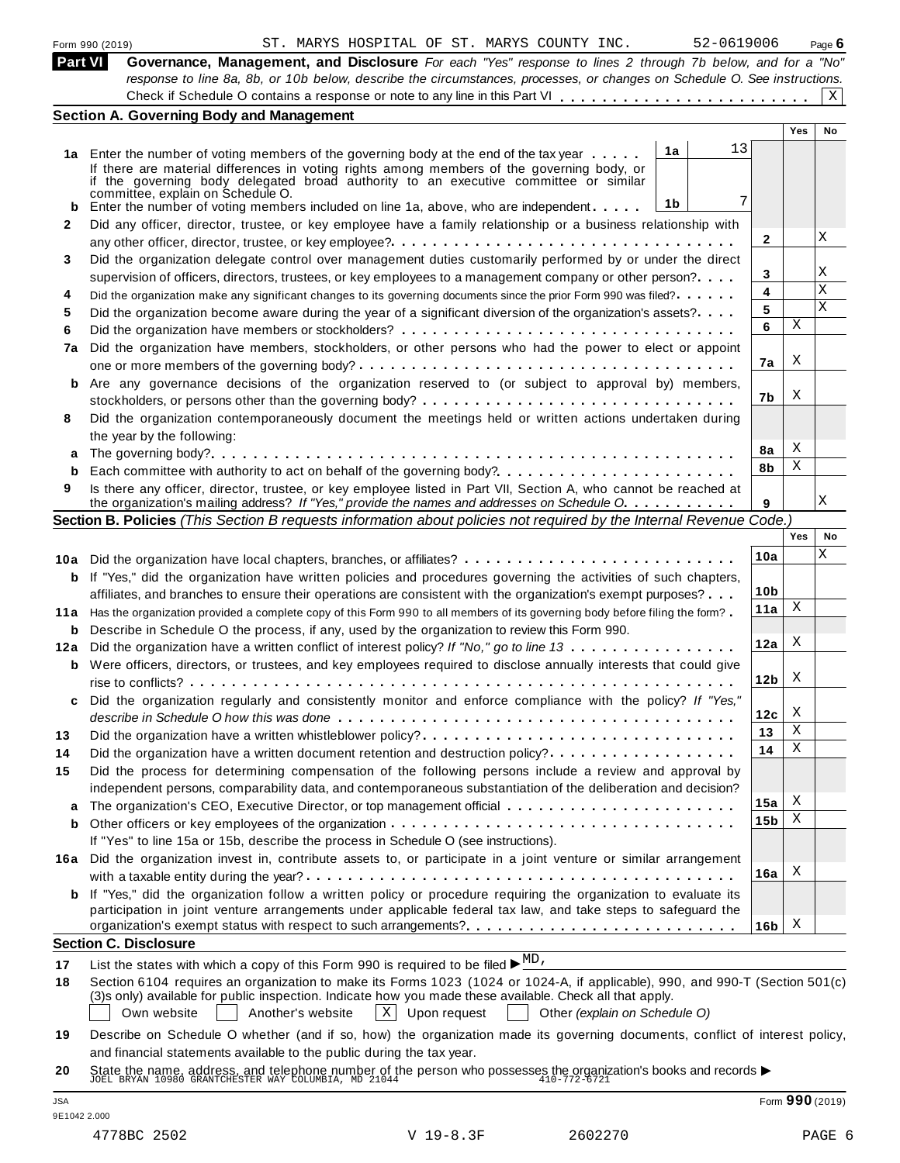|                | 52-0619006<br>ST. MARYS HOSPITAL OF ST. MARYS COUNTY INC.<br>Form 990 (2019)                                                                                                                                                            |                 |                 | Page $6$ |
|----------------|-----------------------------------------------------------------------------------------------------------------------------------------------------------------------------------------------------------------------------------------|-----------------|-----------------|----------|
| <b>Part VI</b> | Governance, Management, and Disclosure For each "Yes" response to lines 2 through 7b below, and for a "No"<br>response to line 8a, 8b, or 10b below, describe the circumstances, processes, or changes on Schedule O. See instructions. |                 |                 |          |
|                |                                                                                                                                                                                                                                         |                 |                 | X        |
|                | <b>Section A. Governing Body and Management</b>                                                                                                                                                                                         |                 |                 |          |
|                |                                                                                                                                                                                                                                         |                 | Yes             | No       |
|                | 13<br>1a<br>1a Enter the number of voting members of the governing body at the end of the tax year                                                                                                                                      |                 |                 |          |
|                | If there are material differences in voting rights among members of the governing body, or                                                                                                                                              |                 |                 |          |
|                | if the governing body delegated broad authority to an executive committee or similar<br>committée, explain on Schedule O.                                                                                                               |                 |                 |          |
| b              | 7<br>1b<br>Enter the number of voting members included on line 1a, above, who are independent                                                                                                                                           |                 |                 |          |
| 2              | Did any officer, director, trustee, or key employee have a family relationship or a business relationship with                                                                                                                          |                 |                 |          |
|                |                                                                                                                                                                                                                                         | 2               |                 | Χ        |
| 3              | Did the organization delegate control over management duties customarily performed by or under the direct                                                                                                                               |                 |                 | Χ        |
|                | supervision of officers, directors, trustees, or key employees to a management company or other person?                                                                                                                                 | 3<br>4          |                 | Х        |
| 4              | Did the organization make any significant changes to its governing documents since the prior Form 990 was filed?                                                                                                                        | 5               |                 | X        |
| 5              | Did the organization become aware during the year of a significant diversion of the organization's assets?                                                                                                                              | 6               | X               |          |
| 6              |                                                                                                                                                                                                                                         |                 |                 |          |
| 7a             | Did the organization have members, stockholders, or other persons who had the power to elect or appoint                                                                                                                                 | 7a              | X               |          |
| b              | Are any governance decisions of the organization reserved to (or subject to approval by) members,                                                                                                                                       |                 |                 |          |
|                |                                                                                                                                                                                                                                         | 7b              | X               |          |
| 8              | Did the organization contemporaneously document the meetings held or written actions undertaken during                                                                                                                                  |                 |                 |          |
|                | the year by the following:                                                                                                                                                                                                              |                 |                 |          |
|                |                                                                                                                                                                                                                                         | 8a              | X               |          |
| b              | Each committee with authority to act on behalf of the governing body?                                                                                                                                                                   | 8b              | Χ               |          |
| 9              | Is there any officer, director, trustee, or key employee listed in Part VII, Section A, who cannot be reached at                                                                                                                        |                 |                 |          |
|                | the organization's mailing address? If "Yes," provide the names and addresses on Schedule O.                                                                                                                                            | 9               |                 | Χ        |
|                | Section B. Policies (This Section B requests information about policies not required by the Internal Revenue Code.)                                                                                                                     |                 | Yes             | No       |
|                |                                                                                                                                                                                                                                         |                 |                 | Χ        |
|                | 10a Did the organization have local chapters, branches, or affiliates?                                                                                                                                                                  | 10a             |                 |          |
|                | <b>b</b> If "Yes," did the organization have written policies and procedures governing the activities of such chapters,                                                                                                                 | 10 <sub>b</sub> |                 |          |
|                | affiliates, and branches to ensure their operations are consistent with the organization's exempt purposes?                                                                                                                             | 11a             | X               |          |
|                | 11a Has the organization provided a complete copy of this Form 990 to all members of its governing body before filing the form?                                                                                                         |                 |                 |          |
|                | <b>b</b> Describe in Schedule O the process, if any, used by the organization to review this Form 990.<br>12a Did the organization have a written conflict of interest policy? If "No," go to line 13                                   | 12a             | X               |          |
|                | <b>b</b> Were officers, directors, or trustees, and key employees required to disclose annually interests that could give                                                                                                               |                 |                 |          |
|                |                                                                                                                                                                                                                                         | 12 <sub>b</sub> | X               |          |
| c              | Did the organization regularly and consistently monitor and enforce compliance with the policy? If "Yes,"                                                                                                                               |                 |                 |          |
|                |                                                                                                                                                                                                                                         | 12c             | X               |          |
| 13             | Did the organization have a written whistleblower policy?                                                                                                                                                                               | 13              | Χ               |          |
| 14             |                                                                                                                                                                                                                                         | 14              | Χ               |          |
| 15             | Did the process for determining compensation of the following persons include a review and approval by                                                                                                                                  |                 |                 |          |
|                | independent persons, comparability data, and contemporaneous substantiation of the deliberation and decision?                                                                                                                           |                 |                 |          |
|                |                                                                                                                                                                                                                                         | 15a             | Х               |          |
| b              |                                                                                                                                                                                                                                         | 15b             | X               |          |
|                | If "Yes" to line 15a or 15b, describe the process in Schedule O (see instructions).                                                                                                                                                     |                 |                 |          |
| 16a            | Did the organization invest in, contribute assets to, or participate in a joint venture or similar arrangement                                                                                                                          |                 | Х               |          |
|                |                                                                                                                                                                                                                                         | 16a             |                 |          |
| b              | If "Yes," did the organization follow a written policy or procedure requiring the organization to evaluate its<br>participation in joint venture arrangements under applicable federal tax law, and take steps to safeguard the         |                 |                 |          |
|                | organization's exempt status with respect to such arrangements?                                                                                                                                                                         | 16b             | X               |          |
|                | <b>Section C. Disclosure</b>                                                                                                                                                                                                            |                 |                 |          |
| 17             | List the states with which a copy of this Form 990 is required to be filed $\blacktriangleright \frac{MD}{ }$ .                                                                                                                         |                 |                 |          |
| 18             | Section 6104 requires an organization to make its Forms 1023 (1024 or 1024-A, if applicable), 990, and 990-T (Section 501(c)                                                                                                            |                 |                 |          |
|                | (3)s only) available for public inspection. Indicate how you made these available. Check all that apply.<br>Own website<br>Another's website<br>$X$ Upon request<br>Other (explain on Schedule O)                                       |                 |                 |          |
| 19             | Describe on Schedule O whether (and if so, how) the organization made its governing documents, conflict of interest policy,                                                                                                             |                 |                 |          |
|                | and financial statements available to the public during the tax year.                                                                                                                                                                   |                 |                 |          |
| 20             | State the name, address, and telephone number of the person who possesses the organization's books and records $\blacktriangleright$ JOEL BRYAN 10980 GRANTCHESTER WAY COLUMBIA, MD 21044                                               |                 |                 |          |
|                |                                                                                                                                                                                                                                         |                 |                 |          |
| JSA            |                                                                                                                                                                                                                                         |                 | Form 990 (2019) |          |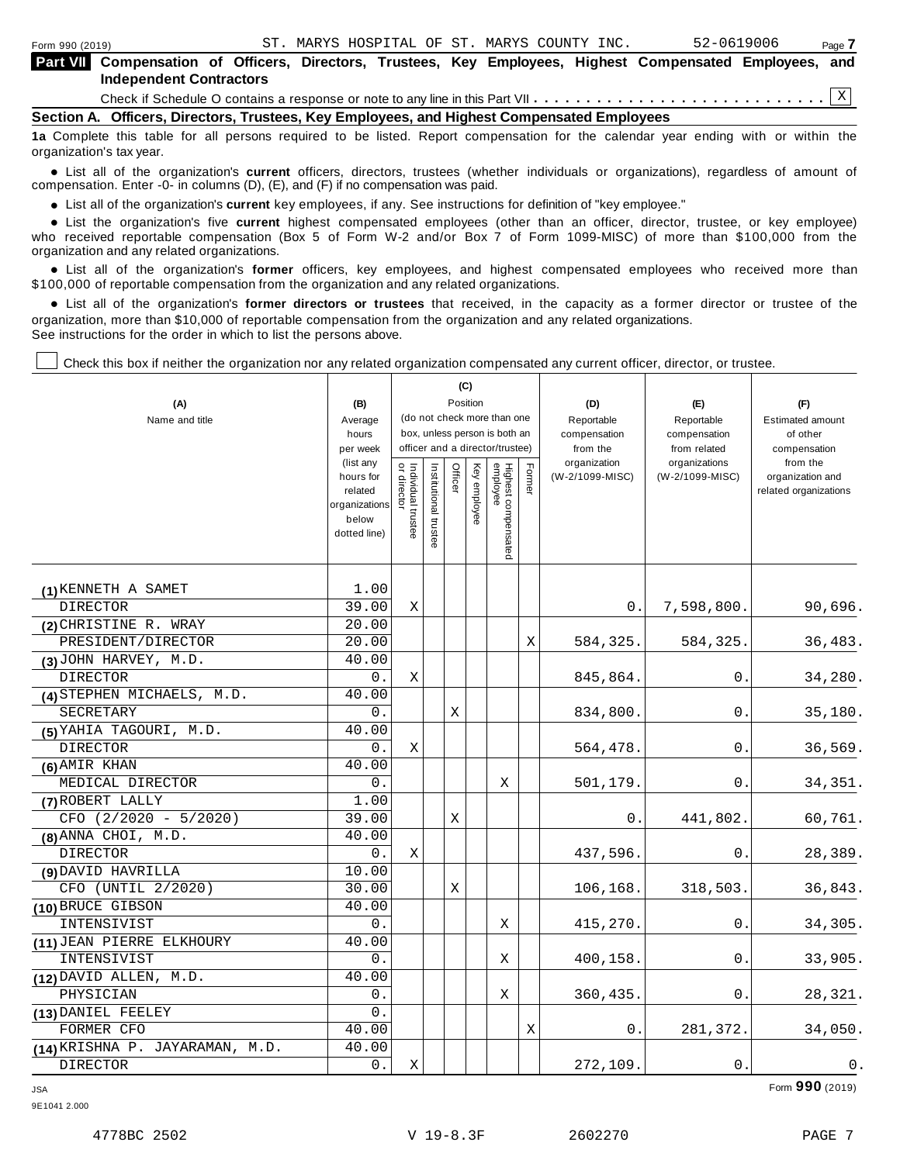| Form 990 (2019)                                                                                                                   |  |  |  |  | ST. MARYS HOSPITAL OF ST. MARYS COUNTY INC. |  | 52-0619006 |  | Page 7 |
|-----------------------------------------------------------------------------------------------------------------------------------|--|--|--|--|---------------------------------------------|--|------------|--|--------|
| Part VII Compensation of Officers, Directors, Trustees, Key Employees, Highest Compensated Employees, and                         |  |  |  |  |                                             |  |            |  |        |
| <b>Independent Contractors</b>                                                                                                    |  |  |  |  |                                             |  |            |  |        |
|                                                                                                                                   |  |  |  |  |                                             |  |            |  |        |
| Section A. Officers, Directors, Trustees, Key Employees, and Highest Compensated Employees                                        |  |  |  |  |                                             |  |            |  |        |
| 12 Complete this table for all nersons required to be listed. Report compensation for the calendar year ending with or within the |  |  |  |  |                                             |  |            |  |        |

**IIsted. Report compensation for the calendar year ending with or** organization's tax year.

anization's lax year.<br>● List all of the organization's **current** officers, directors, trustees (whether individuals or organizations), regardless of amount of<br>nnensation Enter -0- in columns (D) (E) and (E) if no compensa compensation. Enter -0- in columns (D), (E), and (F) if no compensation was paid.

**■** List all of the organization's **current** key employees, if any. See instructions for definition of "key employee."<br>■ List the experimentals five expect highest expressed explores (other than an efficer director t

**Example in the organization's current** key employees, if any. See instructions for definition of key employee.<br>• List the organization's five **current** highest compensated employees (other than an officer, director, trust who received reportable compensation (Box 5 of Form W-2 and/or Box 7 of Form 1099-MISC) of more than \$100,000 from the

organization and any related organizations.<br>• List all of the organization's **former** officers, key employees, and highest compensated employees who received more than<br>\$1.00.000 of reportable componention from the erganiza \$100,000 of reportable compensation from the organization and any related organizations.

% List all of the organization's **former directors or trustees** that received, in the capacity as a former director or trustee of the organization, more than \$10,000 of reportable compensation from the organization and any related organizations. See instructions for the order in which to list the persons above.

 $\mathbf{C}$ 

Check this box if neither the organization nor any related organization compensated any current officer, director, or trustee.

|                                 |                                                                             |                                   |                                                                  |         | (ပ)          |                                 |        |                                 |                                  |                                           |
|---------------------------------|-----------------------------------------------------------------------------|-----------------------------------|------------------------------------------------------------------|---------|--------------|---------------------------------|--------|---------------------------------|----------------------------------|-------------------------------------------|
| (A)                             | (B)                                                                         |                                   |                                                                  |         | Position     |                                 |        | (D)                             | (E)                              | (F)                                       |
| Name and title                  | Average                                                                     | (do not check more than one       |                                                                  |         |              |                                 |        | Reportable                      | Reportable                       | <b>Estimated amount</b>                   |
|                                 | hours                                                                       |                                   | box, unless person is both an<br>officer and a director/trustee) |         |              |                                 |        | compensation                    | compensation                     | of other                                  |
|                                 | per week                                                                    |                                   |                                                                  |         |              |                                 |        | from the                        | from related                     | compensation<br>from the                  |
|                                 | (list any<br>hours for<br>related<br>organizations<br>below<br>dotted line) | Individual trustee<br>or director | Institutional trustee                                            | Officer | Key employee | Highest compensated<br>employee | Former | organization<br>(W-2/1099-MISC) | organizations<br>(W-2/1099-MISC) | organization and<br>related organizations |
|                                 |                                                                             |                                   |                                                                  |         |              |                                 |        |                                 |                                  |                                           |
| (1) KENNETH A SAMET             | 1.00                                                                        |                                   |                                                                  |         |              |                                 |        |                                 |                                  |                                           |
| <b>DIRECTOR</b>                 | 39.00                                                                       | Χ                                 |                                                                  |         |              |                                 |        | 0.                              | 7,598,800.                       | 90,696.                                   |
| (2) CHRISTINE R. WRAY           | 20.00                                                                       |                                   |                                                                  |         |              |                                 |        |                                 |                                  |                                           |
| PRESIDENT/DIRECTOR              | 20.00                                                                       |                                   |                                                                  |         |              |                                 | Χ      | 584,325.                        | 584,325.                         | 36,483.                                   |
| $(3)$ JOHN HARVEY, M.D.         | 40.00                                                                       |                                   |                                                                  |         |              |                                 |        |                                 |                                  |                                           |
| DIRECTOR                        | $0$ .                                                                       | Χ                                 |                                                                  |         |              |                                 |        | 845,864.                        | 0.                               | 34,280.                                   |
| (4) STEPHEN MICHAELS, M.D.      | 40.00                                                                       |                                   |                                                                  |         |              |                                 |        |                                 |                                  |                                           |
| SECRETARY                       | 0.                                                                          |                                   |                                                                  | Χ       |              |                                 |        | 834,800.                        | 0.                               | 35,180.                                   |
| (5) YAHIA TAGOURI, M.D.         | 40.00                                                                       |                                   |                                                                  |         |              |                                 |        |                                 |                                  |                                           |
| <b>DIRECTOR</b>                 | 0.                                                                          | Χ                                 |                                                                  |         |              |                                 |        | 564,478.                        | 0.                               | 36,569.                                   |
| (6) AMIR KHAN                   | 40.00                                                                       |                                   |                                                                  |         |              |                                 |        |                                 |                                  |                                           |
| MEDICAL DIRECTOR                | 0.                                                                          |                                   |                                                                  |         |              | Χ                               |        | 501,179.                        | 0.                               | 34, 351.                                  |
| (7) ROBERT LALLY                | 1.00                                                                        |                                   |                                                                  |         |              |                                 |        |                                 |                                  |                                           |
| $CFO$ (2/2020 - 5/2020)         | 39.00                                                                       |                                   |                                                                  | Χ       |              |                                 |        | 0.                              | 441,802.                         | 60,761.                                   |
| $(8)$ ANNA CHOI, $M.D.$         | 40.00                                                                       |                                   |                                                                  |         |              |                                 |        |                                 |                                  |                                           |
| <b>DIRECTOR</b>                 | $0$ .                                                                       | X                                 |                                                                  |         |              |                                 |        | 437,596.                        | 0.                               | 28,389.                                   |
| (9) DAVID HAVRILLA              | 10.00                                                                       |                                   |                                                                  |         |              |                                 |        |                                 |                                  |                                           |
| CFO (UNTIL 2/2020)              | 30.00                                                                       |                                   |                                                                  | Χ       |              |                                 |        | 106,168.                        | 318,503.                         | 36,843.                                   |
| (10) BRUCE GIBSON               | 40.00                                                                       |                                   |                                                                  |         |              |                                 |        |                                 |                                  |                                           |
| INTENSIVIST                     | 0.                                                                          |                                   |                                                                  |         |              | Χ                               |        | 415,270.                        | 0.                               | 34,305.                                   |
| (11) JEAN PIERRE ELKHOURY       | 40.00                                                                       |                                   |                                                                  |         |              |                                 |        |                                 |                                  |                                           |
| INTENSIVIST                     | 0.                                                                          |                                   |                                                                  |         |              | X                               |        | 400,158                         | 0.                               | 33,905.                                   |
| (12) DAVID ALLEN, M.D.          | 40.00                                                                       |                                   |                                                                  |         |              |                                 |        |                                 |                                  |                                           |
| PHYSICIAN                       | 0.                                                                          |                                   |                                                                  |         |              | Χ                               |        | 360, 435.                       | 0.                               | 28,321.                                   |
| (13) DANIEL FEELEY              | 0.                                                                          |                                   |                                                                  |         |              |                                 |        |                                 |                                  |                                           |
| FORMER CFO                      | 40.00                                                                       |                                   |                                                                  |         |              |                                 | Χ      | 0.                              | 281,372.                         | 34,050.                                   |
| (14) KRISHNA P. JAYARAMAN, M.D. | 40.00                                                                       |                                   |                                                                  |         |              |                                 |        |                                 |                                  |                                           |
| <b>DIRECTOR</b>                 | $0$ .                                                                       | Χ                                 |                                                                  |         |              |                                 |        | 272,109.                        | $\mathsf 0$ .                    | $0$ .                                     |

JSA Form **990** (2019)

9E1041 2.000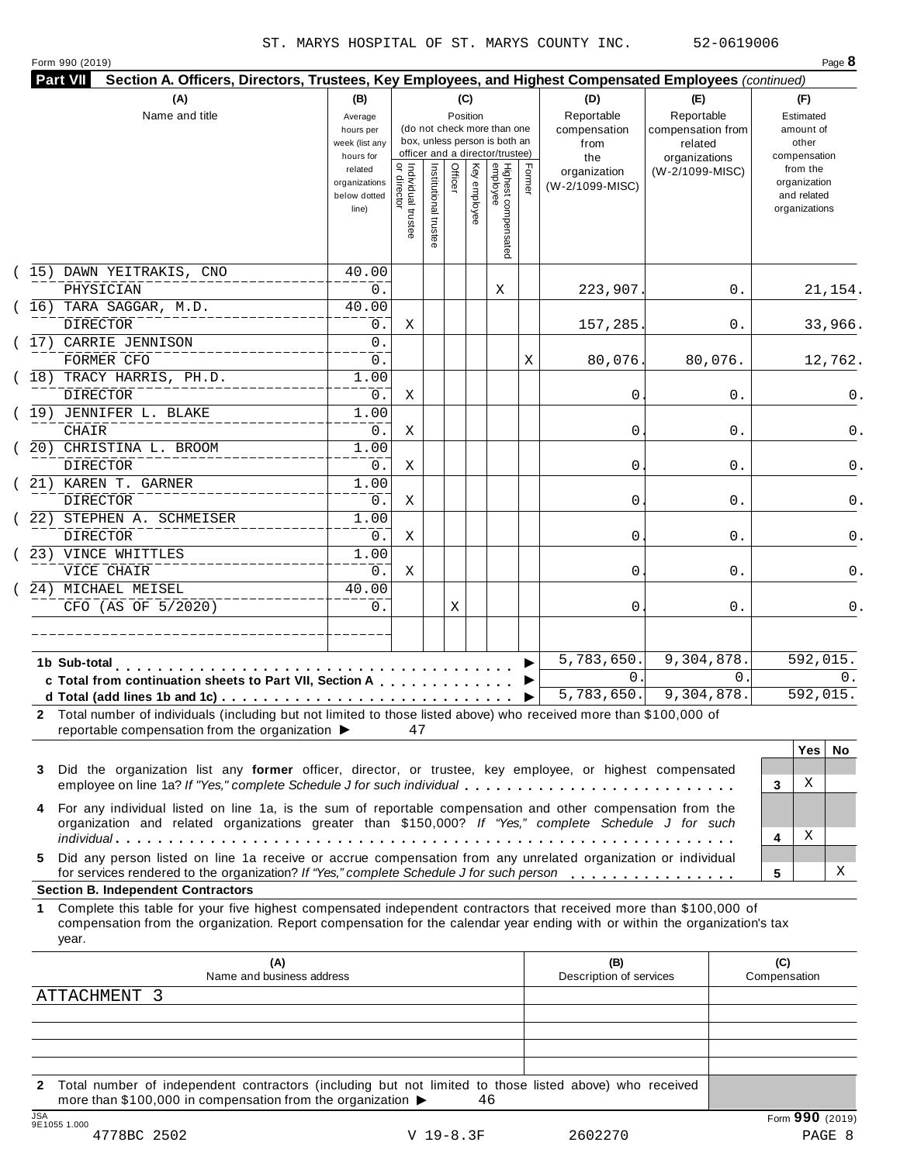Form 990 (2019) Page **8**

| 52-0619006 |  |  |
|------------|--|--|
|            |  |  |

| Part VII<br>Section A. Officers, Directors, Trustees, Key Employees, and Highest Compensated Employees (continued) |                                                            |                                     |                       |                 |              |                                                                                                 |        |                                                  |                                                                    |                                                          |
|--------------------------------------------------------------------------------------------------------------------|------------------------------------------------------------|-------------------------------------|-----------------------|-----------------|--------------|-------------------------------------------------------------------------------------------------|--------|--------------------------------------------------|--------------------------------------------------------------------|----------------------------------------------------------|
| (A)<br>Name and title                                                                                              | (B)<br>Average<br>hours per<br>week (list any<br>hours for |                                     |                       | (C)<br>Position |              | (do not check more than one<br>box, unless person is both an<br>officer and a director/trustee) |        | (D)<br>Reportable<br>compensation<br>from<br>the | (E)<br>Reportable<br>compensation from<br>related<br>organizations | (F)<br>Estimated<br>amount of<br>other<br>compensation   |
|                                                                                                                    | related<br>organizations<br>below dotted<br>line)          | Individual trustee<br>  or director | Institutional trustee | Officer         | Key employee | Highest compensated<br>employee                                                                 | Former | organization<br>(W-2/1099-MISC)                  | (W-2/1099-MISC)                                                    | from the<br>organization<br>and related<br>organizations |
| (15) DAWN YEITRAKIS, CNO                                                                                           | 40.00                                                      |                                     |                       |                 |              |                                                                                                 |        |                                                  |                                                                    |                                                          |
| PHYSICIAN                                                                                                          | 0.                                                         |                                     |                       |                 |              | Χ                                                                                               |        | 223,907                                          | 0.                                                                 | 21,154.                                                  |
| (16) TARA SAGGAR, M.D.                                                                                             | 40.00                                                      |                                     |                       |                 |              |                                                                                                 |        |                                                  |                                                                    |                                                          |
| <b>DIRECTOR</b>                                                                                                    | 0.                                                         | Χ                                   |                       |                 |              |                                                                                                 |        | 157,285                                          | 0.                                                                 | 33,966.                                                  |
| (17) CARRIE JENNISON<br>FORMER CFO                                                                                 | 0.<br>$0$ .                                                |                                     |                       |                 |              |                                                                                                 | Χ      | 80,076                                           | 80,076.                                                            | 12,762.                                                  |
| (18) TRACY HARRIS, PH.D.<br><b>DIRECTOR</b>                                                                        | 1.00<br>0.                                                 | X                                   |                       |                 |              |                                                                                                 |        | 0                                                | 0.                                                                 | 0.                                                       |
| (19) JENNIFER L. BLAKE<br><b>CHAIR</b>                                                                             | 1.00<br>0.                                                 | X                                   |                       |                 |              |                                                                                                 |        | 0                                                | 0.                                                                 | 0.                                                       |
| (20) CHRISTINA L. BROOM<br><b>DIRECTOR</b>                                                                         | 1.00<br>0.                                                 | Χ                                   |                       |                 |              |                                                                                                 |        | 0                                                | 0.                                                                 | 0.                                                       |
| ( 21) KAREN T. GARNER<br><b>DIRECTOR</b>                                                                           | 1.00<br>$0$ .                                              | X                                   |                       |                 |              |                                                                                                 |        | 0                                                | 0.                                                                 | 0.                                                       |
| (22) STEPHEN A. SCHMEISER<br><b>DIRECTOR</b>                                                                       | 1.00<br>$0$ .                                              | Χ                                   |                       |                 |              |                                                                                                 |        | 0                                                | 0.                                                                 | 0.                                                       |
| (23) VINCE WHITTLES<br>VICE CHAIR                                                                                  | 1.00<br>0.                                                 | Χ                                   |                       |                 |              |                                                                                                 |        | 0                                                | 0.                                                                 | $0$ .                                                    |
| (24) MICHAEL MEISEL<br>CFO (AS OF 5/2020)                                                                          | 40.00<br>0.                                                |                                     |                       | Χ               |              |                                                                                                 |        | 0                                                | 0.                                                                 | 0.                                                       |
|                                                                                                                    |                                                            |                                     |                       |                 |              |                                                                                                 |        |                                                  |                                                                    |                                                          |
|                                                                                                                    |                                                            |                                     |                       |                 |              |                                                                                                 |        | 5,783,650.                                       | 9,304,878.                                                         | 592,015.                                                 |
| c Total from continuation sheets to Part VII, Section A                                                            |                                                            |                                     |                       |                 |              |                                                                                                 |        | $\mathbf{0}$ .                                   | 0.                                                                 | $0$ .                                                    |
|                                                                                                                    |                                                            |                                     |                       |                 |              |                                                                                                 |        | 5,783,650.                                       | 9,304,878.                                                         | 592,015.                                                 |

|              | C Form rom continuation sneets to Part VII, Section A $\cdots$ , $\cdots$ , $\blacksquare$                                                                                                                             |          |     |
|--------------|------------------------------------------------------------------------------------------------------------------------------------------------------------------------------------------------------------------------|----------|-----|
|              | 5,783,650.<br>9,304,878.<br>d Total (add lines 1b and 1c) $\ldots \ldots \ldots \ldots \ldots \ldots \ldots \ldots \ldots \vdots$                                                                                      | 592,015. |     |
| $\mathbf{2}$ | Total number of individuals (including but not limited to those listed above) who received more than \$100,000 of<br>reportable compensation from the organization $\blacktriangleright$<br>47                         |          |     |
|              |                                                                                                                                                                                                                        | Yes l    | No. |
|              | 3 Did the organization list any former officer, director, or trustee, key employee, or highest compensated                                                                                                             |          |     |
|              | employee on line 1a? If "Yes," complete Schedule J for such individual                                                                                                                                                 | X        |     |
|              | 4 For any individual listed on line 1a, is the sum of reportable compensation and other compensation from the<br>organization and related organizations greater than \$150,000? If "Yes," complete Schedule J for such |          |     |
|              |                                                                                                                                                                                                                        | х        |     |
|              | 5 Did any person listed on line 1a receive or accrue compensation from any unrelated organization or individual                                                                                                        |          |     |
|              | for services rendered to the organization? If "Yes," complete Schedule J for such person                                                                                                                               |          | X   |
|              | <b>Section B. Independent Contractors</b>                                                                                                                                                                              |          |     |
|              | $\overline{a}$ , and $\overline{a}$ , and $\overline{a}$ , and $\overline{a}$ , and $\overline{a}$ , and $\overline{a}$ , and $\overline{a}$                                                                           |          |     |

#### **Section B. Independent Contractors**

**1** Complete this table for your five highest compensated independent contractors that received more than \$100,000 of compensation from the organization. Report compensation for the calendar year ending with or within the organization's tax year.

| (A)<br>Name and business address                                                                                                                                                                          | (B)<br>Description of services | (C)<br>Compensation |
|-----------------------------------------------------------------------------------------------------------------------------------------------------------------------------------------------------------|--------------------------------|---------------------|
| ATTACHMENT 3                                                                                                                                                                                              |                                |                     |
|                                                                                                                                                                                                           |                                |                     |
|                                                                                                                                                                                                           |                                |                     |
| Total number of independent contractors (including but not limited to those listed above) who received<br>$\mathbf{2}$<br>more than \$100,000 in compensation from the organization $\blacktriangleright$ | 46                             |                     |
| JSA<br>9E1055 1.000                                                                                                                                                                                       |                                | Form 990 (2019)     |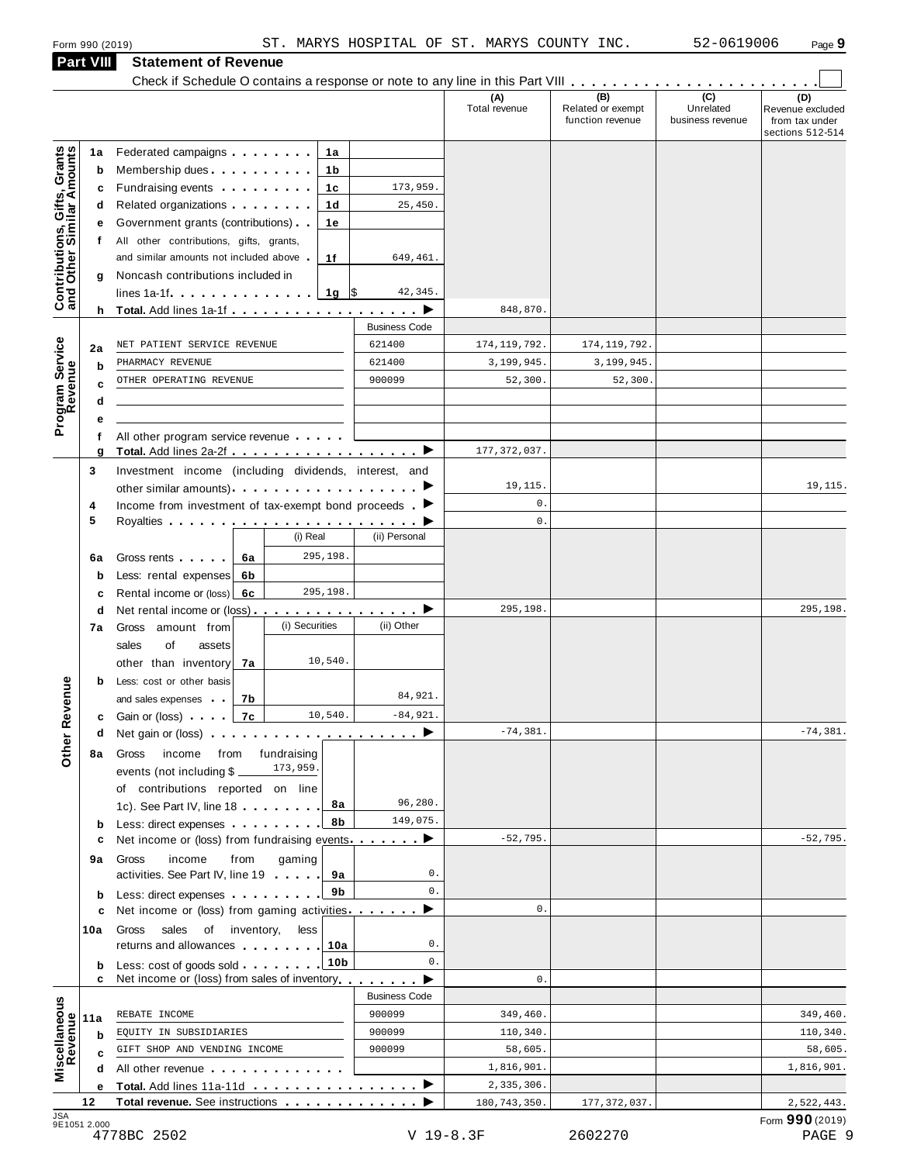# **Part VIII Statement of Revenue**<br>Check if Schedule O contains a response or note to any line in this Part VIII

|                                                           |           | Form 990 (2019)                                                                                                                                                                                                                            |                      |                | ST. MARYS HOSPITAL OF ST. MARYS COUNTY INC. | 52-0619006                    | Page 9                                                 |
|-----------------------------------------------------------|-----------|--------------------------------------------------------------------------------------------------------------------------------------------------------------------------------------------------------------------------------------------|----------------------|----------------|---------------------------------------------|-------------------------------|--------------------------------------------------------|
|                                                           | Part VIII | <b>Statement of Revenue</b>                                                                                                                                                                                                                |                      |                |                                             |                               |                                                        |
|                                                           |           |                                                                                                                                                                                                                                            |                      | (A)            | (B)                                         | $\overline{(c)}$              | (D)                                                    |
|                                                           |           |                                                                                                                                                                                                                                            |                      | Total revenue  | Related or exempt<br>function revenue       | Unrelated<br>business revenue | Revenue excluded<br>from tax under<br>sections 512-514 |
|                                                           | 1a        | Federated campaigns <b>Federated</b><br>1a                                                                                                                                                                                                 |                      |                |                                             |                               |                                                        |
| Contributions, Gifts, Grants<br>and Other Similar Amounts | b         | Membership dues<br>1b                                                                                                                                                                                                                      |                      |                |                                             |                               |                                                        |
|                                                           | c         | Fundraising events <b>Fundraising</b><br>1c                                                                                                                                                                                                | 173,959.             |                |                                             |                               |                                                        |
|                                                           | d         | Related organizations <b>and the set of the set of the set of the set of the set of the set of the set of the set of the set of the set of the set of the set of the set of the set of the set of the set of the set of the set </b><br>1d | 25,450.              |                |                                             |                               |                                                        |
|                                                           |           | Government grants (contributions)<br>1е                                                                                                                                                                                                    |                      |                |                                             |                               |                                                        |
|                                                           |           | f All other contributions, gifts, grants,<br>and similar amounts not included above<br>1f                                                                                                                                                  | 649,461.             |                |                                             |                               |                                                        |
|                                                           | g         | Noncash contributions included in                                                                                                                                                                                                          |                      |                |                                             |                               |                                                        |
|                                                           |           | 1g $\sqrt{5}$<br>lines $1a-1f$ , $\ldots$ , $\ldots$ , $\ldots$ , $\ldots$                                                                                                                                                                 | 42,345.              |                |                                             |                               |                                                        |
|                                                           |           |                                                                                                                                                                                                                                            |                      | 848,870.       |                                             |                               |                                                        |
|                                                           |           |                                                                                                                                                                                                                                            | <b>Business Code</b> |                |                                             |                               |                                                        |
|                                                           | 2a        | NET PATIENT SERVICE REVENUE                                                                                                                                                                                                                | 621400               | 174, 119, 792. | 174, 119, 792.                              |                               |                                                        |
|                                                           | b         | PHARMACY REVENUE                                                                                                                                                                                                                           | 621400               | 3,199,945.     | 3,199,945.                                  |                               |                                                        |
| Program Service<br>Revenue                                | C         | OTHER OPERATING REVENUE                                                                                                                                                                                                                    | 900099               | 52,300.        | 52,300.                                     |                               |                                                        |
|                                                           | d         |                                                                                                                                                                                                                                            |                      |                |                                             |                               |                                                        |
|                                                           |           | All other program service revenue                                                                                                                                                                                                          |                      |                |                                             |                               |                                                        |
|                                                           | g         | Total. Add lines 2a-2f ▶                                                                                                                                                                                                                   |                      | 177, 372, 037. |                                             |                               |                                                        |
|                                                           | 3         | Investment income (including dividends, interest, and                                                                                                                                                                                      |                      |                |                                             |                               |                                                        |
|                                                           |           |                                                                                                                                                                                                                                            |                      | 19,115.        |                                             |                               | 19,115.                                                |
|                                                           | 4         | Income from investment of tax-exempt bond proceeds $\blacktriangleright$                                                                                                                                                                   |                      | $\mathbf 0$ .  |                                             |                               |                                                        |
|                                                           | 5         |                                                                                                                                                                                                                                            |                      | $\mathbf{0}$ . |                                             |                               |                                                        |
|                                                           |           | (i) Real                                                                                                                                                                                                                                   | (ii) Personal        |                |                                             |                               |                                                        |
|                                                           | 6a        | 295,198.<br>Gross rents <b>Called</b> Cross rents<br>6a                                                                                                                                                                                    |                      |                |                                             |                               |                                                        |
|                                                           | b<br>с    | Less: rental expenses<br>6b<br>295,198.<br>Rental income or (loss)<br>6c                                                                                                                                                                   |                      |                |                                             |                               |                                                        |
|                                                           | d         | Net rental income or (loss) $\cdots$ $\cdots$ $\cdots$ $\cdots$                                                                                                                                                                            |                      | 295,198.       |                                             |                               | 295,198.                                               |
|                                                           | 7a        | (i) Securities<br>Gross amount from                                                                                                                                                                                                        | (ii) Other           |                |                                             |                               |                                                        |
|                                                           |           | sales<br>οf<br>assets                                                                                                                                                                                                                      |                      |                |                                             |                               |                                                        |
|                                                           |           | 10,540.<br>other than inventory<br>7a                                                                                                                                                                                                      |                      |                |                                             |                               |                                                        |
|                                                           | b         | Less: cost or other basis                                                                                                                                                                                                                  |                      |                |                                             |                               |                                                        |
| <b>Other Revenue</b>                                      |           | and sales expenses<br>7b                                                                                                                                                                                                                   | 84,921.              |                |                                             |                               |                                                        |
|                                                           | c         | 10,540.<br>7c<br>Gain or (loss) <b>comparison</b>                                                                                                                                                                                          | $-84,921.$           | $-74, 381.$    |                                             |                               | $-74, 381.$                                            |
|                                                           | d         | Net gain or (loss) $\qquad \qquad$ $\qquad \qquad$ $\qquad$ $\qquad \qquad$ $\qquad$ $\qquad \qquad$ $\qquad$                                                                                                                              |                      |                |                                             |                               |                                                        |
|                                                           | 8а        | Gross<br>income<br>from<br>fundraising<br>173,959.<br>events (not including $$$ $\_$                                                                                                                                                       |                      |                |                                             |                               |                                                        |
|                                                           |           | of contributions reported on line                                                                                                                                                                                                          |                      |                |                                             |                               |                                                        |
|                                                           |           | 8а<br>1c). See Part IV, line 18                                                                                                                                                                                                            | 96,280.              |                |                                             |                               |                                                        |
|                                                           | b         | 8b<br>Less: direct expenses <b>contained contained contained contained contained contained </b>                                                                                                                                            | 149,075.             |                |                                             |                               |                                                        |
|                                                           | c         | Net income or (loss) from fundraising events ▶                                                                                                                                                                                             |                      | $-52,795.$     |                                             |                               | $-52,795.$                                             |
|                                                           | 9а        | Gross<br>income<br>from<br>gaming                                                                                                                                                                                                          |                      |                |                                             |                               |                                                        |
|                                                           |           | activities. See Part IV, line 19<br>9а                                                                                                                                                                                                     | 0.                   |                |                                             |                               |                                                        |
|                                                           | b         | 9b<br>Less: direct expenses                                                                                                                                                                                                                | 0.                   | $\mathbf{0}$ . |                                             |                               |                                                        |
|                                                           | с         | Net income or (loss) from gaming activities.                                                                                                                                                                                               |                      |                |                                             |                               |                                                        |
|                                                           | 10a       | Gross<br>sales<br>of inventory,<br>less<br>returns and allowances<br>10a                                                                                                                                                                   | 0.                   |                |                                             |                               |                                                        |
|                                                           | b         | 10 <sub>b</sub><br>Less: cost of goods sold                                                                                                                                                                                                | $\mathbf{0}$ .       |                |                                             |                               |                                                        |
|                                                           | c         | Net income or (loss) from sales of inventory                                                                                                                                                                                               |                      | $\mathbf{0}$ . |                                             |                               |                                                        |
|                                                           |           |                                                                                                                                                                                                                                            | <b>Business Code</b> |                |                                             |                               |                                                        |
| Miscellaneous<br>Revenue                                  | 11a       | REBATE INCOME                                                                                                                                                                                                                              | 900099               | 349,460.       |                                             |                               | 349,460.                                               |
|                                                           | b         | EQUITY IN SUBSIDIARIES                                                                                                                                                                                                                     | 900099               | 110,340.       |                                             |                               | 110,340.                                               |
|                                                           | C         | GIFT SHOP AND VENDING INCOME                                                                                                                                                                                                               | 900099               | 58,605.        |                                             |                               | 58,605.                                                |
|                                                           | d         | All other revenue example and the set of the set of the set of the set of the set of the set of the set of the                                                                                                                             |                      | 1,816,901.     |                                             |                               | 1,816,901.                                             |
|                                                           | е         | Total. Add lines 11a-11d ▶                                                                                                                                                                                                                 |                      | 2,335,306.     |                                             |                               |                                                        |
|                                                           | 12        |                                                                                                                                                                                                                                            |                      | 180, 743, 350. | 177, 372, 037.                              |                               | 2,522,443.                                             |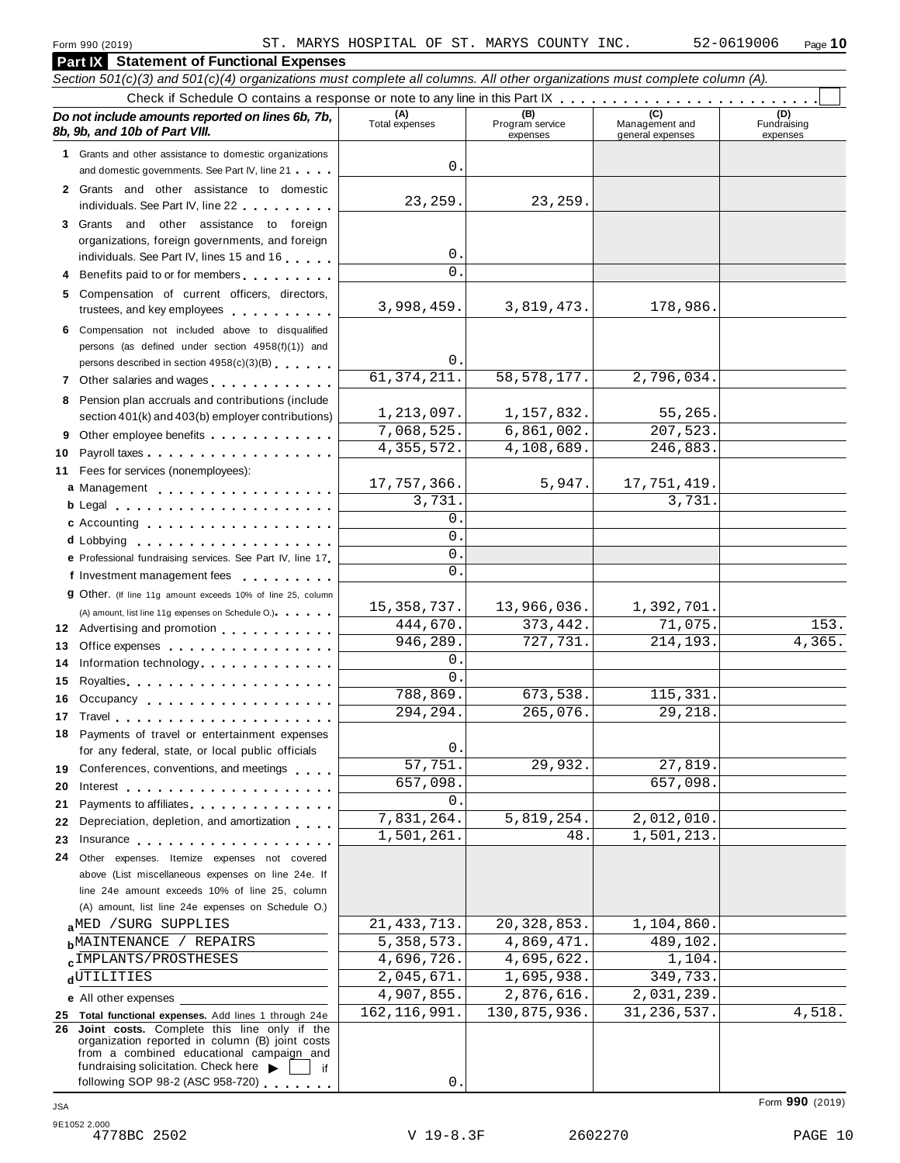#### **Part IX Statement of Functional Expenses** Section 501(c)(3) and 501(c)(4) organizations must complete all columns. All other organizations must complete column (A). Check if Schedule O contains a response or note to any line in this Part  $\begin{array}{c|c|c|c|c} \hline \text{Check if Schedule O contains a response or note to any line in this Part } \mathbb{X} & \text{if } \mathbb{X} & \text{if } \mathbb{X} & \text{if } \mathbb{X} & \text{if } \mathbb{X} & \text{if } \mathbb{X} & \text{if } \mathbb{X} & \text{if } \mathbb{X} & \text{if } \mathbb{X} & \text{if } \math$ *Do no* **(A) (B) (C) (D)** *t include amounts reported on lines 6b, 7b,* **8b, 9b, and 10b of Part VIII.** The construction of *B***, 9b, and 10b of Part VIII.** expenses Management and general expenses Fundraising expenses **1** Grants and other assistance to domestic organizations and domestic governments. See Part IV, line 21 m m m **2** Grants and other assistance to domestic individuals. See Part IV, line 22 **3** Grants and other assistance to foreign organizations, foreign governments, and foreign individuals. See Part IV, lines <sup>15</sup> and <sup>16</sup> <sup>m</sup> <sup>m</sup> <sup>m</sup> <sup>m</sup> <sup>m</sup> **<sup>4</sup>** Benefits paid to or for members <sup>m</sup> <sup>m</sup> <sup>m</sup> <sup>m</sup> <sup>m</sup> <sup>m</sup> <sup>m</sup> <sup>m</sup> <sup>m</sup> **5** Compensation of current officers, directors, trustees, and key employees m m m m m m m m m m **6** Compensation not included above to disqualified persons (as defined under section 4958(f)(1)) and persons described in section 4958(c)(3)(B) 7 Other salaries and wages **manual manual manual metallicity 8** Pension plan accruals and contributions (include section 401(k) and 403(b) employer contributions) **9** Section 401(k) and 403(b) employer contributions<br>9 Other employee benefits 9 Other employee benefits **10** Payroll taxes **10** Fees for services (nonemployees): **11** A) amount, list line 11g expenses on Schedule O.)<br>**12** Advertising and promotion **manual 13** Office expenses **13** Office expenses<br>**14** Information technology............. **15 16** Occupancy m m m m m m m m m m m m m m m m m m **16** Occupancy ...................<br>17 Travel..................... **18** Payments of travel or entertainment expenses for any federal, state, or local public officials<br>**19** Conferences, conventions, and meetings **19** Conferences, conventions, and meetings **endorship.**<br>20 Interest **manual meeting 21** 21 Payments to affiliates<br>22 Depreciation, depletion, and amortization <sub>1</sub> . . . **22** Depreciation, depletion, and amortization **manufation**<br>23 Insurance 24 Other expenses. Itemize expenses not covered | Fees for services (nonemployees):<br>**a** Management ..................<br>**b** Legal ......................... **cd** Lobbying m m m m m m m m m m m m m m m m m m m **e** Professional fundraising services. See Part IV, line <sup>17</sup> m **P** Professional fundraising services. See Part IV, line 17<br>**f** Investment management fees **g** Other. (If line 11g amount exceeds 10% of line 25, column Legal m m m m m m m m m m m m m m m m m m m m m c Accounting . . . . . . . . . . . . . . m m m m m m m m m m m m m m m m m m (A) amount, list line 11g expenses on Schedule O.) means m m m m m m m m m m m m m m m m Royalties m m m m m m m m m m m m m m m m m m m m for any federal, state, or local public officials Payments to affiliates m m m m m m m m m m m m m m above (List miscellaneous expenses on line 24e. If line 24e amount exceeds 10% of line 25, column (A) amount, list line 24e expenses on Schedule O.) **a**<sup>MED</sup> /SURG SUPPLIES <br>**b**MAINTENANCE / REPAIRS 5,358,573. 4,869,471. 489,102. **c**<sup>IMPLANIS/PROSTHESES 4,090,720. 4,095,022. 1,104.<br>d<sup>UTILITIES 2,045,671. 1,695,938. 349,733.</sup></sup> **e** All other expenses **25 Total functional expenses.** Add lines 1 through 24e **26 Joint costs.** Complete this line only if the organization reported in column (B) joint costs from a combined educational campaign and from a combined educational campaign and<br>fundraising solicitation. Check here  $\blacktriangleright$  if<br>following SOP 98-2 (ASC 958-720)  $\Omega$ 23,259. 23,259. 0.  $\Omega$ 3,998,459. 3,819,473. 178,986. 0. 61,374,211. 58,578,177. 2,796,034. 1,213,097. 1,157,832. 55,265 7,068,525. 6,861,002. 207,523. 4,355,572. 4,108,689. 246,883. 17,757,366. 5,947. 17,751,419 3,731. 3,731. 0.  $\overline{0}$ . 0.  $\overline{0}$ 15,358,737. 13,966,036. 1,392,701 444,670. 373,442. 71,075. 153. 946,289. 727,731. 214,193. 4,365. 0. 0. 788,869. 673,538. 115,331. 294,294. 265,076. 29,218.  $\Omega$ 57,751. 29,932. 27,819. 657,098. 657,098.  $\Omega$ 7,831,264. 5,819,254. 2,012,010. 1,501,261. 48. 1,501,213. aMED / SURG SUPPLIES 21,433,713. 20,328,853. 1,104,860.  $\epsilon$ IMPLANTS/PROSTHESES 4,696,726. 4,695,622. 1,104 4,907,855. 2,876,616. 2,031,239. 162,116,991. 130,875,936. 31,236,537. 4,518.

0.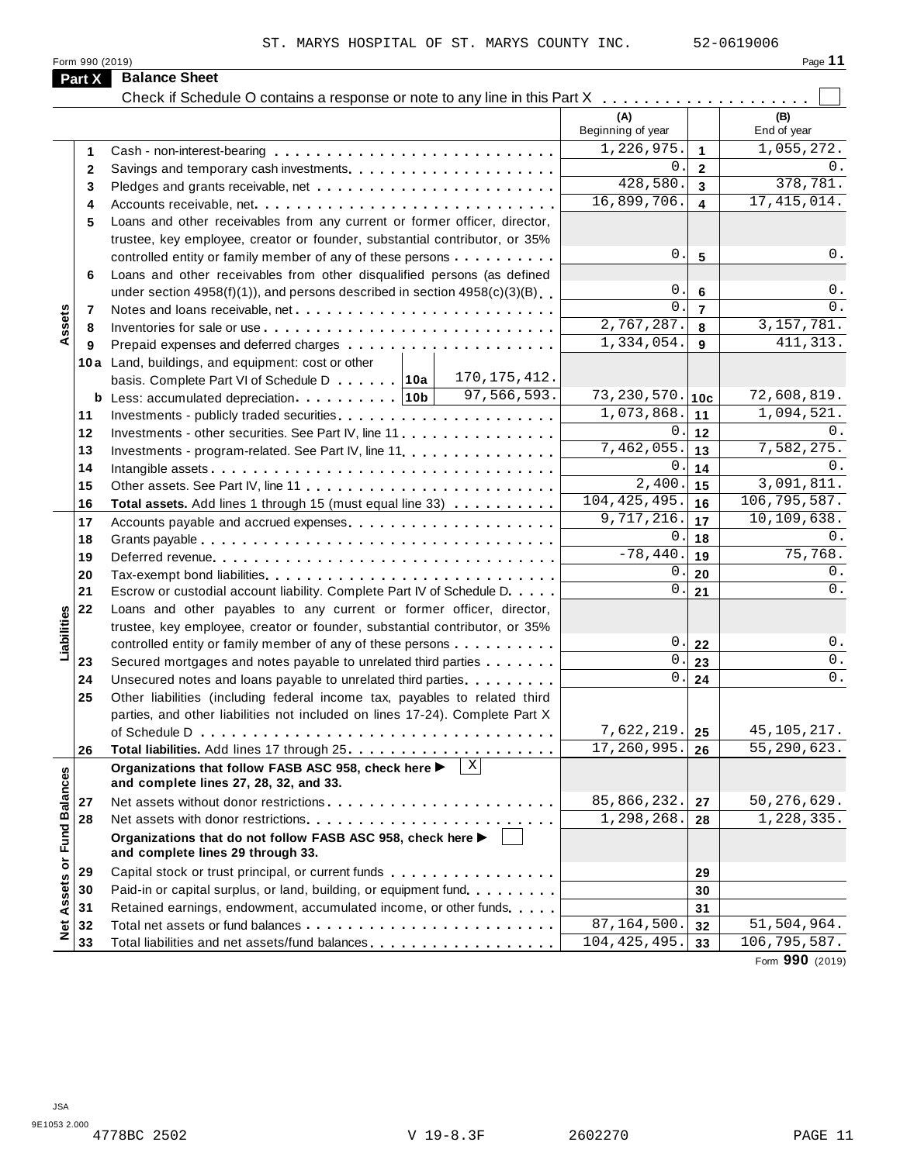| Page |  |
|------|--|

| Form 990 (2019)<br><b>Balance Sheet</b><br>Part X<br>Check if Schedule O contains a response or note to any line in this Part X<br>(A)<br>(B)<br>Beginning of year<br>End of year<br>1,226,975.<br>1,055,272.<br>$\mathbf{1}$<br>1<br>0.<br>$\overline{2}$<br>$\mathbf{2}$<br>428,580.<br>378,781.<br>$\overline{\mathbf{3}}$<br>3<br>16,899,706.<br>17, 415, 014.<br>$\blacktriangle$<br>4<br>Loans and other receivables from any current or former officer, director,<br>5<br>trustee, key employee, creator or founder, substantial contributor, or 35%<br>0.<br>$5\phantom{1}$<br>controlled entity or family member of any of these persons<br>Loans and other receivables from other disqualified persons (as defined<br>6<br>0.<br>under section $4958(f)(1)$ , and persons described in section $4958(c)(3)(B)$<br>6<br>$\Omega$ .<br>$\overline{7}$<br>Assets<br>7<br>2,767,287.<br>3, 157, 781.<br>8<br>8<br>1,334,054.<br>411, 313.<br>9<br>9<br>10a Land, buildings, and equipment: cost or other<br>170, 175, 412.<br>97,566,593.<br>73, 230, 570.<br>72,608,819.<br>10c<br>1,094,521.<br>1,073,868.<br>11<br>11<br>0.<br>12<br>12<br>Investments - other securities. See Part IV, line 11<br>7,462,055.<br>7,582,275.<br>13<br>13<br>$0$ .<br>14<br>14<br>$\overline{2,400}$<br>3,091,811.<br>15<br>15<br>104, 425, 495.<br>106,795,587.<br>16<br>16<br>Total assets. Add lines 1 through 15 (must equal line 33)<br>9,717,216.<br>10, 109, 638.<br>17<br>17<br>Accounts payable and accrued expenses entitled and accrue and accrued expenses<br>0.<br>18<br>18<br>$-78,440.$<br>75,768.<br>19<br>19<br>$0$ .<br>20<br>20<br>0.<br>21<br>21<br>Escrow or custodial account liability. Complete Part IV of Schedule D.<br>22<br>Loans and other payables to any current or former officer, director,<br>abilities<br>trustee, key employee, creator or founder, substantial contributor, or 35%<br>0.<br>controlled entity or family member of any of these persons<br>22<br>┙<br>$0$ .<br>23<br>Secured mortgages and notes payable to unrelated third parties<br>23<br>0.<br>24<br>Unsecured notes and loans payable to unrelated third parties<br>24<br>Other liabilities (including federal income tax, payables to related third<br>25<br>parties, and other liabilities not included on lines 17-24). Complete Part X<br>7,622,219.<br>45, 105, 217.<br>25<br>17,260,995.<br>55, 290, 623.<br>26<br>26<br>X<br>Organizations that follow FASB ASC 958, check here ▶<br>Assets or Fund Balances<br>and complete lines 27, 28, 32, and 33.<br>85,866,232.<br>50, 276, 629.<br>27<br>27<br>1,298,268.<br>1,228,335.<br>28<br>28<br>Organizations that do not follow FASB ASC 958, check here ▶<br>and complete lines 29 through 33.<br>29<br>29<br>Paid-in or capital surplus, or land, building, or equipment fund.<br>30<br>30<br>Retained earnings, endowment, accumulated income, or other funds<br>31<br>31<br>$\frac{1}{2}$<br>87,164,500<br>51,504,964.<br>32<br>32<br>104, 425, 495.<br>106,795,587.<br>33<br>Total liabilities and net assets/fund balances<br>33 |  | ST. MARYS HOSPITAL OF ST. MARYS COUNTY INC. |  | 52-0619006      |
|----------------------------------------------------------------------------------------------------------------------------------------------------------------------------------------------------------------------------------------------------------------------------------------------------------------------------------------------------------------------------------------------------------------------------------------------------------------------------------------------------------------------------------------------------------------------------------------------------------------------------------------------------------------------------------------------------------------------------------------------------------------------------------------------------------------------------------------------------------------------------------------------------------------------------------------------------------------------------------------------------------------------------------------------------------------------------------------------------------------------------------------------------------------------------------------------------------------------------------------------------------------------------------------------------------------------------------------------------------------------------------------------------------------------------------------------------------------------------------------------------------------------------------------------------------------------------------------------------------------------------------------------------------------------------------------------------------------------------------------------------------------------------------------------------------------------------------------------------------------------------------------------------------------------------------------------------------------------------------------------------------------------------------------------------------------------------------------------------------------------------------------------------------------------------------------------------------------------------------------------------------------------------------------------------------------------------------------------------------------------------------------------------------------------------------------------------------------------------------------------------------------------------------------------------------------------------------------------------------------------------------------------------------------------------------------------------------------------------------------------------------------------------------------------------------------------------------------------------------------------------------------------------------------------------------------------------------------------------------------------------------------------------------------------------------------------------------------------|--|---------------------------------------------|--|-----------------|
|                                                                                                                                                                                                                                                                                                                                                                                                                                                                                                                                                                                                                                                                                                                                                                                                                                                                                                                                                                                                                                                                                                                                                                                                                                                                                                                                                                                                                                                                                                                                                                                                                                                                                                                                                                                                                                                                                                                                                                                                                                                                                                                                                                                                                                                                                                                                                                                                                                                                                                                                                                                                                                                                                                                                                                                                                                                                                                                                                                                                                                                                                              |  |                                             |  | Page 11         |
|                                                                                                                                                                                                                                                                                                                                                                                                                                                                                                                                                                                                                                                                                                                                                                                                                                                                                                                                                                                                                                                                                                                                                                                                                                                                                                                                                                                                                                                                                                                                                                                                                                                                                                                                                                                                                                                                                                                                                                                                                                                                                                                                                                                                                                                                                                                                                                                                                                                                                                                                                                                                                                                                                                                                                                                                                                                                                                                                                                                                                                                                                              |  |                                             |  |                 |
|                                                                                                                                                                                                                                                                                                                                                                                                                                                                                                                                                                                                                                                                                                                                                                                                                                                                                                                                                                                                                                                                                                                                                                                                                                                                                                                                                                                                                                                                                                                                                                                                                                                                                                                                                                                                                                                                                                                                                                                                                                                                                                                                                                                                                                                                                                                                                                                                                                                                                                                                                                                                                                                                                                                                                                                                                                                                                                                                                                                                                                                                                              |  |                                             |  |                 |
|                                                                                                                                                                                                                                                                                                                                                                                                                                                                                                                                                                                                                                                                                                                                                                                                                                                                                                                                                                                                                                                                                                                                                                                                                                                                                                                                                                                                                                                                                                                                                                                                                                                                                                                                                                                                                                                                                                                                                                                                                                                                                                                                                                                                                                                                                                                                                                                                                                                                                                                                                                                                                                                                                                                                                                                                                                                                                                                                                                                                                                                                                              |  |                                             |  |                 |
|                                                                                                                                                                                                                                                                                                                                                                                                                                                                                                                                                                                                                                                                                                                                                                                                                                                                                                                                                                                                                                                                                                                                                                                                                                                                                                                                                                                                                                                                                                                                                                                                                                                                                                                                                                                                                                                                                                                                                                                                                                                                                                                                                                                                                                                                                                                                                                                                                                                                                                                                                                                                                                                                                                                                                                                                                                                                                                                                                                                                                                                                                              |  |                                             |  |                 |
|                                                                                                                                                                                                                                                                                                                                                                                                                                                                                                                                                                                                                                                                                                                                                                                                                                                                                                                                                                                                                                                                                                                                                                                                                                                                                                                                                                                                                                                                                                                                                                                                                                                                                                                                                                                                                                                                                                                                                                                                                                                                                                                                                                                                                                                                                                                                                                                                                                                                                                                                                                                                                                                                                                                                                                                                                                                                                                                                                                                                                                                                                              |  |                                             |  |                 |
|                                                                                                                                                                                                                                                                                                                                                                                                                                                                                                                                                                                                                                                                                                                                                                                                                                                                                                                                                                                                                                                                                                                                                                                                                                                                                                                                                                                                                                                                                                                                                                                                                                                                                                                                                                                                                                                                                                                                                                                                                                                                                                                                                                                                                                                                                                                                                                                                                                                                                                                                                                                                                                                                                                                                                                                                                                                                                                                                                                                                                                                                                              |  |                                             |  | 0.              |
|                                                                                                                                                                                                                                                                                                                                                                                                                                                                                                                                                                                                                                                                                                                                                                                                                                                                                                                                                                                                                                                                                                                                                                                                                                                                                                                                                                                                                                                                                                                                                                                                                                                                                                                                                                                                                                                                                                                                                                                                                                                                                                                                                                                                                                                                                                                                                                                                                                                                                                                                                                                                                                                                                                                                                                                                                                                                                                                                                                                                                                                                                              |  |                                             |  |                 |
|                                                                                                                                                                                                                                                                                                                                                                                                                                                                                                                                                                                                                                                                                                                                                                                                                                                                                                                                                                                                                                                                                                                                                                                                                                                                                                                                                                                                                                                                                                                                                                                                                                                                                                                                                                                                                                                                                                                                                                                                                                                                                                                                                                                                                                                                                                                                                                                                                                                                                                                                                                                                                                                                                                                                                                                                                                                                                                                                                                                                                                                                                              |  |                                             |  |                 |
|                                                                                                                                                                                                                                                                                                                                                                                                                                                                                                                                                                                                                                                                                                                                                                                                                                                                                                                                                                                                                                                                                                                                                                                                                                                                                                                                                                                                                                                                                                                                                                                                                                                                                                                                                                                                                                                                                                                                                                                                                                                                                                                                                                                                                                                                                                                                                                                                                                                                                                                                                                                                                                                                                                                                                                                                                                                                                                                                                                                                                                                                                              |  |                                             |  |                 |
|                                                                                                                                                                                                                                                                                                                                                                                                                                                                                                                                                                                                                                                                                                                                                                                                                                                                                                                                                                                                                                                                                                                                                                                                                                                                                                                                                                                                                                                                                                                                                                                                                                                                                                                                                                                                                                                                                                                                                                                                                                                                                                                                                                                                                                                                                                                                                                                                                                                                                                                                                                                                                                                                                                                                                                                                                                                                                                                                                                                                                                                                                              |  |                                             |  |                 |
|                                                                                                                                                                                                                                                                                                                                                                                                                                                                                                                                                                                                                                                                                                                                                                                                                                                                                                                                                                                                                                                                                                                                                                                                                                                                                                                                                                                                                                                                                                                                                                                                                                                                                                                                                                                                                                                                                                                                                                                                                                                                                                                                                                                                                                                                                                                                                                                                                                                                                                                                                                                                                                                                                                                                                                                                                                                                                                                                                                                                                                                                                              |  |                                             |  | 0.              |
|                                                                                                                                                                                                                                                                                                                                                                                                                                                                                                                                                                                                                                                                                                                                                                                                                                                                                                                                                                                                                                                                                                                                                                                                                                                                                                                                                                                                                                                                                                                                                                                                                                                                                                                                                                                                                                                                                                                                                                                                                                                                                                                                                                                                                                                                                                                                                                                                                                                                                                                                                                                                                                                                                                                                                                                                                                                                                                                                                                                                                                                                                              |  |                                             |  |                 |
|                                                                                                                                                                                                                                                                                                                                                                                                                                                                                                                                                                                                                                                                                                                                                                                                                                                                                                                                                                                                                                                                                                                                                                                                                                                                                                                                                                                                                                                                                                                                                                                                                                                                                                                                                                                                                                                                                                                                                                                                                                                                                                                                                                                                                                                                                                                                                                                                                                                                                                                                                                                                                                                                                                                                                                                                                                                                                                                                                                                                                                                                                              |  |                                             |  | 0.              |
|                                                                                                                                                                                                                                                                                                                                                                                                                                                                                                                                                                                                                                                                                                                                                                                                                                                                                                                                                                                                                                                                                                                                                                                                                                                                                                                                                                                                                                                                                                                                                                                                                                                                                                                                                                                                                                                                                                                                                                                                                                                                                                                                                                                                                                                                                                                                                                                                                                                                                                                                                                                                                                                                                                                                                                                                                                                                                                                                                                                                                                                                                              |  |                                             |  | 0.              |
|                                                                                                                                                                                                                                                                                                                                                                                                                                                                                                                                                                                                                                                                                                                                                                                                                                                                                                                                                                                                                                                                                                                                                                                                                                                                                                                                                                                                                                                                                                                                                                                                                                                                                                                                                                                                                                                                                                                                                                                                                                                                                                                                                                                                                                                                                                                                                                                                                                                                                                                                                                                                                                                                                                                                                                                                                                                                                                                                                                                                                                                                                              |  |                                             |  |                 |
|                                                                                                                                                                                                                                                                                                                                                                                                                                                                                                                                                                                                                                                                                                                                                                                                                                                                                                                                                                                                                                                                                                                                                                                                                                                                                                                                                                                                                                                                                                                                                                                                                                                                                                                                                                                                                                                                                                                                                                                                                                                                                                                                                                                                                                                                                                                                                                                                                                                                                                                                                                                                                                                                                                                                                                                                                                                                                                                                                                                                                                                                                              |  |                                             |  |                 |
|                                                                                                                                                                                                                                                                                                                                                                                                                                                                                                                                                                                                                                                                                                                                                                                                                                                                                                                                                                                                                                                                                                                                                                                                                                                                                                                                                                                                                                                                                                                                                                                                                                                                                                                                                                                                                                                                                                                                                                                                                                                                                                                                                                                                                                                                                                                                                                                                                                                                                                                                                                                                                                                                                                                                                                                                                                                                                                                                                                                                                                                                                              |  |                                             |  |                 |
|                                                                                                                                                                                                                                                                                                                                                                                                                                                                                                                                                                                                                                                                                                                                                                                                                                                                                                                                                                                                                                                                                                                                                                                                                                                                                                                                                                                                                                                                                                                                                                                                                                                                                                                                                                                                                                                                                                                                                                                                                                                                                                                                                                                                                                                                                                                                                                                                                                                                                                                                                                                                                                                                                                                                                                                                                                                                                                                                                                                                                                                                                              |  |                                             |  |                 |
|                                                                                                                                                                                                                                                                                                                                                                                                                                                                                                                                                                                                                                                                                                                                                                                                                                                                                                                                                                                                                                                                                                                                                                                                                                                                                                                                                                                                                                                                                                                                                                                                                                                                                                                                                                                                                                                                                                                                                                                                                                                                                                                                                                                                                                                                                                                                                                                                                                                                                                                                                                                                                                                                                                                                                                                                                                                                                                                                                                                                                                                                                              |  |                                             |  |                 |
|                                                                                                                                                                                                                                                                                                                                                                                                                                                                                                                                                                                                                                                                                                                                                                                                                                                                                                                                                                                                                                                                                                                                                                                                                                                                                                                                                                                                                                                                                                                                                                                                                                                                                                                                                                                                                                                                                                                                                                                                                                                                                                                                                                                                                                                                                                                                                                                                                                                                                                                                                                                                                                                                                                                                                                                                                                                                                                                                                                                                                                                                                              |  |                                             |  |                 |
|                                                                                                                                                                                                                                                                                                                                                                                                                                                                                                                                                                                                                                                                                                                                                                                                                                                                                                                                                                                                                                                                                                                                                                                                                                                                                                                                                                                                                                                                                                                                                                                                                                                                                                                                                                                                                                                                                                                                                                                                                                                                                                                                                                                                                                                                                                                                                                                                                                                                                                                                                                                                                                                                                                                                                                                                                                                                                                                                                                                                                                                                                              |  |                                             |  | 0.              |
|                                                                                                                                                                                                                                                                                                                                                                                                                                                                                                                                                                                                                                                                                                                                                                                                                                                                                                                                                                                                                                                                                                                                                                                                                                                                                                                                                                                                                                                                                                                                                                                                                                                                                                                                                                                                                                                                                                                                                                                                                                                                                                                                                                                                                                                                                                                                                                                                                                                                                                                                                                                                                                                                                                                                                                                                                                                                                                                                                                                                                                                                                              |  |                                             |  |                 |
|                                                                                                                                                                                                                                                                                                                                                                                                                                                                                                                                                                                                                                                                                                                                                                                                                                                                                                                                                                                                                                                                                                                                                                                                                                                                                                                                                                                                                                                                                                                                                                                                                                                                                                                                                                                                                                                                                                                                                                                                                                                                                                                                                                                                                                                                                                                                                                                                                                                                                                                                                                                                                                                                                                                                                                                                                                                                                                                                                                                                                                                                                              |  |                                             |  | 0.              |
|                                                                                                                                                                                                                                                                                                                                                                                                                                                                                                                                                                                                                                                                                                                                                                                                                                                                                                                                                                                                                                                                                                                                                                                                                                                                                                                                                                                                                                                                                                                                                                                                                                                                                                                                                                                                                                                                                                                                                                                                                                                                                                                                                                                                                                                                                                                                                                                                                                                                                                                                                                                                                                                                                                                                                                                                                                                                                                                                                                                                                                                                                              |  |                                             |  |                 |
|                                                                                                                                                                                                                                                                                                                                                                                                                                                                                                                                                                                                                                                                                                                                                                                                                                                                                                                                                                                                                                                                                                                                                                                                                                                                                                                                                                                                                                                                                                                                                                                                                                                                                                                                                                                                                                                                                                                                                                                                                                                                                                                                                                                                                                                                                                                                                                                                                                                                                                                                                                                                                                                                                                                                                                                                                                                                                                                                                                                                                                                                                              |  |                                             |  |                 |
|                                                                                                                                                                                                                                                                                                                                                                                                                                                                                                                                                                                                                                                                                                                                                                                                                                                                                                                                                                                                                                                                                                                                                                                                                                                                                                                                                                                                                                                                                                                                                                                                                                                                                                                                                                                                                                                                                                                                                                                                                                                                                                                                                                                                                                                                                                                                                                                                                                                                                                                                                                                                                                                                                                                                                                                                                                                                                                                                                                                                                                                                                              |  |                                             |  | 0.              |
|                                                                                                                                                                                                                                                                                                                                                                                                                                                                                                                                                                                                                                                                                                                                                                                                                                                                                                                                                                                                                                                                                                                                                                                                                                                                                                                                                                                                                                                                                                                                                                                                                                                                                                                                                                                                                                                                                                                                                                                                                                                                                                                                                                                                                                                                                                                                                                                                                                                                                                                                                                                                                                                                                                                                                                                                                                                                                                                                                                                                                                                                                              |  |                                             |  |                 |
|                                                                                                                                                                                                                                                                                                                                                                                                                                                                                                                                                                                                                                                                                                                                                                                                                                                                                                                                                                                                                                                                                                                                                                                                                                                                                                                                                                                                                                                                                                                                                                                                                                                                                                                                                                                                                                                                                                                                                                                                                                                                                                                                                                                                                                                                                                                                                                                                                                                                                                                                                                                                                                                                                                                                                                                                                                                                                                                                                                                                                                                                                              |  |                                             |  | 0.              |
|                                                                                                                                                                                                                                                                                                                                                                                                                                                                                                                                                                                                                                                                                                                                                                                                                                                                                                                                                                                                                                                                                                                                                                                                                                                                                                                                                                                                                                                                                                                                                                                                                                                                                                                                                                                                                                                                                                                                                                                                                                                                                                                                                                                                                                                                                                                                                                                                                                                                                                                                                                                                                                                                                                                                                                                                                                                                                                                                                                                                                                                                                              |  |                                             |  | 0.              |
|                                                                                                                                                                                                                                                                                                                                                                                                                                                                                                                                                                                                                                                                                                                                                                                                                                                                                                                                                                                                                                                                                                                                                                                                                                                                                                                                                                                                                                                                                                                                                                                                                                                                                                                                                                                                                                                                                                                                                                                                                                                                                                                                                                                                                                                                                                                                                                                                                                                                                                                                                                                                                                                                                                                                                                                                                                                                                                                                                                                                                                                                                              |  |                                             |  |                 |
|                                                                                                                                                                                                                                                                                                                                                                                                                                                                                                                                                                                                                                                                                                                                                                                                                                                                                                                                                                                                                                                                                                                                                                                                                                                                                                                                                                                                                                                                                                                                                                                                                                                                                                                                                                                                                                                                                                                                                                                                                                                                                                                                                                                                                                                                                                                                                                                                                                                                                                                                                                                                                                                                                                                                                                                                                                                                                                                                                                                                                                                                                              |  |                                             |  |                 |
|                                                                                                                                                                                                                                                                                                                                                                                                                                                                                                                                                                                                                                                                                                                                                                                                                                                                                                                                                                                                                                                                                                                                                                                                                                                                                                                                                                                                                                                                                                                                                                                                                                                                                                                                                                                                                                                                                                                                                                                                                                                                                                                                                                                                                                                                                                                                                                                                                                                                                                                                                                                                                                                                                                                                                                                                                                                                                                                                                                                                                                                                                              |  |                                             |  | $0$ .           |
|                                                                                                                                                                                                                                                                                                                                                                                                                                                                                                                                                                                                                                                                                                                                                                                                                                                                                                                                                                                                                                                                                                                                                                                                                                                                                                                                                                                                                                                                                                                                                                                                                                                                                                                                                                                                                                                                                                                                                                                                                                                                                                                                                                                                                                                                                                                                                                                                                                                                                                                                                                                                                                                                                                                                                                                                                                                                                                                                                                                                                                                                                              |  |                                             |  | 0.              |
|                                                                                                                                                                                                                                                                                                                                                                                                                                                                                                                                                                                                                                                                                                                                                                                                                                                                                                                                                                                                                                                                                                                                                                                                                                                                                                                                                                                                                                                                                                                                                                                                                                                                                                                                                                                                                                                                                                                                                                                                                                                                                                                                                                                                                                                                                                                                                                                                                                                                                                                                                                                                                                                                                                                                                                                                                                                                                                                                                                                                                                                                                              |  |                                             |  | $0$ .           |
|                                                                                                                                                                                                                                                                                                                                                                                                                                                                                                                                                                                                                                                                                                                                                                                                                                                                                                                                                                                                                                                                                                                                                                                                                                                                                                                                                                                                                                                                                                                                                                                                                                                                                                                                                                                                                                                                                                                                                                                                                                                                                                                                                                                                                                                                                                                                                                                                                                                                                                                                                                                                                                                                                                                                                                                                                                                                                                                                                                                                                                                                                              |  |                                             |  |                 |
|                                                                                                                                                                                                                                                                                                                                                                                                                                                                                                                                                                                                                                                                                                                                                                                                                                                                                                                                                                                                                                                                                                                                                                                                                                                                                                                                                                                                                                                                                                                                                                                                                                                                                                                                                                                                                                                                                                                                                                                                                                                                                                                                                                                                                                                                                                                                                                                                                                                                                                                                                                                                                                                                                                                                                                                                                                                                                                                                                                                                                                                                                              |  |                                             |  |                 |
|                                                                                                                                                                                                                                                                                                                                                                                                                                                                                                                                                                                                                                                                                                                                                                                                                                                                                                                                                                                                                                                                                                                                                                                                                                                                                                                                                                                                                                                                                                                                                                                                                                                                                                                                                                                                                                                                                                                                                                                                                                                                                                                                                                                                                                                                                                                                                                                                                                                                                                                                                                                                                                                                                                                                                                                                                                                                                                                                                                                                                                                                                              |  |                                             |  |                 |
|                                                                                                                                                                                                                                                                                                                                                                                                                                                                                                                                                                                                                                                                                                                                                                                                                                                                                                                                                                                                                                                                                                                                                                                                                                                                                                                                                                                                                                                                                                                                                                                                                                                                                                                                                                                                                                                                                                                                                                                                                                                                                                                                                                                                                                                                                                                                                                                                                                                                                                                                                                                                                                                                                                                                                                                                                                                                                                                                                                                                                                                                                              |  |                                             |  |                 |
|                                                                                                                                                                                                                                                                                                                                                                                                                                                                                                                                                                                                                                                                                                                                                                                                                                                                                                                                                                                                                                                                                                                                                                                                                                                                                                                                                                                                                                                                                                                                                                                                                                                                                                                                                                                                                                                                                                                                                                                                                                                                                                                                                                                                                                                                                                                                                                                                                                                                                                                                                                                                                                                                                                                                                                                                                                                                                                                                                                                                                                                                                              |  |                                             |  |                 |
|                                                                                                                                                                                                                                                                                                                                                                                                                                                                                                                                                                                                                                                                                                                                                                                                                                                                                                                                                                                                                                                                                                                                                                                                                                                                                                                                                                                                                                                                                                                                                                                                                                                                                                                                                                                                                                                                                                                                                                                                                                                                                                                                                                                                                                                                                                                                                                                                                                                                                                                                                                                                                                                                                                                                                                                                                                                                                                                                                                                                                                                                                              |  |                                             |  |                 |
|                                                                                                                                                                                                                                                                                                                                                                                                                                                                                                                                                                                                                                                                                                                                                                                                                                                                                                                                                                                                                                                                                                                                                                                                                                                                                                                                                                                                                                                                                                                                                                                                                                                                                                                                                                                                                                                                                                                                                                                                                                                                                                                                                                                                                                                                                                                                                                                                                                                                                                                                                                                                                                                                                                                                                                                                                                                                                                                                                                                                                                                                                              |  |                                             |  |                 |
|                                                                                                                                                                                                                                                                                                                                                                                                                                                                                                                                                                                                                                                                                                                                                                                                                                                                                                                                                                                                                                                                                                                                                                                                                                                                                                                                                                                                                                                                                                                                                                                                                                                                                                                                                                                                                                                                                                                                                                                                                                                                                                                                                                                                                                                                                                                                                                                                                                                                                                                                                                                                                                                                                                                                                                                                                                                                                                                                                                                                                                                                                              |  |                                             |  |                 |
|                                                                                                                                                                                                                                                                                                                                                                                                                                                                                                                                                                                                                                                                                                                                                                                                                                                                                                                                                                                                                                                                                                                                                                                                                                                                                                                                                                                                                                                                                                                                                                                                                                                                                                                                                                                                                                                                                                                                                                                                                                                                                                                                                                                                                                                                                                                                                                                                                                                                                                                                                                                                                                                                                                                                                                                                                                                                                                                                                                                                                                                                                              |  |                                             |  |                 |
|                                                                                                                                                                                                                                                                                                                                                                                                                                                                                                                                                                                                                                                                                                                                                                                                                                                                                                                                                                                                                                                                                                                                                                                                                                                                                                                                                                                                                                                                                                                                                                                                                                                                                                                                                                                                                                                                                                                                                                                                                                                                                                                                                                                                                                                                                                                                                                                                                                                                                                                                                                                                                                                                                                                                                                                                                                                                                                                                                                                                                                                                                              |  |                                             |  |                 |
|                                                                                                                                                                                                                                                                                                                                                                                                                                                                                                                                                                                                                                                                                                                                                                                                                                                                                                                                                                                                                                                                                                                                                                                                                                                                                                                                                                                                                                                                                                                                                                                                                                                                                                                                                                                                                                                                                                                                                                                                                                                                                                                                                                                                                                                                                                                                                                                                                                                                                                                                                                                                                                                                                                                                                                                                                                                                                                                                                                                                                                                                                              |  |                                             |  |                 |
|                                                                                                                                                                                                                                                                                                                                                                                                                                                                                                                                                                                                                                                                                                                                                                                                                                                                                                                                                                                                                                                                                                                                                                                                                                                                                                                                                                                                                                                                                                                                                                                                                                                                                                                                                                                                                                                                                                                                                                                                                                                                                                                                                                                                                                                                                                                                                                                                                                                                                                                                                                                                                                                                                                                                                                                                                                                                                                                                                                                                                                                                                              |  |                                             |  |                 |
|                                                                                                                                                                                                                                                                                                                                                                                                                                                                                                                                                                                                                                                                                                                                                                                                                                                                                                                                                                                                                                                                                                                                                                                                                                                                                                                                                                                                                                                                                                                                                                                                                                                                                                                                                                                                                                                                                                                                                                                                                                                                                                                                                                                                                                                                                                                                                                                                                                                                                                                                                                                                                                                                                                                                                                                                                                                                                                                                                                                                                                                                                              |  |                                             |  |                 |
|                                                                                                                                                                                                                                                                                                                                                                                                                                                                                                                                                                                                                                                                                                                                                                                                                                                                                                                                                                                                                                                                                                                                                                                                                                                                                                                                                                                                                                                                                                                                                                                                                                                                                                                                                                                                                                                                                                                                                                                                                                                                                                                                                                                                                                                                                                                                                                                                                                                                                                                                                                                                                                                                                                                                                                                                                                                                                                                                                                                                                                                                                              |  |                                             |  |                 |
|                                                                                                                                                                                                                                                                                                                                                                                                                                                                                                                                                                                                                                                                                                                                                                                                                                                                                                                                                                                                                                                                                                                                                                                                                                                                                                                                                                                                                                                                                                                                                                                                                                                                                                                                                                                                                                                                                                                                                                                                                                                                                                                                                                                                                                                                                                                                                                                                                                                                                                                                                                                                                                                                                                                                                                                                                                                                                                                                                                                                                                                                                              |  |                                             |  |                 |
|                                                                                                                                                                                                                                                                                                                                                                                                                                                                                                                                                                                                                                                                                                                                                                                                                                                                                                                                                                                                                                                                                                                                                                                                                                                                                                                                                                                                                                                                                                                                                                                                                                                                                                                                                                                                                                                                                                                                                                                                                                                                                                                                                                                                                                                                                                                                                                                                                                                                                                                                                                                                                                                                                                                                                                                                                                                                                                                                                                                                                                                                                              |  |                                             |  | Form 990 (2019) |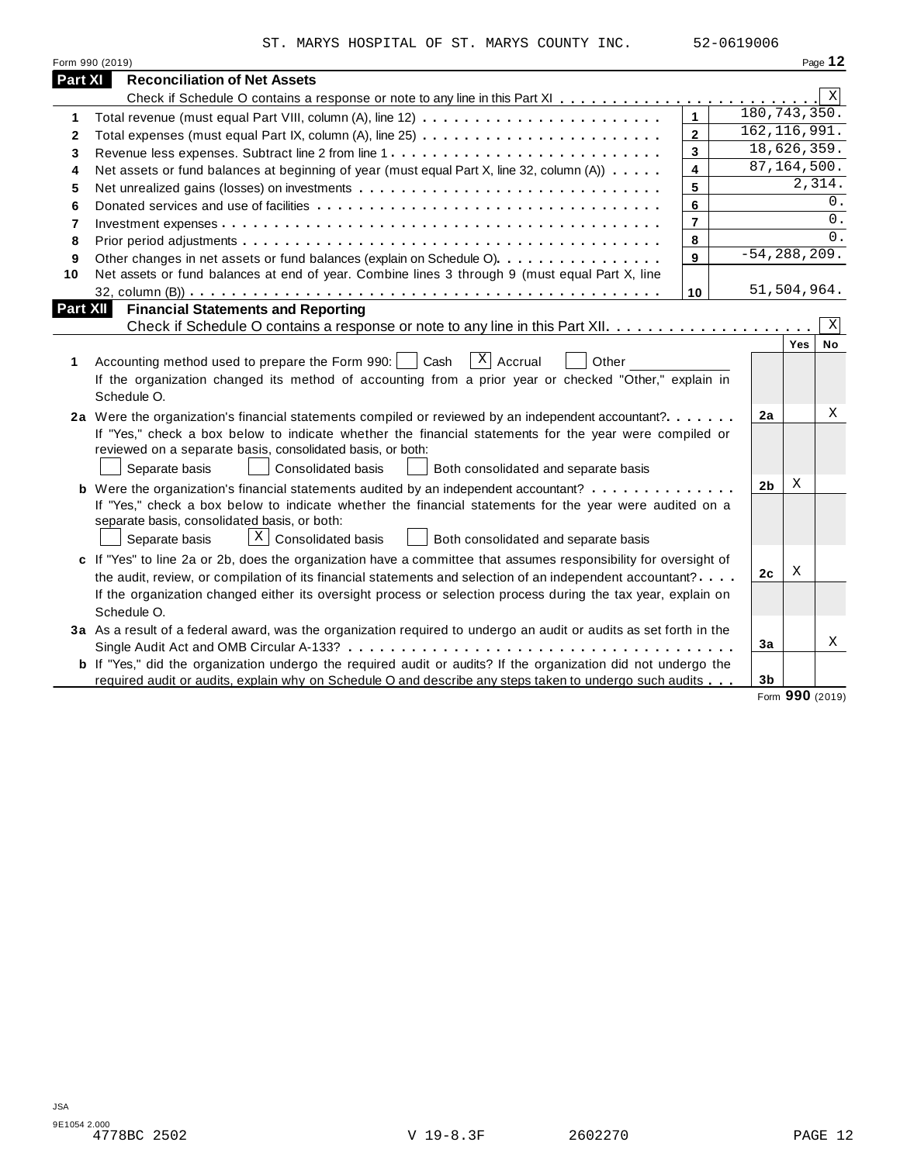|                          | ST. MARYS HOSPITAL OF ST. MARYS COUNTY INC.                                                                                                                                                                                                 |                | 52-0619006 |                |                  |                |
|--------------------------|---------------------------------------------------------------------------------------------------------------------------------------------------------------------------------------------------------------------------------------------|----------------|------------|----------------|------------------|----------------|
|                          | Form 990 (2019)                                                                                                                                                                                                                             |                |            |                |                  | Page 12        |
| <b>Part XI</b>           | <b>Reconciliation of Net Assets</b>                                                                                                                                                                                                         |                |            |                |                  |                |
|                          |                                                                                                                                                                                                                                             |                |            |                |                  | Χ              |
| 1                        |                                                                                                                                                                                                                                             | $\mathbf{1}$   |            |                | 180, 743, 350.   |                |
| 2                        |                                                                                                                                                                                                                                             | $\overline{2}$ |            |                | 162, 116, 991.   |                |
| 3                        | Revenue less expenses. Subtract line 2 from line 1                                                                                                                                                                                          | $\mathbf{3}$   |            |                | 18,626,359.      |                |
| 4                        | Net assets or fund balances at beginning of year (must equal Part X, line 32, column (A))                                                                                                                                                   | $\overline{4}$ |            |                | 87, 164, 500.    |                |
| 5                        |                                                                                                                                                                                                                                             | 5              |            |                |                  | 2,314.         |
| 6                        |                                                                                                                                                                                                                                             | 6              |            |                |                  | 0.             |
| $\overline{\phantom{a}}$ |                                                                                                                                                                                                                                             | $\overline{7}$ |            |                |                  | $0$ .          |
| 8                        |                                                                                                                                                                                                                                             | 8              |            |                |                  | $\Omega$ .     |
| 9                        | Other changes in net assets or fund balances (explain on Schedule O).                                                                                                                                                                       | 9              |            |                | $-54, 288, 209.$ |                |
| 10                       | Net assets or fund balances at end of year. Combine lines 3 through 9 (must equal Part X, line                                                                                                                                              |                |            |                |                  |                |
|                          |                                                                                                                                                                                                                                             | 10             |            |                | 51,504,964.      |                |
| 1                        | $\vert X \vert$<br>Accrual<br>Accounting method used to prepare the Form 990:<br>Cash<br>Other                                                                                                                                              |                |            |                | Yes              | Χ<br><b>No</b> |
|                          | If the organization changed its method of accounting from a prior year or checked "Other," explain in<br>Schedule O.                                                                                                                        |                |            |                |                  |                |
|                          | 2a Were the organization's financial statements compiled or reviewed by an independent accountant?                                                                                                                                          |                |            | 2a             |                  | Χ              |
|                          | If "Yes," check a box below to indicate whether the financial statements for the year were compiled or<br>reviewed on a separate basis, consolidated basis, or both:                                                                        |                |            |                |                  |                |
|                          | Separate basis<br>Consolidated basis<br>Both consolidated and separate basis                                                                                                                                                                |                |            |                |                  |                |
|                          | <b>b</b> Were the organization's financial statements audited by an independent accountant?                                                                                                                                                 |                |            | 2 <sub>b</sub> | X                |                |
|                          | If "Yes," check a box below to indicate whether the financial statements for the year were audited on a<br>separate basis, consolidated basis, or both:<br>$X$ Consolidated basis<br>Separate basis<br>Both consolidated and separate basis |                |            |                |                  |                |
|                          | c If "Yes" to line 2a or 2b, does the organization have a committee that assumes responsibility for oversight of                                                                                                                            |                |            |                |                  |                |
|                          | the audit, review, or compilation of its financial statements and selection of an independent accountant?                                                                                                                                   |                |            | 2 <sub>c</sub> | Χ                |                |
|                          | If the organization changed either its oversight process or selection process during the tax year, explain on<br>Schedule O.                                                                                                                |                |            |                |                  |                |
|                          | 3a As a result of a federal award, was the organization required to undergo an audit or audits as set forth in the                                                                                                                          |                |            |                |                  |                |
|                          |                                                                                                                                                                                                                                             |                |            | 3a             |                  | X              |
|                          |                                                                                                                                                                                                                                             |                |            |                |                  |                |
|                          | <b>b</b> If "Yes," did the organization undergo the required audit or audits? If the organization did not undergo the                                                                                                                       |                |            |                |                  |                |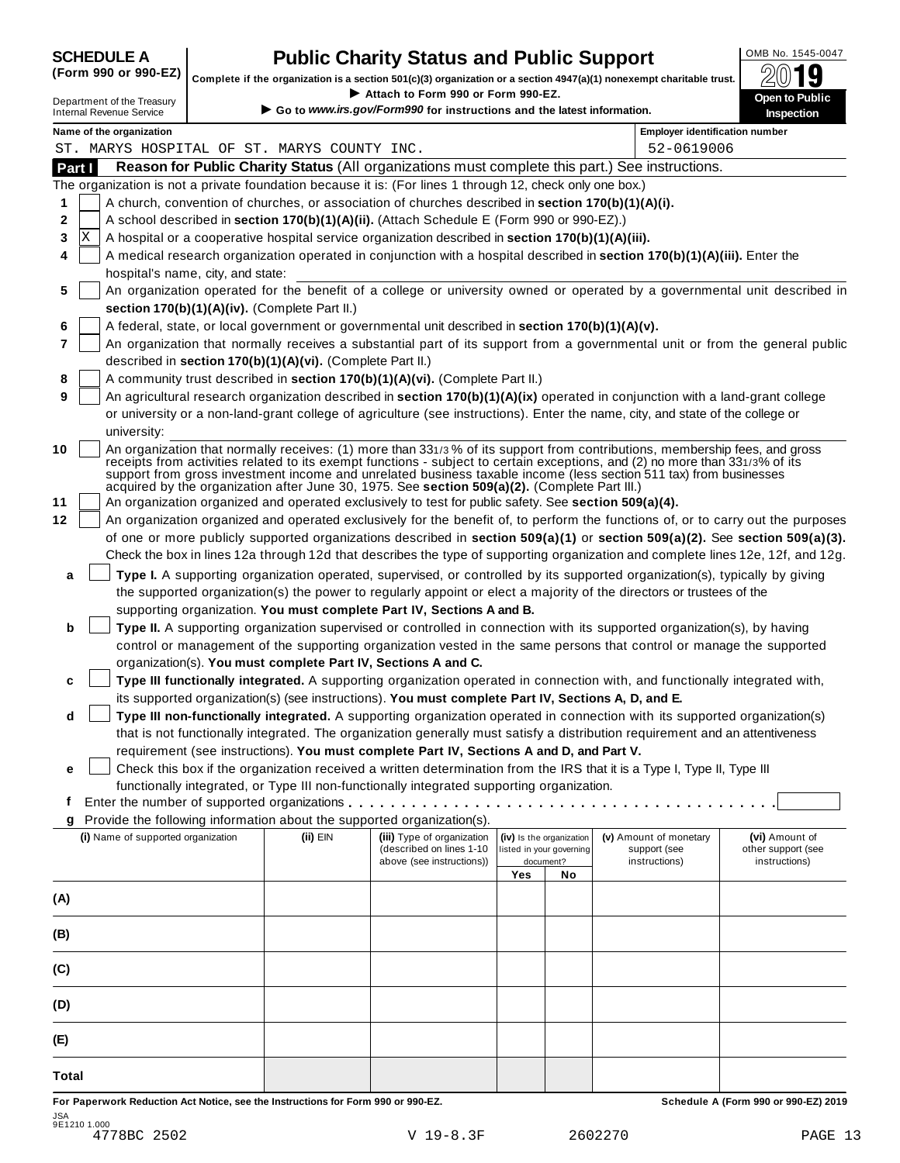| <b>SCHEDULE A</b> |  |  |
|-------------------|--|--|
|                   |  |  |

## **CHEDULE A Public Charity Status and Public Support**  $\frac{100\text{dB No. }1545-0047}{000\text{dB}}$

(Form 990 or 990-EZ) complete if the organization is a section 501(c)(3) organization or a section 4947(a)(1) nonexempt charitable trust.  $2019$ 

|                                                               |                                   |                                                            | Complete if the organization is a section 501(c)(3) organization or a section $4947(a)(1)$ nonexempt charitable trust.                                                                                |     |                                                      |                                                                                                                                                                                                                                                   | ZW IJ                                |
|---------------------------------------------------------------|-----------------------------------|------------------------------------------------------------|-------------------------------------------------------------------------------------------------------------------------------------------------------------------------------------------------------|-----|------------------------------------------------------|---------------------------------------------------------------------------------------------------------------------------------------------------------------------------------------------------------------------------------------------------|--------------------------------------|
| Department of the Treasury<br><b>Internal Revenue Service</b> |                                   |                                                            | Attach to Form 990 or Form 990-EZ.<br>Go to www.irs.gov/Form990 for instructions and the latest information.                                                                                          |     |                                                      |                                                                                                                                                                                                                                                   | Open to Public<br>Inspection         |
| Name of the organization                                      |                                   |                                                            |                                                                                                                                                                                                       |     |                                                      | <b>Employer identification number</b>                                                                                                                                                                                                             |                                      |
| ST. MARYS HOSPITAL OF ST. MARYS COUNTY INC.                   |                                   |                                                            |                                                                                                                                                                                                       |     |                                                      | 52-0619006                                                                                                                                                                                                                                        |                                      |
| Part I                                                        |                                   |                                                            |                                                                                                                                                                                                       |     |                                                      | Reason for Public Charity Status (All organizations must complete this part.) See instructions.                                                                                                                                                   |                                      |
|                                                               |                                   |                                                            | The organization is not a private foundation because it is: (For lines 1 through 12, check only one box.)                                                                                             |     |                                                      |                                                                                                                                                                                                                                                   |                                      |
| 1                                                             |                                   |                                                            | A church, convention of churches, or association of churches described in section 170(b)(1)(A)(i).                                                                                                    |     |                                                      |                                                                                                                                                                                                                                                   |                                      |
| 2                                                             |                                   |                                                            | A school described in section 170(b)(1)(A)(ii). (Attach Schedule E (Form 990 or 990-EZ).)                                                                                                             |     |                                                      |                                                                                                                                                                                                                                                   |                                      |
| ΙX<br>3                                                       |                                   |                                                            | A hospital or a cooperative hospital service organization described in section 170(b)(1)(A)(iii).                                                                                                     |     |                                                      |                                                                                                                                                                                                                                                   |                                      |
| 4                                                             | hospital's name, city, and state: |                                                            |                                                                                                                                                                                                       |     |                                                      | A medical research organization operated in conjunction with a hospital described in section 170(b)(1)(A)(iii). Enter the                                                                                                                         |                                      |
| 5                                                             |                                   |                                                            |                                                                                                                                                                                                       |     |                                                      | An organization operated for the benefit of a college or university owned or operated by a governmental unit described in                                                                                                                         |                                      |
|                                                               |                                   | section 170(b)(1)(A)(iv). (Complete Part II.)              |                                                                                                                                                                                                       |     |                                                      |                                                                                                                                                                                                                                                   |                                      |
| 6                                                             |                                   |                                                            | A federal, state, or local government or governmental unit described in section 170(b)(1)(A)(v).                                                                                                      |     |                                                      |                                                                                                                                                                                                                                                   |                                      |
| 7                                                             |                                   |                                                            |                                                                                                                                                                                                       |     |                                                      | An organization that normally receives a substantial part of its support from a governmental unit or from the general public                                                                                                                      |                                      |
|                                                               |                                   | described in section 170(b)(1)(A)(vi). (Complete Part II.) |                                                                                                                                                                                                       |     |                                                      |                                                                                                                                                                                                                                                   |                                      |
|                                                               |                                   |                                                            | A community trust described in section 170(b)(1)(A)(vi). (Complete Part II.)                                                                                                                          |     |                                                      |                                                                                                                                                                                                                                                   |                                      |
| 8<br>9                                                        |                                   |                                                            |                                                                                                                                                                                                       |     |                                                      | An agricultural research organization described in section 170(b)(1)(A)(ix) operated in conjunction with a land-grant college                                                                                                                     |                                      |
|                                                               |                                   |                                                            |                                                                                                                                                                                                       |     |                                                      | or university or a non-land-grant college of agriculture (see instructions). Enter the name, city, and state of the college or                                                                                                                    |                                      |
|                                                               |                                   |                                                            |                                                                                                                                                                                                       |     |                                                      |                                                                                                                                                                                                                                                   |                                      |
| university:                                                   |                                   |                                                            |                                                                                                                                                                                                       |     |                                                      | An organization that normally receives: (1) more than 331/3% of its support from contributions, membership fees, and gross                                                                                                                        |                                      |
| 10<br>11                                                      |                                   |                                                            | acquired by the organization after June 30, 1975. See section 509(a)(2). (Complete Part III.)<br>An organization organized and operated exclusively to test for public safety. See section 509(a)(4). |     |                                                      | receipts from activities related to its exempt functions - subject to certain exceptions, and (2) no more than 331/3% of its<br>support from gross investment income and unrelated business taxable income (less section 511 tax) from businesses |                                      |
| 12                                                            |                                   |                                                            |                                                                                                                                                                                                       |     |                                                      | An organization organized and operated exclusively for the benefit of, to perform the functions of, or to carry out the purposes                                                                                                                  |                                      |
|                                                               |                                   |                                                            |                                                                                                                                                                                                       |     |                                                      | of one or more publicly supported organizations described in section 509(a)(1) or section 509(a)(2). See section 509(a)(3).                                                                                                                       |                                      |
|                                                               |                                   |                                                            |                                                                                                                                                                                                       |     |                                                      |                                                                                                                                                                                                                                                   |                                      |
|                                                               |                                   |                                                            |                                                                                                                                                                                                       |     |                                                      | Check the box in lines 12a through 12d that describes the type of supporting organization and complete lines 12e, 12f, and 12g.                                                                                                                   |                                      |
| a                                                             |                                   |                                                            |                                                                                                                                                                                                       |     |                                                      | Type I. A supporting organization operated, supervised, or controlled by its supported organization(s), typically by giving                                                                                                                       |                                      |
|                                                               |                                   |                                                            |                                                                                                                                                                                                       |     |                                                      | the supported organization(s) the power to regularly appoint or elect a majority of the directors or trustees of the                                                                                                                              |                                      |
|                                                               |                                   |                                                            | supporting organization. You must complete Part IV, Sections A and B.                                                                                                                                 |     |                                                      |                                                                                                                                                                                                                                                   |                                      |
| b                                                             |                                   |                                                            |                                                                                                                                                                                                       |     |                                                      | Type II. A supporting organization supervised or controlled in connection with its supported organization(s), by having                                                                                                                           |                                      |
|                                                               |                                   |                                                            |                                                                                                                                                                                                       |     |                                                      | control or management of the supporting organization vested in the same persons that control or manage the supported                                                                                                                              |                                      |
|                                                               |                                   |                                                            | organization(s). You must complete Part IV, Sections A and C.                                                                                                                                         |     |                                                      |                                                                                                                                                                                                                                                   |                                      |
| c                                                             |                                   |                                                            |                                                                                                                                                                                                       |     |                                                      | Type III functionally integrated. A supporting organization operated in connection with, and functionally integrated with,                                                                                                                        |                                      |
|                                                               |                                   |                                                            | its supported organization(s) (see instructions). You must complete Part IV, Sections A, D, and E.                                                                                                    |     |                                                      |                                                                                                                                                                                                                                                   |                                      |
| d                                                             |                                   |                                                            |                                                                                                                                                                                                       |     |                                                      | Type III non-functionally integrated. A supporting organization operated in connection with its supported organization(s)                                                                                                                         |                                      |
|                                                               |                                   |                                                            |                                                                                                                                                                                                       |     |                                                      | that is not functionally integrated. The organization generally must satisfy a distribution requirement and an attentiveness                                                                                                                      |                                      |
|                                                               |                                   |                                                            | requirement (see instructions). You must complete Part IV, Sections A and D, and Part V.                                                                                                              |     |                                                      |                                                                                                                                                                                                                                                   |                                      |
| е                                                             |                                   |                                                            |                                                                                                                                                                                                       |     |                                                      | Check this box if the organization received a written determination from the IRS that it is a Type I, Type II, Type III                                                                                                                           |                                      |
|                                                               |                                   |                                                            | functionally integrated, or Type III non-functionally integrated supporting organization.                                                                                                             |     |                                                      |                                                                                                                                                                                                                                                   |                                      |
| t                                                             |                                   |                                                            |                                                                                                                                                                                                       |     |                                                      |                                                                                                                                                                                                                                                   |                                      |
| g                                                             |                                   |                                                            | Provide the following information about the supported organization(s).                                                                                                                                |     |                                                      |                                                                                                                                                                                                                                                   |                                      |
| (i) Name of supported organization                            |                                   | (ii) EIN                                                   | (iii) Type of organization<br>(described on lines 1-10                                                                                                                                                |     | (iv) Is the organization<br>listed in your governing | (v) Amount of monetary<br>support (see                                                                                                                                                                                                            | (vi) Amount of<br>other support (see |
|                                                               |                                   |                                                            | above (see instructions))                                                                                                                                                                             |     | document?                                            | instructions)                                                                                                                                                                                                                                     | instructions)                        |
|                                                               |                                   |                                                            |                                                                                                                                                                                                       | Yes | No                                                   |                                                                                                                                                                                                                                                   |                                      |
| (A)                                                           |                                   |                                                            |                                                                                                                                                                                                       |     |                                                      |                                                                                                                                                                                                                                                   |                                      |
|                                                               |                                   |                                                            |                                                                                                                                                                                                       |     |                                                      |                                                                                                                                                                                                                                                   |                                      |
| (B)                                                           |                                   |                                                            |                                                                                                                                                                                                       |     |                                                      |                                                                                                                                                                                                                                                   |                                      |
|                                                               |                                   |                                                            |                                                                                                                                                                                                       |     |                                                      |                                                                                                                                                                                                                                                   |                                      |
|                                                               |                                   |                                                            |                                                                                                                                                                                                       |     |                                                      |                                                                                                                                                                                                                                                   |                                      |
| (C)                                                           |                                   |                                                            |                                                                                                                                                                                                       |     |                                                      |                                                                                                                                                                                                                                                   |                                      |
|                                                               |                                   |                                                            |                                                                                                                                                                                                       |     |                                                      |                                                                                                                                                                                                                                                   |                                      |
| (D)                                                           |                                   |                                                            |                                                                                                                                                                                                       |     |                                                      |                                                                                                                                                                                                                                                   |                                      |
|                                                               |                                   |                                                            |                                                                                                                                                                                                       |     |                                                      |                                                                                                                                                                                                                                                   |                                      |
| (E)                                                           |                                   |                                                            |                                                                                                                                                                                                       |     |                                                      |                                                                                                                                                                                                                                                   |                                      |
|                                                               |                                   |                                                            |                                                                                                                                                                                                       |     |                                                      |                                                                                                                                                                                                                                                   |                                      |
| Total                                                         |                                   |                                                            |                                                                                                                                                                                                       |     |                                                      |                                                                                                                                                                                                                                                   |                                      |

For Paperwork Reduction Act Notice, see the Instructions for Form 990 or 990-EZ. Schedule A (Form 990 or 990-EZ) 2019 JSA 9E1210 1.000 4778BC 2502 V 19-8.3F 2602270 PAGE 13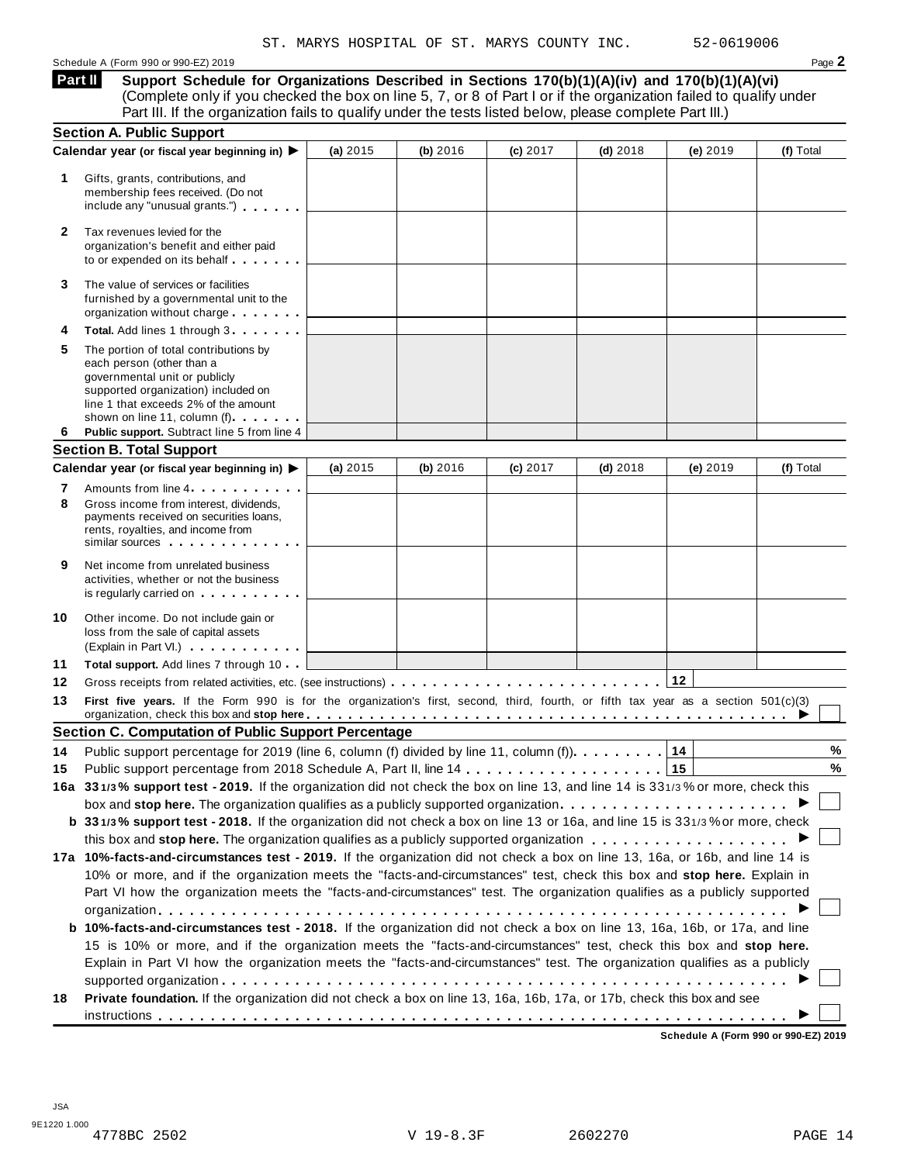#### Schedule A (Form 990 or 990-EZ) 2019 Page **2**

**Support Schedule for Organizations Described in Sections 170(b)(1)(A)(iv) and 170(b)(1)(A)(vi)** (Complete only if you checked the box on line 5, 7, or 8 of Part I or if the organization failed to qualify under **Part II** 

|              | Part III. If the organization fails to qualify under the tests listed below, please complete Part III.)                                                                                                                                                                                                                                                             |            |          |          |            |          |           |
|--------------|---------------------------------------------------------------------------------------------------------------------------------------------------------------------------------------------------------------------------------------------------------------------------------------------------------------------------------------------------------------------|------------|----------|----------|------------|----------|-----------|
|              | <b>Section A. Public Support</b><br>Calendar year (or fiscal year beginning in) ▶                                                                                                                                                                                                                                                                                   | (a) 2015   | (b) 2016 | (c) 2017 | $(d)$ 2018 | (e) 2019 | (f) Total |
| 1            | Gifts, grants, contributions, and<br>membership fees received. (Do not<br>include any "unusual grants.")                                                                                                                                                                                                                                                            |            |          |          |            |          |           |
| $\mathbf{2}$ | Tax revenues levied for the<br>organization's benefit and either paid<br>to or expended on its behalf                                                                                                                                                                                                                                                               |            |          |          |            |          |           |
| 3            | The value of services or facilities<br>furnished by a governmental unit to the<br>organization without charge                                                                                                                                                                                                                                                       |            |          |          |            |          |           |
| 4            | Total. Add lines 1 through 3                                                                                                                                                                                                                                                                                                                                        |            |          |          |            |          |           |
| 5            | The portion of total contributions by<br>each person (other than a<br>governmental unit or publicly<br>supported organization) included on<br>line 1 that exceeds 2% of the amount<br>shown on line 11, column (f)                                                                                                                                                  |            |          |          |            |          |           |
| 6            | Public support. Subtract line 5 from line 4                                                                                                                                                                                                                                                                                                                         |            |          |          |            |          |           |
|              | <b>Section B. Total Support</b><br>Calendar year (or fiscal year beginning in) $\blacktriangleright$                                                                                                                                                                                                                                                                |            |          |          |            |          |           |
|              |                                                                                                                                                                                                                                                                                                                                                                     | (a) $2015$ | (b) 2016 | (c) 2017 | $(d)$ 2018 | (e) 2019 | (f) Total |
| 7<br>8       | Amounts from line 4<br>Gross income from interest, dividends,<br>payments received on securities loans,<br>rents, royalties, and income from<br>similar sources experiences                                                                                                                                                                                         |            |          |          |            |          |           |
| 9            | Net income from unrelated business<br>activities, whether or not the business<br>is regularly carried on the control of the set of the set of the set of the set of the set of the set of the s                                                                                                                                                                     |            |          |          |            |          |           |
| 10           | Other income. Do not include gain or<br>loss from the sale of capital assets<br>(Explain in Part VI.)                                                                                                                                                                                                                                                               |            |          |          |            |          |           |
| 11           | Total support. Add lines 7 through 10                                                                                                                                                                                                                                                                                                                               |            |          |          |            |          |           |
| 12           |                                                                                                                                                                                                                                                                                                                                                                     |            |          |          |            | 12       |           |
| 13           | First five years. If the Form 990 is for the organization's first, second, third, fourth, or fifth tax year as a section 501(c)(3)<br>organization, check this box and stop here entired to a series of the series of the series of the series of the series of the series of the series of the series of the series of the series of the series of the series of t |            |          |          |            |          |           |
|              | <b>Section C. Computation of Public Support Percentage</b>                                                                                                                                                                                                                                                                                                          |            |          |          |            |          |           |
| 14           | Public support percentage for 2019 (line 6, column (f) divided by line 11, column (f).                                                                                                                                                                                                                                                                              |            |          |          |            | 14       | $\%$      |
| 15           |                                                                                                                                                                                                                                                                                                                                                                     |            |          |          |            |          | %         |
|              | 16a 331/3% support test - 2019. If the organization did not check the box on line 13, and line 14 is 331/3% or more, check this                                                                                                                                                                                                                                     |            |          |          |            |          |           |
|              | box and stop here. The organization qualifies as a publicly supported organization                                                                                                                                                                                                                                                                                  |            |          |          |            |          |           |
|              | b 331/3% support test - 2018. If the organization did not check a box on line 13 or 16a, and line 15 is 331/3% or more, check                                                                                                                                                                                                                                       |            |          |          |            |          |           |
|              | 17a 10%-facts-and-circumstances test - 2019. If the organization did not check a box on line 13, 16a, or 16b, and line 14 is                                                                                                                                                                                                                                        |            |          |          |            |          |           |
|              | 10% or more, and if the organization meets the "facts-and-circumstances" test, check this box and stop here. Explain in<br>Part VI how the organization meets the "facts-and-circumstances" test. The organization qualifies as a publicly supported                                                                                                                |            |          |          |            |          |           |
|              | <b>b</b> 10%-facts-and-circumstances test - 2018. If the organization did not check a box on line 13, 16a, 16b, or 17a, and line<br>15 is 10% or more, and if the organization meets the "facts-and-circumstances" test, check this box and stop here.                                                                                                              |            |          |          |            |          |           |
|              | Explain in Part VI how the organization meets the "facts-and-circumstances" test. The organization qualifies as a publicly                                                                                                                                                                                                                                          |            |          |          |            |          |           |
|              |                                                                                                                                                                                                                                                                                                                                                                     |            |          |          |            |          |           |
|              | Private foundation. If the organization did not check a box on line 13, 16a, 16b, 17a, or 17b, check this box and see                                                                                                                                                                                                                                               |            |          |          |            |          |           |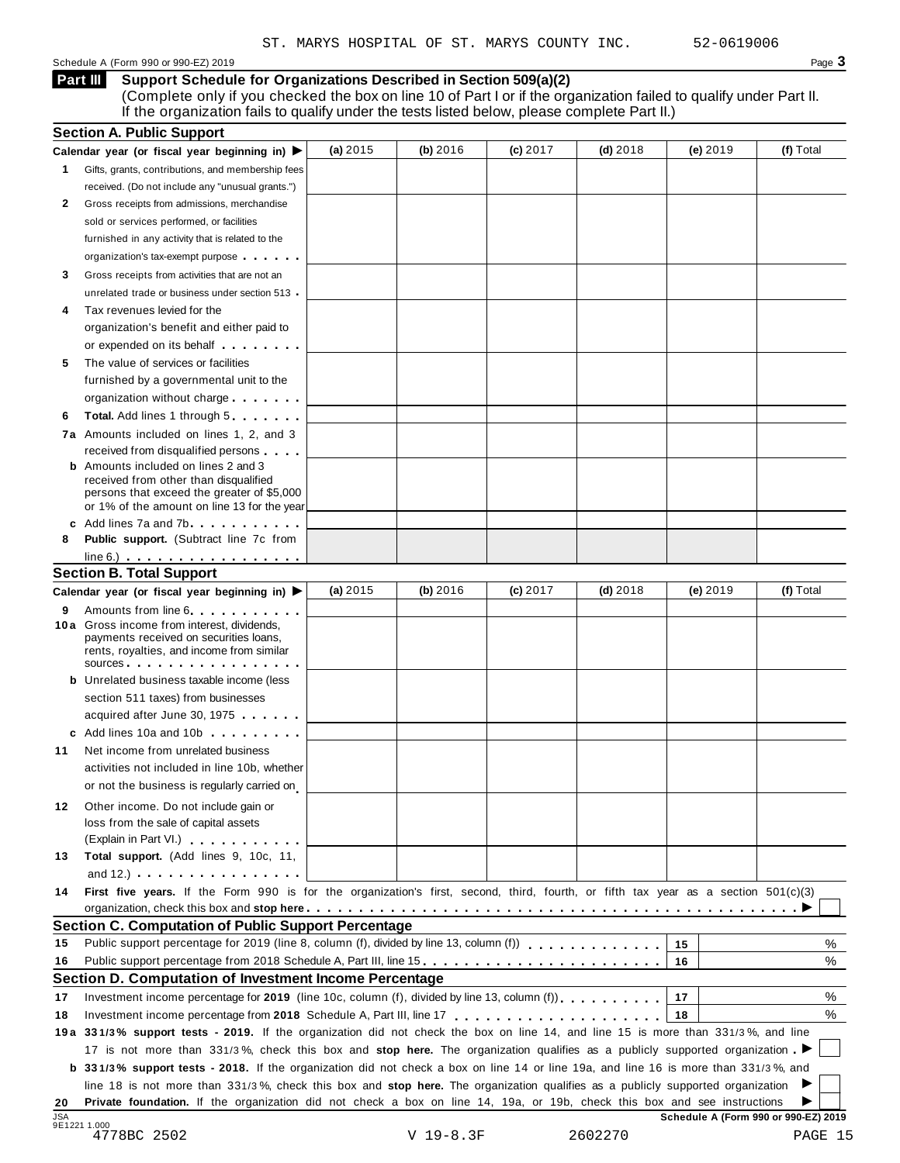| Schedule A (Form 990 or 990-EZ) 2019 | Page 3 |
|--------------------------------------|--------|
|--------------------------------------|--------|

**Support Schedule for Organizations Described in Section 509(a)(2)** (Complete only if you checked the box on line 10 of Part I or if the organization failed to qualify under Part II. **Part III** 

If the organization fails to qualify under the tests listed below, please complete Part II.)

|                  | <b>Section A. Public Support</b>                                                                                                                                                                                                     |            |          |            |            |                                      |           |
|------------------|--------------------------------------------------------------------------------------------------------------------------------------------------------------------------------------------------------------------------------------|------------|----------|------------|------------|--------------------------------------|-----------|
|                  | Calendar year (or fiscal year beginning in) $\blacktriangleright$                                                                                                                                                                    | (a) $2015$ | (b) 2016 | $(c)$ 2017 | $(d)$ 2018 | (e) 2019                             | (f) Total |
| $\mathbf{1}$     | Gifts, grants, contributions, and membership fees                                                                                                                                                                                    |            |          |            |            |                                      |           |
|                  | received. (Do not include any "unusual grants.")                                                                                                                                                                                     |            |          |            |            |                                      |           |
| 2                | Gross receipts from admissions, merchandise                                                                                                                                                                                          |            |          |            |            |                                      |           |
|                  | sold or services performed, or facilities                                                                                                                                                                                            |            |          |            |            |                                      |           |
|                  | furnished in any activity that is related to the                                                                                                                                                                                     |            |          |            |            |                                      |           |
|                  | organization's tax-exempt purpose                                                                                                                                                                                                    |            |          |            |            |                                      |           |
| 3                | Gross receipts from activities that are not an                                                                                                                                                                                       |            |          |            |            |                                      |           |
|                  | unrelated trade or business under section 513 .                                                                                                                                                                                      |            |          |            |            |                                      |           |
| 4                | Tax revenues levied for the                                                                                                                                                                                                          |            |          |            |            |                                      |           |
|                  | organization's benefit and either paid to                                                                                                                                                                                            |            |          |            |            |                                      |           |
|                  | or expended on its behalf <b>contains the set of the set of the set of the set of the set of the set of the set of the set of the set of the set of the set of the set of the set of the set of the set of the set of the set of</b> |            |          |            |            |                                      |           |
| 5                | The value of services or facilities                                                                                                                                                                                                  |            |          |            |            |                                      |           |
|                  | furnished by a governmental unit to the                                                                                                                                                                                              |            |          |            |            |                                      |           |
|                  | organization without charge                                                                                                                                                                                                          |            |          |            |            |                                      |           |
| 6                | Total. Add lines 1 through 5                                                                                                                                                                                                         |            |          |            |            |                                      |           |
|                  | 7a Amounts included on lines 1, 2, and 3                                                                                                                                                                                             |            |          |            |            |                                      |           |
|                  | received from disqualified persons                                                                                                                                                                                                   |            |          |            |            |                                      |           |
|                  | <b>b</b> Amounts included on lines 2 and 3                                                                                                                                                                                           |            |          |            |            |                                      |           |
|                  | received from other than disqualified                                                                                                                                                                                                |            |          |            |            |                                      |           |
|                  | persons that exceed the greater of \$5,000                                                                                                                                                                                           |            |          |            |            |                                      |           |
|                  | or 1% of the amount on line 13 for the year                                                                                                                                                                                          |            |          |            |            |                                      |           |
|                  | c Add lines 7a and 7b                                                                                                                                                                                                                |            |          |            |            |                                      |           |
| 8                | <b>Public support.</b> (Subtract line 7c from                                                                                                                                                                                        |            |          |            |            |                                      |           |
|                  | $line 6.)$<br><b>Section B. Total Support</b>                                                                                                                                                                                        |            |          |            |            |                                      |           |
|                  |                                                                                                                                                                                                                                      |            |          |            |            |                                      |           |
|                  | Calendar year (or fiscal year beginning in) ▶                                                                                                                                                                                        | (a) $2015$ | (b) 2016 | $(c)$ 2017 | $(d)$ 2018 | (e) 2019                             | (f) Total |
| 9                | Amounts from line 6 <b>Amounts</b> from line 6<br>10 a Gross income from interest, dividends,                                                                                                                                        |            |          |            |            |                                      |           |
|                  | payments received on securities loans,                                                                                                                                                                                               |            |          |            |            |                                      |           |
|                  | rents, royalties, and income from similar                                                                                                                                                                                            |            |          |            |            |                                      |           |
|                  | $sources$                                                                                                                                                                                                                            |            |          |            |            |                                      |           |
|                  | <b>b</b> Unrelated business taxable income (less                                                                                                                                                                                     |            |          |            |            |                                      |           |
|                  | section 511 taxes) from businesses                                                                                                                                                                                                   |            |          |            |            |                                      |           |
|                  | acquired after June 30, 1975                                                                                                                                                                                                         |            |          |            |            |                                      |           |
|                  | c Add lines 10a and 10b                                                                                                                                                                                                              |            |          |            |            |                                      |           |
| 11               | Net income from unrelated business                                                                                                                                                                                                   |            |          |            |            |                                      |           |
|                  | activities not included in line 10b, whether                                                                                                                                                                                         |            |          |            |            |                                      |           |
|                  | or not the business is regularly carried on                                                                                                                                                                                          |            |          |            |            |                                      |           |
| 12               | Other income. Do not include gain or                                                                                                                                                                                                 |            |          |            |            |                                      |           |
|                  | loss from the sale of capital assets                                                                                                                                                                                                 |            |          |            |            |                                      |           |
|                  | (Explain in Part VI.)                                                                                                                                                                                                                |            |          |            |            |                                      |           |
| 13               | Total support. (Add lines 9, 10c, 11,                                                                                                                                                                                                |            |          |            |            |                                      |           |
|                  | and $12.$ ) $\ldots$ $\ldots$ $\ldots$ $\ldots$ $\ldots$                                                                                                                                                                             |            |          |            |            |                                      |           |
| 14               | First five years. If the Form 990 is for the organization's first, second, third, fourth, or fifth tax year as a section 501(c)(3)                                                                                                   |            |          |            |            |                                      |           |
|                  |                                                                                                                                                                                                                                      |            |          |            |            |                                      |           |
|                  | Section C. Computation of Public Support Percentage                                                                                                                                                                                  |            |          |            |            |                                      |           |
| 15               | Public support percentage for 2019 (line 8, column (f), divided by line 13, column (f)) $\ldots$ ,,,,,,,,,,,,,                                                                                                                       |            |          |            |            | 15                                   | %         |
| 16               |                                                                                                                                                                                                                                      |            |          |            |            | 16                                   | %         |
|                  | Section D. Computation of Investment Income Percentage                                                                                                                                                                               |            |          |            |            |                                      |           |
| 17               | Investment income percentage for 2019 (line 10c, column (f), divided by line 13, column (f)), $\ldots$ , , , , , , ,                                                                                                                 |            |          |            |            | 17                                   | %         |
|                  |                                                                                                                                                                                                                                      |            |          |            |            | 18                                   | %         |
| 18               |                                                                                                                                                                                                                                      |            |          |            |            |                                      |           |
|                  | 19a 331/3% support tests - 2019. If the organization did not check the box on line 14, and line 15 is more than 331/3%, and line                                                                                                     |            |          |            |            |                                      |           |
|                  | 17 is not more than 331/3%, check this box and stop here. The organization qualifies as a publicly supported organization                                                                                                            |            |          |            |            |                                      |           |
|                  | b 331/3% support tests - 2018. If the organization did not check a box on line 14 or line 19a, and line 16 is more than 331/3%, and                                                                                                  |            |          |            |            |                                      |           |
|                  |                                                                                                                                                                                                                                      |            |          |            |            |                                      |           |
|                  | line 18 is not more than 331/3%, check this box and stop here. The organization qualifies as a publicly supported organization                                                                                                       |            |          |            |            |                                      |           |
| 20<br><b>JSA</b> | Private foundation. If the organization did not check a box on line 14, 19a, or 19b, check this box and see instructions                                                                                                             |            |          |            |            | Schedule A (Form 990 or 990-EZ) 2019 |           |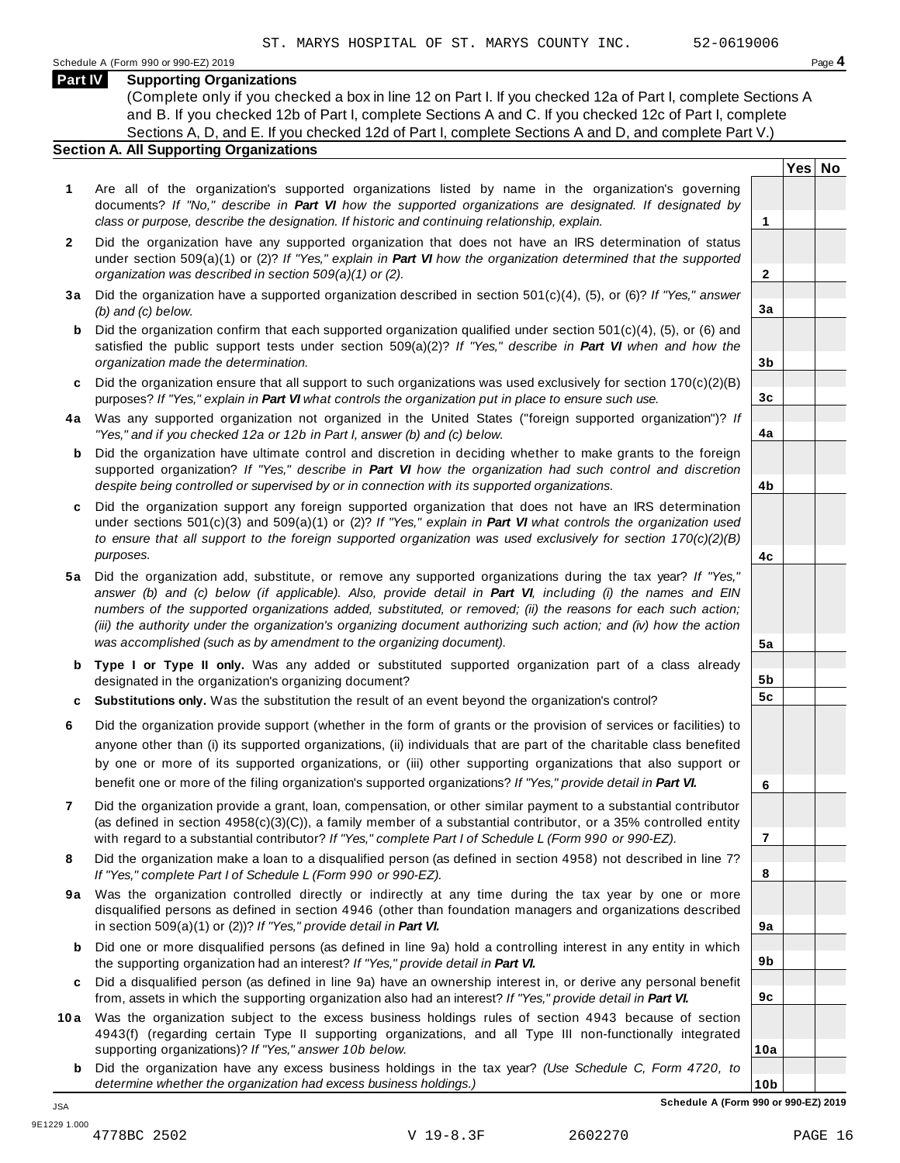**Yes No**

**2**

**3a**

**3b**

**3c**

**4a**

**4b**

**4c**

**5a**

**5b 5c**

**6**

**7**

**8**

**9a**

**9b**

**9c**

**10a**

### **Part IV Supporting Organizations**

(Complete only if you checked a box in line 12 on Part I. If you checked 12a of Part I, complete Sections A and B. If you checked 12b of Part I, complete Sections A and C. If you checked 12c of Part I, complete Sections A, D, and E. If you checked 12d of Part I, complete Sections A and D, and complete Part V.)

### **Section A. All Supporting Organizations**

- **1** Are all of the organization's supported organizations listed by name in the organization's governing documents? *If "No," describe in Part VI how the supported organizations are designated. If designated by class or purpose, describe the designation. If historic and continuing relationship, explain.* **1**
- **2** Did the organization have any supported organization that does not have an IRS determination of status under section 509(a)(1) or (2)? *If"Yes," explain in Part VI how the organization determined that the supported organization was described in section 509(a)(1) or (2).*
- **3 a** Did the organization have a supported organization described in section 501(c)(4), (5), or (6)? *If "Yes," answer (b) and (c) below.*
- **b** Did the organization confirm that each supported organization qualified under section 501(c)(4), (5), or (6) and | satisfied the public support tests under section 509(a)(2)? *If "Yes," describe in Part VI when and how the organization made the determination.*
- **c** Did the organization ensure that all support to such organizations was used exclusively for section 170(c)(2)(B) purposes? *If"Yes," explain in Part VI what controls the organization put in place to ensure such use.*
- **4 a** Was any supported organization not organized in the United States ("foreign supported organization")? *If "Yes," and if you checked 12a or 12b in Part I, answer (b) and (c) below.*
- **b** Did the organization have ultimate control and discretion in deciding whether to make grants to the foreign | supported organization? *If "Yes," describe in Part VI how the organization had such control and discretion despite being controlled or supervised by or in connection with its supported organizations.*
- **c** Did the organization support any foreign supported organization that does not have an IRS determination under sections 501(c)(3) and 509(a)(1) or (2)? *If "Yes," explain in Part VI what controls the organization used to ensure that all support to the foreign supported organization was used exclusively for section 170(c)(2)(B) purposes.*
- **5 a** Did the organization add, substitute, or remove any supported organizations during the tax year? *If "Yes,"* answer (b) and (c) below (if applicable). Also, provide detail in Part VI, including (i) the names and EIN *numbers of the supported organizations added, substituted, or removed; (ii) the reasons for each such action;* (iii) the authority under the organization's organizing document authorizing such action; and (iv) how the action *was accomplished (such as by amendment to the organizing document).*
- **b Type I or Type II only.** Was any added or substituted supported organization part of a class already designated in the organization's organizing document?
- **c Substitutions only.** Was the substitution the result of an event beyond the organization's control?
- **6** Did the organization provide support (whether in the form of grants or the provision of services or facilities) to anyone other than (i) its supported organizations, (ii) individuals that are part of the charitable class benefited by one or more of its supported organizations, or (iii) other supporting organizations that also support or benefit one or more of the filing organization's supported organizations? *If"Yes," provide detail in Part VI.*
- **7** Did the organization provide a grant, loan, compensation, or other similar payment to a substantial contributor (as defined in section 4958(c)(3)(C)), a family member of a substantial contributor, or a 35% controlled entity with regard to a substantial contributor? *If"Yes," complete Part I of Schedule L (Form 990 or 990-EZ).*
- **8** Did the organization make a loan to a disqualified person (as defined in section 4958) not described in line 7? *If "Yes," complete Part I of Schedule L (Form 990 or 990-EZ).*
- **9a** Was the organization controlled directly or indirectly at any time during the tax year by one or more | disqualified persons as defined in section 4946 (other than foundation managers and organizations described in section 509(a)(1) or (2))? *If"Yes," provide detail in Part VI.*
- **b** Did one or more disqualified persons (as defined in line 9a) hold a controlling interest in any entity in which | the supporting organization had an interest? *If"Yes," provide detail in Part VI.*
- **c** Did a disqualified person (as defined in line 9a) have an ownership interest in, or derive any personal benefit from, assets in which the supporting organization also had an interest? *If"Yes," provide detail in Part VI.*
- **10a** Was the organization subject to the excess business holdings rules of section 4943 because of section | 4943(f) (regarding certain Type II supporting organizations, and all Type III non-functionally integrated supporting organizations)? *If"Yes," answer 10b below.*
	- **b** Did the organization have any excess business holdings in the tax year? *(Use Schedule C, Form 4720, to determine whether the organization had excess business holdings.)*

**10b Schedule A (Form 990 or 990-EZ) 2019**

JSA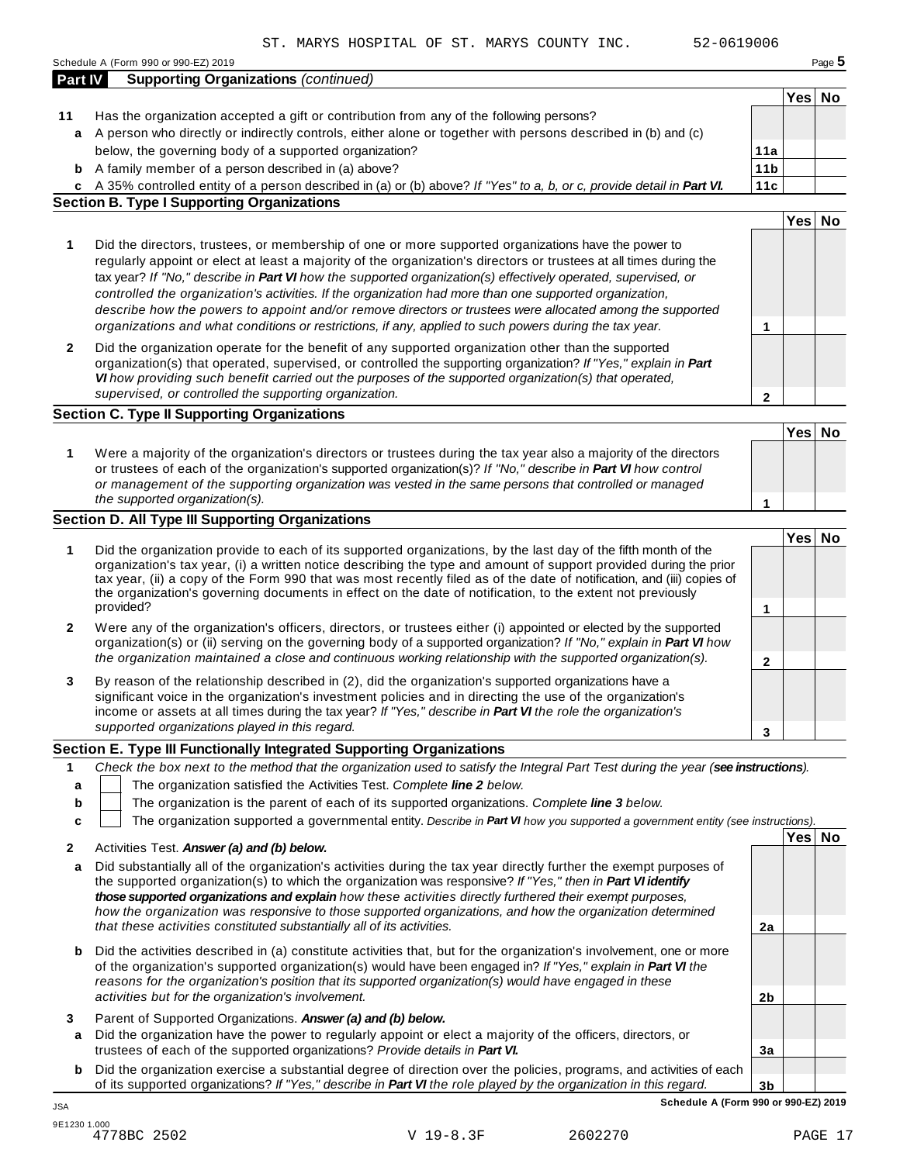|              | <b>Supporting Organizations (continued)</b>                                                                                                                                                                                                                                                                                                                                                                                                                                                                                                                                                                                                                                  |                 |        |  |
|--------------|------------------------------------------------------------------------------------------------------------------------------------------------------------------------------------------------------------------------------------------------------------------------------------------------------------------------------------------------------------------------------------------------------------------------------------------------------------------------------------------------------------------------------------------------------------------------------------------------------------------------------------------------------------------------------|-----------------|--------|--|
|              |                                                                                                                                                                                                                                                                                                                                                                                                                                                                                                                                                                                                                                                                              |                 | Yes No |  |
| 11           | Has the organization accepted a gift or contribution from any of the following persons?                                                                                                                                                                                                                                                                                                                                                                                                                                                                                                                                                                                      |                 |        |  |
| a            | A person who directly or indirectly controls, either alone or together with persons described in (b) and (c)                                                                                                                                                                                                                                                                                                                                                                                                                                                                                                                                                                 |                 |        |  |
|              | below, the governing body of a supported organization?                                                                                                                                                                                                                                                                                                                                                                                                                                                                                                                                                                                                                       | 11a             |        |  |
|              | <b>b</b> A family member of a person described in (a) above?                                                                                                                                                                                                                                                                                                                                                                                                                                                                                                                                                                                                                 | 11 <sub>b</sub> |        |  |
|              | c A 35% controlled entity of a person described in (a) or (b) above? If "Yes" to a, b, or c, provide detail in Part VI.                                                                                                                                                                                                                                                                                                                                                                                                                                                                                                                                                      | 11c             |        |  |
|              | <b>Section B. Type I Supporting Organizations</b>                                                                                                                                                                                                                                                                                                                                                                                                                                                                                                                                                                                                                            |                 |        |  |
|              |                                                                                                                                                                                                                                                                                                                                                                                                                                                                                                                                                                                                                                                                              |                 | Yes No |  |
| 1            | Did the directors, trustees, or membership of one or more supported organizations have the power to<br>regularly appoint or elect at least a majority of the organization's directors or trustees at all times during the<br>tax year? If "No," describe in Part VI how the supported organization(s) effectively operated, supervised, or<br>controlled the organization's activities. If the organization had more than one supported organization,<br>describe how the powers to appoint and/or remove directors or trustees were allocated among the supported<br>organizations and what conditions or restrictions, if any, applied to such powers during the tax year. | 1               |        |  |
| $\mathbf{2}$ | Did the organization operate for the benefit of any supported organization other than the supported<br>organization(s) that operated, supervised, or controlled the supporting organization? If "Yes," explain in Part<br>VI how providing such benefit carried out the purposes of the supported organization(s) that operated,                                                                                                                                                                                                                                                                                                                                             |                 |        |  |
|              | supervised, or controlled the supporting organization.                                                                                                                                                                                                                                                                                                                                                                                                                                                                                                                                                                                                                       | $\mathbf{2}$    |        |  |
|              | <b>Section C. Type II Supporting Organizations</b>                                                                                                                                                                                                                                                                                                                                                                                                                                                                                                                                                                                                                           |                 |        |  |
|              |                                                                                                                                                                                                                                                                                                                                                                                                                                                                                                                                                                                                                                                                              |                 | Yes No |  |
| 1            | Were a majority of the organization's directors or trustees during the tax year also a majority of the directors<br>or trustees of each of the organization's supported organization(s)? If "No," describe in Part VI how control<br>or management of the supporting organization was vested in the same persons that controlled or managed                                                                                                                                                                                                                                                                                                                                  |                 |        |  |
|              | the supported organization(s).                                                                                                                                                                                                                                                                                                                                                                                                                                                                                                                                                                                                                                               | 1               |        |  |
|              | Section D. All Type III Supporting Organizations                                                                                                                                                                                                                                                                                                                                                                                                                                                                                                                                                                                                                             |                 |        |  |
|              |                                                                                                                                                                                                                                                                                                                                                                                                                                                                                                                                                                                                                                                                              |                 | Yes No |  |
| 1            | Did the organization provide to each of its supported organizations, by the last day of the fifth month of the<br>organization's tax year, (i) a written notice describing the type and amount of support provided during the prior<br>tax year, (ii) a copy of the Form 990 that was most recently filed as of the date of notification, and (iii) copies of<br>the organization's governing documents in effect on the date of notification, to the extent not previously<br>provided?                                                                                                                                                                                     | $\mathbf{1}$    |        |  |
| $\mathbf{2}$ | Were any of the organization's officers, directors, or trustees either (i) appointed or elected by the supported<br>organization(s) or (ii) serving on the governing body of a supported organization? If "No," explain in Part VI how                                                                                                                                                                                                                                                                                                                                                                                                                                       |                 |        |  |
|              | the organization maintained a close and continuous working relationship with the supported organization(s).                                                                                                                                                                                                                                                                                                                                                                                                                                                                                                                                                                  | 2               |        |  |
| 3            | By reason of the relationship described in (2), did the organization's supported organizations have a<br>significant voice in the organization's investment policies and in directing the use of the organization's                                                                                                                                                                                                                                                                                                                                                                                                                                                          |                 |        |  |
|              | income or assets at all times during the tax year? If "Yes," describe in Part VI the role the organization's<br>supported organizations played in this regard.                                                                                                                                                                                                                                                                                                                                                                                                                                                                                                               |                 |        |  |
|              |                                                                                                                                                                                                                                                                                                                                                                                                                                                                                                                                                                                                                                                                              | 3               |        |  |
|              | Section E. Type III Functionally Integrated Supporting Organizations                                                                                                                                                                                                                                                                                                                                                                                                                                                                                                                                                                                                         |                 |        |  |
| 1            | Check the box next to the method that the organization used to satisfy the Integral Part Test during the year (see instructions).                                                                                                                                                                                                                                                                                                                                                                                                                                                                                                                                            |                 |        |  |
| a            | The organization satisfied the Activities Test. Complete line 2 below.                                                                                                                                                                                                                                                                                                                                                                                                                                                                                                                                                                                                       |                 |        |  |
| b            | The organization is the parent of each of its supported organizations. Complete line 3 below.                                                                                                                                                                                                                                                                                                                                                                                                                                                                                                                                                                                |                 |        |  |
| c            | The organization supported a governmental entity. Describe in Part VI how you supported a government entity (see instructions).                                                                                                                                                                                                                                                                                                                                                                                                                                                                                                                                              |                 |        |  |
| 2            | Activities Test. Answer (a) and (b) below.                                                                                                                                                                                                                                                                                                                                                                                                                                                                                                                                                                                                                                   |                 | Yes No |  |
| a            | Did substantially all of the organization's activities during the tax year directly further the exempt purposes of<br>the supported organization(s) to which the organization was responsive? If "Yes," then in Part VI identify<br>those supported organizations and explain how these activities directly furthered their exempt purposes,<br>how the organization was responsive to those supported organizations, and how the organization determined                                                                                                                                                                                                                    |                 |        |  |
|              | that these activities constituted substantially all of its activities.                                                                                                                                                                                                                                                                                                                                                                                                                                                                                                                                                                                                       | 2a              |        |  |
| b            | Did the activities described in (a) constitute activities that, but for the organization's involvement, one or more<br>of the organization's supported organization(s) would have been engaged in? If "Yes," explain in Part VI the<br>reasons for the organization's position that its supported organization(s) would have engaged in these                                                                                                                                                                                                                                                                                                                                |                 |        |  |
|              | activities but for the organization's involvement.                                                                                                                                                                                                                                                                                                                                                                                                                                                                                                                                                                                                                           | 2 <sub>b</sub>  |        |  |
| 3            | Parent of Supported Organizations. Answer (a) and (b) below.                                                                                                                                                                                                                                                                                                                                                                                                                                                                                                                                                                                                                 |                 |        |  |

- **a** Did the organization have the power to regularly appoint or elect a majority of the officers, directors, or trustees of each of the supported organizations? *Provide details in Part VI.*
- **b** Did the organization exercise a substantial degree of direction over the policies, programs, and activities of each of its supported organizations? *If "Yes," describe in Part VI the role played by the organization in this regard.*

**3b Schedule A (Form 990 or 990-EZ) 2019** JSA

**3a**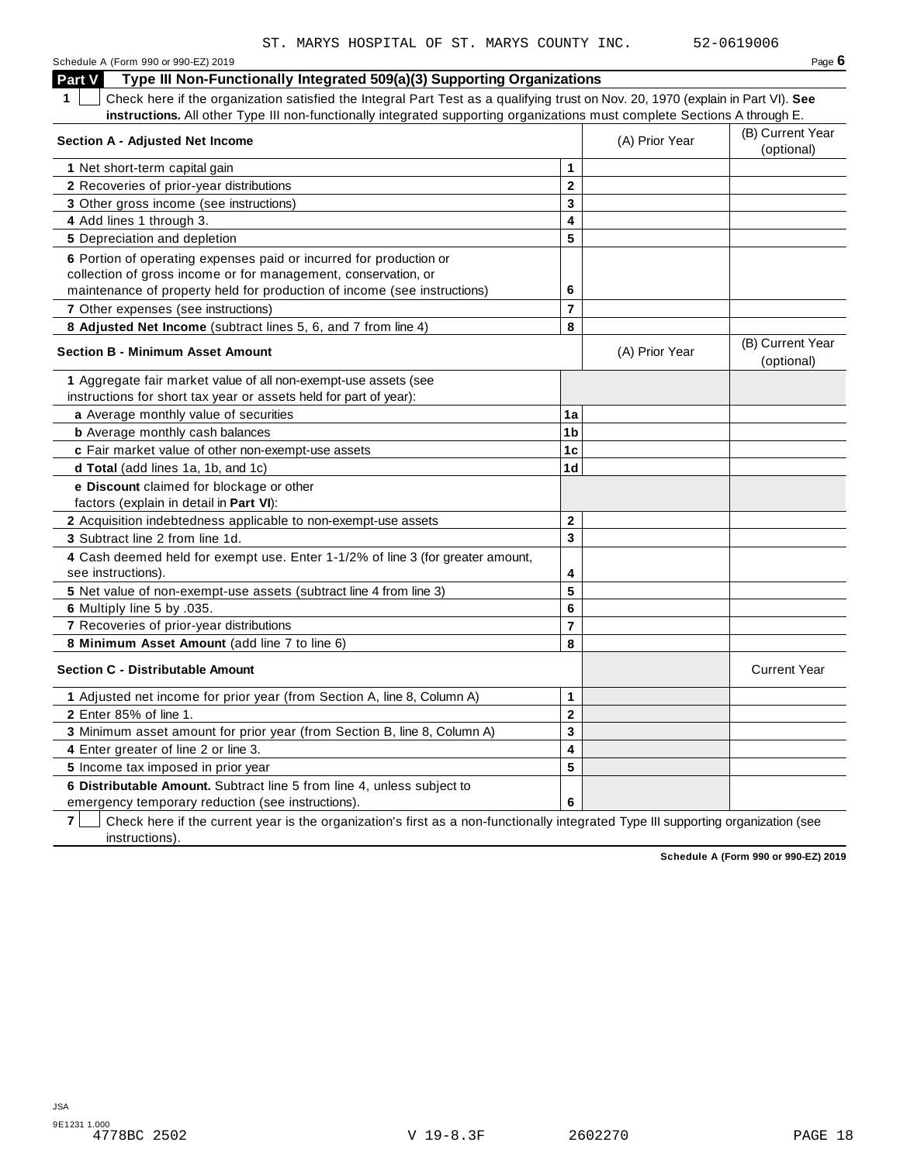Schedule <sup>A</sup> (Form <sup>990</sup> or 990-EZ) <sup>2019</sup> Page **6 Part V Type III Non-Functionally Integrated 509(a)(3) Supporting Organizations 1** Check here if the organization satisfied the Integral Part Test as a qualifying trust on Nov. 20, 1970 (explain in Part VI). **See instructions.** All other Type III non-functionally integrated supporting organizations must complete Sections A through E. (B) Current Year **Section <sup>A</sup> - Adjusted Net Income** (A) Prior Year (optional) **1** Net short-term capital gain **1 2 3 4 5 2** Recoveries of prior-year distributions **3** Other gross income (see instructions) **4** Add lines 1 through 3. **5** Depreciation and depletion **6** Portion of operating expenses paid or incurred for production or collection of gross income or for management, conservation, or maintenance of property held for production of income (see instructions) **6 7** Other expenses (see instructions) **7 8 Adjusted Net Income** (subtract lines 5, 6, and 7 from line 4) **8** (B) Current Year **Section <sup>B</sup> - Minimum Asset Amount** (A) Prior Year (optional) **1** Aggregate fair market value of all non-exempt-use assets (see instructions for short tax year or assets held for part of year): **a** Average monthly value of securities **1a 1a 1b 1c 1d b** Average monthly cash balances **c** Fair market value of other non-exempt-use assets **d Total** (add lines 1a, 1b, and 1c) **e Discount** claimed for blockage or other factors (explain in detail in **Part VI**): **2** Acquisition indebtedness applicable to non-exempt-use assets **2 3 4 5 6 7 8 3** Subtract line 2 from line 1d. **4** Cash deemed held for exempt use. Enter 1-1/2% of line 3 (for greater amount, see instructions). **5** Net value of non-exempt-use assets (subtract line 4 from line 3) **6** Multiply line 5 by .035. **7** Recoveries of prior-year distributions **8 Minimum Asset Amount** (add line 7 to line 6) **Section C - Distributable Amount** Current Year **Current Year Amount** Current Year Amount **1** Adjusted net income for prior year (from Section A, line 8, Column A) **1 2 3 4 5 2** Enter 85% of line 1. **3** Minimum asset amount for prior year (from Section B, line 8, Column A) **4** Enter greater of line 2 or line 3. **5** Income tax imposed in prior year ST. MARYS HOSPITAL OF ST. MARYS COUNTY INC. 52-0619006

**7** Check here if the current year is the organization's first as a non-functionally integrated Type III supporting organization (see instructions).

**6 Distributable Amount.** Subtract line 5 from line 4, unless subject to

emergency temporary reduction (see instructions).

**Schedule A (Form 990 or 990-EZ) 2019**

**6**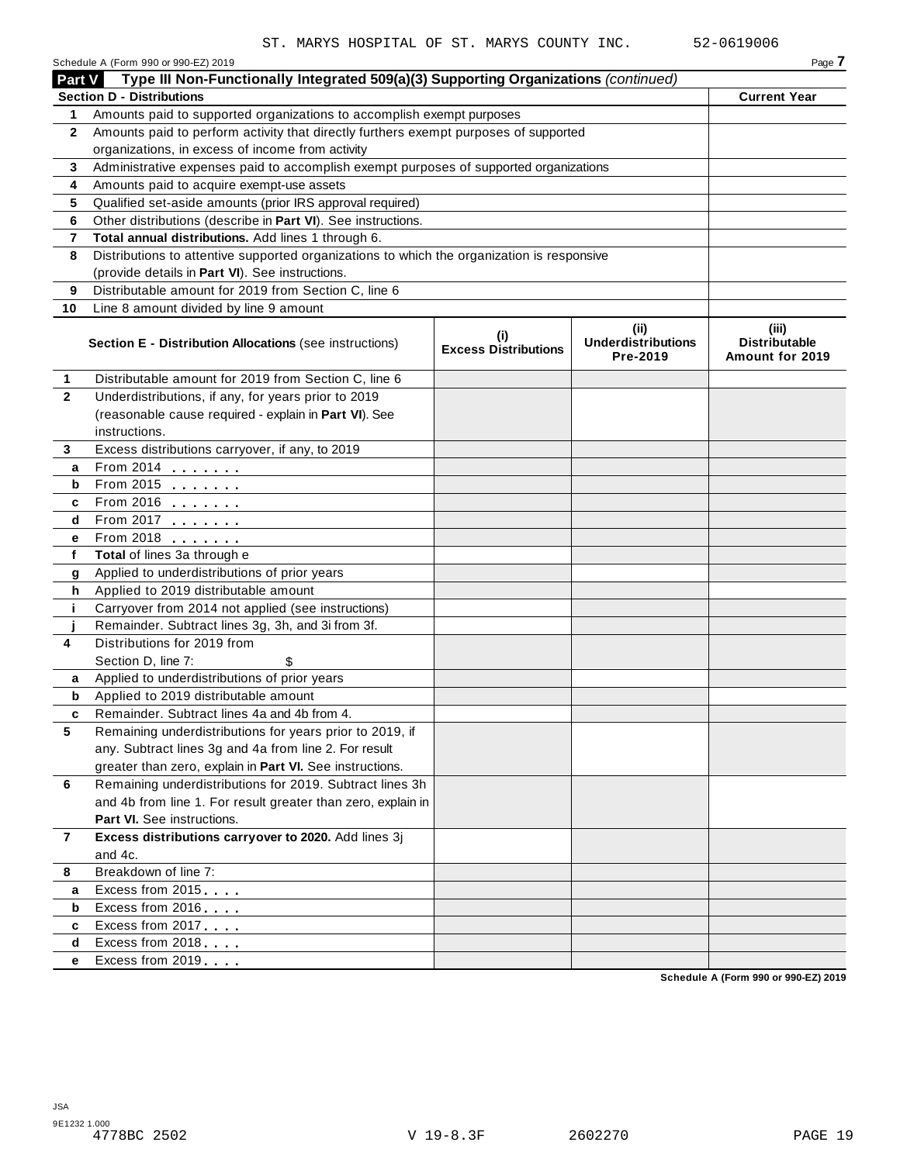|                | Schedule A (Form 990 or 990-EZ) 2019                                                       |                                    |                                               | Page 7                                           |
|----------------|--------------------------------------------------------------------------------------------|------------------------------------|-----------------------------------------------|--------------------------------------------------|
| <b>Part V</b>  | Type III Non-Functionally Integrated 509(a)(3) Supporting Organizations (continued)        |                                    |                                               |                                                  |
|                | <b>Section D - Distributions</b>                                                           |                                    |                                               | <b>Current Year</b>                              |
| 1              | Amounts paid to supported organizations to accomplish exempt purposes                      |                                    |                                               |                                                  |
| $\mathbf{2}$   | Amounts paid to perform activity that directly furthers exempt purposes of supported       |                                    |                                               |                                                  |
|                | organizations, in excess of income from activity                                           |                                    |                                               |                                                  |
| 3              | Administrative expenses paid to accomplish exempt purposes of supported organizations      |                                    |                                               |                                                  |
| 4              | Amounts paid to acquire exempt-use assets                                                  |                                    |                                               |                                                  |
| 5              | Qualified set-aside amounts (prior IRS approval required)                                  |                                    |                                               |                                                  |
| 6              | Other distributions (describe in Part VI). See instructions.                               |                                    |                                               |                                                  |
| 7              | Total annual distributions. Add lines 1 through 6.                                         |                                    |                                               |                                                  |
| 8              | Distributions to attentive supported organizations to which the organization is responsive |                                    |                                               |                                                  |
|                | (provide details in Part VI). See instructions.                                            |                                    |                                               |                                                  |
| 9              | Distributable amount for 2019 from Section C, line 6                                       |                                    |                                               |                                                  |
| 10             | Line 8 amount divided by line 9 amount                                                     |                                    |                                               |                                                  |
|                | Section E - Distribution Allocations (see instructions)                                    | (i)<br><b>Excess Distributions</b> | (ii)<br><b>Underdistributions</b><br>Pre-2019 | (iii)<br><b>Distributable</b><br>Amount for 2019 |
| 1              | Distributable amount for 2019 from Section C, line 6                                       |                                    |                                               |                                                  |
| $\mathbf{2}$   | Underdistributions, if any, for years prior to 2019                                        |                                    |                                               |                                                  |
|                | (reasonable cause required - explain in Part VI). See                                      |                                    |                                               |                                                  |
|                | instructions.                                                                              |                                    |                                               |                                                  |
| 3              | Excess distributions carryover, if any, to 2019                                            |                                    |                                               |                                                  |
| a              | From 2014                                                                                  |                                    |                                               |                                                  |
| b              | From 2015                                                                                  |                                    |                                               |                                                  |
| c              | From 2016                                                                                  |                                    |                                               |                                                  |
| d              | From 2017                                                                                  |                                    |                                               |                                                  |
| е              | From 2018                                                                                  |                                    |                                               |                                                  |
| f              | Total of lines 3a through e                                                                |                                    |                                               |                                                  |
| g              | Applied to underdistributions of prior years                                               |                                    |                                               |                                                  |
| h              | Applied to 2019 distributable amount                                                       |                                    |                                               |                                                  |
| j.             | Carryover from 2014 not applied (see instructions)                                         |                                    |                                               |                                                  |
|                | Remainder. Subtract lines 3g, 3h, and 3i from 3f.                                          |                                    |                                               |                                                  |
| 4              | Distributions for 2019 from                                                                |                                    |                                               |                                                  |
|                | Section D, line 7:                                                                         |                                    |                                               |                                                  |
| a              | Applied to underdistributions of prior years                                               |                                    |                                               |                                                  |
| b              | Applied to 2019 distributable amount                                                       |                                    |                                               |                                                  |
|                | Remainder. Subtract lines 4a and 4b from 4.                                                |                                    |                                               |                                                  |
| 5              | Remaining underdistributions for years prior to 2019, if                                   |                                    |                                               |                                                  |
|                | any. Subtract lines 3g and 4a from line 2. For result                                      |                                    |                                               |                                                  |
|                | greater than zero, explain in Part VI. See instructions.                                   |                                    |                                               |                                                  |
| 6              | Remaining underdistributions for 2019. Subtract lines 3h                                   |                                    |                                               |                                                  |
|                | and 4b from line 1. For result greater than zero, explain in                               |                                    |                                               |                                                  |
|                | Part VI. See instructions.                                                                 |                                    |                                               |                                                  |
| $\overline{7}$ | Excess distributions carryover to 2020. Add lines 3j                                       |                                    |                                               |                                                  |
|                | and 4c.                                                                                    |                                    |                                               |                                                  |
| 8              | Breakdown of line 7:                                                                       |                                    |                                               |                                                  |
| a              | Excess from 2015                                                                           |                                    |                                               |                                                  |
| b              | Excess from 2016                                                                           |                                    |                                               |                                                  |
| c              | Excess from 2017                                                                           |                                    |                                               |                                                  |
| d              | Excess from 2018                                                                           |                                    |                                               |                                                  |
| е              | Excess from 2019                                                                           |                                    |                                               |                                                  |
|                |                                                                                            |                                    |                                               | Schedule A (Form 990 or 990-EZ) 2019             |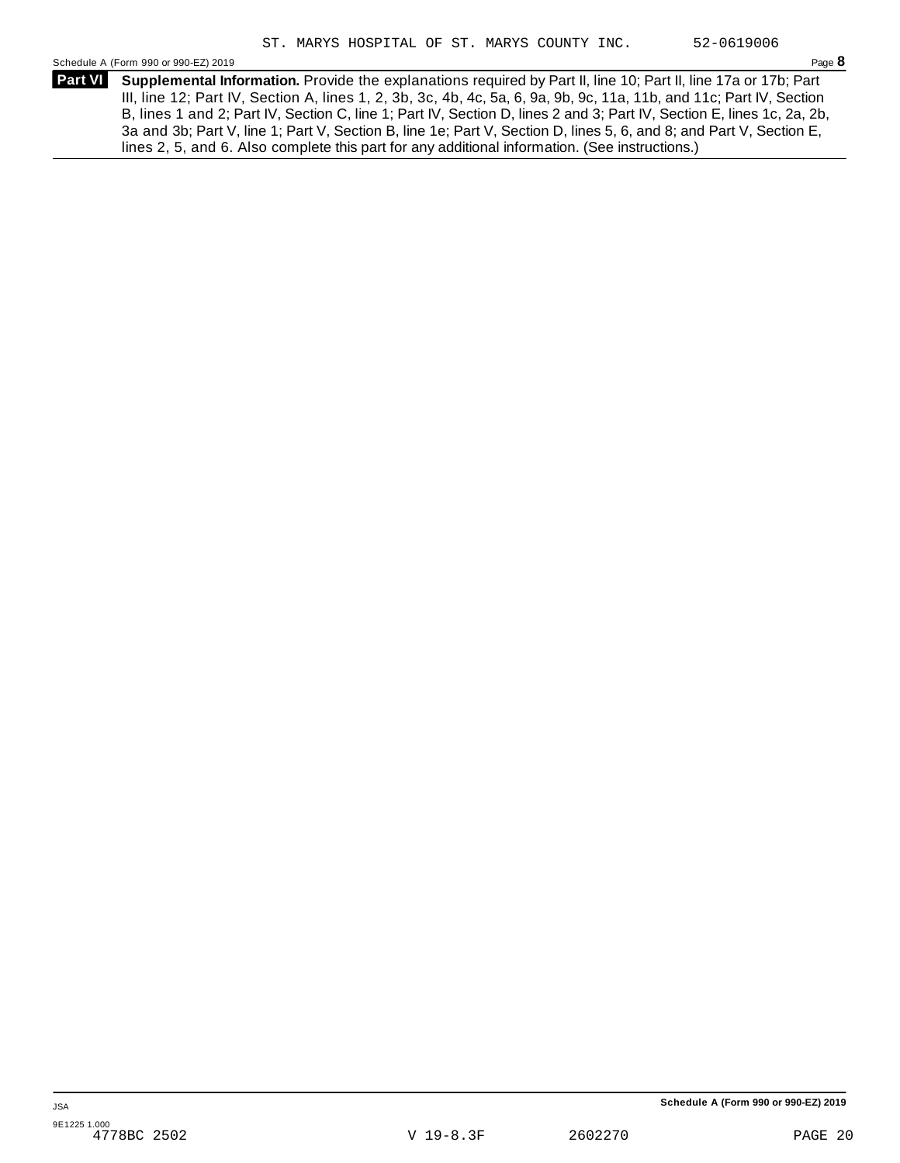Schedule A (Form 990 or 990-EZ) 2019 Page **8**

**Supplemental Information.** Provide the explanations required by Part II, line 10; Part II, line 17a or 17b; Part **Part VI**  III, line 12; Part IV, Section A, lines 1, 2, 3b, 3c, 4b, 4c, 5a, 6, 9a, 9b, 9c, 11a, 11b, and 11c; Part IV, Section B, lines 1 and 2; Part IV, Section C, line 1; Part IV, Section D, lines 2 and 3; Part IV, Section E, lines 1c, 2a, 2b, 3a and 3b; Part V, line 1; Part V, Section B, line 1e; Part V, Section D, lines 5, 6, and 8; and Part V, Section E, lines 2, 5, and 6. Also complete this part for any additional information. (See instructions.)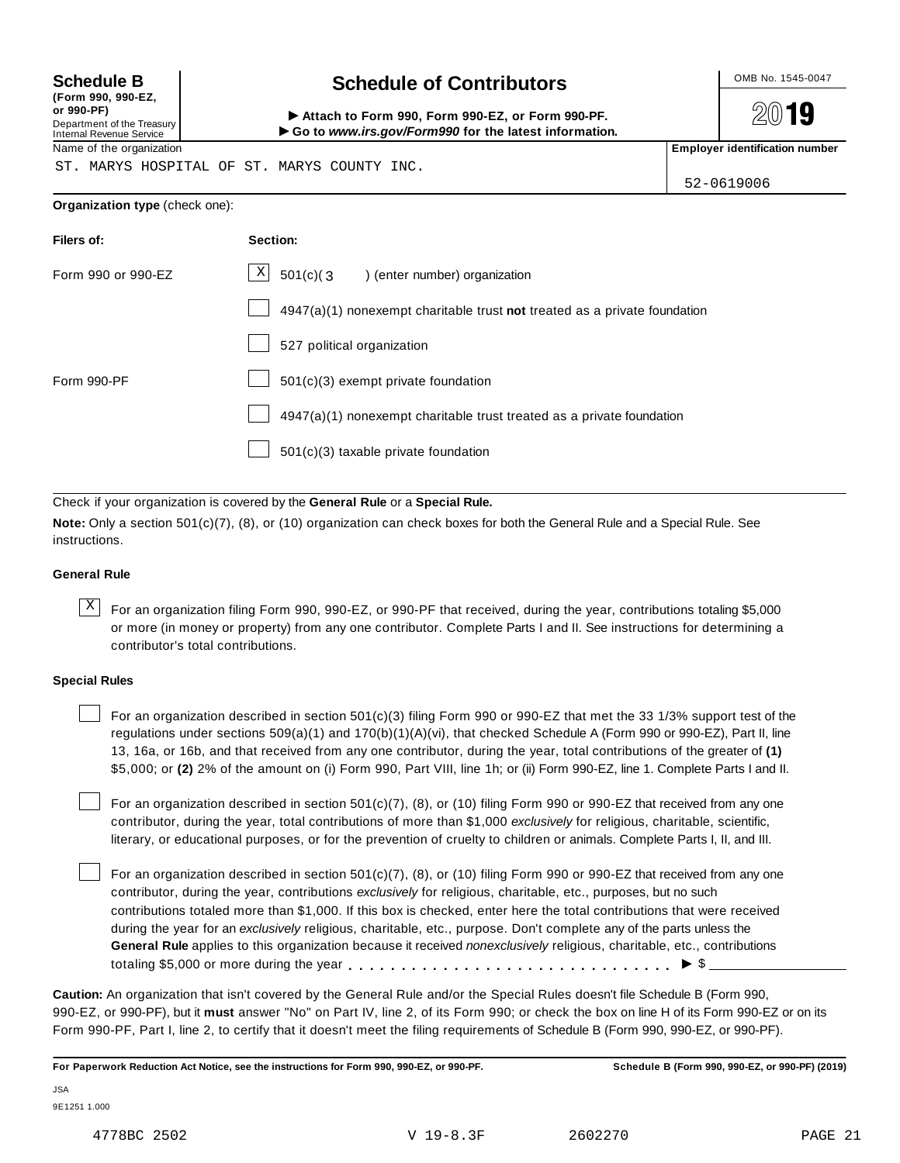| (Form 990, 990-EZ,              |  |
|---------------------------------|--|
| or 990-PF)                      |  |
| Department of the Treasury      |  |
| <b>Internal Revenue Service</b> |  |

# Schedule B **Schedule of Contributors**

2019

Attach to Form 990, Form 990-EZ, or Form 990-PF. I**Go to** *www.irs.gov/Form990* **for the latest information.**

Name of the organization **Employer identification number Employer identification number** 

ST. MARYS HOSPITAL OF ST. MARYS COUNTY INC.

52-0619006

#### **Organization type** (check one):

| Filers of:         | Section:                                                                    |
|--------------------|-----------------------------------------------------------------------------|
| Form 990 or 990-EZ | $\mathbf{X}$<br>501(c)(3) (enter number) organization                       |
|                    | $4947(a)(1)$ nonexempt charitable trust not treated as a private foundation |
|                    | 527 political organization                                                  |
| Form 990-PF        | $501(c)(3)$ exempt private foundation                                       |
|                    | 4947(a)(1) nonexempt charitable trust treated as a private foundation       |
|                    | 501(c)(3) taxable private foundation                                        |

Check if your organization is covered by the **General Rule** or a **Special Rule.**

**Note:** Only a section 501(c)(7), (8), or (10) organization can check boxes for both the General Rule and a Special Rule. See instructions.

#### **General Rule**

 $\overline{X}$  For an organization filing Form 990, 990-EZ, or 990-PF that received, during the year, contributions totaling \$5,000 or more (in money or property) from any one contributor. Complete Parts I and II. See instructions for determining a contributor's total contributions.

#### **Special Rules**

For an organization described in section 501(c)(3) filing Form 990 or 990-EZ that met the 33 1/3% support test of the regulations under sections 509(a)(1) and 170(b)(1)(A)(vi), that checked Schedule A (Form 990 or 990-EZ), Part II, line 13, 16a, or 16b, and that received from any one contributor, during the year, total contributions of the greater of **(1)** \$5,000; or **(2)** 2% of the amount on (i) Form 990, Part VIII, line 1h; or (ii) Form 990-EZ, line 1. Complete Parts I and II.

For an organization described in section 501(c)(7), (8), or (10) filing Form 990 or 990-EZ that received from any one contributor, during the year, total contributions of more than \$1,000 *exclusively* for religious, charitable, scientific, literary, or educational purposes, or for the prevention of cruelty to children or animals. Complete Parts I, II, and III.

For an organization described in section 501(c)(7), (8), or (10) filing Form 990 or 990-EZ that received from any one contributor, during the year, contributions *exclusively* for religious, charitable, etc., purposes, but no such contributions totaled more than \$1,000. If this box is checked, enter here the total contributions that were received during the year for an *exclusively* religious, charitable, etc., purpose. Don't complete any of the parts unless the **General Rule** applies to this organization because it received *nonexclusively* religious, charitable, etc., contributions For an organization described in section 501(c)(7), (8), or (10) filing Form 990 or 990-EZ that received from contribution; during the year, contributions exclusively for religious, charitable, etc., purposes, but no such

**Caution:** An organization that isn't covered by the General Rule and/or the Special Rules doesn't file Schedule B (Form 990, 990-EZ, or 990-PF), but it **must** answer "No" on Part IV, line 2, of its Form 990; or check the box on line H of its Form 990-EZ or on its Form 990-PF, Part I, line 2, to certify that it doesn't meet the filing requirements of Schedule B (Form 990, 990-EZ, or 990-PF).

**For Paperwork Reduction Act Notice, see the instructions for Form 990, 990-EZ, or 990-PF. Schedule B (Form 990, 990-EZ, or 990-PF) (2019)**

JSA 9E1251 1.000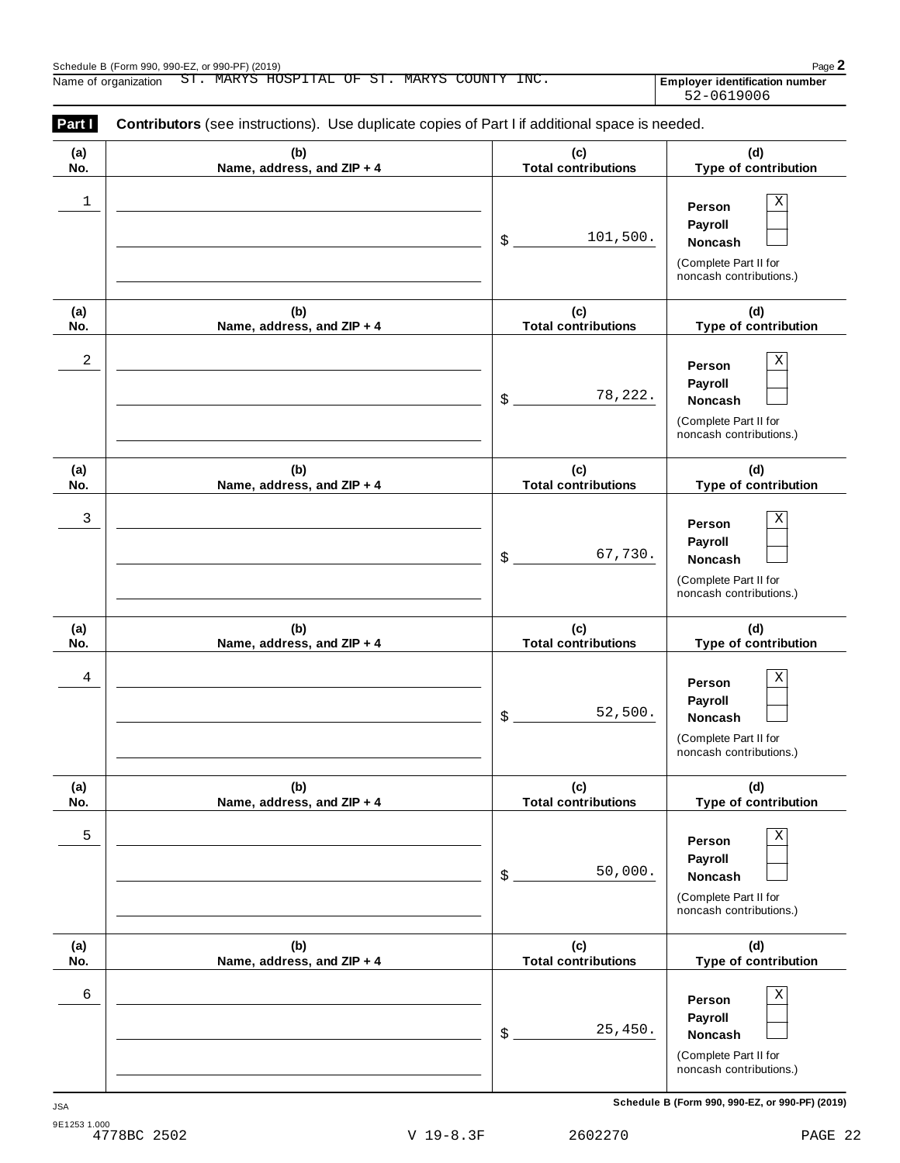| (a)<br>No. | (b)<br>Name, address, and ZIP + 4 | (c)<br><b>Total contributions</b> | (d)<br>Type of contribution                                                                            |
|------------|-----------------------------------|-----------------------------------|--------------------------------------------------------------------------------------------------------|
| 1          |                                   | 101,500.<br>\$                    | $\mathbf X$<br>Person<br>Payroll<br>Noncash<br>(Complete Part II for<br>noncash contributions.)        |
| (a)<br>No. | (b)<br>Name, address, and ZIP + 4 | (c)<br><b>Total contributions</b> | (d)<br>Type of contribution                                                                            |
| 2          |                                   | 78,222.<br>\$                     | $\mathbf X$<br>Person<br>Payroll<br>Noncash<br>(Complete Part II for<br>noncash contributions.)        |
| (a)<br>No. | (b)<br>Name, address, and ZIP + 4 | (c)<br><b>Total contributions</b> | (d)<br>Type of contribution                                                                            |
| 3          |                                   | 67,730.<br>\$                     | $\mathbf X$<br>Person<br>Payroll<br>Noncash<br>(Complete Part II for<br>noncash contributions.)        |
| (a)<br>No. | (b)<br>Name, address, and ZIP + 4 | (c)<br><b>Total contributions</b> | (d)<br>Type of contribution                                                                            |
| 4          |                                   | 52,500.<br>\$                     | $\mathbf X$<br>Person<br>Payroll<br><b>Noncash</b><br>(Complete Part II for<br>noncash contributions.) |
| (a)<br>No. | (b)<br>Name, address, and ZIP + 4 | (c)<br><b>Total contributions</b> | (d)<br>Type of contribution                                                                            |
| 5          |                                   | 50,000.<br>\$                     | $\mathbf X$<br>Person<br>Payroll<br><b>Noncash</b><br>(Complete Part II for<br>noncash contributions.) |
| (a)<br>No. | (b)<br>Name, address, and ZIP + 4 | (c)<br><b>Total contributions</b> | (d)<br>Type of contribution                                                                            |
| 6          |                                   | 25,450.<br>\$                     | $\mathbf X$<br>Person<br>Payroll<br><b>Noncash</b><br>(Complete Part II for<br>noncash contributions.) |

**Schedule B (Form 990, 990-EZ, or 990-PF) (2019)** JSA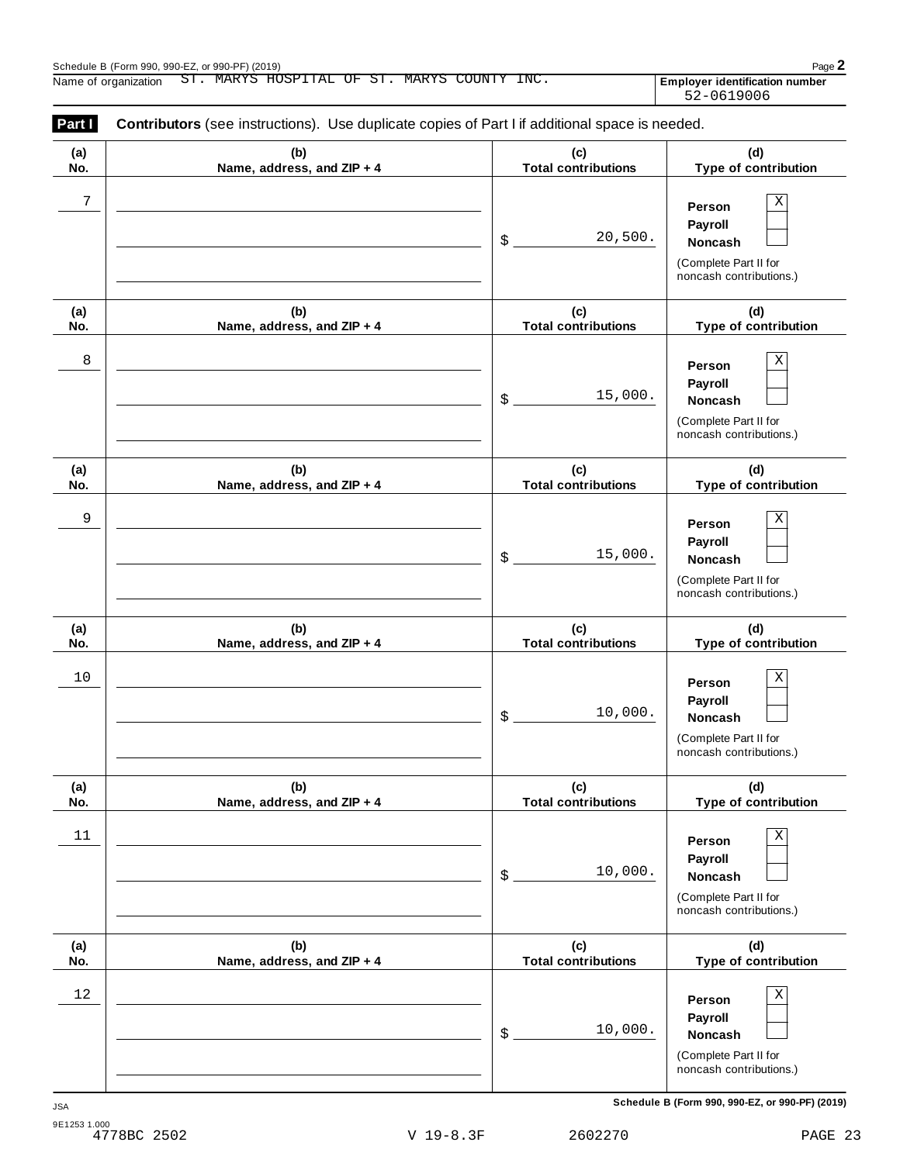| (a)        | (b)                               | (c)                                  | (d)                                                                                             |
|------------|-----------------------------------|--------------------------------------|-------------------------------------------------------------------------------------------------|
| No.        | Name, address, and ZIP + 4        | <b>Total contributions</b>           | Type of contribution                                                                            |
| 7          |                                   | 20,500.<br>\$                        | Χ<br>Person<br>Payroll<br>Noncash<br>(Complete Part II for<br>noncash contributions.)           |
| (a)<br>No. | (b)<br>Name, address, and ZIP + 4 | (c)<br><b>Total contributions</b>    | (d)<br>Type of contribution                                                                     |
| 8          |                                   | 15,000.<br>$\boldsymbol{\mathsf{S}}$ | Χ<br>Person<br>Payroll<br><b>Noncash</b><br>(Complete Part II for<br>noncash contributions.)    |
| (a)<br>No. | (b)<br>Name, address, and ZIP + 4 | (c)<br><b>Total contributions</b>    | (d)<br>Type of contribution                                                                     |
| 9          |                                   | 15,000.<br>\$                        | Χ<br>Person<br>Payroll<br>Noncash<br>(Complete Part II for<br>noncash contributions.)           |
| (a)<br>No. | (b)<br>Name, address, and ZIP + 4 | (c)<br><b>Total contributions</b>    | (d)<br>Type of contribution                                                                     |
| 10         |                                   | 10,000.<br>\$                        | Χ<br>Person<br>Payroll<br>Noncash<br>(Complete Part II for<br>noncash contributions.)           |
| (a)<br>No. | (b)<br>Name, address, and ZIP + 4 | (c)<br><b>Total contributions</b>    | (d)<br>Type of contribution                                                                     |
| 11         |                                   | 10,000.<br>\$                        | $\mathbf X$<br>Person<br>Payroll<br>Noncash<br>(Complete Part II for<br>noncash contributions.) |
| (a)<br>No. | (b)<br>Name, address, and ZIP + 4 | (c)<br><b>Total contributions</b>    | (d)<br>Type of contribution                                                                     |
| $12\,$     |                                   | 10,000.<br>\$                        | $\mathbf X$<br>Person<br>Payroll<br>Noncash<br>(Complete Part II for<br>noncash contributions.) |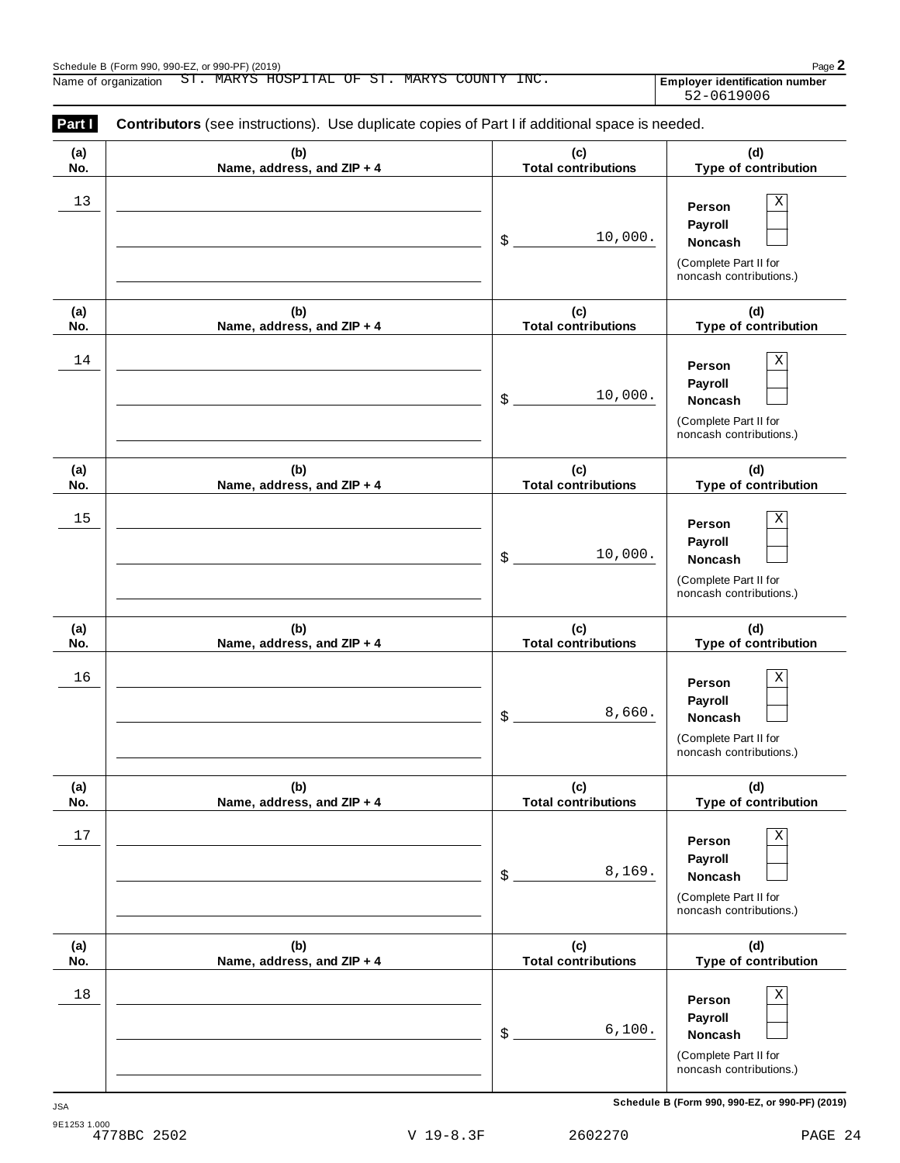| (a) | (b)                        | (c)                        | (d)                                                                                                    |
|-----|----------------------------|----------------------------|--------------------------------------------------------------------------------------------------------|
| No. | Name, address, and ZIP + 4 | <b>Total contributions</b> | Type of contribution                                                                                   |
| 13  |                            | 10,000.<br>\$              | Χ<br>Person<br>Payroll<br>Noncash<br>(Complete Part II for<br>noncash contributions.)                  |
| (a) | (b)                        | (c)                        | (d)                                                                                                    |
| No. | Name, address, and ZIP + 4 | <b>Total contributions</b> | Type of contribution                                                                                   |
| 14  |                            | 10,000.<br>\$              | Х<br>Person<br>Payroll<br>Noncash<br>(Complete Part II for<br>noncash contributions.)                  |
| (a) | (b)                        | (c)                        | (d)                                                                                                    |
| No. | Name, address, and ZIP + 4 | <b>Total contributions</b> | Type of contribution                                                                                   |
| 15  |                            | 10,000.<br>\$              | Χ<br>Person<br>Payroll<br>Noncash<br>(Complete Part II for<br>noncash contributions.)                  |
| (a) | (b)                        | (c)                        | (d)                                                                                                    |
| No. | Name, address, and ZIP + 4 | <b>Total contributions</b> | Type of contribution                                                                                   |
| 16  |                            | 8,660.<br>\$               | Χ<br>Person<br>Payroll<br>Noncash<br>(Complete Part II for<br>noncash contributions.)                  |
| (a) | (b)                        | (c)                        | (d)                                                                                                    |
| No. | Name, address, and ZIP + 4 | <b>Total contributions</b> | Type of contribution                                                                                   |
| 17  |                            | 8,169.<br>\$               | $\mathbf X$<br>Person<br>Payroll<br><b>Noncash</b><br>(Complete Part II for<br>noncash contributions.) |
| (a) | (b)                        | (c)                        | (d)                                                                                                    |
| No. | Name, address, and ZIP + 4 | <b>Total contributions</b> | Type of contribution                                                                                   |
| 18  |                            | 6,100.<br>\$               | $\mathbf X$<br>Person<br>Payroll<br>Noncash<br>(Complete Part II for<br>noncash contributions.)        |

**Schedule B (Form 990, 990-EZ, or 990-PF) (2019)** JSA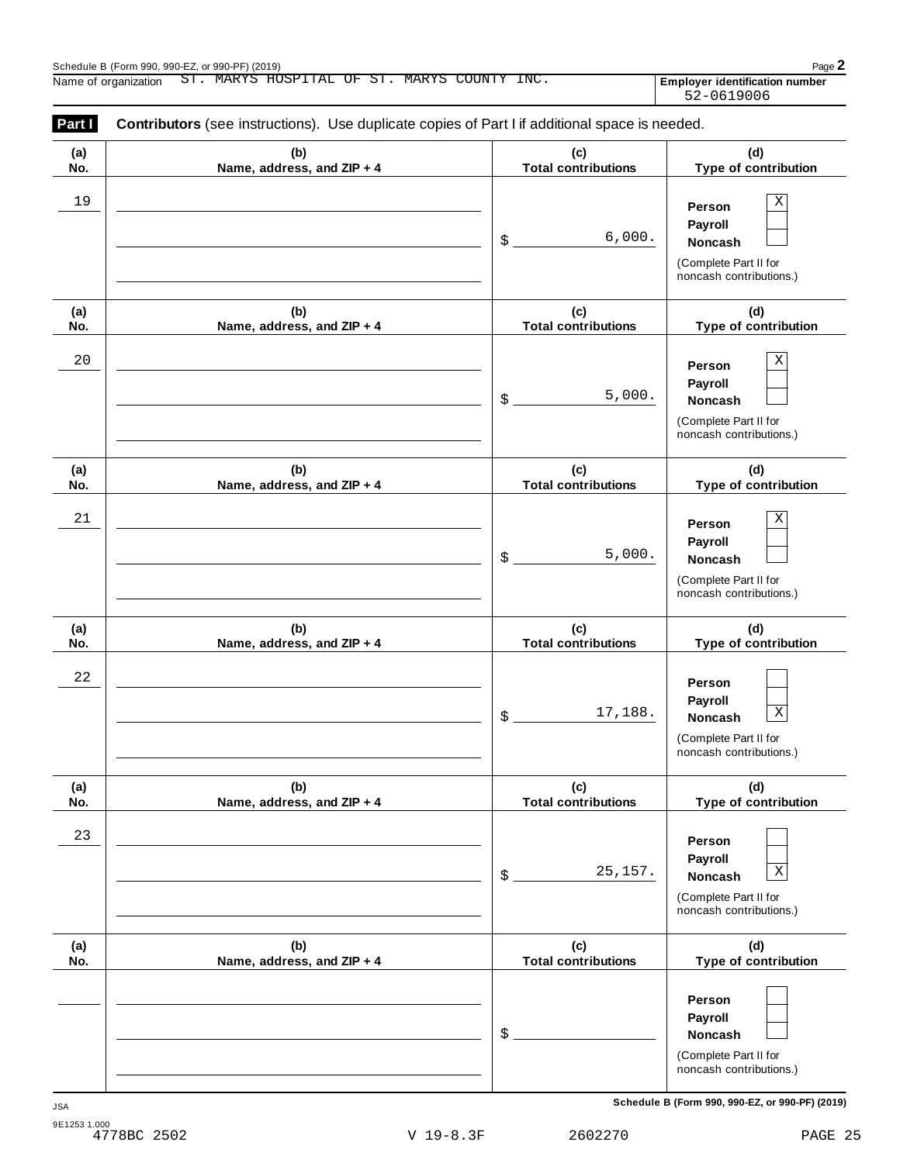Employer identification number<br>52-0619006

| Part I      | <b>Contributors</b> (see instructions). Use duplicate copies of Part I if additional space is needed. |                                   |                                                                                                             |
|-------------|-------------------------------------------------------------------------------------------------------|-----------------------------------|-------------------------------------------------------------------------------------------------------------|
| (a)<br>No.  | (b)<br>Name, address, and ZIP + 4                                                                     | (c)<br><b>Total contributions</b> | (d)<br>Type of contribution                                                                                 |
| 19          |                                                                                                       | 6,000.<br>\$                      | Χ<br>Person<br>Payroll<br>Noncash<br>(Complete Part II for<br>noncash contributions.)                       |
| (a)<br>No.  | (b)<br>Name, address, and ZIP + 4                                                                     | (c)<br><b>Total contributions</b> | (d)<br>Type of contribution                                                                                 |
| $20$        |                                                                                                       | 5,000.<br>\$                      | Χ<br>Person<br>Payroll<br>Noncash<br>(Complete Part II for<br>noncash contributions.)                       |
| (a)<br>No.  | (b)<br>Name, address, and ZIP + 4                                                                     | (c)<br><b>Total contributions</b> | (d)<br>Type of contribution                                                                                 |
| 21          |                                                                                                       | 5,000.<br>\$                      | Χ<br>Person<br>Payroll<br>Noncash<br>(Complete Part II for<br>noncash contributions.)                       |
| (a)<br>No.  | (b)<br>Name, address, and ZIP + 4                                                                     | (c)<br><b>Total contributions</b> | (d)<br>Type of contribution                                                                                 |
| $2\sqrt{2}$ |                                                                                                       | 17,188.<br>\$                     | Person<br>Payroll<br>$\overline{\textbf{X}}$<br>Noncash<br>(Complete Part II for<br>noncash contributions.) |
| (a)<br>No.  | (b)<br>Name, address, and ZIP + 4                                                                     | (c)<br><b>Total contributions</b> | (d)<br>Type of contribution                                                                                 |
| 23          |                                                                                                       | 25,157.<br>\$                     | Person<br>Payroll<br>$\mathbf X$<br>Noncash<br>(Complete Part II for<br>noncash contributions.)             |
| (a)<br>No.  | (b)<br>Name, address, and ZIP + 4                                                                     | (c)<br><b>Total contributions</b> | (d)<br>Type of contribution                                                                                 |
|             |                                                                                                       | \$                                | Person<br>Payroll<br>Noncash<br>(Complete Part II for<br>noncash contributions.)                            |

**Schedule B (Form 990, 990-EZ, or 990-PF) (2019)** JSA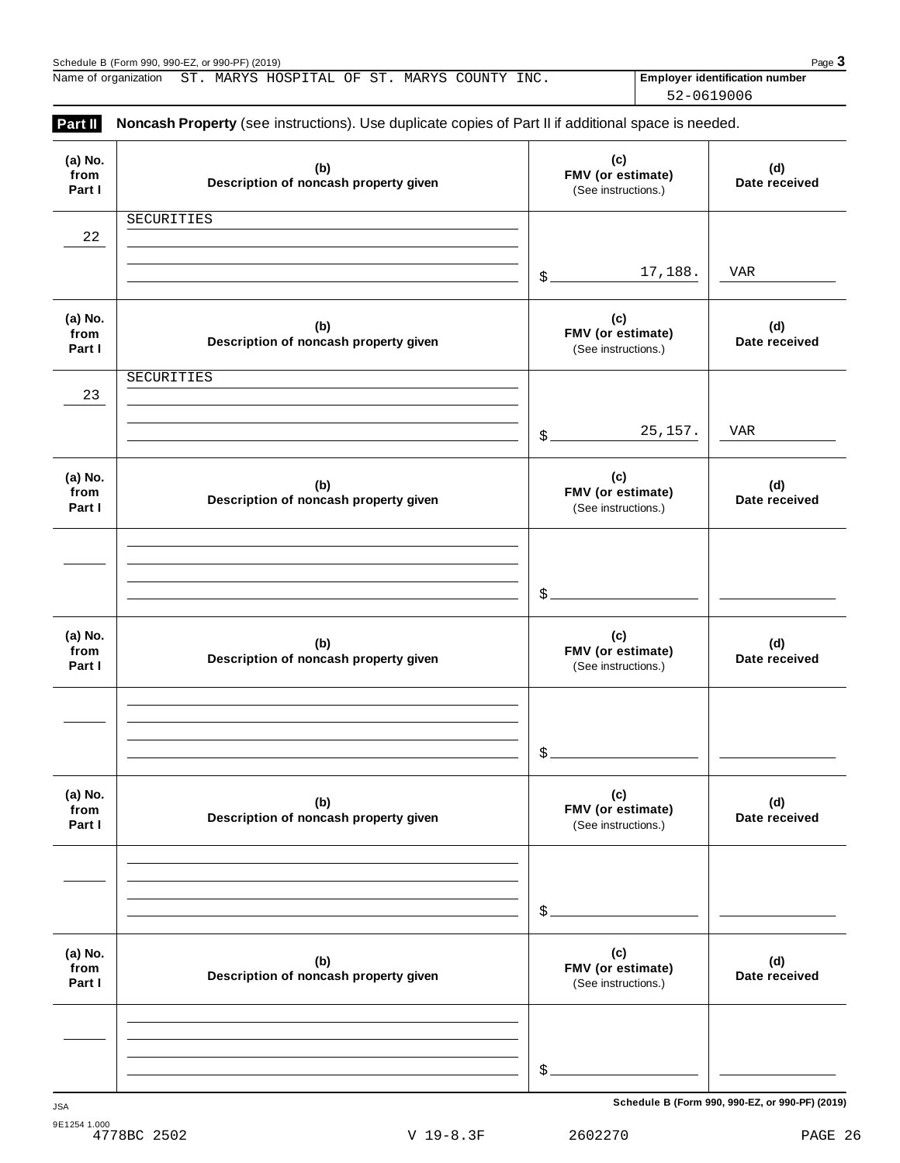| Part II                   | Noncash Property (see instructions). Use duplicate copies of Part II if additional space is needed. |                                                 |                      |
|---------------------------|-----------------------------------------------------------------------------------------------------|-------------------------------------------------|----------------------|
| (a) No.<br>from<br>Part I | (b)<br>Description of noncash property given                                                        | (c)<br>FMV (or estimate)<br>(See instructions.) | (d)<br>Date received |
| 22                        | SECURITIES                                                                                          |                                                 |                      |
|                           |                                                                                                     | 17,188.<br>$\delta$                             | VAR                  |
| (a) No.<br>from<br>Part I | (b)<br>Description of noncash property given                                                        | (c)<br>FMV (or estimate)<br>(See instructions.) | (d)<br>Date received |
| 23                        | SECURITIES                                                                                          |                                                 |                      |
|                           |                                                                                                     | 25, 157.<br>$\mathcal{S}_{-}$                   | <b>VAR</b>           |
| (a) No.<br>from<br>Part I | (b)<br>Description of noncash property given                                                        | (c)<br>FMV (or estimate)<br>(See instructions.) | (d)<br>Date received |
|                           |                                                                                                     |                                                 |                      |
|                           |                                                                                                     | $\mathcal{S}_{-}$                               |                      |
| (a) No.<br>from<br>Part I | (b)<br>Description of noncash property given                                                        | (c)<br>FMV (or estimate)<br>(See instructions.) | (d)<br>Date received |
|                           |                                                                                                     |                                                 |                      |
|                           |                                                                                                     | \$                                              |                      |
| (a) No.<br>from<br>Part I | (b)<br>Description of noncash property given                                                        | (c)<br>FMV (or estimate)<br>(See instructions.) | (d)<br>Date received |
|                           |                                                                                                     |                                                 |                      |
|                           |                                                                                                     | \$                                              |                      |
| (a) No.<br>from<br>Part I | (b)<br>Description of noncash property given                                                        | (c)<br>FMV (or estimate)<br>(See instructions.) | (d)<br>Date received |
|                           |                                                                                                     |                                                 |                      |
|                           |                                                                                                     | \$                                              |                      |

**Schedule B (Form 990, 990-EZ, or 990-PF) (2019)** JSA

52-0619006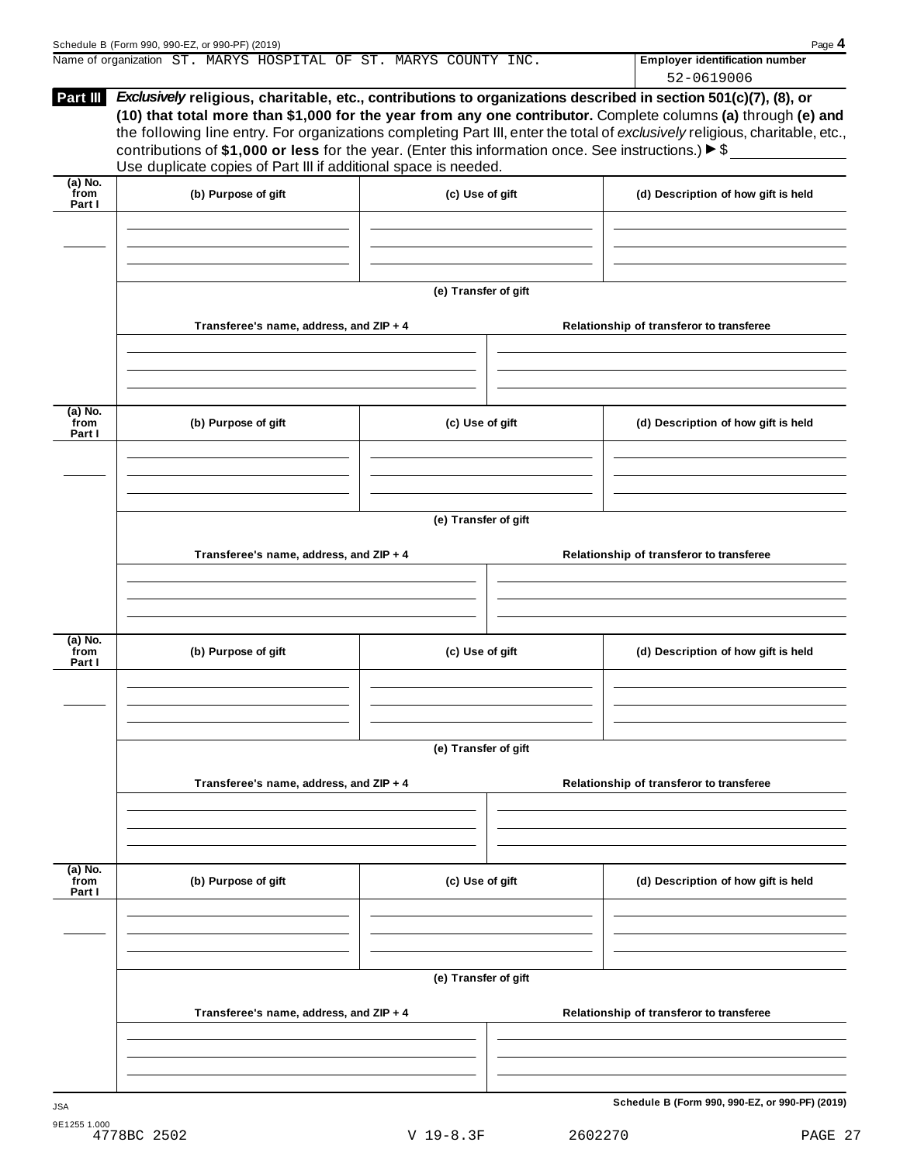| Part III                    | Exclusively religious, charitable, etc., contributions to organizations described in section 501(c)(7), (8), or<br>contributions of \$1,000 or less for the year. (Enter this information once. See instructions.) $\blacktriangleright$ \$<br>Use duplicate copies of Part III if additional space is needed. |                      | 900919006<br>(10) that total more than \$1,000 for the year from any one contributor. Complete columns (a) through (e) and<br>the following line entry. For organizations completing Part III, enter the total of exclusively religious, charitable, etc., |
|-----------------------------|----------------------------------------------------------------------------------------------------------------------------------------------------------------------------------------------------------------------------------------------------------------------------------------------------------------|----------------------|------------------------------------------------------------------------------------------------------------------------------------------------------------------------------------------------------------------------------------------------------------|
| $(a)$ No.<br>from<br>Part I | (b) Purpose of gift                                                                                                                                                                                                                                                                                            | (c) Use of gift      | (d) Description of how gift is held                                                                                                                                                                                                                        |
|                             |                                                                                                                                                                                                                                                                                                                | (e) Transfer of gift |                                                                                                                                                                                                                                                            |
|                             | Transferee's name, address, and ZIP + 4                                                                                                                                                                                                                                                                        |                      | Relationship of transferor to transferee                                                                                                                                                                                                                   |
| $(a)$ No.<br>from<br>Part I | (b) Purpose of gift                                                                                                                                                                                                                                                                                            | (c) Use of gift      | (d) Description of how gift is held                                                                                                                                                                                                                        |
|                             | Transferee's name, address, and ZIP + 4                                                                                                                                                                                                                                                                        | (e) Transfer of gift | Relationship of transferor to transferee                                                                                                                                                                                                                   |
| $(a)$ No.<br>from<br>Part I | (b) Purpose of gift                                                                                                                                                                                                                                                                                            | (c) Use of gift      | (d) Description of how gift is held                                                                                                                                                                                                                        |
|                             |                                                                                                                                                                                                                                                                                                                | (e) Transfer of gift |                                                                                                                                                                                                                                                            |
|                             | Transferee's name, address, and ZIP + 4                                                                                                                                                                                                                                                                        |                      | Relationship of transferor to transferee                                                                                                                                                                                                                   |
| $(a)$ No.<br>from<br>Part I | (b) Purpose of gift                                                                                                                                                                                                                                                                                            | (c) Use of gift      | (d) Description of how gift is held                                                                                                                                                                                                                        |
|                             |                                                                                                                                                                                                                                                                                                                | (e) Transfer of gift |                                                                                                                                                                                                                                                            |
|                             | Transferee's name, address, and ZIP + 4                                                                                                                                                                                                                                                                        |                      | Relationship of transferor to transferee                                                                                                                                                                                                                   |
| <b>JSA</b>                  |                                                                                                                                                                                                                                                                                                                |                      | Schedule B (Form 990, 990-EZ, or 990-PF) (2019)                                                                                                                                                                                                            |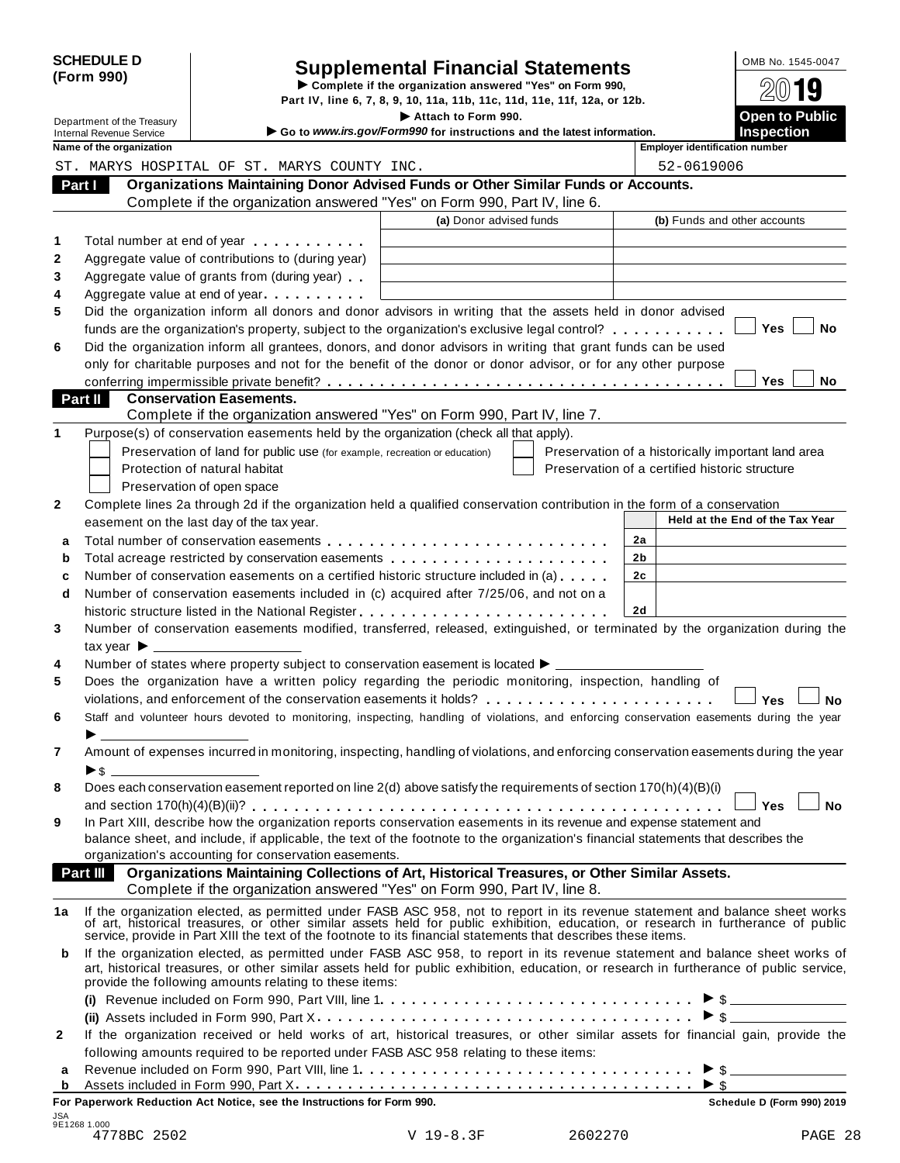| <b>SCHEDULE D</b><br>(Form 990) |                                                               |                                                                            | <b>Supplemental Financial Statements</b><br>Complete if the organization answered "Yes" on Form 990,                                                                                                                           |    | OMB No. 1545-0047                                  |
|---------------------------------|---------------------------------------------------------------|----------------------------------------------------------------------------|--------------------------------------------------------------------------------------------------------------------------------------------------------------------------------------------------------------------------------|----|----------------------------------------------------|
|                                 |                                                               |                                                                            | Part IV, line 6, 7, 8, 9, 10, 11a, 11b, 11c, 11d, 11e, 11f, 12a, or 12b.                                                                                                                                                       |    | y                                                  |
|                                 | Department of the Treasury<br><b>Internal Revenue Service</b> |                                                                            | Attach to Form 990.<br>Go to www.irs.gov/Form990 for instructions and the latest information.                                                                                                                                  |    | <b>Open to Public</b><br><b>Inspection</b>         |
|                                 | Name of the organization                                      |                                                                            |                                                                                                                                                                                                                                |    | <b>Employer identification number</b>              |
|                                 |                                                               | ST. MARYS HOSPITAL OF ST. MARYS COUNTY INC.                                |                                                                                                                                                                                                                                |    | 52-0619006                                         |
|                                 | Part I                                                        |                                                                            | Organizations Maintaining Donor Advised Funds or Other Similar Funds or Accounts.                                                                                                                                              |    |                                                    |
|                                 |                                                               |                                                                            | Complete if the organization answered "Yes" on Form 990, Part IV, line 6.                                                                                                                                                      |    |                                                    |
|                                 |                                                               |                                                                            | (a) Donor advised funds                                                                                                                                                                                                        |    | (b) Funds and other accounts                       |
| 1                               |                                                               | Total number at end of year manufacturers and the Total number             |                                                                                                                                                                                                                                |    |                                                    |
| 2                               |                                                               | Aggregate value of contributions to (during year)                          |                                                                                                                                                                                                                                |    |                                                    |
| 3                               |                                                               | Aggregate value of grants from (during year)                               |                                                                                                                                                                                                                                |    |                                                    |
| 4                               |                                                               | Aggregate value at end of year                                             |                                                                                                                                                                                                                                |    |                                                    |
| 5                               |                                                               |                                                                            | Did the organization inform all donors and donor advisors in writing that the assets held in donor advised                                                                                                                     |    |                                                    |
|                                 |                                                               |                                                                            | funds are the organization's property, subject to the organization's exclusive legal control?                                                                                                                                  |    | <b>Yes</b><br>No                                   |
| 6                               |                                                               |                                                                            | Did the organization inform all grantees, donors, and donor advisors in writing that grant funds can be used<br>only for charitable purposes and not for the benefit of the donor or donor advisor, or for any other purpose   |    |                                                    |
|                                 |                                                               |                                                                            |                                                                                                                                                                                                                                |    | <b>Yes</b><br>No                                   |
|                                 | Part II                                                       | <b>Conservation Easements.</b>                                             |                                                                                                                                                                                                                                |    |                                                    |
|                                 |                                                               |                                                                            | Complete if the organization answered "Yes" on Form 990, Part IV, line 7.                                                                                                                                                      |    |                                                    |
| 1                               |                                                               |                                                                            | Purpose(s) of conservation easements held by the organization (check all that apply).                                                                                                                                          |    |                                                    |
|                                 |                                                               | Preservation of land for public use (for example, recreation or education) |                                                                                                                                                                                                                                |    | Preservation of a historically important land area |
|                                 |                                                               | Protection of natural habitat                                              |                                                                                                                                                                                                                                |    | Preservation of a certified historic structure     |
|                                 |                                                               | Preservation of open space                                                 |                                                                                                                                                                                                                                |    |                                                    |
| 2                               |                                                               |                                                                            | Complete lines 2a through 2d if the organization held a qualified conservation contribution in the form of a conservation                                                                                                      |    |                                                    |
|                                 |                                                               | easement on the last day of the tax year.                                  |                                                                                                                                                                                                                                |    | Held at the End of the Tax Year                    |
| a                               |                                                               |                                                                            |                                                                                                                                                                                                                                | 2a |                                                    |
| b                               |                                                               |                                                                            | Total acreage restricted by conservation easements                                                                                                                                                                             | 2b |                                                    |
| С                               |                                                               |                                                                            | Number of conservation easements on a certified historic structure included in (a)                                                                                                                                             | 2c |                                                    |
| d                               |                                                               |                                                                            | Number of conservation easements included in (c) acquired after 7/25/06, and not on a                                                                                                                                          |    |                                                    |
|                                 |                                                               |                                                                            |                                                                                                                                                                                                                                | 2d |                                                    |
| 3                               |                                                               |                                                                            | Number of conservation easements modified, transferred, released, extinguished, or terminated by the organization during the                                                                                                   |    |                                                    |
|                                 | tax year $\blacktriangleright$                                |                                                                            |                                                                                                                                                                                                                                |    |                                                    |
| 4                               |                                                               |                                                                            | Number of states where property subject to conservation easement is located $\blacktriangleright$ ______                                                                                                                       |    |                                                    |
| 5                               |                                                               |                                                                            | Does the organization have a written policy regarding the periodic monitoring, inspection, handling of                                                                                                                         |    |                                                    |
|                                 |                                                               |                                                                            |                                                                                                                                                                                                                                |    | Yes<br>No                                          |
| 6                               |                                                               |                                                                            | Staff and volunteer hours devoted to monitoring, inspecting, handling of violations, and enforcing conservation easements during the year                                                                                      |    |                                                    |
|                                 |                                                               |                                                                            |                                                                                                                                                                                                                                |    |                                                    |
| 7                               |                                                               |                                                                            | Amount of expenses incurred in monitoring, inspecting, handling of violations, and enforcing conservation easements during the year                                                                                            |    |                                                    |
|                                 | $\blacktriangleright$ \$                                      |                                                                            |                                                                                                                                                                                                                                |    |                                                    |
| 8                               |                                                               |                                                                            | Does each conservation easement reported on line 2(d) above satisfy the requirements of section 170(h)(4)(B)(i)                                                                                                                |    | <b>No</b><br><b>Yes</b>                            |
| 9                               |                                                               |                                                                            | In Part XIII, describe how the organization reports conservation easements in its revenue and expense statement and                                                                                                            |    |                                                    |
|                                 |                                                               |                                                                            | balance sheet, and include, if applicable, the text of the footnote to the organization's financial statements that describes the                                                                                              |    |                                                    |
|                                 |                                                               | organization's accounting for conservation easements.                      |                                                                                                                                                                                                                                |    |                                                    |
|                                 |                                                               |                                                                            | Part III Organizations Maintaining Collections of Art, Historical Treasures, or Other Similar Assets.                                                                                                                          |    |                                                    |
|                                 |                                                               |                                                                            | Complete if the organization answered "Yes" on Form 990, Part IV, line 8.                                                                                                                                                      |    |                                                    |
| 1a                              |                                                               |                                                                            |                                                                                                                                                                                                                                |    |                                                    |
|                                 |                                                               |                                                                            | If the organization elected, as permitted under FASB ASC 958, not to report in its revenue statement and balance sheet works of art, historical treasures, or other similar assets held for public exhibition, education, or r |    |                                                    |
|                                 |                                                               |                                                                            | If the organization elected, as permitted under FASB ASC 958, to report in its revenue statement and balance sheet works of                                                                                                    |    |                                                    |
| b                               |                                                               | provide the following amounts relating to these items:                     | art, historical treasures, or other similar assets held for public exhibition, education, or research in furtherance of public service,                                                                                        |    |                                                    |
|                                 |                                                               |                                                                            |                                                                                                                                                                                                                                |    |                                                    |
|                                 |                                                               |                                                                            |                                                                                                                                                                                                                                |    |                                                    |
| 2                               |                                                               |                                                                            | If the organization received or held works of art, historical treasures, or other similar assets for financial gain, provide the                                                                                               |    |                                                    |
|                                 |                                                               |                                                                            | following amounts required to be reported under FASB ASC 958 relating to these items:                                                                                                                                          |    |                                                    |
| a                               |                                                               |                                                                            |                                                                                                                                                                                                                                |    | $\triangleright$ \$                                |
| b                               |                                                               |                                                                            |                                                                                                                                                                                                                                |    |                                                    |
|                                 |                                                               | For Paperwork Reduction Act Notice, see the Instructions for Form 990.     |                                                                                                                                                                                                                                |    | Schedule D (Form 990) 2019                         |

**For Paperwork Reduction Act Notice, see the Instructions for Form 990. Schedule D** (Form 990) 2019 JSA 9E1268 1.000 4778BC 2502 V 19-8.3F 2602270 PAGE 28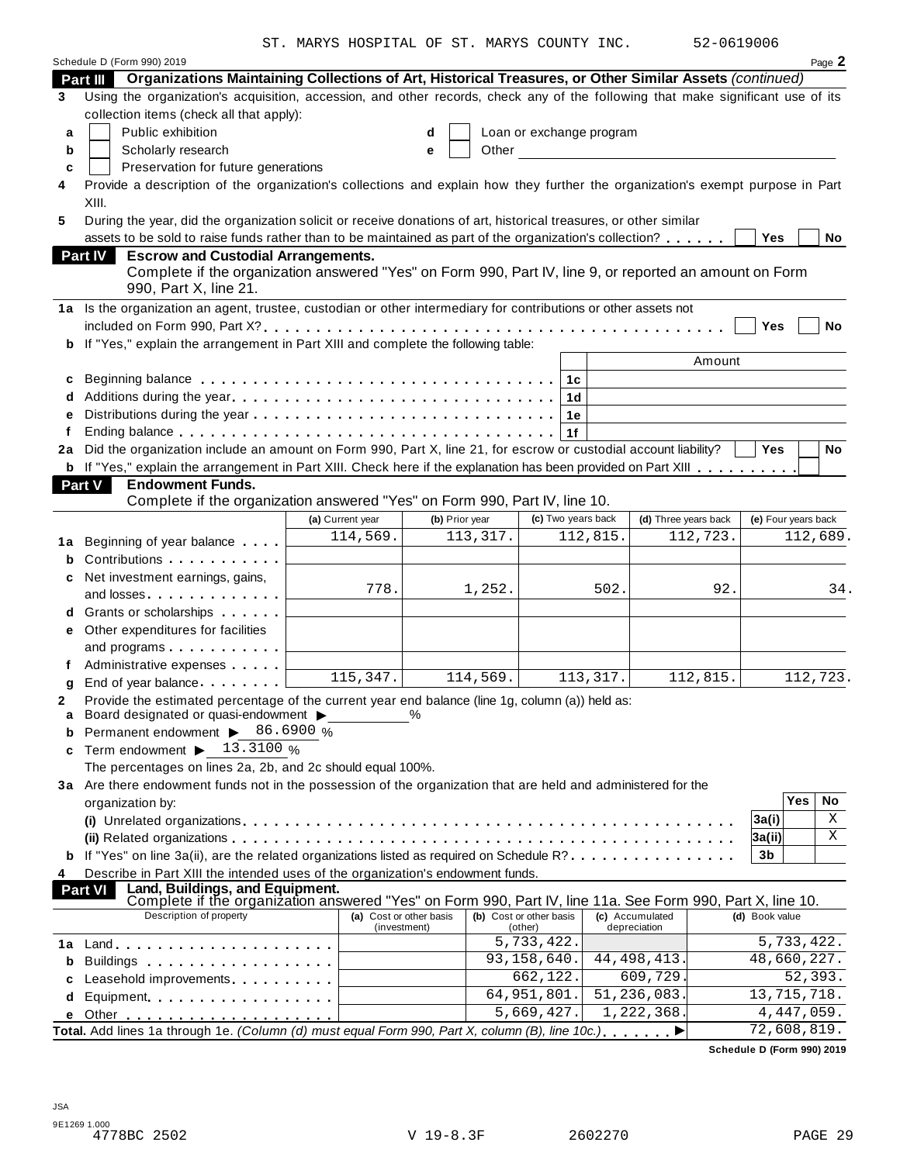ST. MARYS HOSPITAL OF ST. MARYS COUNTY INC. 52-0619006

| 52-0619006 |  |
|------------|--|
|------------|--|

|    |                                                                                                                                                                                                                                | ST. MARYS HOSPITAL OF ST. MARYS COUNTY INC. |                |                                    |                                                 | 27-0072000           |                     |                        |
|----|--------------------------------------------------------------------------------------------------------------------------------------------------------------------------------------------------------------------------------|---------------------------------------------|----------------|------------------------------------|-------------------------------------------------|----------------------|---------------------|------------------------|
|    | Schedule D (Form 990) 2019                                                                                                                                                                                                     |                                             |                |                                    |                                                 |                      |                     | Page 2                 |
|    | Organizations Maintaining Collections of Art, Historical Treasures, or Other Similar Assets (continued)<br><b>Part III</b>                                                                                                     |                                             |                |                                    |                                                 |                      |                     |                        |
| 3  | Using the organization's acquisition, accession, and other records, check any of the following that make significant use of its                                                                                                |                                             |                |                                    |                                                 |                      |                     |                        |
|    | collection items (check all that apply):                                                                                                                                                                                       |                                             |                |                                    |                                                 |                      |                     |                        |
| a  | Public exhibition                                                                                                                                                                                                              |                                             | d              | Loan or exchange program           |                                                 |                      |                     |                        |
| b  | Scholarly research                                                                                                                                                                                                             |                                             | Other<br>е     |                                    | <u> 1980 - John Stein, amerikansk politiker</u> |                      |                     |                        |
| C  | Preservation for future generations                                                                                                                                                                                            |                                             |                |                                    |                                                 |                      |                     |                        |
| 4  | Provide a description of the organization's collections and explain how they further the organization's exempt purpose in Part                                                                                                 |                                             |                |                                    |                                                 |                      |                     |                        |
|    | XIII.                                                                                                                                                                                                                          |                                             |                |                                    |                                                 |                      |                     |                        |
| 5  | During the year, did the organization solicit or receive donations of art, historical treasures, or other similar                                                                                                              |                                             |                |                                    |                                                 |                      |                     |                        |
|    | assets to be sold to raise funds rather than to be maintained as part of the organization's collection?                                                                                                                        |                                             |                |                                    |                                                 |                      | <b>Yes</b>          | No                     |
|    | Part IV<br><b>Escrow and Custodial Arrangements.</b>                                                                                                                                                                           |                                             |                |                                    |                                                 |                      |                     |                        |
|    | Complete if the organization answered "Yes" on Form 990, Part IV, line 9, or reported an amount on Form                                                                                                                        |                                             |                |                                    |                                                 |                      |                     |                        |
|    | 990, Part X, line 21.                                                                                                                                                                                                          |                                             |                |                                    |                                                 |                      |                     |                        |
|    | 1a Is the organization an agent, trustee, custodian or other intermediary for contributions or other assets not                                                                                                                |                                             |                |                                    |                                                 |                      |                     |                        |
|    |                                                                                                                                                                                                                                |                                             |                |                                    |                                                 |                      | Yes                 | <b>No</b>              |
| b  | If "Yes," explain the arrangement in Part XIII and complete the following table:                                                                                                                                               |                                             |                |                                    |                                                 |                      |                     |                        |
|    |                                                                                                                                                                                                                                |                                             |                |                                    |                                                 | Amount               |                     |                        |
|    |                                                                                                                                                                                                                                |                                             |                | 1с                                 |                                                 |                      |                     |                        |
|    |                                                                                                                                                                                                                                |                                             |                |                                    |                                                 |                      |                     |                        |
| e  |                                                                                                                                                                                                                                |                                             |                | 1е                                 |                                                 |                      |                     |                        |
| f  |                                                                                                                                                                                                                                |                                             |                | 1f                                 |                                                 |                      |                     |                        |
| 2a | Did the organization include an amount on Form 990, Part X, line 21, for escrow or custodial account liability?                                                                                                                |                                             |                |                                    |                                                 |                      | <b>Yes</b>          | <b>No</b>              |
|    | b If "Yes," explain the arrangement in Part XIII. Check here if the explanation has been provided on Part XIII                                                                                                                 |                                             |                |                                    |                                                 |                      |                     |                        |
|    | Part V<br><b>Endowment Funds.</b>                                                                                                                                                                                              |                                             |                |                                    |                                                 |                      |                     |                        |
|    | Complete if the organization answered "Yes" on Form 990, Part IV, line 10.                                                                                                                                                     |                                             |                |                                    |                                                 |                      |                     |                        |
|    |                                                                                                                                                                                                                                | (a) Current year                            | (b) Prior year | (c) Two years back                 |                                                 | (d) Three years back | (e) Four years back |                        |
|    |                                                                                                                                                                                                                                | 114,569.                                    | 113,317.       |                                    | 112,815.                                        | 112,723.             |                     | $\overline{1}$ 12,689. |
| 1a | Beginning of year balance exceeding                                                                                                                                                                                            |                                             |                |                                    |                                                 |                      |                     |                        |
| b  | Contributions                                                                                                                                                                                                                  |                                             |                |                                    |                                                 |                      |                     |                        |
| c  | Net investment earnings, gains,                                                                                                                                                                                                | 778.                                        |                |                                    | 502.                                            |                      |                     |                        |
|    | and losses. The contract of the contract of the contract of the contract of the contract of the contract of the contract of the contract of the contract of the contract of the contract of the contract of the contract of th |                                             | 1,252.         |                                    |                                                 | 92.                  |                     | 34.                    |
| d  | Grants or scholarships                                                                                                                                                                                                         |                                             |                |                                    |                                                 |                      |                     |                        |
| е  | Other expenditures for facilities                                                                                                                                                                                              |                                             |                |                                    |                                                 |                      |                     |                        |
|    | and programs                                                                                                                                                                                                                   |                                             |                |                                    |                                                 |                      |                     |                        |
|    | Administrative expenses                                                                                                                                                                                                        |                                             |                |                                    |                                                 |                      |                     |                        |
| g  | End of year balance expansion of                                                                                                                                                                                               | $\overline{115,347}$ .                      | 114,569.       |                                    | 113,317.                                        | 112,815.             |                     | 112,723.               |
|    | Provide the estimated percentage of the current year end balance (line 1g, column (a)) held as:                                                                                                                                |                                             |                |                                    |                                                 |                      |                     |                        |
| a  | Board designated or quasi-endowment >                                                                                                                                                                                          |                                             | %              |                                    |                                                 |                      |                     |                        |
| b  | Permanent endowment > 86.6900 %                                                                                                                                                                                                |                                             |                |                                    |                                                 |                      |                     |                        |
| c  | Term endowment $\blacktriangleright$ 13.3100 %                                                                                                                                                                                 |                                             |                |                                    |                                                 |                      |                     |                        |
|    | The percentages on lines 2a, 2b, and 2c should equal 100%.                                                                                                                                                                     |                                             |                |                                    |                                                 |                      |                     |                        |
|    | 3a Are there endowment funds not in the possession of the organization that are held and administered for the                                                                                                                  |                                             |                |                                    |                                                 |                      |                     |                        |
|    | organization by:                                                                                                                                                                                                               |                                             |                |                                    |                                                 |                      |                     | <b>Yes</b><br>No       |
|    |                                                                                                                                                                                                                                |                                             |                |                                    |                                                 |                      | 3a(i)               | Χ                      |
|    |                                                                                                                                                                                                                                |                                             |                |                                    |                                                 |                      | 3a(ii)              | Χ                      |
|    | If "Yes" on line 3a(ii), are the related organizations listed as required on Schedule R?                                                                                                                                       |                                             |                |                                    |                                                 |                      | 3b                  |                        |
| 4  | Describe in Part XIII the intended uses of the organization's endowment funds.                                                                                                                                                 |                                             |                |                                    |                                                 |                      |                     |                        |
|    | Land, Buildings, and Equipment.<br><b>Part VI</b>                                                                                                                                                                              |                                             |                |                                    |                                                 |                      |                     |                        |
|    | Complete if the organization answered "Yes" on Form 990, Part IV, line 11a. See Form 990, Part X, line 10.<br>Description of property                                                                                          |                                             |                |                                    |                                                 |                      |                     |                        |
|    |                                                                                                                                                                                                                                | (a) Cost or other basis<br>(investment)     |                | (b) Cost or other basis<br>(other) | (c) Accumulated<br>depreciation                 |                      | (d) Book value      |                        |
|    |                                                                                                                                                                                                                                |                                             |                | 5,733,422.                         |                                                 |                      |                     | 5,733,422.             |
|    |                                                                                                                                                                                                                                |                                             |                |                                    |                                                 |                      |                     |                        |
| b  |                                                                                                                                                                                                                                |                                             |                | 93,158,640.                        |                                                 |                      | 48,660,227.         |                        |
|    | Buildings                                                                                                                                                                                                                      |                                             |                |                                    | 44, 498, 413.                                   |                      |                     |                        |
| c  | Leasehold improvements <b>Leasehold</b> improvements                                                                                                                                                                           |                                             |                | 662,122.                           | 609,729.                                        |                      |                     | 52,393.                |
| d  | Equipment                                                                                                                                                                                                                      |                                             |                | 64,951,801.                        | 51,236,083.                                     |                      | 13, 715, 718.       |                        |
|    | Total. Add lines 1a through 1e. (Column (d) must equal Form 990, Part X, column (B), line 10c.)                                                                                                                                |                                             |                | 5,669,427.                         | 1,222,368.                                      |                      | 72,608,819.         | 4, 447, 059.           |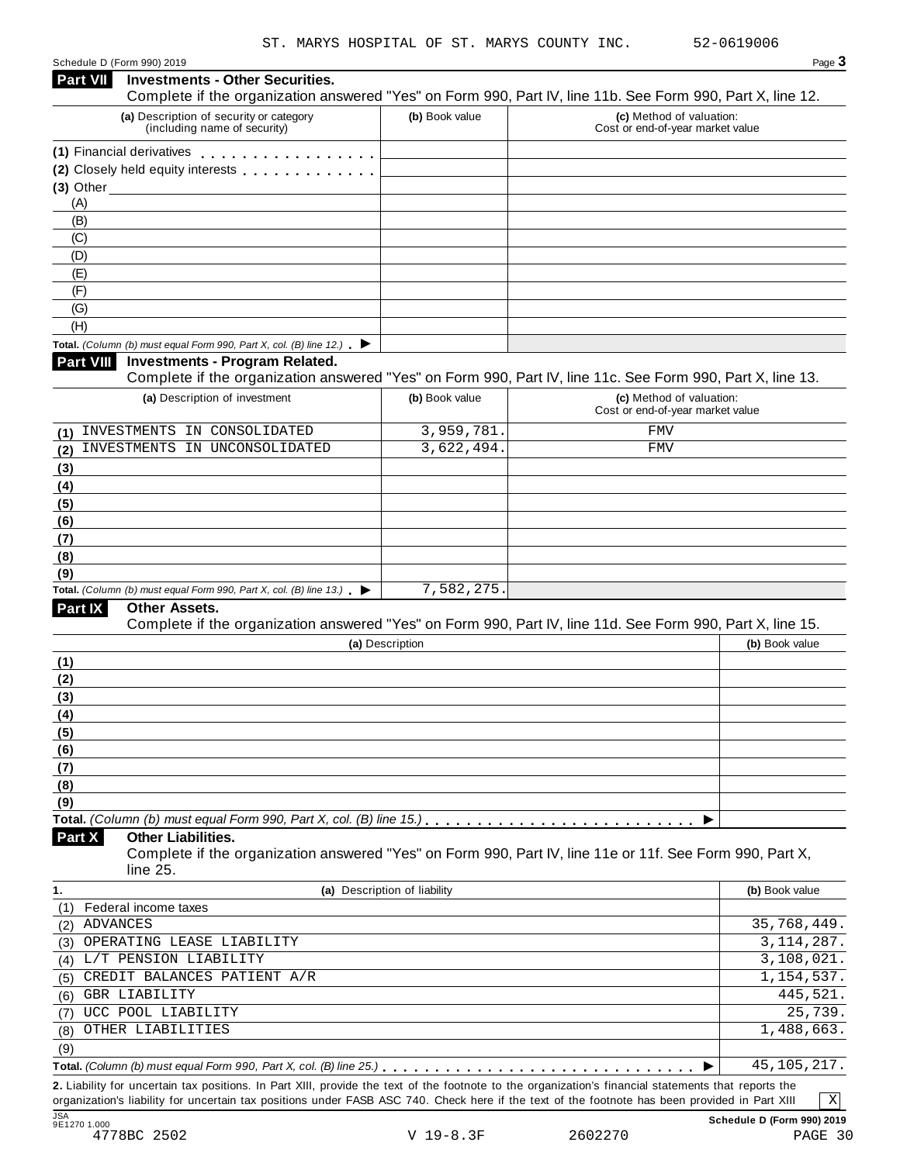| <b>Investments - Other Securities.</b><br>Part VII                                              |                              | Complete if the organization answered "Yes" on Form 990, Part IV, line 11b. See Form 990, Part X, line 12. |
|-------------------------------------------------------------------------------------------------|------------------------------|------------------------------------------------------------------------------------------------------------|
| (a) Description of security or category<br>(including name of security)                         | (b) Book value               | (c) Method of valuation:<br>Cost or end-of-year market value                                               |
| (1) Financial derivatives                                                                       |                              |                                                                                                            |
| (2) Closely held equity interests                                                               |                              |                                                                                                            |
|                                                                                                 |                              |                                                                                                            |
| (A)                                                                                             |                              |                                                                                                            |
| (B)                                                                                             |                              |                                                                                                            |
| (C)<br>(D)                                                                                      |                              |                                                                                                            |
| (E)                                                                                             |                              |                                                                                                            |
| (F)                                                                                             |                              |                                                                                                            |
| (G)                                                                                             |                              |                                                                                                            |
| (H)                                                                                             |                              |                                                                                                            |
| Total. (Column (b) must equal Form 990, Part X, col. (B) line 12.) $\blacktriangleright$        |                              |                                                                                                            |
| Part VIII<br><b>Investments - Program Related.</b>                                              |                              | Complete if the organization answered "Yes" on Form 990, Part IV, line 11c. See Form 990, Part X, line 13. |
| (a) Description of investment                                                                   | (b) Book value               | (c) Method of valuation:<br>Cost or end-of-year market value                                               |
| INVESTMENTS IN CONSOLIDATED<br>(1)                                                              | 3,959,781.                   | <b>FMV</b>                                                                                                 |
| INVESTMENTS IN UNCONSOLIDATED<br>(2)                                                            | 3,622,494                    | <b>FMV</b>                                                                                                 |
| (3)                                                                                             |                              |                                                                                                            |
| (4)                                                                                             |                              |                                                                                                            |
| (5)                                                                                             |                              |                                                                                                            |
| (6)                                                                                             |                              |                                                                                                            |
| (7)                                                                                             |                              |                                                                                                            |
| (8)                                                                                             |                              |                                                                                                            |
| (9)<br>Total. (Column (b) must equal Form 990, Part X, col. (B) line 13.) $\blacktriangleright$ | 7,582,275.                   |                                                                                                            |
| Part IX<br><b>Other Assets.</b>                                                                 |                              |                                                                                                            |
|                                                                                                 |                              | Complete if the organization answered "Yes" on Form 990, Part IV, line 11d. See Form 990, Part X, line 15. |
|                                                                                                 | (a) Description              | (b) Book value                                                                                             |
| (1)                                                                                             |                              |                                                                                                            |
| (2)                                                                                             |                              |                                                                                                            |
| (3)                                                                                             |                              |                                                                                                            |
| (4)                                                                                             |                              |                                                                                                            |
| (5)                                                                                             |                              |                                                                                                            |
| (6)                                                                                             |                              |                                                                                                            |
| (7)                                                                                             |                              |                                                                                                            |
| (8)                                                                                             |                              |                                                                                                            |
| (9)                                                                                             |                              |                                                                                                            |
| <b>Other Liabilities.</b>                                                                       |                              | ▶                                                                                                          |
| Part X                                                                                          |                              | Complete if the organization answered "Yes" on Form 990, Part IV, line 11e or 11f. See Form 990, Part X,   |
| line 25.                                                                                        |                              |                                                                                                            |
|                                                                                                 | (a) Description of liability | (b) Book value                                                                                             |
| Federal income taxes<br>(1)                                                                     |                              |                                                                                                            |
| ADVANCES<br>(2)                                                                                 |                              | 35,768,449.                                                                                                |
| OPERATING LEASE LIABILITY<br>(3)                                                                |                              | 3,114,287.                                                                                                 |
| L/T PENSION LIABILITY<br>(4)                                                                    |                              | 3,108,021.                                                                                                 |
| CREDIT BALANCES PATIENT A/R<br>(5)                                                              |                              | 1,154,537.                                                                                                 |
| (6) GBR LIABILITY                                                                               |                              | 445,521.                                                                                                   |
| UCC POOL LIABILITY<br>(7)                                                                       |                              | 25,739.                                                                                                    |
| OTHER LIABILITIES<br>(8)                                                                        |                              | 1,488,663.                                                                                                 |
| (9)                                                                                             |                              |                                                                                                            |
|                                                                                                 |                              | 45, 105, 217.                                                                                              |

organization's liability for uncertain tax positions under FASB ASC 740. Check here if the text of the footnote has been provided in Part XIII

 $\boxed{\text{X}}$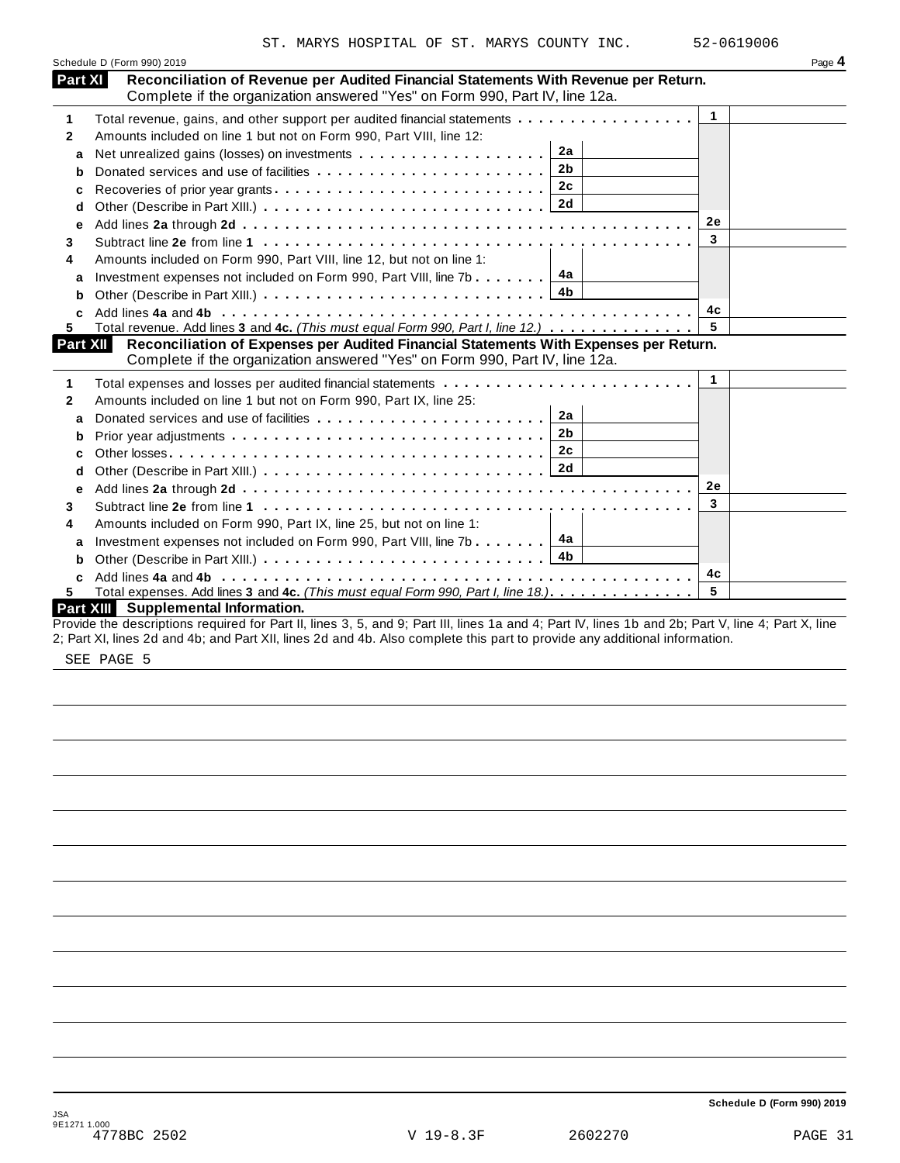|                | ST. MARYS HOSPITAL OF ST. MARYS COUNTY INC.                                                                                                                          |              | 52-0619006 |
|----------------|----------------------------------------------------------------------------------------------------------------------------------------------------------------------|--------------|------------|
|                | Schedule D (Form 990) 2019                                                                                                                                           |              | Page 4     |
| <b>Part XI</b> | Reconciliation of Revenue per Audited Financial Statements With Revenue per Return.<br>Complete if the organization answered "Yes" on Form 990, Part IV, line 12a.   |              |            |
| 1              | Total revenue, gains, and other support per audited financial statements                                                                                             | $\mathbf{1}$ |            |
| $\mathbf{2}$   | Amounts included on line 1 but not on Form 990, Part VIII, line 12:                                                                                                  |              |            |
| a              | 2a                                                                                                                                                                   |              |            |
| b              | 2 <sub>b</sub>                                                                                                                                                       |              |            |
| c              | 2c                                                                                                                                                                   |              |            |
| d              |                                                                                                                                                                      |              |            |
| e              |                                                                                                                                                                      | 2e           |            |
| 3              |                                                                                                                                                                      | 3            |            |
| 4              | Amounts included on Form 990, Part VIII, line 12, but not on line 1:                                                                                                 |              |            |
| a              | Investment expenses not included on Form 990, Part VIII, line 7b $\boxed{4a}$                                                                                        |              |            |
| b              | 4b                                                                                                                                                                   |              |            |
| C.             |                                                                                                                                                                      | 4c           |            |
| 5.             | Total revenue. Add lines 3 and 4c. (This must equal Form 990, Part I, line 12.)                                                                                      | 5            |            |
| Part XII       | Reconciliation of Expenses per Audited Financial Statements With Expenses per Return.<br>Complete if the organization answered "Yes" on Form 990, Part IV, line 12a. |              |            |
| 1              | Total expenses and losses per audited financial statements                                                                                                           | $\mathbf{1}$ |            |
| 2              | Amounts included on line 1 but not on Form 990, Part IX, line 25:                                                                                                    |              |            |
| a              | 2a                                                                                                                                                                   |              |            |
| b              | 2 <sub>b</sub>                                                                                                                                                       |              |            |
| c              | 2c                                                                                                                                                                   |              |            |
| d              |                                                                                                                                                                      |              |            |
| e              |                                                                                                                                                                      | 2e           |            |
| 3              |                                                                                                                                                                      | 3            |            |
| 4              | Amounts included on Form 990, Part IX, line 25, but not on line 1:                                                                                                   |              |            |
| a              | Investment expenses not included on Form 990, Part VIII, line 7b $\boxed{4a}$                                                                                        |              |            |
| b              | 4b                                                                                                                                                                   |              |            |
|                |                                                                                                                                                                      | 4с           |            |
| 5.             | Total expenses. Add lines 3 and 4c. (This must equal Form 990, Part I, line 18.)                                                                                     | 5            |            |
|                | Part XIII Supplemental Information.                                                                                                                                  |              |            |
|                | Provide the descriptions required for Part II, lines 3, 5, and 9; Part III, lines 1a and 4; Part IV, lines 1b and 2b; Part V, line 4; Part X, line                   |              |            |
|                | 2; Part XI, lines 2d and 4b; and Part XII, lines 2d and 4b. Also complete this part to provide any additional information.                                           |              |            |

SEE PAGE 5

**Schedule D (Form 990) 2019**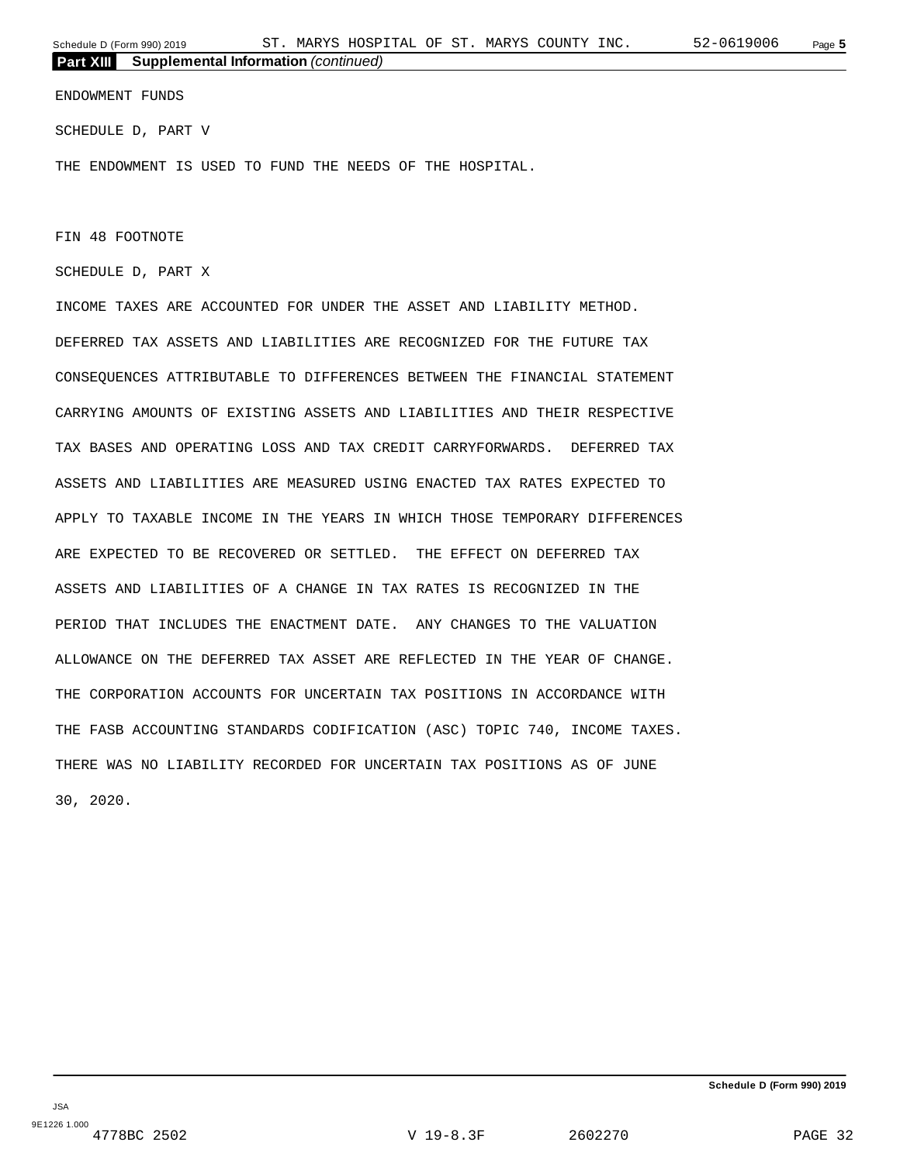ENDOWMENT FUNDS

SCHEDULE D, PART V

THE ENDOWMENT IS USED TO FUND THE NEEDS OF THE HOSPITAL.

FIN 48 FOOTNOTE

SCHEDULE D, PART X

INCOME TAXES ARE ACCOUNTED FOR UNDER THE ASSET AND LIABILITY METHOD. DEFERRED TAX ASSETS AND LIABILITIES ARE RECOGNIZED FOR THE FUTURE TAX CONSEQUENCES ATTRIBUTABLE TO DIFFERENCES BETWEEN THE FINANCIAL STATEMENT CARRYING AMOUNTS OF EXISTING ASSETS AND LIABILITIES AND THEIR RESPECTIVE TAX BASES AND OPERATING LOSS AND TAX CREDIT CARRYFORWARDS. DEFERRED TAX ASSETS AND LIABILITIES ARE MEASURED USING ENACTED TAX RATES EXPECTED TO APPLY TO TAXABLE INCOME IN THE YEARS IN WHICH THOSE TEMPORARY DIFFERENCES ARE EXPECTED TO BE RECOVERED OR SETTLED. THE EFFECT ON DEFERRED TAX ASSETS AND LIABILITIES OF A CHANGE IN TAX RATES IS RECOGNIZED IN THE PERIOD THAT INCLUDES THE ENACTMENT DATE. ANY CHANGES TO THE VALUATION ALLOWANCE ON THE DEFERRED TAX ASSET ARE REFLECTED IN THE YEAR OF CHANGE. THE CORPORATION ACCOUNTS FOR UNCERTAIN TAX POSITIONS IN ACCORDANCE WITH THE FASB ACCOUNTING STANDARDS CODIFICATION (ASC) TOPIC 740, INCOME TAXES. THERE WAS NO LIABILITY RECORDED FOR UNCERTAIN TAX POSITIONS AS OF JUNE 30, 2020.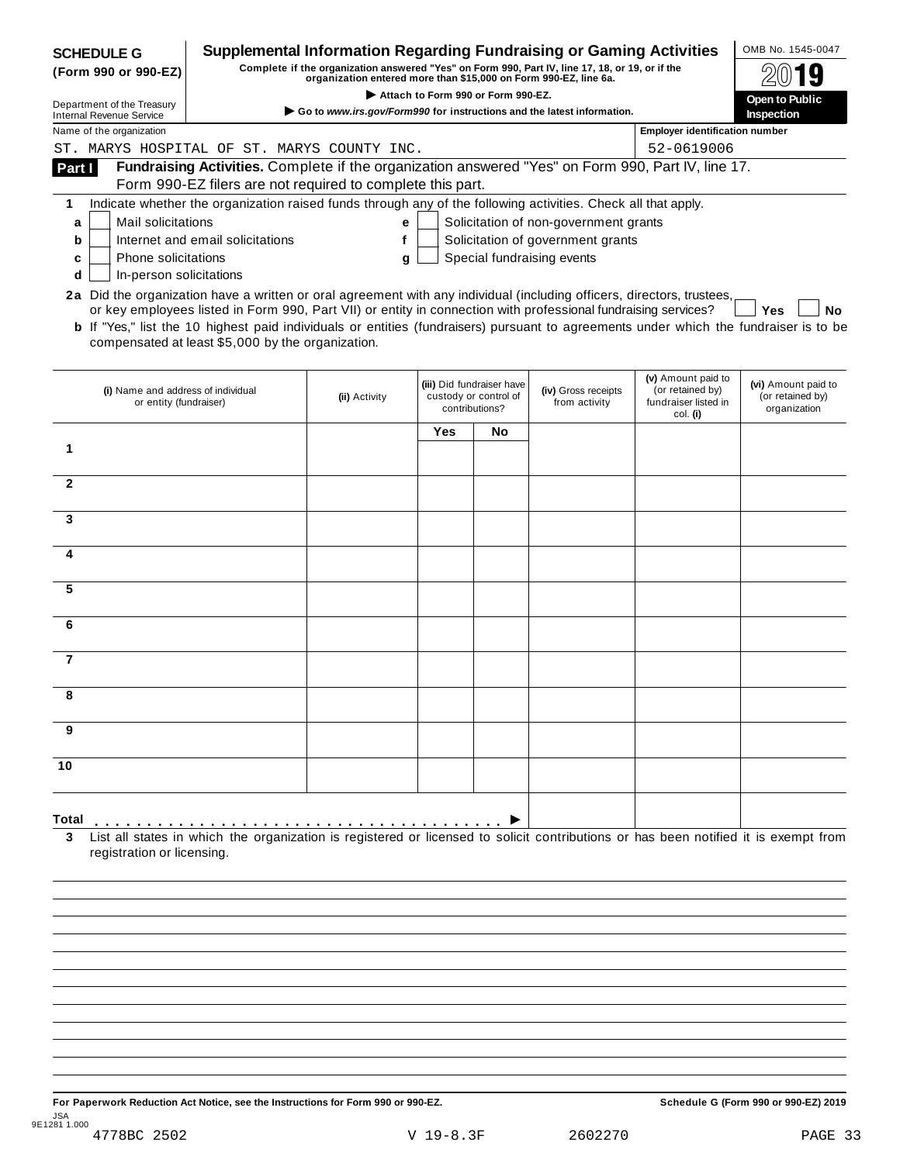|                | <b>SCHEDULE G</b><br>(Form 990 or 990-EZ)                     |                                                                                                                                                                                                                                                                                                                                                                                                                                               | <b>Supplemental Information Regarding Fundraising or Gaming Activities</b><br>Complete if the organization answered "Yes" on Form 990, Part IV, line 17, 18, or 19, or if the<br>organization entered more than \$15,000 on Form 990-EZ, line 6a. |            | Attach to Form 990 or Form 990-EZ.                                   |                                       |                                                                            | OMB No. 1545-0047<br>Open to Public                     |
|----------------|---------------------------------------------------------------|-----------------------------------------------------------------------------------------------------------------------------------------------------------------------------------------------------------------------------------------------------------------------------------------------------------------------------------------------------------------------------------------------------------------------------------------------|---------------------------------------------------------------------------------------------------------------------------------------------------------------------------------------------------------------------------------------------------|------------|----------------------------------------------------------------------|---------------------------------------|----------------------------------------------------------------------------|---------------------------------------------------------|
|                | Department of the Treasury<br><b>Internal Revenue Service</b> |                                                                                                                                                                                                                                                                                                                                                                                                                                               | Go to www.irs.gov/Form990 for instructions and the latest information.                                                                                                                                                                            |            |                                                                      |                                       |                                                                            | Inspection                                              |
|                | Name of the organization                                      |                                                                                                                                                                                                                                                                                                                                                                                                                                               |                                                                                                                                                                                                                                                   |            |                                                                      |                                       | <b>Employer identification number</b>                                      |                                                         |
|                |                                                               | ST. MARYS HOSPITAL OF ST. MARYS COUNTY INC.                                                                                                                                                                                                                                                                                                                                                                                                   |                                                                                                                                                                                                                                                   |            |                                                                      |                                       | 52-0619006                                                                 |                                                         |
| Part I         |                                                               | Fundraising Activities. Complete if the organization answered "Yes" on Form 990, Part IV, line 17.<br>Form 990-EZ filers are not required to complete this part.                                                                                                                                                                                                                                                                              |                                                                                                                                                                                                                                                   |            |                                                                      |                                       |                                                                            |                                                         |
| 1              |                                                               | Indicate whether the organization raised funds through any of the following activities. Check all that apply.                                                                                                                                                                                                                                                                                                                                 |                                                                                                                                                                                                                                                   |            |                                                                      |                                       |                                                                            |                                                         |
| a              | Mail solicitations                                            |                                                                                                                                                                                                                                                                                                                                                                                                                                               | е                                                                                                                                                                                                                                                 |            |                                                                      | Solicitation of non-government grants |                                                                            |                                                         |
| b              |                                                               | Internet and email solicitations                                                                                                                                                                                                                                                                                                                                                                                                              | f                                                                                                                                                                                                                                                 |            |                                                                      | Solicitation of government grants     |                                                                            |                                                         |
| c              | <b>Phone solicitations</b>                                    |                                                                                                                                                                                                                                                                                                                                                                                                                                               | g                                                                                                                                                                                                                                                 |            |                                                                      | Special fundraising events            |                                                                            |                                                         |
| d              | In-person solicitations                                       |                                                                                                                                                                                                                                                                                                                                                                                                                                               |                                                                                                                                                                                                                                                   |            |                                                                      |                                       |                                                                            |                                                         |
|                |                                                               | 2a Did the organization have a written or oral agreement with any individual (including officers, directors, trustees,<br>or key employees listed in Form 990, Part VII) or entity in connection with professional fundraising services?<br><b>b</b> If "Yes," list the 10 highest paid individuals or entities (fundraisers) pursuant to agreements under which the fundraiser is to be<br>compensated at least \$5,000 by the organization. |                                                                                                                                                                                                                                                   |            |                                                                      |                                       |                                                                            | Yes<br>No                                               |
|                | (i) Name and address of individual<br>or entity (fundraiser)  |                                                                                                                                                                                                                                                                                                                                                                                                                                               | (ii) Activity                                                                                                                                                                                                                                     |            | (iii) Did fundraiser have<br>custody or control of<br>contributions? | (iv) Gross receipts<br>from activity  | (v) Amount paid to<br>(or retained by)<br>fundraiser listed in<br>col. (i) | (vi) Amount paid to<br>(or retained by)<br>organization |
|                |                                                               |                                                                                                                                                                                                                                                                                                                                                                                                                                               |                                                                                                                                                                                                                                                   | <b>Yes</b> | No.                                                                  |                                       |                                                                            |                                                         |
| 1              |                                                               |                                                                                                                                                                                                                                                                                                                                                                                                                                               |                                                                                                                                                                                                                                                   |            |                                                                      |                                       |                                                                            |                                                         |
| $\mathbf{2}$   |                                                               |                                                                                                                                                                                                                                                                                                                                                                                                                                               |                                                                                                                                                                                                                                                   |            |                                                                      |                                       |                                                                            |                                                         |
| 3              |                                                               |                                                                                                                                                                                                                                                                                                                                                                                                                                               |                                                                                                                                                                                                                                                   |            |                                                                      |                                       |                                                                            |                                                         |
| 4              |                                                               |                                                                                                                                                                                                                                                                                                                                                                                                                                               |                                                                                                                                                                                                                                                   |            |                                                                      |                                       |                                                                            |                                                         |
| 5              |                                                               |                                                                                                                                                                                                                                                                                                                                                                                                                                               |                                                                                                                                                                                                                                                   |            |                                                                      |                                       |                                                                            |                                                         |
| 6              |                                                               |                                                                                                                                                                                                                                                                                                                                                                                                                                               |                                                                                                                                                                                                                                                   |            |                                                                      |                                       |                                                                            |                                                         |
| $\overline{7}$ |                                                               |                                                                                                                                                                                                                                                                                                                                                                                                                                               |                                                                                                                                                                                                                                                   |            |                                                                      |                                       |                                                                            |                                                         |
| Ω              |                                                               |                                                                                                                                                                                                                                                                                                                                                                                                                                               |                                                                                                                                                                                                                                                   |            |                                                                      |                                       |                                                                            |                                                         |
| 9              |                                                               |                                                                                                                                                                                                                                                                                                                                                                                                                                               |                                                                                                                                                                                                                                                   |            |                                                                      |                                       |                                                                            |                                                         |
| 10             |                                                               |                                                                                                                                                                                                                                                                                                                                                                                                                                               |                                                                                                                                                                                                                                                   |            |                                                                      |                                       |                                                                            |                                                         |
| Total          |                                                               |                                                                                                                                                                                                                                                                                                                                                                                                                                               |                                                                                                                                                                                                                                                   |            |                                                                      |                                       |                                                                            |                                                         |
|                | registration or licensing.                                    | List all states in which the organization is registered or licensed to solicit contributions or has been notified it is exempt from                                                                                                                                                                                                                                                                                                           |                                                                                                                                                                                                                                                   |            |                                                                      |                                       |                                                                            |                                                         |

**For Paperwork Reduction Act Notice, see the Instructions for Form 990 or 990-EZ. Schedule G (Form 990 or 990-EZ) 2019** JSA 9E1281 1.000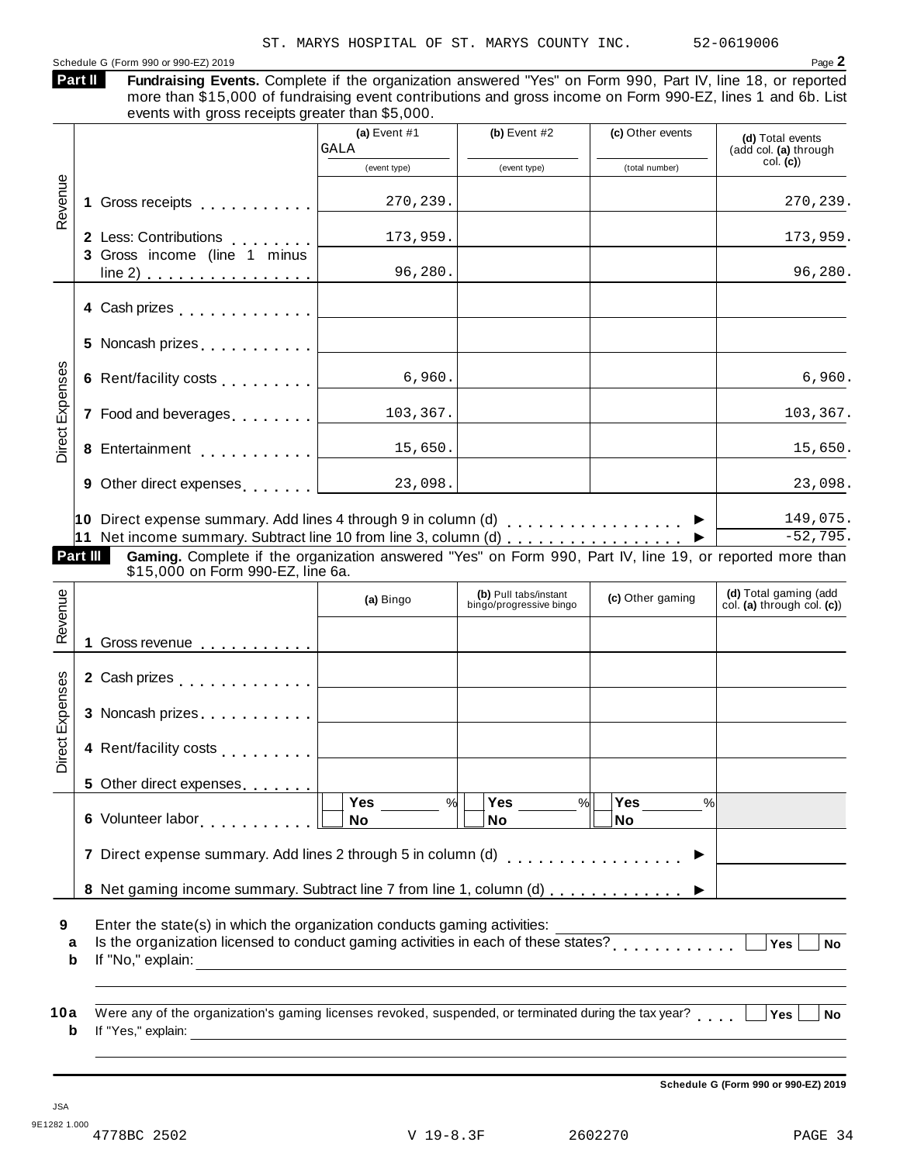Schedule G (Form 990 or 990-EZ) 2019 Page **2 Fundraising Events.** Complete if the organization answered "Yes" on Form 990, Part IV, line 18, or reported more than \$15,000 of fundraising event contributions and gross income on Form 990-EZ, lines 1 and 6b. List events with gross receipts greater than \$5,000. **Part II (a)** Event #1 **(b)** Event #2 **(c)** Other events **(d)** Total events (add col. **(a)** through col. **(c)**) (event type) (event type) (total number) **1** Gross receipts **2** Less: Contributions **3** Gross income (line 1 minus  $\frac{1}{\sqrt{1000}}$  of randal diverse of  $\frac{1}{\sqrt{1000}}$  of randal diverse of  $\frac{1}{\sqrt{1000}}$ Gross receipts<br>
Less: Contributions<br>
Gross income (line 1 minus<br>
line 2) Gross receipts<br>Less: Contributions<br>Gross income (line 1 minus<br><u>line 2) messes</u> Revenue **4** Cash prizes **5** Noncash prizes **6** Rent/facility costs **7** Food and beverages **8** Entertainment **9** Other direct expenses **10** Direct expense summary. Add lines 4 through 9 in column (d) **11** Net income summary. Subtract line 10 from line 3, column (d) m m m m m m m m m m m m m m m m m m m m m m m m —————<br>………<br>………<br>……… m m m m m m m m m m m m m m m m m m m m m m m m m m  $\blacksquare$ 6 Rent/facility costs<br>  $\begin{array}{|c|c|c|}\n\hline\n\text{6} & \text{Rent/facility costs} & \text{6,960.} \\
\hline\n\text{7} & \text{Food and beverages} & \text{103,367.} \\
\hline\n\end{array}$ <br> **8** Entertainment<br> **9** Other direct expenses<br> **10** Direct expense summary. Add lines 4 through 9 in column **Gaming.** Complete if the organization answered "Yes" on Form 990, Part IV, line 19, or reported more than \$15,000 on Form 990-EZ, line 6a. **Part III (d)** Total gaming (add col. **(a)** through col. **(c)**) **(b)** Pull tabs/instant bingo/progressive bingo **(a)** Bingo **(c)** Other gaming **1** Gross revenue **2** Cash prizes **3** Noncash prizes Revenue mmary. Subtract in<br>
mplete if the org<br>
The m m 990-EZ, line<br>
Form 990-EZ, line m m m m m m m m m m m m m m m m m m m m m m m m **4** Rent/facility costs **5** Other direct expenses **6** Volunteer labor **7** Direct expense summary. Add lines 2 through 5 in column (d) **8** Net gaming income summary. Subtract line 7 from line 1, column (d) m m m m m m m m m m m m m m m m Direct Expenses **Yes No Yes No Yes No** % $\vert \quad \vert$  Yes \_\_\_\_\_\_ % $\vert \quad \vert$  Yes \_\_\_\_\_\_ % $\vert$ m m m m m m m m m m m  $\frac{m \times 10^{10} \text{ N} \cdot \text{N} \cdot \text{N} \cdot \text{N} \cdot \text{N}}{100}$  $\begin{array}{c|c}\n\hline\n\% & \text{Yes} \\
\hline\n\text{No} & \n\end{array}$ **9 10** Enter the state(s) in which the organization conducts gaming activities: **a** Is the organization licensed to conduct gaming activities in each of these states? **b** If "No," explain: Were any of the organization's gaming licenses revoked, suspended, or terminated during the tax year? **a b** If "Yes," explain: m m m m m m m m m m m m **Yes No m** M M M W Yes No<br> **M W Yes** No ST. MARYS HOSPITAL OF ST. MARYS COUNTY INC. 52-0619006 GALA 270,239. 270,239. 173,959. 173,959. 96,280. 96,280. 6,960. 6,960. 103,367. 103,367. 15,650. 15,650. 23,098. 23,098. 149,075.  $-52,795.$ 

**Schedule G (Form 990 or 990-EZ) 2019**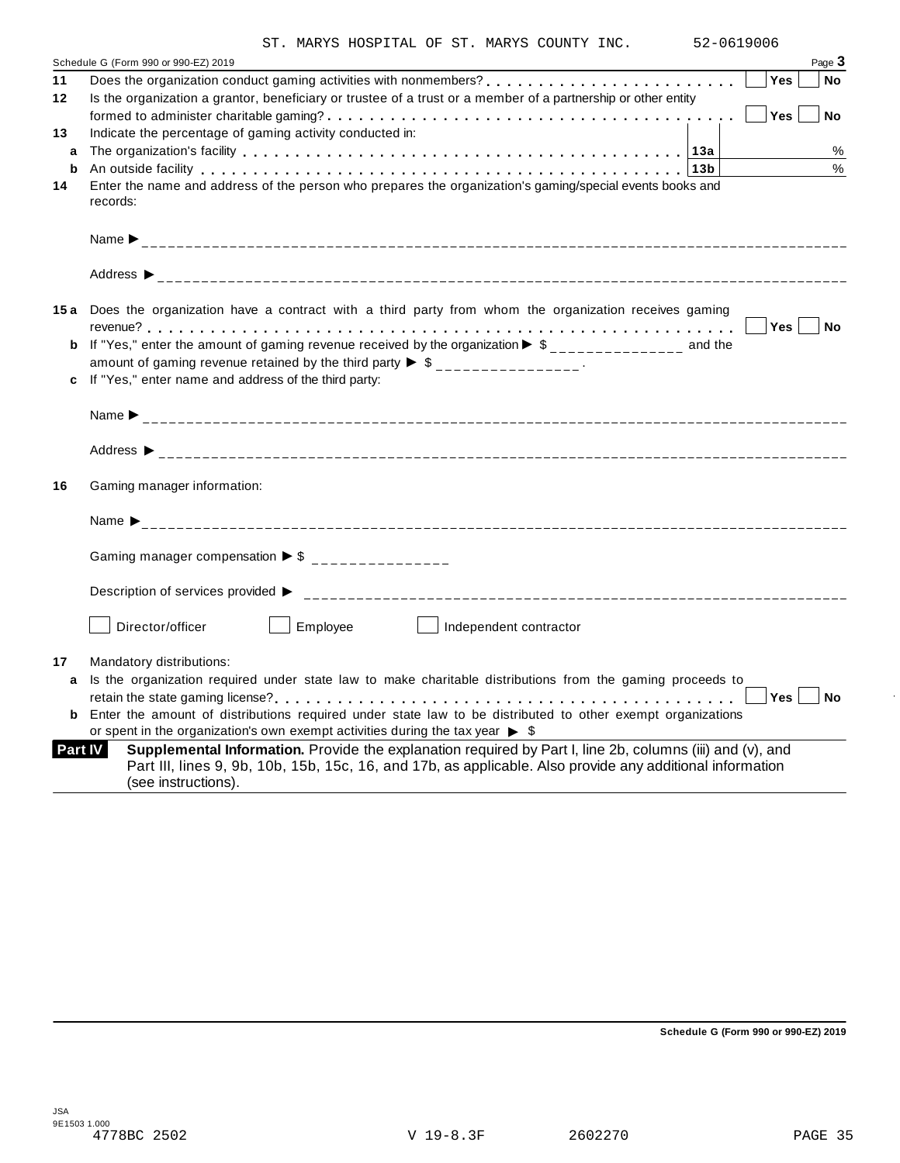|  |  | ST. MARYS HOSPITAL OF ST. MARYS COUNTY INC. |  |  |  |  |  |  |
|--|--|---------------------------------------------|--|--|--|--|--|--|
|--|--|---------------------------------------------|--|--|--|--|--|--|

|          | ST. MARYS HOSPITAL OF ST. MARYS COUNTY INC.<br>52-0619006                                                                                                                                                                                                                                                                                                                                      |
|----------|------------------------------------------------------------------------------------------------------------------------------------------------------------------------------------------------------------------------------------------------------------------------------------------------------------------------------------------------------------------------------------------------|
|          | Schedule G (Form 990 or 990-EZ) 2019<br>Page 3                                                                                                                                                                                                                                                                                                                                                 |
| 11<br>12 | Does the organization conduct gaming activities with nonmembers?<br><br>Yes<br>No<br>Is the organization a grantor, beneficiary or trustee of a trust or a member of a partnership or other entity<br>Yes<br><b>No</b>                                                                                                                                                                         |
| 13       | Indicate the percentage of gaming activity conducted in:                                                                                                                                                                                                                                                                                                                                       |
| a        | %<br>$\frac{0}{0}$                                                                                                                                                                                                                                                                                                                                                                             |
| b<br>14  | An outside facility enterpreteration of the control of the control of the control of the control of the control of the control of the control of the control of the control of the control of the control of the control of th<br>Enter the name and address of the person who prepares the organization's gaming/special events books and<br>records:                                         |
|          |                                                                                                                                                                                                                                                                                                                                                                                                |
|          |                                                                                                                                                                                                                                                                                                                                                                                                |
|          | 15a Does the organization have a contract with a third party from whom the organization receives gaming<br><b>b</b> If "Yes," enter the amount of gaming revenue received by the organization $\triangleright$ \$______________ and the<br>amount of gaming revenue retained by the third party $\triangleright$ \$ _______________.<br>c If "Yes," enter name and address of the third party: |
|          |                                                                                                                                                                                                                                                                                                                                                                                                |
|          |                                                                                                                                                                                                                                                                                                                                                                                                |
|          |                                                                                                                                                                                                                                                                                                                                                                                                |
|          | Gaming manager information:                                                                                                                                                                                                                                                                                                                                                                    |
|          |                                                                                                                                                                                                                                                                                                                                                                                                |
|          | Gaming manager compensation $\triangleright$ \$ _______________                                                                                                                                                                                                                                                                                                                                |
|          |                                                                                                                                                                                                                                                                                                                                                                                                |
|          | Director/officer<br>Employee<br>Independent contractor                                                                                                                                                                                                                                                                                                                                         |
|          | Mandatory distributions:                                                                                                                                                                                                                                                                                                                                                                       |
|          | a Is the organization required under state law to make charitable distributions from the gaming proceeds to                                                                                                                                                                                                                                                                                    |
|          | <b>Yes</b><br>No                                                                                                                                                                                                                                                                                                                                                                               |
| 16<br>17 | <b>b</b> Enter the amount of distributions required under state law to be distributed to other exempt organizations<br>or spent in the organization's own exempt activities during the tax year $\triangleright$ \$                                                                                                                                                                            |

**Schedule G (Form 990 or 990-EZ) 2019**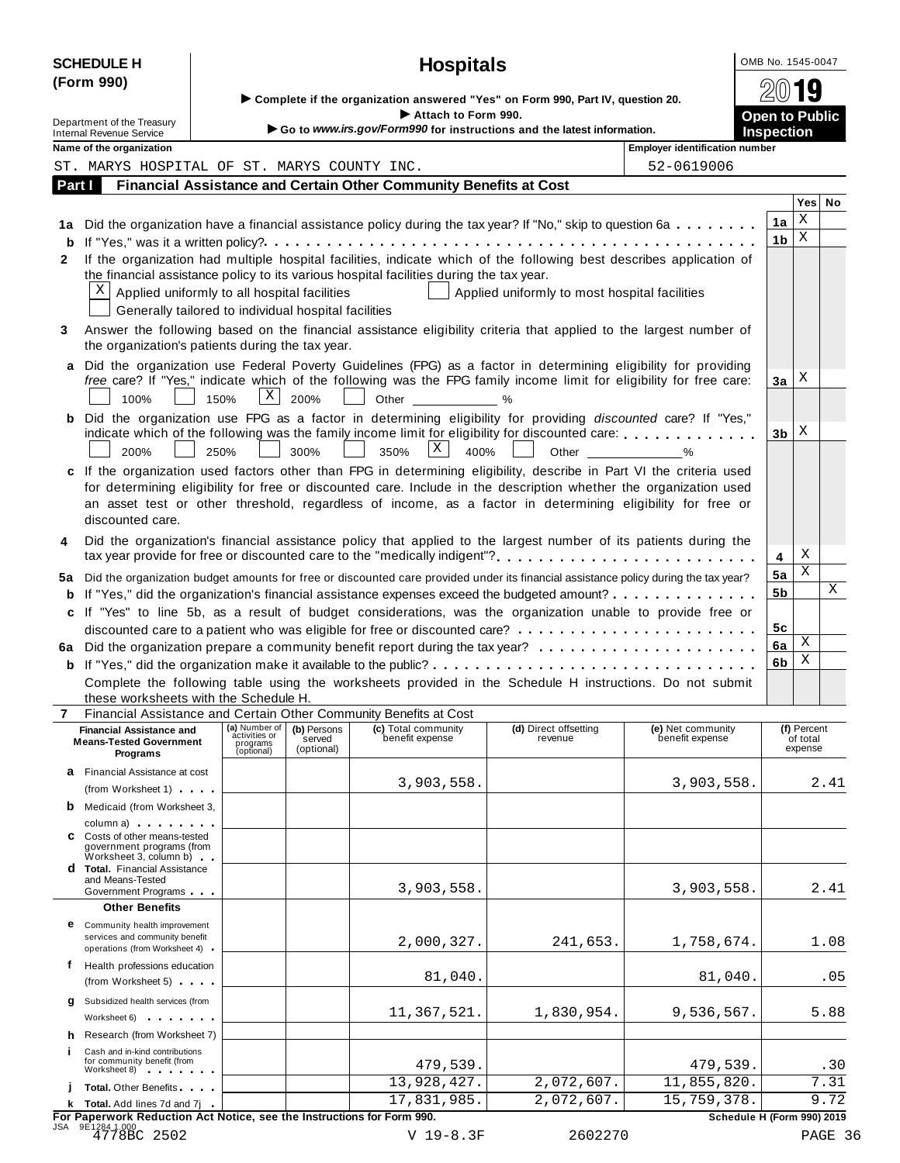|         | <b>SCHEDULE H</b>                                                                                                                                                                                                                                                                                                                                    |                                         |                      |                                     | <b>Hospitals</b>                                                                                                                                                                                                                                       |                                               |                                       | OMB No. 1545-0047                          |                     |         |
|---------|------------------------------------------------------------------------------------------------------------------------------------------------------------------------------------------------------------------------------------------------------------------------------------------------------------------------------------------------------|-----------------------------------------|----------------------|-------------------------------------|--------------------------------------------------------------------------------------------------------------------------------------------------------------------------------------------------------------------------------------------------------|-----------------------------------------------|---------------------------------------|--------------------------------------------|---------------------|---------|
|         | (Form 990)                                                                                                                                                                                                                                                                                                                                           |                                         |                      |                                     |                                                                                                                                                                                                                                                        |                                               |                                       |                                            | <b>g</b>            |         |
|         |                                                                                                                                                                                                                                                                                                                                                      |                                         |                      |                                     | ▶ Complete if the organization answered "Yes" on Form 990, Part IV, question 20.                                                                                                                                                                       |                                               |                                       |                                            |                     |         |
|         | Department of the Treasury<br><b>Internal Revenue Service</b>                                                                                                                                                                                                                                                                                        |                                         |                      |                                     | Attach to Form 990.<br>Go to www.irs.gov/Form990 for instructions and the latest information.                                                                                                                                                          |                                               |                                       | <b>Open to Public</b><br><b>Inspection</b> |                     |         |
|         | Name of the organization                                                                                                                                                                                                                                                                                                                             |                                         |                      |                                     |                                                                                                                                                                                                                                                        |                                               | <b>Employer identification number</b> |                                            |                     |         |
|         | ST. MARYS HOSPITAL OF ST. MARYS COUNTY INC.                                                                                                                                                                                                                                                                                                          |                                         |                      |                                     |                                                                                                                                                                                                                                                        |                                               | 52-0619006                            |                                            |                     |         |
| Part I  |                                                                                                                                                                                                                                                                                                                                                      |                                         |                      |                                     | Financial Assistance and Certain Other Community Benefits at Cost                                                                                                                                                                                      |                                               |                                       |                                            |                     |         |
|         |                                                                                                                                                                                                                                                                                                                                                      |                                         |                      |                                     |                                                                                                                                                                                                                                                        |                                               |                                       |                                            | Yes No              |         |
| 1а<br>b |                                                                                                                                                                                                                                                                                                                                                      |                                         |                      |                                     | Did the organization have a financial assistance policy during the tax year? If "No," skip to question 6a                                                                                                                                              |                                               |                                       | 1a<br>1 <sub>b</sub>                       | Χ<br>X              |         |
| 2       |                                                                                                                                                                                                                                                                                                                                                      |                                         |                      |                                     | If the organization had multiple hospital facilities, indicate which of the following best describes application of<br>the financial assistance policy to its various hospital facilities during the tax year.                                         |                                               |                                       |                                            |                     |         |
|         | X<br>Applied uniformly to all hospital facilities<br>Generally tailored to individual hospital facilities                                                                                                                                                                                                                                            |                                         |                      |                                     |                                                                                                                                                                                                                                                        | Applied uniformly to most hospital facilities |                                       |                                            |                     |         |
| 3       | the organization's patients during the tax year.                                                                                                                                                                                                                                                                                                     |                                         |                      |                                     | Answer the following based on the financial assistance eligibility criteria that applied to the largest number of                                                                                                                                      |                                               |                                       |                                            |                     |         |
| a       | 100%                                                                                                                                                                                                                                                                                                                                                 | 150%                                    | $\mathbf{X}$<br>200% |                                     | Did the organization use Federal Poverty Guidelines (FPG) as a factor in determining eligibility for providing<br>free care? If "Yes," indicate which of the following was the FPG family income limit for eligibility for free care:<br>Other<br>$\%$ |                                               |                                       | За                                         | Χ                   |         |
| b       | 200%                                                                                                                                                                                                                                                                                                                                                 | 250%                                    | 300%                 |                                     | Did the organization use FPG as a factor in determining eligibility for providing discounted care? If "Yes,"<br>indicate which of the following was the family income limit for eligibility for discounted care:<br>X<br>350%<br>400%                  | Other                                         | $\sim$ %                              | 3 <sub>b</sub>                             | X                   |         |
| C       | If the organization used factors other than FPG in determining eligibility, describe in Part VI the criteria used<br>for determining eligibility for free or discounted care. Include in the description whether the organization used<br>an asset test or other threshold, regardless of income, as a factor in determining eligibility for free or |                                         |                      |                                     |                                                                                                                                                                                                                                                        |                                               |                                       |                                            |                     |         |
| 4       | discounted care.                                                                                                                                                                                                                                                                                                                                     |                                         |                      |                                     | Did the organization's financial assistance policy that applied to the largest number of its patients during the                                                                                                                                       |                                               |                                       |                                            |                     |         |
|         |                                                                                                                                                                                                                                                                                                                                                      |                                         |                      |                                     | tax year provide for free or discounted care to the "medically indigent"?                                                                                                                                                                              |                                               |                                       | 4                                          | Χ                   |         |
| 5а<br>b |                                                                                                                                                                                                                                                                                                                                                      |                                         |                      |                                     | Did the organization budget amounts for free or discounted care provided under its financial assistance policy during the tax year?<br>If "Yes," did the organization's financial assistance expenses exceed the budgeted amount?                      |                                               |                                       | 5a<br>5 <sub>b</sub>                       | Χ                   | X       |
| c       |                                                                                                                                                                                                                                                                                                                                                      |                                         |                      |                                     | If "Yes" to line 5b, as a result of budget considerations, was the organization unable to provide free or                                                                                                                                              |                                               |                                       |                                            |                     |         |
|         |                                                                                                                                                                                                                                                                                                                                                      |                                         |                      |                                     |                                                                                                                                                                                                                                                        |                                               |                                       | 5c                                         |                     |         |
| 6а      |                                                                                                                                                                                                                                                                                                                                                      |                                         |                      |                                     |                                                                                                                                                                                                                                                        |                                               |                                       | 6a                                         | Χ                   |         |
| b       |                                                                                                                                                                                                                                                                                                                                                      |                                         |                      |                                     |                                                                                                                                                                                                                                                        |                                               |                                       | 6b                                         | Χ                   |         |
|         |                                                                                                                                                                                                                                                                                                                                                      |                                         |                      |                                     | Complete the following table using the worksheets provided in the Schedule H instructions. Do not submit                                                                                                                                               |                                               |                                       |                                            |                     |         |
|         | these worksheets with the Schedule H.                                                                                                                                                                                                                                                                                                                |                                         |                      |                                     |                                                                                                                                                                                                                                                        |                                               |                                       |                                            |                     |         |
| 7       |                                                                                                                                                                                                                                                                                                                                                      | (a) Number of                           |                      |                                     | Financial Assistance and Certain Other Community Benefits at Cost<br>(c) Total community                                                                                                                                                               | (d) Direct offsetting                         | (e) Net community                     |                                            | (f) Percent         |         |
|         | <b>Financial Assistance and</b><br><b>Means-Tested Government</b><br>Programs                                                                                                                                                                                                                                                                        | activities or<br>programs<br>(optional) |                      | (b) Persons<br>served<br>(optional) | benefit expense                                                                                                                                                                                                                                        | revenue                                       | benefit expense                       |                                            | of total<br>expense |         |
|         | <b>a</b> Financial Assistance at cost                                                                                                                                                                                                                                                                                                                |                                         |                      |                                     | 3,903,558.                                                                                                                                                                                                                                             |                                               | 3,903,558.                            |                                            |                     | 2.41    |
|         | (from Worksheet 1)<br><b>b</b> Medicaid (from Worksheet 3,                                                                                                                                                                                                                                                                                           |                                         |                      |                                     |                                                                                                                                                                                                                                                        |                                               |                                       |                                            |                     |         |
|         | column a) expansion and the set of the set of the set of the set of the set of the set of the set of the set of the set of the set of the set of the set of the set of the set of the set of the set of the set of the set of<br>C Costs of other means-tested<br>government programs (from<br>Worksheet 3, column b)                                |                                         |                      |                                     |                                                                                                                                                                                                                                                        |                                               |                                       |                                            |                     |         |
|         | <b>d</b> Total. Financial Assistance<br>and Means-Tested<br>Government Programs                                                                                                                                                                                                                                                                      |                                         |                      |                                     | 3,903,558.                                                                                                                                                                                                                                             |                                               | 3,903,558.                            |                                            |                     | 2.41    |
|         | <b>Other Benefits</b>                                                                                                                                                                                                                                                                                                                                |                                         |                      |                                     |                                                                                                                                                                                                                                                        |                                               |                                       |                                            |                     |         |
|         | <b>e</b> Community health improvement<br>services and community benefit<br>operations (from Worksheet 4)                                                                                                                                                                                                                                             |                                         |                      |                                     | 2,000,327.                                                                                                                                                                                                                                             | 241,653.                                      | 1,758,674.                            |                                            | 1.08                |         |
|         | f Health professions education<br>(from Worksheet 5)                                                                                                                                                                                                                                                                                                 |                                         |                      |                                     | 81,040.                                                                                                                                                                                                                                                |                                               | 81,040.                               |                                            | .05                 |         |
| q       | Subsidized health services (from<br>Worksheet 6) and the most contact the most contact of the most contact the most contact of the most contact of the most contact of the most contact of the most contact of the most contact of the most contact of the most co                                                                                   |                                         |                      |                                     | 11,367,521.                                                                                                                                                                                                                                            | 1,830,954.                                    | 9,536,567.                            |                                            | 5.88                |         |
|         | h Research (from Worksheet 7)<br>Cash and in-kind contributions                                                                                                                                                                                                                                                                                      |                                         |                      |                                     |                                                                                                                                                                                                                                                        |                                               |                                       |                                            |                     |         |
|         | for community benefit (from<br>Worksheet 8) Norwell                                                                                                                                                                                                                                                                                                  |                                         |                      |                                     | 479,539.                                                                                                                                                                                                                                               |                                               | 479,539.                              |                                            |                     | .30     |
|         | <b>Total.</b> Other Benefits                                                                                                                                                                                                                                                                                                                         |                                         |                      |                                     | 13,928,427.                                                                                                                                                                                                                                            | 2,072,607.                                    | 11,855,820.                           |                                            |                     | 7.31    |
|         | k Total. Add lines 7d and 7j                                                                                                                                                                                                                                                                                                                         |                                         |                      |                                     | 17,831,985.                                                                                                                                                                                                                                            | 2,072,607.                                    | 15,759,378.                           |                                            |                     | 9.72    |
|         | For Paperwork Reduction Act Notice, see the Instructions for Form 990.<br>JSA 9E1284 1.000<br>4778BC 2502                                                                                                                                                                                                                                            |                                         |                      |                                     | V 19-8.3F                                                                                                                                                                                                                                              | 2602270                                       |                                       | Schedule H (Form 990) 2019                 |                     | PAGE 36 |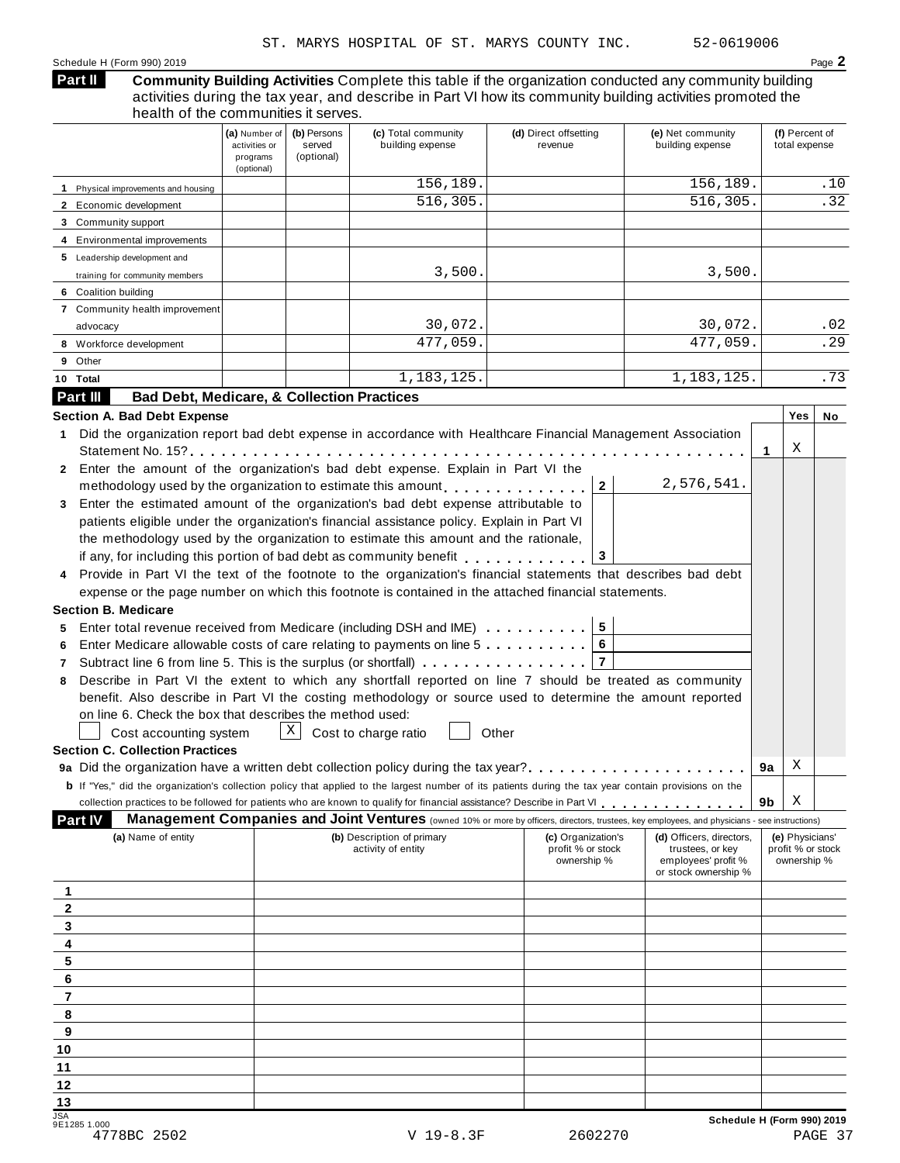#### **Community Building Activities** Complete this table if the organization conducted any community building activities during the tax year, and describe in Part VI how its community building activities promoted the health of the communities it serves. **Part II**

|                                                                                                                                                                                                                                                                                                                                                                                                                                                                                                                                                                                                                   | (a) Number of<br>activities or<br>programs<br>(optional) | (b) Persons<br>served<br>(optional) | (c) Total community<br>building expense                                                                                                                                                                                                                                                                                                                                                                                                                                                                                                                                                                                                                                                                                                                                                                                                                                                                                                                                                                                                                                                                                                                                              | (d) Direct offsetting<br>revenue                                       | (e) Net community<br>building expense                                                                                                                 | (f) Percent of<br>total expense                     |
|-------------------------------------------------------------------------------------------------------------------------------------------------------------------------------------------------------------------------------------------------------------------------------------------------------------------------------------------------------------------------------------------------------------------------------------------------------------------------------------------------------------------------------------------------------------------------------------------------------------------|----------------------------------------------------------|-------------------------------------|--------------------------------------------------------------------------------------------------------------------------------------------------------------------------------------------------------------------------------------------------------------------------------------------------------------------------------------------------------------------------------------------------------------------------------------------------------------------------------------------------------------------------------------------------------------------------------------------------------------------------------------------------------------------------------------------------------------------------------------------------------------------------------------------------------------------------------------------------------------------------------------------------------------------------------------------------------------------------------------------------------------------------------------------------------------------------------------------------------------------------------------------------------------------------------------|------------------------------------------------------------------------|-------------------------------------------------------------------------------------------------------------------------------------------------------|-----------------------------------------------------|
| 1 Physical improvements and housing                                                                                                                                                                                                                                                                                                                                                                                                                                                                                                                                                                               |                                                          |                                     | 156,189.                                                                                                                                                                                                                                                                                                                                                                                                                                                                                                                                                                                                                                                                                                                                                                                                                                                                                                                                                                                                                                                                                                                                                                             |                                                                        | 156,189.                                                                                                                                              | .10                                                 |
| 2 Economic development                                                                                                                                                                                                                                                                                                                                                                                                                                                                                                                                                                                            |                                                          |                                     | 516,305.                                                                                                                                                                                                                                                                                                                                                                                                                                                                                                                                                                                                                                                                                                                                                                                                                                                                                                                                                                                                                                                                                                                                                                             |                                                                        | 516,305.                                                                                                                                              | .32                                                 |
| 3 Community support                                                                                                                                                                                                                                                                                                                                                                                                                                                                                                                                                                                               |                                                          |                                     |                                                                                                                                                                                                                                                                                                                                                                                                                                                                                                                                                                                                                                                                                                                                                                                                                                                                                                                                                                                                                                                                                                                                                                                      |                                                                        |                                                                                                                                                       |                                                     |
| 4 Environmental improvements                                                                                                                                                                                                                                                                                                                                                                                                                                                                                                                                                                                      |                                                          |                                     |                                                                                                                                                                                                                                                                                                                                                                                                                                                                                                                                                                                                                                                                                                                                                                                                                                                                                                                                                                                                                                                                                                                                                                                      |                                                                        |                                                                                                                                                       |                                                     |
| 5 Leadership development and                                                                                                                                                                                                                                                                                                                                                                                                                                                                                                                                                                                      |                                                          |                                     |                                                                                                                                                                                                                                                                                                                                                                                                                                                                                                                                                                                                                                                                                                                                                                                                                                                                                                                                                                                                                                                                                                                                                                                      |                                                                        |                                                                                                                                                       |                                                     |
| training for community members                                                                                                                                                                                                                                                                                                                                                                                                                                                                                                                                                                                    |                                                          |                                     | 3,500.                                                                                                                                                                                                                                                                                                                                                                                                                                                                                                                                                                                                                                                                                                                                                                                                                                                                                                                                                                                                                                                                                                                                                                               |                                                                        | 3,500.                                                                                                                                                |                                                     |
| 6 Coalition building                                                                                                                                                                                                                                                                                                                                                                                                                                                                                                                                                                                              |                                                          |                                     |                                                                                                                                                                                                                                                                                                                                                                                                                                                                                                                                                                                                                                                                                                                                                                                                                                                                                                                                                                                                                                                                                                                                                                                      |                                                                        |                                                                                                                                                       |                                                     |
| 7 Community health improvement                                                                                                                                                                                                                                                                                                                                                                                                                                                                                                                                                                                    |                                                          |                                     |                                                                                                                                                                                                                                                                                                                                                                                                                                                                                                                                                                                                                                                                                                                                                                                                                                                                                                                                                                                                                                                                                                                                                                                      |                                                                        |                                                                                                                                                       |                                                     |
| advocacy                                                                                                                                                                                                                                                                                                                                                                                                                                                                                                                                                                                                          |                                                          |                                     | 30,072.                                                                                                                                                                                                                                                                                                                                                                                                                                                                                                                                                                                                                                                                                                                                                                                                                                                                                                                                                                                                                                                                                                                                                                              |                                                                        | 30,072.                                                                                                                                               | .02                                                 |
| 8 Workforce development                                                                                                                                                                                                                                                                                                                                                                                                                                                                                                                                                                                           |                                                          |                                     | 477,059.                                                                                                                                                                                                                                                                                                                                                                                                                                                                                                                                                                                                                                                                                                                                                                                                                                                                                                                                                                                                                                                                                                                                                                             |                                                                        | 477,059.                                                                                                                                              | .29                                                 |
| 9 Other                                                                                                                                                                                                                                                                                                                                                                                                                                                                                                                                                                                                           |                                                          |                                     |                                                                                                                                                                                                                                                                                                                                                                                                                                                                                                                                                                                                                                                                                                                                                                                                                                                                                                                                                                                                                                                                                                                                                                                      |                                                                        |                                                                                                                                                       |                                                     |
| 10 Total                                                                                                                                                                                                                                                                                                                                                                                                                                                                                                                                                                                                          |                                                          |                                     | 1, 183, 125.                                                                                                                                                                                                                                                                                                                                                                                                                                                                                                                                                                                                                                                                                                                                                                                                                                                                                                                                                                                                                                                                                                                                                                         |                                                                        | 1,183,125.                                                                                                                                            | .73                                                 |
| Part III<br><b>Bad Debt, Medicare, &amp; Collection Practices</b>                                                                                                                                                                                                                                                                                                                                                                                                                                                                                                                                                 |                                                          |                                     |                                                                                                                                                                                                                                                                                                                                                                                                                                                                                                                                                                                                                                                                                                                                                                                                                                                                                                                                                                                                                                                                                                                                                                                      |                                                                        |                                                                                                                                                       |                                                     |
| <b>Section A. Bad Debt Expense</b><br>1.<br>2 Enter the amount of the organization's bad debt expense. Explain in Part VI the<br>Enter the estimated amount of the organization's bad debt expense attributable to<br>3<br>Provide in Part VI the text of the footnote to the organization's financial statements that describes bad debt<br><b>Section B. Medicare</b><br>5<br>6<br>7<br>8<br>on line 6. Check the box that describes the method used:<br>Cost accounting system<br><b>Section C. Collection Practices</b><br>9a Did the organization have a written debt collection policy during the tax year? |                                                          | Χ                                   | Did the organization report bad debt expense in accordance with Healthcare Financial Management Association<br>Statement No. 15? $\ldots$ , $\ldots$ , $\ldots$ , $\ldots$ , $\ldots$ , $\ldots$ , $\ldots$ , $\ldots$ , $\ldots$<br>methodology used by the organization to estimate this amount entering properties.<br>patients eligible under the organization's financial assistance policy. Explain in Part VI<br>the methodology used by the organization to estimate this amount and the rationale,<br>if any, for including this portion of bad debt as community benefit<br>expense or the page number on which this footnote is contained in the attached financial statements.<br>Enter total revenue received from Medicare (including DSH and IME)<br>Enter Medicare allowable costs of care relating to payments on line 5<br>Subtract line 6 from line 5. This is the surplus (or shortfall) $\ldots$ ,,,,,,,,,,,,,,<br>Describe in Part VI the extent to which any shortfall reported on line 7 should be treated as community<br>benefit. Also describe in Part VI the costing methodology or source used to determine the amount reported<br>Cost to charge ratio | 2 <sup>1</sup><br>3<br>$5\overline{5}$<br>6<br>$\overline{7}$<br>Other | 2,576,541.                                                                                                                                            | Yes<br>No<br>X<br>1<br>X<br>9а                      |
| <b>b</b> If "Yes," did the organization's collection policy that applied to the largest number of its patients during the tax year contain provisions on the                                                                                                                                                                                                                                                                                                                                                                                                                                                      |                                                          |                                     |                                                                                                                                                                                                                                                                                                                                                                                                                                                                                                                                                                                                                                                                                                                                                                                                                                                                                                                                                                                                                                                                                                                                                                                      |                                                                        |                                                                                                                                                       |                                                     |
|                                                                                                                                                                                                                                                                                                                                                                                                                                                                                                                                                                                                                   |                                                          |                                     | collection practices to be followed for patients who are known to qualify for financial assistance? Describe in Part VI                                                                                                                                                                                                                                                                                                                                                                                                                                                                                                                                                                                                                                                                                                                                                                                                                                                                                                                                                                                                                                                              |                                                                        |                                                                                                                                                       | Χ<br>9b                                             |
| <b>Part IV</b>                                                                                                                                                                                                                                                                                                                                                                                                                                                                                                                                                                                                    |                                                          |                                     |                                                                                                                                                                                                                                                                                                                                                                                                                                                                                                                                                                                                                                                                                                                                                                                                                                                                                                                                                                                                                                                                                                                                                                                      |                                                                        | <b>Management Companies and Joint Ventures</b> (owned 10% or more by officers, directors, trustees, key employees, and physicians - see instructions) |                                                     |
| (a) Name of entity<br>1<br>2                                                                                                                                                                                                                                                                                                                                                                                                                                                                                                                                                                                      |                                                          |                                     | (b) Description of primary<br>activity of entity                                                                                                                                                                                                                                                                                                                                                                                                                                                                                                                                                                                                                                                                                                                                                                                                                                                                                                                                                                                                                                                                                                                                     | (c) Organization's<br>profit % or stock<br>ownership %                 | (d) Officers, directors,<br>trustees, or key<br>employees' profit %<br>or stock ownership %                                                           | (e) Physicians'<br>profit % or stock<br>ownership % |
| 3                                                                                                                                                                                                                                                                                                                                                                                                                                                                                                                                                                                                                 |                                                          |                                     |                                                                                                                                                                                                                                                                                                                                                                                                                                                                                                                                                                                                                                                                                                                                                                                                                                                                                                                                                                                                                                                                                                                                                                                      |                                                                        |                                                                                                                                                       |                                                     |
| 4                                                                                                                                                                                                                                                                                                                                                                                                                                                                                                                                                                                                                 |                                                          |                                     |                                                                                                                                                                                                                                                                                                                                                                                                                                                                                                                                                                                                                                                                                                                                                                                                                                                                                                                                                                                                                                                                                                                                                                                      |                                                                        |                                                                                                                                                       |                                                     |
| 5                                                                                                                                                                                                                                                                                                                                                                                                                                                                                                                                                                                                                 |                                                          |                                     |                                                                                                                                                                                                                                                                                                                                                                                                                                                                                                                                                                                                                                                                                                                                                                                                                                                                                                                                                                                                                                                                                                                                                                                      |                                                                        |                                                                                                                                                       |                                                     |
| 6                                                                                                                                                                                                                                                                                                                                                                                                                                                                                                                                                                                                                 |                                                          |                                     |                                                                                                                                                                                                                                                                                                                                                                                                                                                                                                                                                                                                                                                                                                                                                                                                                                                                                                                                                                                                                                                                                                                                                                                      |                                                                        |                                                                                                                                                       |                                                     |
| 7                                                                                                                                                                                                                                                                                                                                                                                                                                                                                                                                                                                                                 |                                                          |                                     |                                                                                                                                                                                                                                                                                                                                                                                                                                                                                                                                                                                                                                                                                                                                                                                                                                                                                                                                                                                                                                                                                                                                                                                      |                                                                        |                                                                                                                                                       |                                                     |
| 8                                                                                                                                                                                                                                                                                                                                                                                                                                                                                                                                                                                                                 |                                                          |                                     |                                                                                                                                                                                                                                                                                                                                                                                                                                                                                                                                                                                                                                                                                                                                                                                                                                                                                                                                                                                                                                                                                                                                                                                      |                                                                        |                                                                                                                                                       |                                                     |
| 9                                                                                                                                                                                                                                                                                                                                                                                                                                                                                                                                                                                                                 |                                                          |                                     |                                                                                                                                                                                                                                                                                                                                                                                                                                                                                                                                                                                                                                                                                                                                                                                                                                                                                                                                                                                                                                                                                                                                                                                      |                                                                        |                                                                                                                                                       |                                                     |
| 10                                                                                                                                                                                                                                                                                                                                                                                                                                                                                                                                                                                                                |                                                          |                                     |                                                                                                                                                                                                                                                                                                                                                                                                                                                                                                                                                                                                                                                                                                                                                                                                                                                                                                                                                                                                                                                                                                                                                                                      |                                                                        |                                                                                                                                                       |                                                     |
| 11                                                                                                                                                                                                                                                                                                                                                                                                                                                                                                                                                                                                                |                                                          |                                     |                                                                                                                                                                                                                                                                                                                                                                                                                                                                                                                                                                                                                                                                                                                                                                                                                                                                                                                                                                                                                                                                                                                                                                                      |                                                                        |                                                                                                                                                       |                                                     |
| 12                                                                                                                                                                                                                                                                                                                                                                                                                                                                                                                                                                                                                |                                                          |                                     |                                                                                                                                                                                                                                                                                                                                                                                                                                                                                                                                                                                                                                                                                                                                                                                                                                                                                                                                                                                                                                                                                                                                                                                      |                                                                        |                                                                                                                                                       |                                                     |
| 13                                                                                                                                                                                                                                                                                                                                                                                                                                                                                                                                                                                                                |                                                          |                                     |                                                                                                                                                                                                                                                                                                                                                                                                                                                                                                                                                                                                                                                                                                                                                                                                                                                                                                                                                                                                                                                                                                                                                                                      |                                                                        |                                                                                                                                                       |                                                     |
| <b>JSA</b><br>9E1285 1.000                                                                                                                                                                                                                                                                                                                                                                                                                                                                                                                                                                                        |                                                          |                                     |                                                                                                                                                                                                                                                                                                                                                                                                                                                                                                                                                                                                                                                                                                                                                                                                                                                                                                                                                                                                                                                                                                                                                                                      |                                                                        |                                                                                                                                                       | Schedule H (Form 990) 2019                          |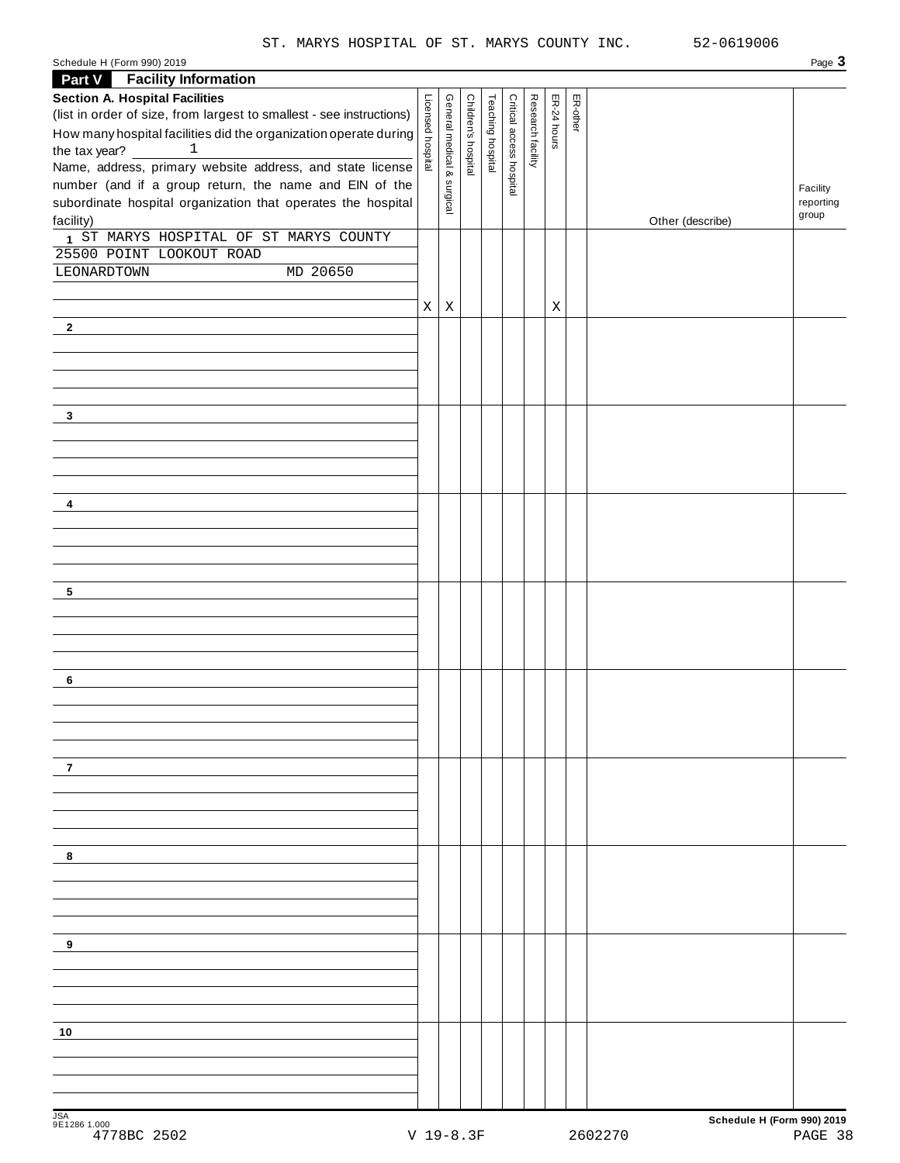| Schedule H (Form 990) 2019                                                                                                                                                            |                   |                            |                     |                   |                          |                   |             |          |                  | Page 3                |
|---------------------------------------------------------------------------------------------------------------------------------------------------------------------------------------|-------------------|----------------------------|---------------------|-------------------|--------------------------|-------------------|-------------|----------|------------------|-----------------------|
| <b>Part V</b> Facility Information                                                                                                                                                    |                   |                            |                     |                   |                          |                   |             |          |                  |                       |
| <b>Section A. Hospital Facilities</b>                                                                                                                                                 |                   |                            |                     |                   |                          |                   |             | ER-other |                  |                       |
| (list in order of size, from largest to smallest - see instructions)                                                                                                                  |                   |                            |                     |                   |                          |                   | ER-24 hours |          |                  |                       |
| How many hospital facilities did the organization operate during                                                                                                                      |                   |                            |                     |                   |                          |                   |             |          |                  |                       |
| the tax year? $\frac{1}{\sqrt{1-\frac{1}{2}}\sqrt{1-\frac{1}{2}}\sqrt{1-\frac{1}{2}}\sqrt{1-\frac{1}{2}}\sqrt{1-\frac{1}{2}}\sqrt{1-\frac{1}{2}}\sqrt{1-\frac{1}{2}}$<br>$\mathbf{1}$ | Licensed hospital | General medical & surgical | Children's hospital | Teaching hospital | Critical access hospital | Research facility |             |          |                  |                       |
| Name, address, primary website address, and state license                                                                                                                             |                   |                            |                     |                   |                          |                   |             |          |                  |                       |
| number (and if a group return, the name and EIN of the<br>subordinate hospital organization that operates the hospital                                                                |                   |                            |                     |                   |                          |                   |             |          |                  | Facility<br>reporting |
| facility)                                                                                                                                                                             |                   |                            |                     |                   |                          |                   |             |          | Other (describe) | group                 |
| 1 ST MARYS HOSPITAL OF ST MARYS COUNTY                                                                                                                                                |                   |                            |                     |                   |                          |                   |             |          |                  |                       |
| 25500 POINT LOOKOUT ROAD                                                                                                                                                              |                   |                            |                     |                   |                          |                   |             |          |                  |                       |
| MD 20650<br>LEONARDTOWN                                                                                                                                                               |                   |                            |                     |                   |                          |                   |             |          |                  |                       |
|                                                                                                                                                                                       |                   |                            |                     |                   |                          |                   |             |          |                  |                       |
|                                                                                                                                                                                       | X                 | Χ                          |                     |                   |                          |                   | Χ           |          |                  |                       |
| $\overline{2}$                                                                                                                                                                        |                   |                            |                     |                   |                          |                   |             |          |                  |                       |
|                                                                                                                                                                                       |                   |                            |                     |                   |                          |                   |             |          |                  |                       |
|                                                                                                                                                                                       |                   |                            |                     |                   |                          |                   |             |          |                  |                       |
|                                                                                                                                                                                       |                   |                            |                     |                   |                          |                   |             |          |                  |                       |
|                                                                                                                                                                                       |                   |                            |                     |                   |                          |                   |             |          |                  |                       |
| 3 <sup>1</sup>                                                                                                                                                                        |                   |                            |                     |                   |                          |                   |             |          |                  |                       |
|                                                                                                                                                                                       |                   |                            |                     |                   |                          |                   |             |          |                  |                       |
|                                                                                                                                                                                       |                   |                            |                     |                   |                          |                   |             |          |                  |                       |
|                                                                                                                                                                                       |                   |                            |                     |                   |                          |                   |             |          |                  |                       |
|                                                                                                                                                                                       |                   |                            |                     |                   |                          |                   |             |          |                  |                       |
| $\overline{4}$                                                                                                                                                                        |                   |                            |                     |                   |                          |                   |             |          |                  |                       |
|                                                                                                                                                                                       |                   |                            |                     |                   |                          |                   |             |          |                  |                       |
|                                                                                                                                                                                       |                   |                            |                     |                   |                          |                   |             |          |                  |                       |
|                                                                                                                                                                                       |                   |                            |                     |                   |                          |                   |             |          |                  |                       |
|                                                                                                                                                                                       |                   |                            |                     |                   |                          |                   |             |          |                  |                       |
| 5                                                                                                                                                                                     |                   |                            |                     |                   |                          |                   |             |          |                  |                       |
|                                                                                                                                                                                       |                   |                            |                     |                   |                          |                   |             |          |                  |                       |
|                                                                                                                                                                                       |                   |                            |                     |                   |                          |                   |             |          |                  |                       |
|                                                                                                                                                                                       |                   |                            |                     |                   |                          |                   |             |          |                  |                       |
| 6                                                                                                                                                                                     |                   |                            |                     |                   |                          |                   |             |          |                  |                       |
|                                                                                                                                                                                       |                   |                            |                     |                   |                          |                   |             |          |                  |                       |
|                                                                                                                                                                                       |                   |                            |                     |                   |                          |                   |             |          |                  |                       |
|                                                                                                                                                                                       |                   |                            |                     |                   |                          |                   |             |          |                  |                       |
|                                                                                                                                                                                       |                   |                            |                     |                   |                          |                   |             |          |                  |                       |
| 7                                                                                                                                                                                     |                   |                            |                     |                   |                          |                   |             |          |                  |                       |
|                                                                                                                                                                                       |                   |                            |                     |                   |                          |                   |             |          |                  |                       |
|                                                                                                                                                                                       |                   |                            |                     |                   |                          |                   |             |          |                  |                       |
|                                                                                                                                                                                       |                   |                            |                     |                   |                          |                   |             |          |                  |                       |
|                                                                                                                                                                                       |                   |                            |                     |                   |                          |                   |             |          |                  |                       |
| 8                                                                                                                                                                                     |                   |                            |                     |                   |                          |                   |             |          |                  |                       |
|                                                                                                                                                                                       |                   |                            |                     |                   |                          |                   |             |          |                  |                       |
|                                                                                                                                                                                       |                   |                            |                     |                   |                          |                   |             |          |                  |                       |
|                                                                                                                                                                                       |                   |                            |                     |                   |                          |                   |             |          |                  |                       |
|                                                                                                                                                                                       |                   |                            |                     |                   |                          |                   |             |          |                  |                       |
| 9                                                                                                                                                                                     |                   |                            |                     |                   |                          |                   |             |          |                  |                       |
|                                                                                                                                                                                       |                   |                            |                     |                   |                          |                   |             |          |                  |                       |
|                                                                                                                                                                                       |                   |                            |                     |                   |                          |                   |             |          |                  |                       |
|                                                                                                                                                                                       |                   |                            |                     |                   |                          |                   |             |          |                  |                       |
|                                                                                                                                                                                       |                   |                            |                     |                   |                          |                   |             |          |                  |                       |
| 10                                                                                                                                                                                    |                   |                            |                     |                   |                          |                   |             |          |                  |                       |
|                                                                                                                                                                                       |                   |                            |                     |                   |                          |                   |             |          |                  |                       |
|                                                                                                                                                                                       |                   |                            |                     |                   |                          |                   |             |          |                  |                       |
|                                                                                                                                                                                       |                   |                            |                     |                   |                          |                   |             |          |                  |                       |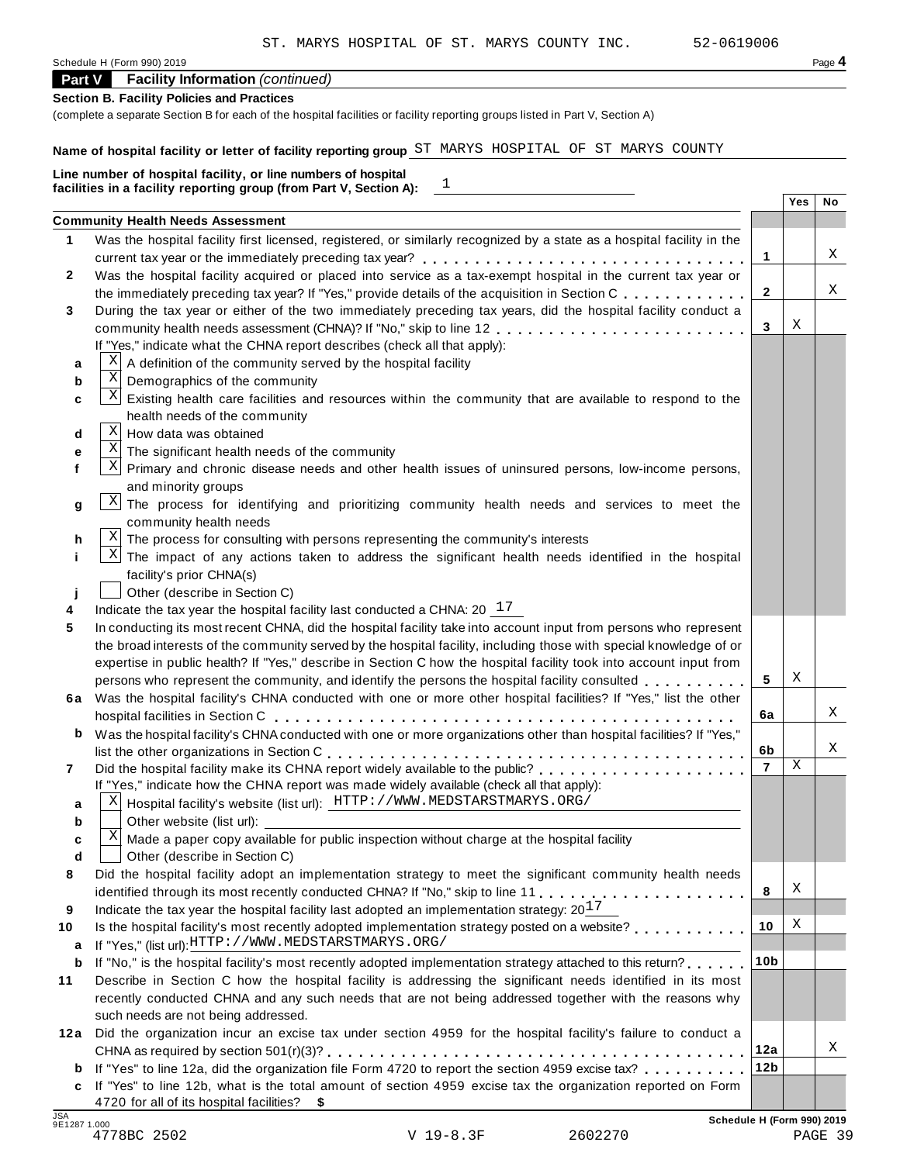# **Part V Facility Information** *(continued)*

# **Section B. Facility Policies and Practices**

(complete a separate Section B for each of the hospital facilities or facility reporting groups listed in Part V, Section A)

# **Name of hospital facility or letter of facility reporting group** ST MARYS HOSPITAL OF ST MARYS COUNTY

|    | $\begin{array}{c} 1 \end{array}$<br>facilities in a facility reporting group (from Part V, Section A):                 |                 |     |    |
|----|------------------------------------------------------------------------------------------------------------------------|-----------------|-----|----|
|    |                                                                                                                        |                 | Yes | No |
| 1. | <b>Community Health Needs Assessment</b>                                                                               |                 |     |    |
|    | Was the hospital facility first licensed, registered, or similarly recognized by a state as a hospital facility in the |                 |     |    |
|    |                                                                                                                        | 1               |     | Χ  |
|    | Was the hospital facility acquired or placed into service as a tax-exempt hospital in the current tax year or          |                 |     |    |
|    | the immediately preceding tax year? If "Yes," provide details of the acquisition in Section C.                         | $\mathbf{2}$    |     | Χ  |
|    | During the tax year or either of the two immediately preceding tax years, did the hospital facility conduct a          |                 |     |    |
|    | community health needs assessment (CHNA)? If "No," skip to line 12                                                     | 3               | X   |    |
|    | If "Yes," indicate what the CHNA report describes (check all that apply):                                              |                 |     |    |
| a  | A definition of the community served by the hospital facility                                                          |                 |     |    |
| b  | $\mathbf X$<br>Demographics of the community                                                                           |                 |     |    |
| C  | X<br>Existing health care facilities and resources within the community that are available to respond to the           |                 |     |    |
|    | health needs of the community                                                                                          |                 |     |    |
| d  | Χ<br>How data was obtained                                                                                             |                 |     |    |
| е  | $\mathbf X$<br>The significant health needs of the community                                                           |                 |     |    |
|    | $\mathbf{x}$<br>Primary and chronic disease needs and other health issues of uninsured persons, low-income persons,    |                 |     |    |
|    | and minority groups                                                                                                    |                 |     |    |
|    | Χļ<br>The process for identifying and prioritizing community health needs and services to meet the                     |                 |     |    |
|    | community health needs                                                                                                 |                 |     |    |
| h  | $X$ The process for consulting with persons representing the community's interests                                     |                 |     |    |
|    | $\vert X \vert$<br>The impact of any actions taken to address the significant health needs identified in the hospital  |                 |     |    |
|    | facility's prior CHNA(s)                                                                                               |                 |     |    |
|    | Other (describe in Section C)                                                                                          |                 |     |    |
|    | Indicate the tax year the hospital facility last conducted a CHNA: $20^{-17}$                                          |                 |     |    |
|    | In conducting its most recent CHNA, did the hospital facility take into account input from persons who represent       |                 |     |    |
|    | the broad interests of the community served by the hospital facility, including those with special knowledge of or     |                 |     |    |
|    | expertise in public health? If "Yes," describe in Section C how the hospital facility took into account input from     |                 |     |    |
|    | persons who represent the community, and identify the persons the hospital facility consulted                          | 5               | X   |    |
|    | 6a Was the hospital facility's CHNA conducted with one or more other hospital facilities? If "Yes," list the other     |                 |     |    |
|    |                                                                                                                        | 6a              |     | Χ  |
| b  | Was the hospital facility's CHNA conducted with one or more organizations other than hospital facilities? If "Yes,"    |                 |     |    |
|    |                                                                                                                        | 6b              |     | Χ  |
|    | Did the hospital facility make its CHNA report widely available to the public?                                         | $\overline{7}$  | Χ   |    |
|    | If "Yes," indicate how the CHNA report was made widely available (check all that apply):                               |                 |     |    |
|    | Hospital facility's website (list url): HTTP://WWW.MEDSTARSTMARYS.ORG/<br>Χ                                            |                 |     |    |
|    | Other website (list url):                                                                                              |                 |     |    |
|    | Χ<br>Made a paper copy available for public inspection without charge at the hospital facility                         |                 |     |    |
|    | Other (describe in Section C)                                                                                          |                 |     |    |
|    | Did the hospital facility adopt an implementation strategy to meet the significant community health needs              |                 |     |    |
|    |                                                                                                                        | 8               | Χ   |    |
|    | Indicate the tax year the hospital facility last adopted an implementation strategy: $20^{17}$                         |                 |     |    |
|    | Is the hospital facility's most recently adopted implementation strategy posted on a website?                          | 10              | Χ   |    |
| a  | If "Yes," (list url): HTTP://WWW.MEDSTARSTMARYS.ORG/                                                                   |                 |     |    |
| b  | If "No," is the hospital facility's most recently adopted implementation strategy attached to this return?             | 10 <sub>b</sub> |     |    |
|    | Describe in Section C how the hospital facility is addressing the significant needs identified in its most             |                 |     |    |
|    | recently conducted CHNA and any such needs that are not being addressed together with the reasons why                  |                 |     |    |
|    | such needs are not being addressed.                                                                                    |                 |     |    |
|    | 12a Did the organization incur an excise tax under section 4959 for the hospital facility's failure to conduct a       |                 |     |    |
|    |                                                                                                                        | 12a             |     | Χ  |
|    | <b>b</b> If "Yes" to line 12a, did the organization file Form 4720 to report the section 4959 excise tax?              | 12 <sub>b</sub> |     |    |
|    | c If "Yes" to line 12b, what is the total amount of section 4959 excise tax the organization reported on Form          |                 |     |    |
|    | 4720 for all of its hospital facilities? \$                                                                            |                 |     |    |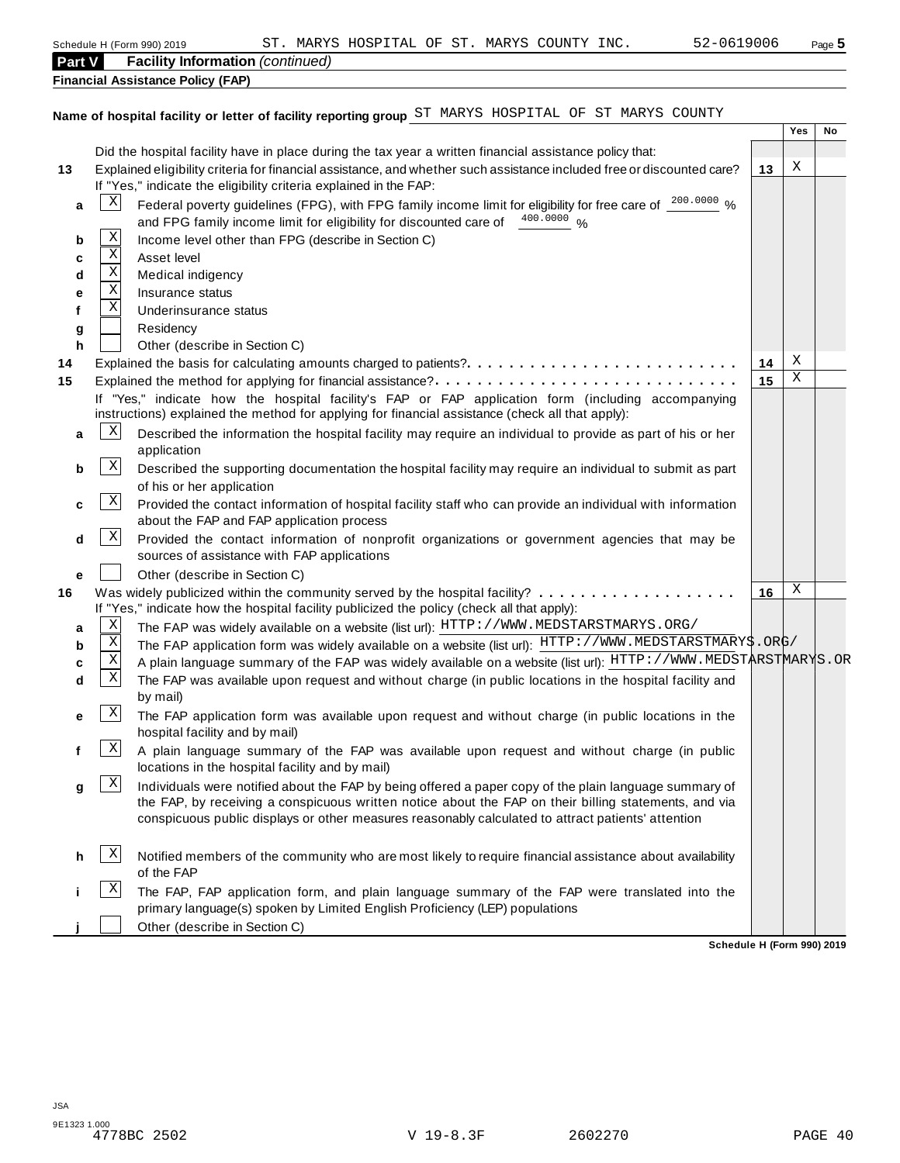|        |              | 52-0619006<br>ST. MARYS HOSPITAL OF ST. MARYS COUNTY INC.<br>Schedule H (Form 990) 2019                                |    |     | Page 5 |
|--------|--------------|------------------------------------------------------------------------------------------------------------------------|----|-----|--------|
| Part V |              | <b>Facility Information</b> (continued)                                                                                |    |     |        |
|        |              | <b>Financial Assistance Policy (FAP)</b>                                                                               |    |     |        |
|        |              |                                                                                                                        |    |     |        |
|        |              | Name of hospital facility or letter of facility reporting group ST MARYS HOSPITAL OF ST MARYS COUNTY                   |    |     |        |
|        |              |                                                                                                                        |    | Yes | No     |
|        |              | Did the hospital facility have in place during the tax year a written financial assistance policy that:                |    |     |        |
| 13     |              | Explained eligibility criteria for financial assistance, and whether such assistance included free or discounted care? | 13 | Χ   |        |
|        |              | If "Yes," indicate the eligibility criteria explained in the FAP:                                                      |    |     |        |
| a      | Χ            | Federal poverty guidelines (FPG), with FPG family income limit for eligibility for free care of 200.0000 %             |    |     |        |
|        | $\mathbf X$  | and FPG family income limit for eligibility for discounted care of 400.0000 %                                          |    |     |        |
| b      | $\mathbf X$  | Income level other than FPG (describe in Section C)<br>Asset level                                                     |    |     |        |
| c      | Χ            | Medical indigency                                                                                                      |    |     |        |
| d<br>е | Χ            | Insurance status                                                                                                       |    |     |        |
| f      | Χ            | Underinsurance status                                                                                                  |    |     |        |
|        |              | Residency                                                                                                              |    |     |        |
| g<br>h |              | Other (describe in Section C)                                                                                          |    |     |        |
| 14     |              |                                                                                                                        | 14 | Х   |        |
| 15     |              | Explained the method for applying for financial assistance?                                                            | 15 | Χ   |        |
|        |              | If "Yes," indicate how the hospital facility's FAP or FAP application form (including accompanying                     |    |     |        |
|        |              | instructions) explained the method for applying for financial assistance (check all that apply):                       |    |     |        |
| a      | X            | Described the information the hospital facility may require an individual to provide as part of his or her             |    |     |        |
|        |              | application                                                                                                            |    |     |        |
| b      | $\mathbf{x}$ | Described the supporting documentation the hospital facility may require an individual to submit as part               |    |     |        |
|        |              | of his or her application                                                                                              |    |     |        |
| c      | $\mathbf{x}$ | Provided the contact information of hospital facility staff who can provide an individual with information             |    |     |        |
|        |              | about the FAP and FAP application process                                                                              |    |     |        |
| d      | $\mathbf{x}$ | Provided the contact information of nonprofit organizations or government agencies that may be                         |    |     |        |
|        |              | sources of assistance with FAP applications                                                                            |    |     |        |
| е      |              | Other (describe in Section C)                                                                                          |    |     |        |
| 16     |              | Was widely publicized within the community served by the hospital facility?                                            | 16 | Χ   |        |
|        |              | If "Yes," indicate how the hospital facility publicized the policy (check all that apply):                             |    |     |        |
| а      | Χ            | The FAP was widely available on a website (list url): HTTP: //WWW.MEDSTARSTMARYS.ORG/                                  |    |     |        |
| b      | Χ<br>Χ       | The FAP application form was widely available on a website (list url): HTTP://WWW.MEDSTARSTMARY\$.ORG/                 |    |     |        |
| c      | Χ            | A plain language summary of the FAP was widely available on a website (list url): HTTP://WWW.MEDSTARSTMARYS.OR         |    |     |        |
| d      |              | The FAP was available upon request and without charge (in public locations in the hospital facility and                |    |     |        |
|        | $\mathbf{X}$ | by mail)<br>The FAP application form was available upon request and without charge (in public locations in the         |    |     |        |
|        |              | hospital facility and by mail)                                                                                         |    |     |        |
|        | $\mathbf{x}$ | A plain language summary of the FAP was available upon request and without charge (in public                           |    |     |        |
|        |              | locations in the hospital facility and by mail)                                                                        |    |     |        |
| g      | $\mathbf{x}$ | Individuals were notified about the FAP by being offered a paper copy of the plain language summary of                 |    |     |        |
|        |              | the FAP, by receiving a conspicuous written notice about the FAP on their billing statements, and via                  |    |     |        |
|        |              | conspicuous public displays or other measures reasonably calculated to attract patients' attention                     |    |     |        |
|        |              |                                                                                                                        |    |     |        |
| h      | X            | Notified members of the community who are most likely to require financial assistance about availability               |    |     |        |
|        |              | of the FAP                                                                                                             |    |     |        |
|        | X            | The FAP, FAP application form, and plain language summary of the FAP were translated into the                          |    |     |        |
|        |              | primary language(s) spoken by Limited English Proficiency (LEP) populations                                            |    |     |        |

**j** Other (describe in Section C)

**Schedule H (Form 990) 2019**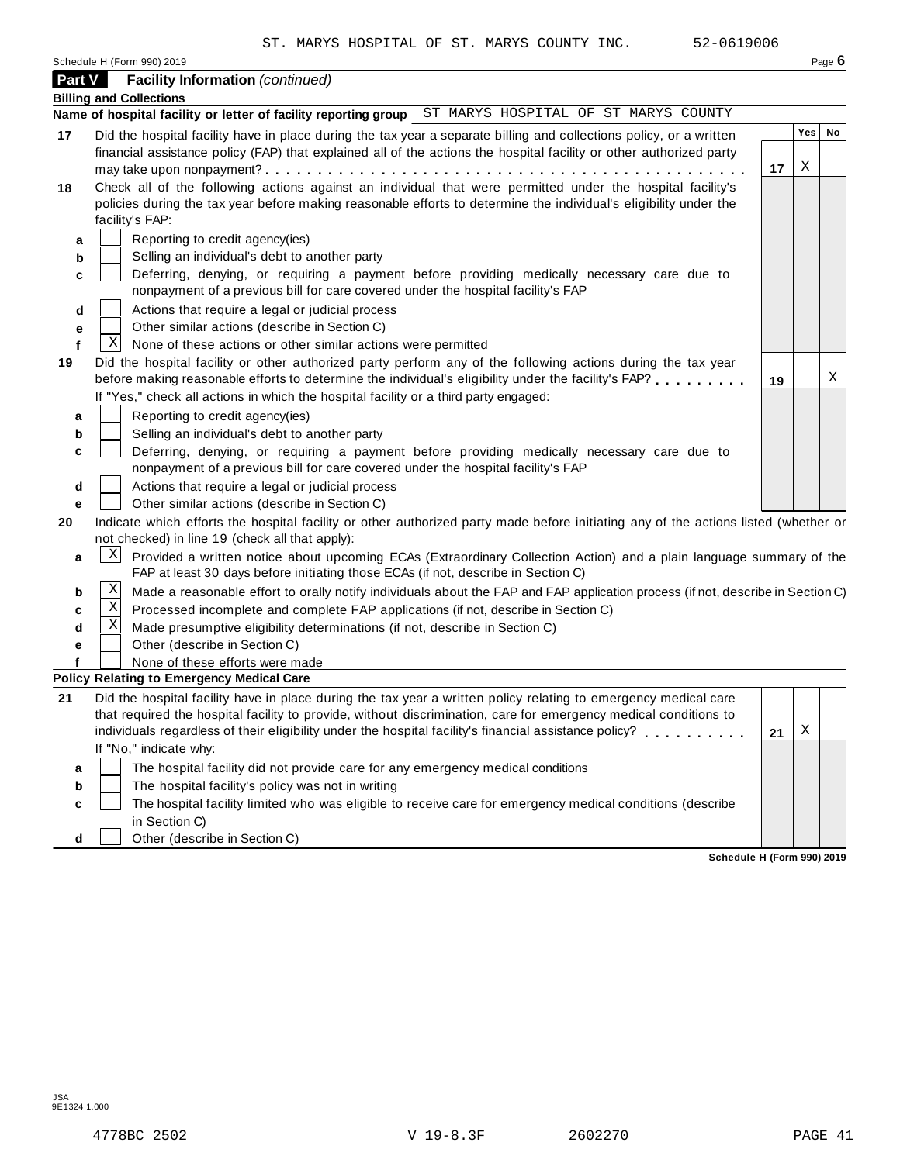| Schedule H (Form 990) 2019 | Page 6 |
|----------------------------|--------|
|----------------------------|--------|

| Part V                | 01100010 11 (1 01111 000) LOTO<br><b>Facility Information (continued)</b>                                                                                                                                                                                                                                                                                                                                                                                                                                                                                                                                                                                |     | .990 |
|-----------------------|----------------------------------------------------------------------------------------------------------------------------------------------------------------------------------------------------------------------------------------------------------------------------------------------------------------------------------------------------------------------------------------------------------------------------------------------------------------------------------------------------------------------------------------------------------------------------------------------------------------------------------------------------------|-----|------|
|                       | <b>Billing and Collections</b>                                                                                                                                                                                                                                                                                                                                                                                                                                                                                                                                                                                                                           |     |      |
|                       | Name of hospital facility or letter of facility reporting group ST MARYS HOSPITAL OF ST MARYS COUNTY                                                                                                                                                                                                                                                                                                                                                                                                                                                                                                                                                     |     |      |
| 17                    | Did the hospital facility have in place during the tax year a separate billing and collections policy, or a written<br>financial assistance policy (FAP) that explained all of the actions the hospital facility or other authorized party                                                                                                                                                                                                                                                                                                                                                                                                               | Yes | No   |
| 18                    | 17<br>Check all of the following actions against an individual that were permitted under the hospital facility's<br>policies during the tax year before making reasonable efforts to determine the individual's eligibility under the<br>facility's FAP:                                                                                                                                                                                                                                                                                                                                                                                                 | Χ   |      |
| a<br>b<br>c<br>d      | Reporting to credit agency(ies)<br>Selling an individual's debt to another party<br>Deferring, denying, or requiring a payment before providing medically necessary care due to<br>nonpayment of a previous bill for care covered under the hospital facility's FAP<br>Actions that require a legal or judicial process                                                                                                                                                                                                                                                                                                                                  |     |      |
| е<br>f<br>19          | Other similar actions (describe in Section C)<br>Χ<br>None of these actions or other similar actions were permitted<br>Did the hospital facility or other authorized party perform any of the following actions during the tax year<br>before making reasonable efforts to determine the individual's eligibility under the facility's FAP?<br>19                                                                                                                                                                                                                                                                                                        |     | Χ    |
| a<br>b<br>c<br>d<br>е | If "Yes," check all actions in which the hospital facility or a third party engaged:<br>Reporting to credit agency(ies)<br>Selling an individual's debt to another party<br>Deferring, denying, or requiring a payment before providing medically necessary care due to<br>nonpayment of a previous bill for care covered under the hospital facility's FAP<br>Actions that require a legal or judicial process<br>Other similar actions (describe in Section C)                                                                                                                                                                                         |     |      |
| 20<br>a<br>b<br>c     | Indicate which efforts the hospital facility or other authorized party made before initiating any of the actions listed (whether or<br>not checked) in line 19 (check all that apply):<br>$\vert X \vert$<br>Provided a written notice about upcoming ECAs (Extraordinary Collection Action) and a plain language summary of the<br>FAP at least 30 days before initiating those ECAs (if not, describe in Section C)<br>Χ<br>Made a reasonable effort to orally notify individuals about the FAP and FAP application process (if not, describe in Section C)<br>Χ<br>Processed incomplete and complete FAP applications (if not, describe in Section C) |     |      |
| d<br>е                | Χ<br>Made presumptive eligibility determinations (if not, describe in Section C)<br>Other (describe in Section C)<br>None of these efforts were made<br><b>Policy Relating to Emergency Medical Care</b>                                                                                                                                                                                                                                                                                                                                                                                                                                                 |     |      |
| 21                    | Did the hospital facility have in place during the tax year a written policy relating to emergency medical care<br>that required the hospital facility to provide, without discrimination, care for emergency medical conditions to<br>individuals regardless of their eligibility under the hospital facility's financial assistance policy?<br>21<br>If "No," indicate why:                                                                                                                                                                                                                                                                            | Χ   |      |
| а<br>b<br>c           | The hospital facility did not provide care for any emergency medical conditions<br>The hospital facility's policy was not in writing<br>The hospital facility limited who was eligible to receive care for emergency medical conditions (describe<br>in Section C)                                                                                                                                                                                                                                                                                                                                                                                       |     |      |

**Schedule H (Form 990) 2019**

**d** Other (describe in Section C)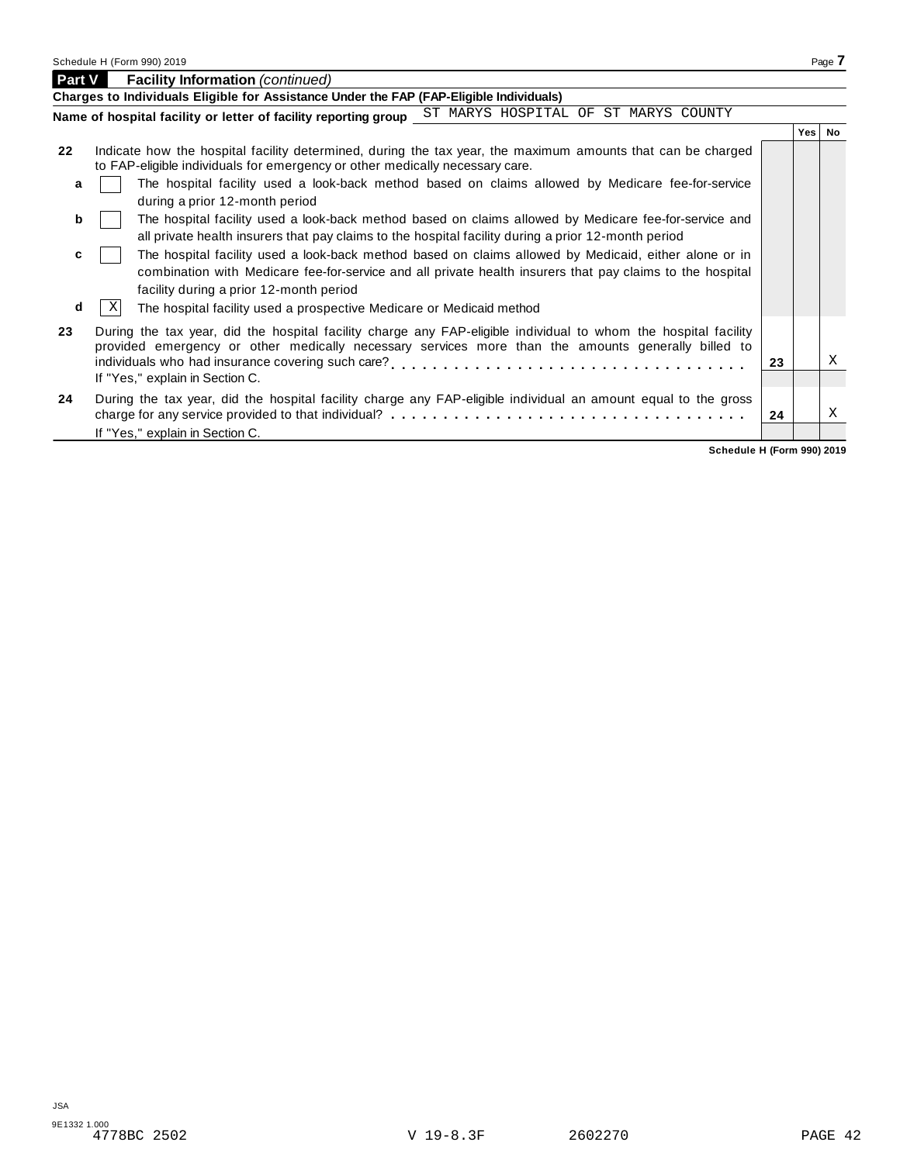| <b>Part V</b> | <b>Facility Information (continued)</b>                                                                                                                                                                                                                                                                       |    |     |           |
|---------------|---------------------------------------------------------------------------------------------------------------------------------------------------------------------------------------------------------------------------------------------------------------------------------------------------------------|----|-----|-----------|
|               | Charges to Individuals Eligible for Assistance Under the FAP (FAP-Eligible Individuals)                                                                                                                                                                                                                       |    |     |           |
|               | ST MARYS HOSPITAL OF ST MARYS COUNTY<br>Name of hospital facility or letter of facility reporting group                                                                                                                                                                                                       |    |     |           |
|               |                                                                                                                                                                                                                                                                                                               |    | Yes | <b>No</b> |
| 22            | Indicate how the hospital facility determined, during the tax year, the maximum amounts that can be charged<br>to FAP-eligible individuals for emergency or other medically necessary care.                                                                                                                   |    |     |           |
| a             | The hospital facility used a look-back method based on claims allowed by Medicare fee-for-service<br>during a prior 12-month period                                                                                                                                                                           |    |     |           |
| b             | The hospital facility used a look-back method based on claims allowed by Medicare fee-for-service and<br>all private health insurers that pay claims to the hospital facility during a prior 12-month period                                                                                                  |    |     |           |
| c             | The hospital facility used a look-back method based on claims allowed by Medicaid, either alone or in<br>combination with Medicare fee-for-service and all private health insurers that pay claims to the hospital<br>facility during a prior 12-month period                                                 |    |     |           |
| d             | X<br>The hospital facility used a prospective Medicare or Medicaid method                                                                                                                                                                                                                                     |    |     |           |
| 23            | During the tax year, did the hospital facility charge any FAP-eligible individual to whom the hospital facility<br>provided emergency or other medically necessary services more than the amounts generally billed to<br>individuals who had insurance covering such care?<br>If "Yes," explain in Section C. | 23 |     | X         |
| 24            | During the tax year, did the hospital facility charge any FAP-eligible individual an amount equal to the gross<br>If "Yes," explain in Section C.                                                                                                                                                             | 24 |     | X         |

**Schedule H (Form 990) 2019**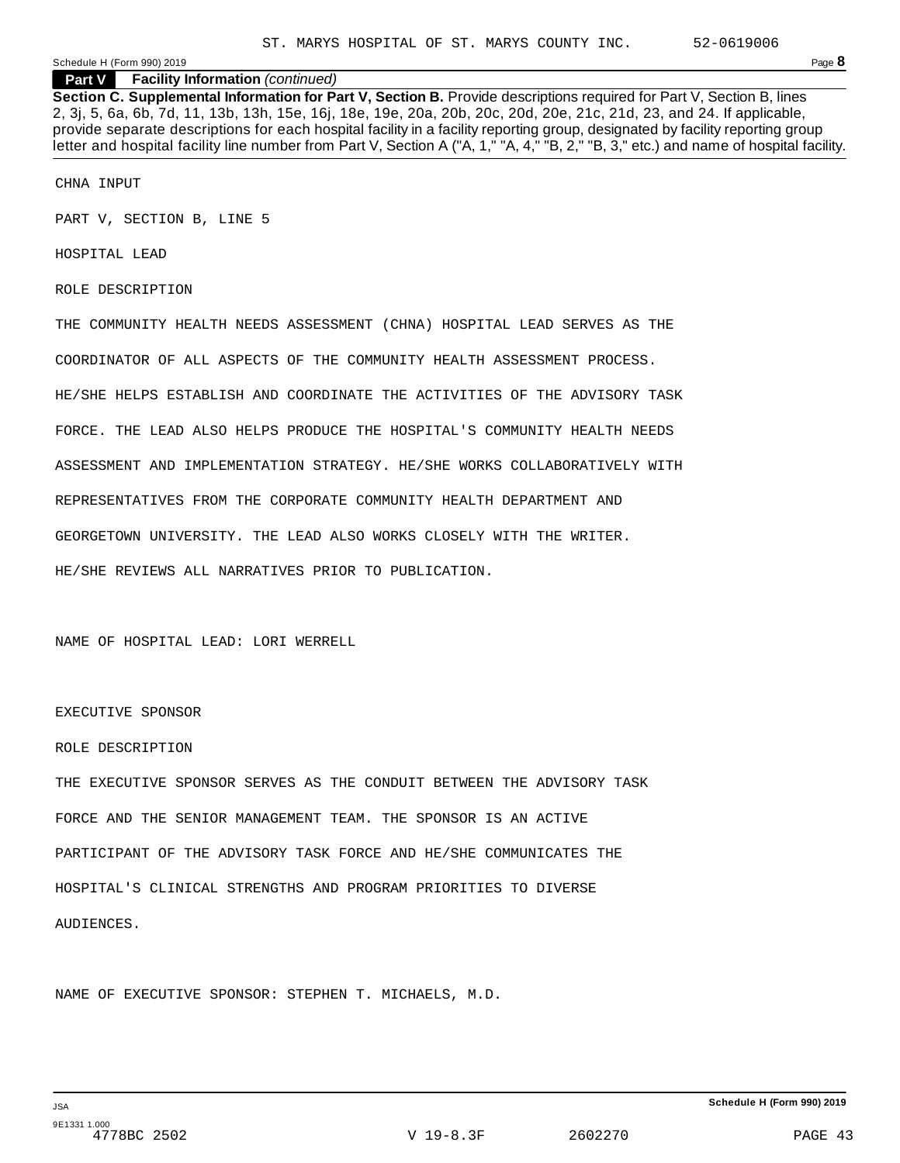**Section C. Supplemental Information for Part V, Section B.** Provide descriptions required for Part V, Section B, lines 2, 3j, 5, 6a, 6b, 7d, 11, 13b, 13h, 15e, 16j, 18e, 19e, 20a, 20b, 20c, 20d, 20e, 21c, 21d, 23, and 24. If applicable, provide separate descriptions for each hospital facility in a facility reporting group, designated by facility reporting group letter and hospital facility line number from Part V, Section A ("A, 1," "A, 4," "B, 2," "B, 3," etc.) and name of hospital facility.

CHNA INPUT

PART V, SECTION B, LINE 5

HOSPITAL LEAD

ROLE DESCRIPTION

THE COMMUNITY HEALTH NEEDS ASSESSMENT (CHNA) HOSPITAL LEAD SERVES AS THE COORDINATOR OF ALL ASPECTS OF THE COMMUNITY HEALTH ASSESSMENT PROCESS. HE/SHE HELPS ESTABLISH AND COORDINATE THE ACTIVITIES OF THE ADVISORY TASK FORCE. THE LEAD ALSO HELPS PRODUCE THE HOSPITAL'S COMMUNITY HEALTH NEEDS ASSESSMENT AND IMPLEMENTATION STRATEGY. HE/SHE WORKS COLLABORATIVELY WITH REPRESENTATIVES FROM THE CORPORATE COMMUNITY HEALTH DEPARTMENT AND GEORGETOWN UNIVERSITY. THE LEAD ALSO WORKS CLOSELY WITH THE WRITER. HE/SHE REVIEWS ALL NARRATIVES PRIOR TO PUBLICATION.

NAME OF HOSPITAL LEAD: LORI WERRELL

EXECUTIVE SPONSOR

#### ROLE DESCRIPTION

THE EXECUTIVE SPONSOR SERVES AS THE CONDUIT BETWEEN THE ADVISORY TASK FORCE AND THE SENIOR MANAGEMENT TEAM. THE SPONSOR IS AN ACTIVE PARTICIPANT OF THE ADVISORY TASK FORCE AND HE/SHE COMMUNICATES THE HOSPITAL'S CLINICAL STRENGTHS AND PROGRAM PRIORITIES TO DIVERSE AUDIENCES.

NAME OF EXECUTIVE SPONSOR: STEPHEN T. MICHAELS, M.D.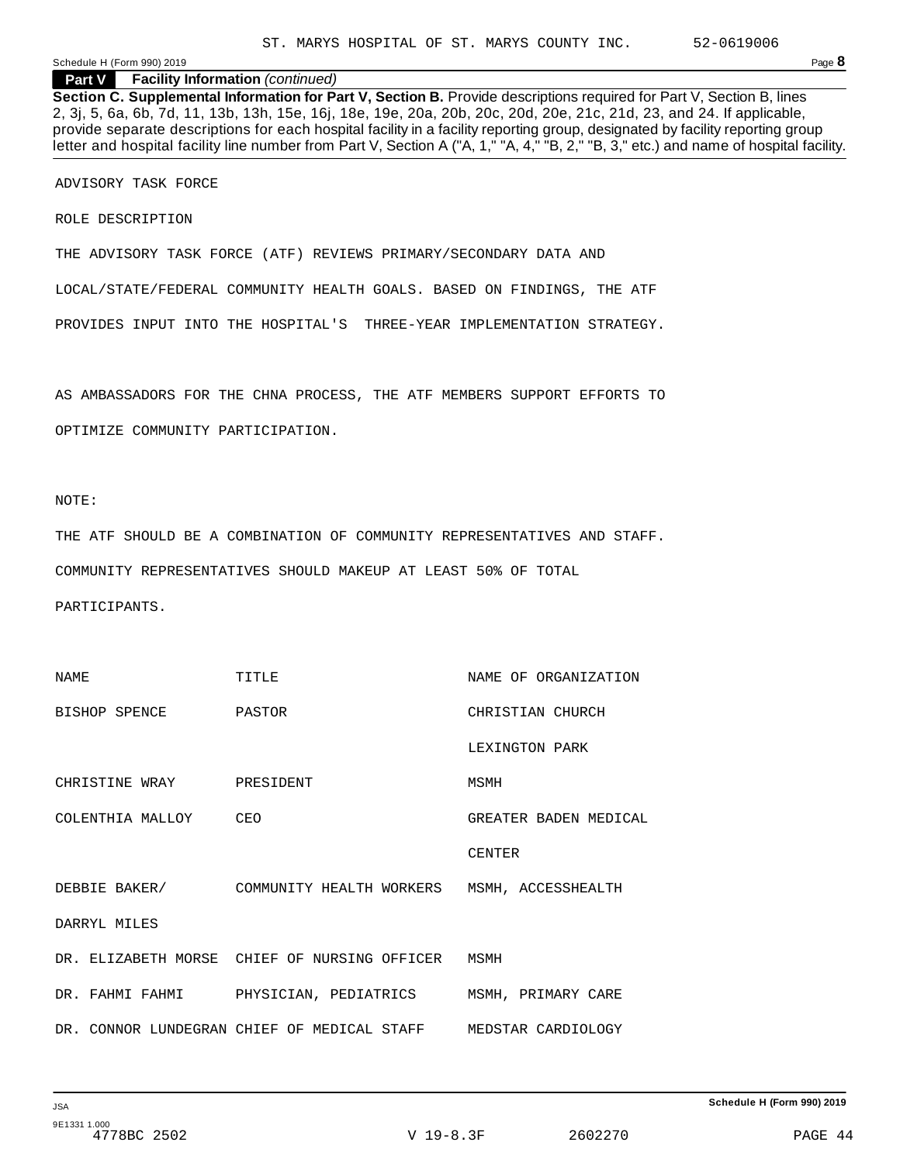# **Part V Facility Information** *(continued)*

**Section C. Supplemental Information for Part V, Section B.** Provide descriptions required for Part V, Section B, lines 2, 3j, 5, 6a, 6b, 7d, 11, 13b, 13h, 15e, 16j, 18e, 19e, 20a, 20b, 20c, 20d, 20e, 21c, 21d, 23, and 24. If applicable, provide separate descriptions for each hospital facility in a facility reporting group, designated by facility reporting group letter and hospital facility line number from Part V, Section A ("A, 1," "A, 4," "B, 2," "B, 3," etc.) and name of hospital facility.

ADVISORY TASK FORCE

ROLE DESCRIPTION

THE ADVISORY TASK FORCE (ATF) REVIEWS PRIMARY/SECONDARY DATA AND

LOCAL/STATE/FEDERAL COMMUNITY HEALTH GOALS. BASED ON FINDINGS, THE ATF

PROVIDES INPUT INTO THE HOSPITAL'S THREE-YEAR IMPLEMENTATION STRATEGY.

AS AMBASSADORS FOR THE CHNA PROCESS, THE ATF MEMBERS SUPPORT EFFORTS TO

OPTIMIZE COMMUNITY PARTICIPATION.

NOTE:

THE ATF SHOULD BE A COMBINATION OF COMMUNITY REPRESENTATIVES AND STAFF.

COMMUNITY REPRESENTATIVES SHOULD MAKEUP AT LEAST 50% OF TOTAL

PARTICIPANTS.

| NAME                     | TTTLE                                                           | NAME OF ORGANIZATION  |
|--------------------------|-----------------------------------------------------------------|-----------------------|
| BISHOP SPENCE PASTOR     |                                                                 | CHRISTIAN CHURCH      |
|                          |                                                                 | LEXINGTON PARK        |
| CHRISTINE WRAY PRESIDENT |                                                                 | MSMH                  |
| COLENTHIA MALLOY CEO     |                                                                 | GREATER BADEN MEDICAL |
|                          |                                                                 | <b>CENTER</b>         |
|                          | DEBBIE BAKER/ COMMUNITY HEALTH WORKERS MSMH, ACCESSHEALTH       |                       |
| DARRYI, MILES            |                                                                 |                       |
|                          | DR. ELIZABETH MORSE CHIEF OF NURSING OFFICER MSMH               |                       |
|                          | DR. FAHMI FAHMI     PHYSICIAN, PEDIATRICS    MSMH, PRIMARY CARE |                       |
|                          | DR. CONNOR LUNDEGRAN CHIEF OF MEDICAL STAFF MEDSTAR CARDIOLOGY  |                       |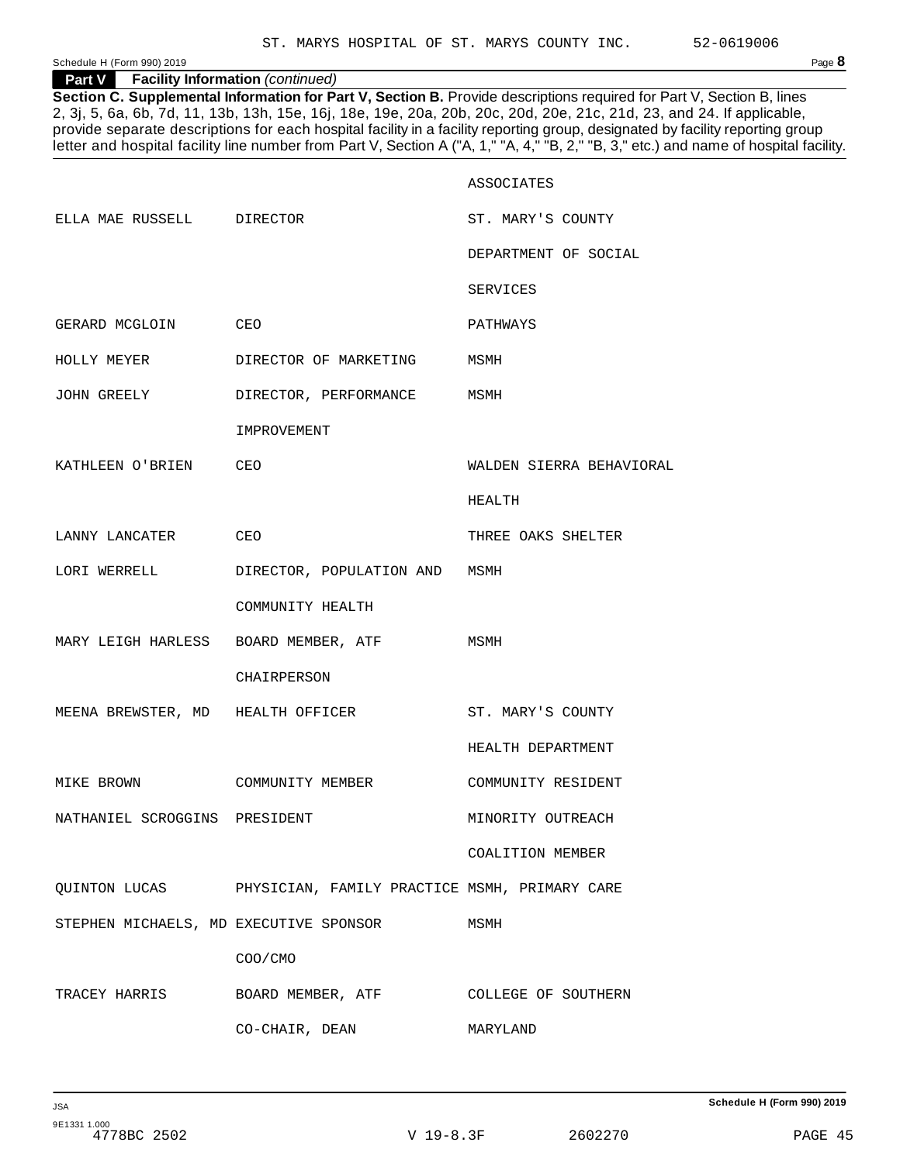# **Part V Facility Information** *(continued)*

**Section C. Supplemental Information for Part V, Section B.** Provide descriptions required for Part V, Section B, lines 2, 3j, 5, 6a, 6b, 7d, 11, 13b, 13h, 15e, 16j, 18e, 19e, 20a, 20b, 20c, 20d, 20e, 21c, 21d, 23, and 24. If applicable, provide separate descriptions for each hospital facility in a facility reporting group, designated by facility reporting group letter and hospital facility line number from Part V, Section A ("A, 1," "A, 4," "B, 2," "B, 3," etc.) and name of hospital facility.

|                                        |                                                                         | ASSOCIATES               |
|----------------------------------------|-------------------------------------------------------------------------|--------------------------|
| ELLA MAE RUSSELL DIRECTOR              |                                                                         | ST. MARY'S COUNTY        |
|                                        |                                                                         | DEPARTMENT OF SOCIAL     |
|                                        |                                                                         | SERVICES                 |
| GERARD MCGLOIN CEO                     |                                                                         | PATHWAYS                 |
| HOLLY MEYER                            | DIRECTOR OF MARKETING MSMH                                              |                          |
| JOHN GREELY                            | DIRECTOR, PERFORMANCE MSMH                                              |                          |
|                                        | IMPROVEMENT                                                             |                          |
| KATHLEEN O'BRIEN CEO                   |                                                                         | WALDEN SIERRA BEHAVIORAL |
|                                        |                                                                         | HEALTH                   |
| LANNY LANCATER CEO                     |                                                                         | THREE OAKS SHELTER       |
| LORI WERRELL                           | DIRECTOR, POPULATION AND MSMH                                           |                          |
|                                        | COMMUNITY HEALTH                                                        |                          |
| MARY LEIGH HARLESS BOARD MEMBER, ATF   |                                                                         | MSMH                     |
|                                        | CHAIRPERSON                                                             |                          |
| MEENA BREWSTER, MD HEALTH OFFICER      |                                                                         | ST. MARY'S COUNTY        |
|                                        |                                                                         | HEALTH DEPARTMENT        |
| MIKE BROWN                             | COMMUNITY MEMBER                                                        | COMMUNITY RESIDENT       |
| NATHANIEL SCROGGINS PRESIDENT          |                                                                         | MINORITY OUTREACH        |
|                                        |                                                                         | COALITION MEMBER         |
|                                        | QUINTON LUCAS PHYSICIAN, FAMILY PRACTICE MSMH, PRIMARY CARE             |                          |
| STEPHEN MICHAELS, MD EXECUTIVE SPONSOR |                                                                         | MSMH                     |
|                                        | COO/CMO                                                                 |                          |
|                                        | TRACEY HARRIS          BOARD MEMBER, ATF            COLLEGE OF SOUTHERN |                          |
|                                        | CO-CHAIR, DEAN                                                          | MARYLAND                 |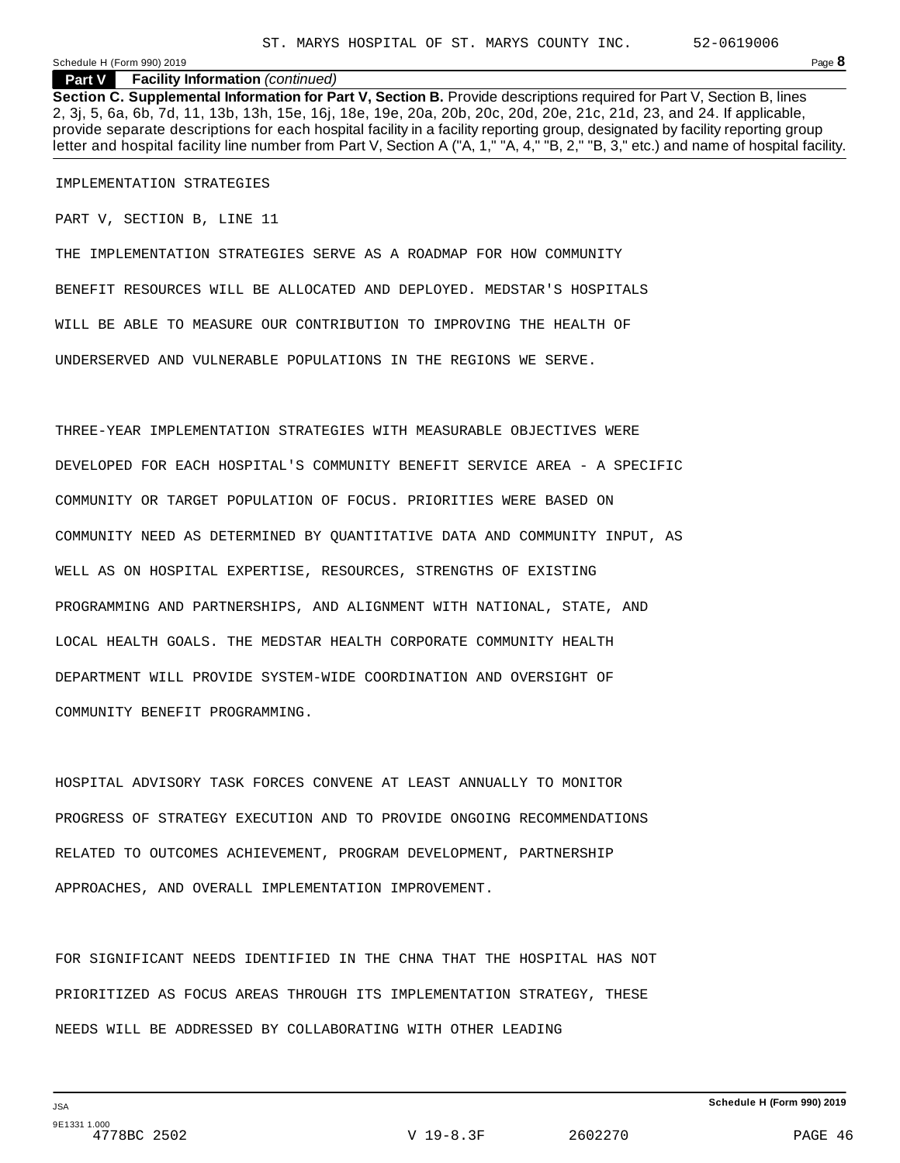#### **Part V Facility Information** *(continued)*

**Section C. Supplemental Information for Part V, Section B.** Provide descriptions required for Part V, Section B, lines 2, 3j, 5, 6a, 6b, 7d, 11, 13b, 13h, 15e, 16j, 18e, 19e, 20a, 20b, 20c, 20d, 20e, 21c, 21d, 23, and 24. If applicable, provide separate descriptions for each hospital facility in a facility reporting group, designated by facility reporting group letter and hospital facility line number from Part V, Section A ("A, 1," "A, 4," "B, 2," "B, 3," etc.) and name of hospital facility.

IMPLEMENTATION STRATEGIES

PART V, SECTION B, LINE 11

THE IMPLEMENTATION STRATEGIES SERVE AS A ROADMAP FOR HOW COMMUNITY BENEFIT RESOURCES WILL BE ALLOCATED AND DEPLOYED. MEDSTAR'S HOSPITALS WILL BE ABLE TO MEASURE OUR CONTRIBUTION TO IMPROVING THE HEALTH OF UNDERSERVED AND VULNERABLE POPULATIONS IN THE REGIONS WE SERVE.

THREE-YEAR IMPLEMENTATION STRATEGIES WITH MEASURABLE OBJECTIVES WERE DEVELOPED FOR EACH HOSPITAL'S COMMUNITY BENEFIT SERVICE AREA - A SPECIFIC COMMUNITY OR TARGET POPULATION OF FOCUS. PRIORITIES WERE BASED ON COMMUNITY NEED AS DETERMINED BY QUANTITATIVE DATA AND COMMUNITY INPUT, AS WELL AS ON HOSPITAL EXPERTISE, RESOURCES, STRENGTHS OF EXISTING PROGRAMMING AND PARTNERSHIPS, AND ALIGNMENT WITH NATIONAL, STATE, AND LOCAL HEALTH GOALS. THE MEDSTAR HEALTH CORPORATE COMMUNITY HEALTH DEPARTMENT WILL PROVIDE SYSTEM-WIDE COORDINATION AND OVERSIGHT OF COMMUNITY BENEFIT PROGRAMMING.

HOSPITAL ADVISORY TASK FORCES CONVENE AT LEAST ANNUALLY TO MONITOR PROGRESS OF STRATEGY EXECUTION AND TO PROVIDE ONGOING RECOMMENDATIONS RELATED TO OUTCOMES ACHIEVEMENT, PROGRAM DEVELOPMENT, PARTNERSHIP APPROACHES, AND OVERALL IMPLEMENTATION IMPROVEMENT.

FOR SIGNIFICANT NEEDS IDENTIFIED IN THE CHNA THAT THE HOSPITAL HAS NOT PRIORITIZED AS FOCUS AREAS THROUGH ITS IMPLEMENTATION STRATEGY, THESE NEEDS WILL BE ADDRESSED BY COLLABORATING WITH OTHER LEADING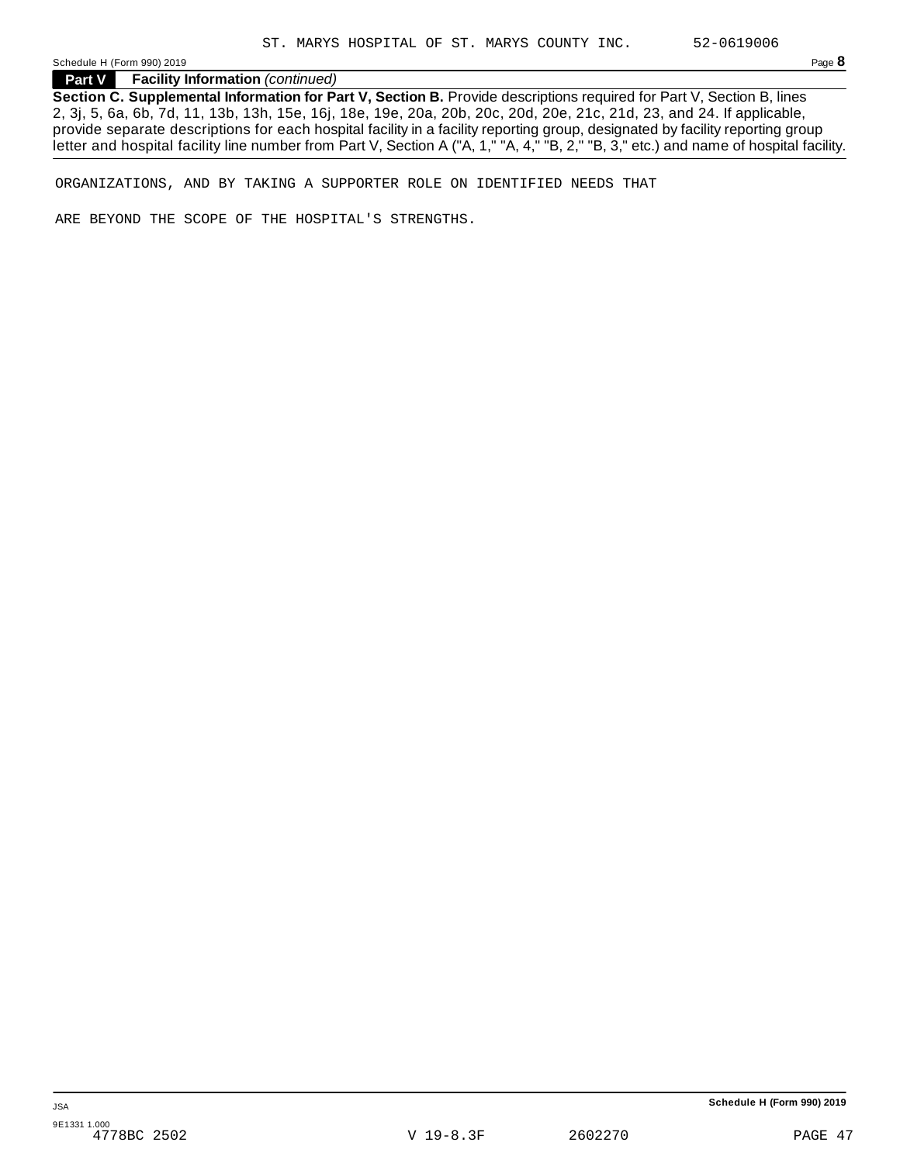**Part V Facility Information** *(continued)*

**Section C. Supplemental Information for Part V, Section B.** Provide descriptions required for Part V, Section B, lines 2, 3j, 5, 6a, 6b, 7d, 11, 13b, 13h, 15e, 16j, 18e, 19e, 20a, 20b, 20c, 20d, 20e, 21c, 21d, 23, and 24. If applicable, provide separate descriptions for each hospital facility in a facility reporting group, designated by facility reporting group letter and hospital facility line number from Part V, Section A ("A, 1," "A, 4," "B, 2," "B, 3," etc.) and name of hospital facility.

ORGANIZATIONS, AND BY TAKING A SUPPORTER ROLE ON IDENTIFIED NEEDS THAT

ARE BEYOND THE SCOPE OF THE HOSPITAL'S STRENGTHS.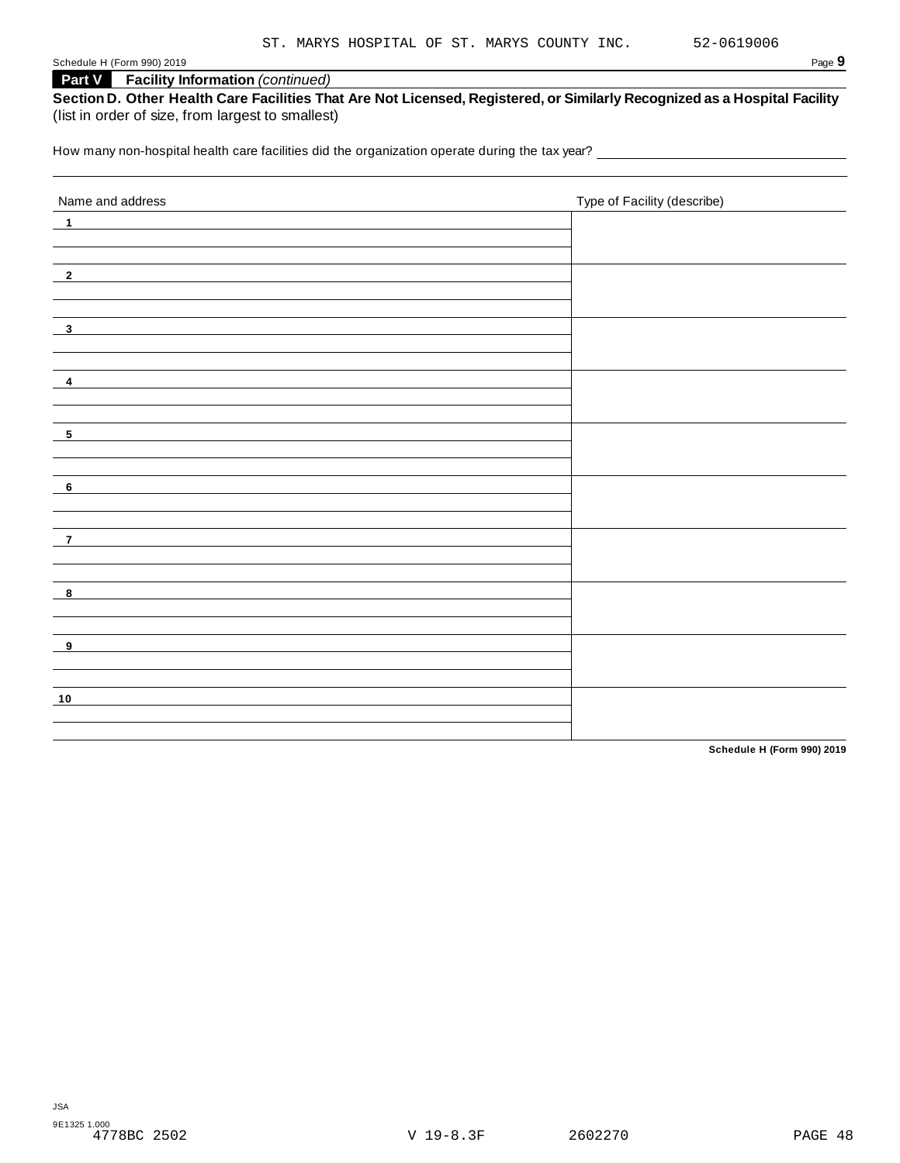# **Part V Facility Information** *(continued)*

|                                                   | Section D. Other Health Care Facilities That Are Not Licensed, Registered, or Similarly Recognized as a Hospital Facility |
|---------------------------------------------------|---------------------------------------------------------------------------------------------------------------------------|
| (list in order of size, from largest to smallest) |                                                                                                                           |

How many non-hospital health care facilities did the organization operate during the tax year? \_\_\_\_\_\_\_\_\_\_\_\_\_\_

| Name and address           | Type of Facility (describe) |
|----------------------------|-----------------------------|
| $\blacksquare$             |                             |
|                            |                             |
|                            |                             |
| $\overline{\phantom{0}2}$  |                             |
|                            |                             |
| $\overline{\mathbf{3}}$    |                             |
|                            |                             |
|                            |                             |
| $\overline{\mathbf{4}}$    |                             |
|                            |                             |
| $\overline{\phantom{0}}$   |                             |
|                            |                             |
|                            |                             |
| $\overline{\phantom{0}}$ 6 |                             |
|                            |                             |
| $\overline{7}$             |                             |
|                            |                             |
|                            |                             |
| $\overline{\mathbf{8}}$    |                             |
|                            |                             |
| $_{-9}$                    |                             |
|                            |                             |
|                            |                             |
| 10                         |                             |
|                            |                             |

**Schedule H (Form 990) 2019**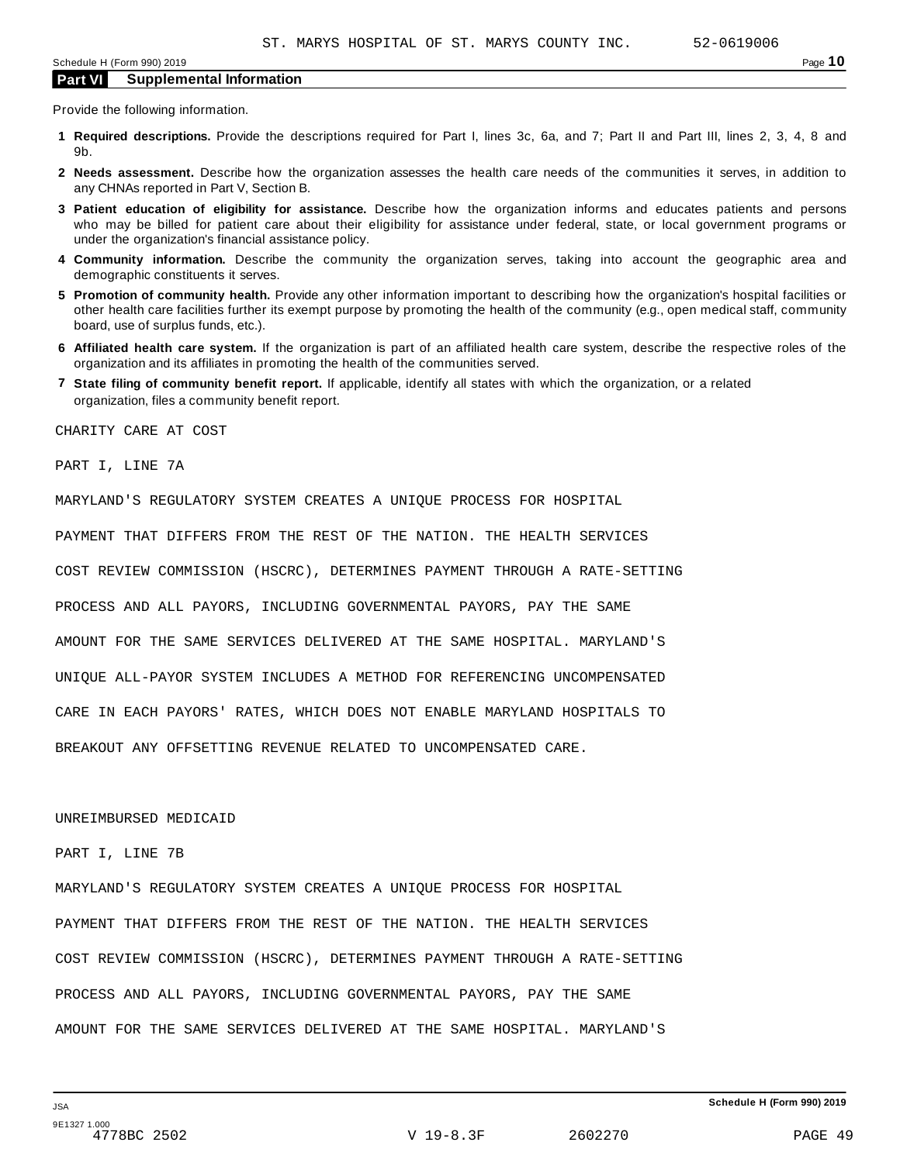Provide the following information.

- **1 Required descriptions.** Provide the descriptions required for Part I, lines 3c, 6a, and 7; Part II and Part III, lines 2, 3, 4, 8 and 9b.
- **2 Needs assessment.** Describe how the organization assesses the health care needs of the communities it serves, in addition to any CHNAs reported in Part V, Section B.
- **3 Patient education of eligibility for assistance.** Describe how the organization informs and educates patients and persons who may be billed for patient care about their eligibility for assistance under federal, state, or local government programs or under the organization's financial assistance policy.
- **4 Community information.** Describe the community the organization serves, taking into account the geographic area and demographic constituents it serves.
- **5 Promotion of community health.** Provide any other information important to describing how the organization's hospital facilities or other health care facilities further its exempt purpose by promoting the health of the community (e.g., open medical staff, community board, use of surplus funds, etc.).
- **6 Affiliated health care system.** If the organization is part of an affiliated health care system, describe the respective roles of the organization and its affiliates in promoting the health of the communities served.
- **7 State filing of community benefit report.** If applicable, identify all states with which the organization, or a related organization, files a community benefit report.

CHARITY CARE AT COST

PART I, LINE 7A

MARYLAND'S REGULATORY SYSTEM CREATES A UNIQUE PROCESS FOR HOSPITAL

PAYMENT THAT DIFFERS FROM THE REST OF THE NATION. THE HEALTH SERVICES

COST REVIEW COMMISSION (HSCRC), DETERMINES PAYMENT THROUGH A RATE-SETTING

PROCESS AND ALL PAYORS, INCLUDING GOVERNMENTAL PAYORS, PAY THE SAME

AMOUNT FOR THE SAME SERVICES DELIVERED AT THE SAME HOSPITAL. MARYLAND'S

UNIQUE ALL-PAYOR SYSTEM INCLUDES A METHOD FOR REFERENCING UNCOMPENSATED

CARE IN EACH PAYORS' RATES, WHICH DOES NOT ENABLE MARYLAND HOSPITALS TO

BREAKOUT ANY OFFSETTING REVENUE RELATED TO UNCOMPENSATED CARE.

UNREIMBURSED MEDICAID

#### PART I, LINE 7B

MARYLAND'S REGULATORY SYSTEM CREATES A UNIQUE PROCESS FOR HOSPITAL PAYMENT THAT DIFFERS FROM THE REST OF THE NATION. THE HEALTH SERVICES COST REVIEW COMMISSION (HSCRC), DETERMINES PAYMENT THROUGH A RATE-SETTING PROCESS AND ALL PAYORS, INCLUDING GOVERNMENTAL PAYORS, PAY THE SAME AMOUNT FOR THE SAME SERVICES DELIVERED AT THE SAME HOSPITAL. MARYLAND'S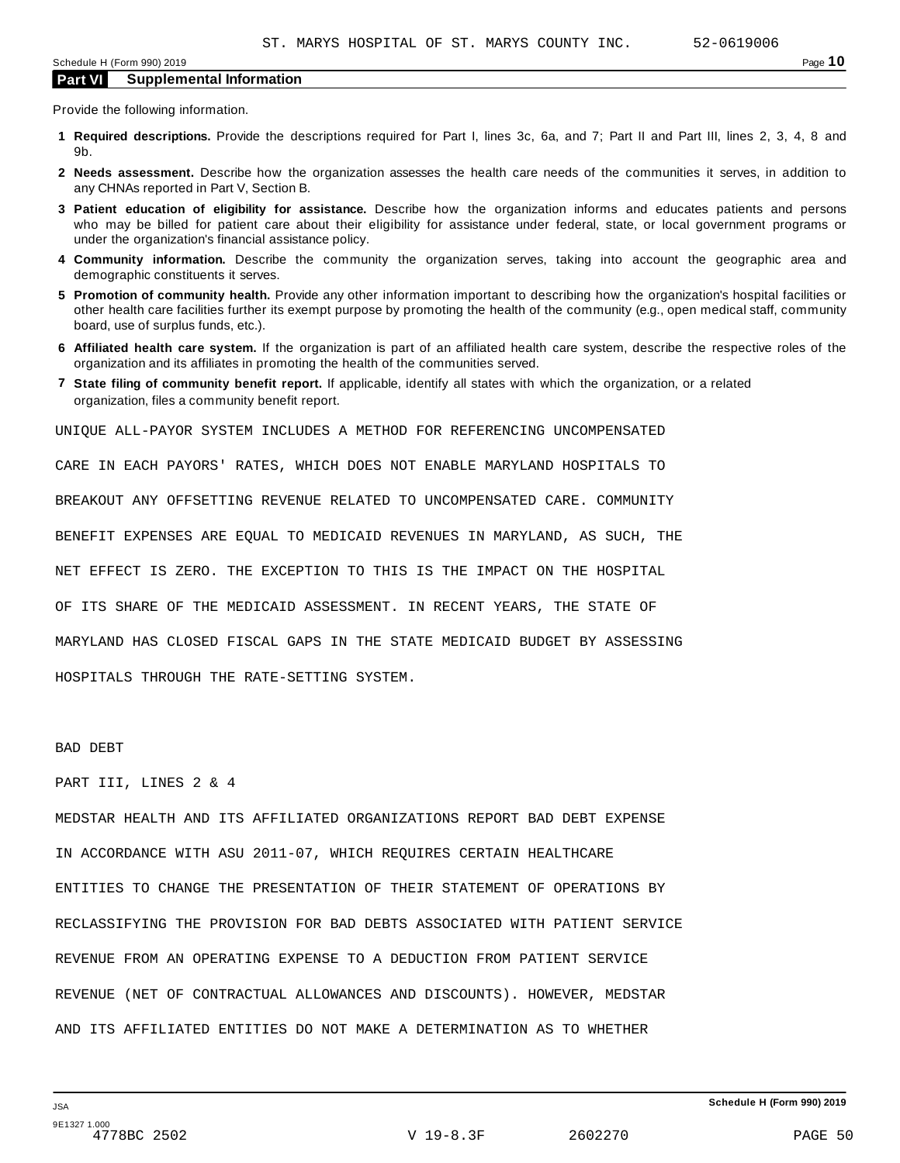Provide the following information.

- **1 Required descriptions.** Provide the descriptions required for Part I, lines 3c, 6a, and 7; Part II and Part III, lines 2, 3, 4, 8 and 9b.
- **2 Needs assessment.** Describe how the organization assesses the health care needs of the communities it serves, in addition to any CHNAs reported in Part V, Section B.
- **3 Patient education of eligibility for assistance.** Describe how the organization informs and educates patients and persons who may be billed for patient care about their eligibility for assistance under federal, state, or local government programs or under the organization's financial assistance policy.
- **4 Community information.** Describe the community the organization serves, taking into account the geographic area and demographic constituents it serves.
- **5 Promotion of community health.** Provide any other information important to describing how the organization's hospital facilities or other health care facilities further its exempt purpose by promoting the health of the community (e.g., open medical staff, community board, use of surplus funds, etc.).
- **6 Affiliated health care system.** If the organization is part of an affiliated health care system, describe the respective roles of the organization and its affiliates in promoting the health of the communities served.
- **7 State filing of community benefit report.** If applicable, identify all states with which the organization, or a related organization, files a community benefit report.

UNIQUE ALL-PAYOR SYSTEM INCLUDES A METHOD FOR REFERENCING UNCOMPENSATED

CARE IN EACH PAYORS' RATES, WHICH DOES NOT ENABLE MARYLAND HOSPITALS TO

BREAKOUT ANY OFFSETTING REVENUE RELATED TO UNCOMPENSATED CARE. COMMUNITY

BENEFIT EXPENSES ARE EQUAL TO MEDICAID REVENUES IN MARYLAND, AS SUCH, THE

NET EFFECT IS ZERO. THE EXCEPTION TO THIS IS THE IMPACT ON THE HOSPITAL

OF ITS SHARE OF THE MEDICAID ASSESSMENT. IN RECENT YEARS, THE STATE OF

MARYLAND HAS CLOSED FISCAL GAPS IN THE STATE MEDICAID BUDGET BY ASSESSING

HOSPITALS THROUGH THE RATE-SETTING SYSTEM.

BAD DEBT

PART III, LINES 2 & 4

MEDSTAR HEALTH AND ITS AFFILIATED ORGANIZATIONS REPORT BAD DEBT EXPENSE IN ACCORDANCE WITH ASU 2011-07, WHICH REQUIRES CERTAIN HEALTHCARE ENTITIES TO CHANGE THE PRESENTATION OF THEIR STATEMENT OF OPERATIONS BY RECLASSIFYING THE PROVISION FOR BAD DEBTS ASSOCIATED WITH PATIENT SERVICE REVENUE FROM AN OPERATING EXPENSE TO A DEDUCTION FROM PATIENT SERVICE REVENUE (NET OF CONTRACTUAL ALLOWANCES AND DISCOUNTS). HOWEVER, MEDSTAR AND ITS AFFILIATED ENTITIES DO NOT MAKE A DETERMINATION AS TO WHETHER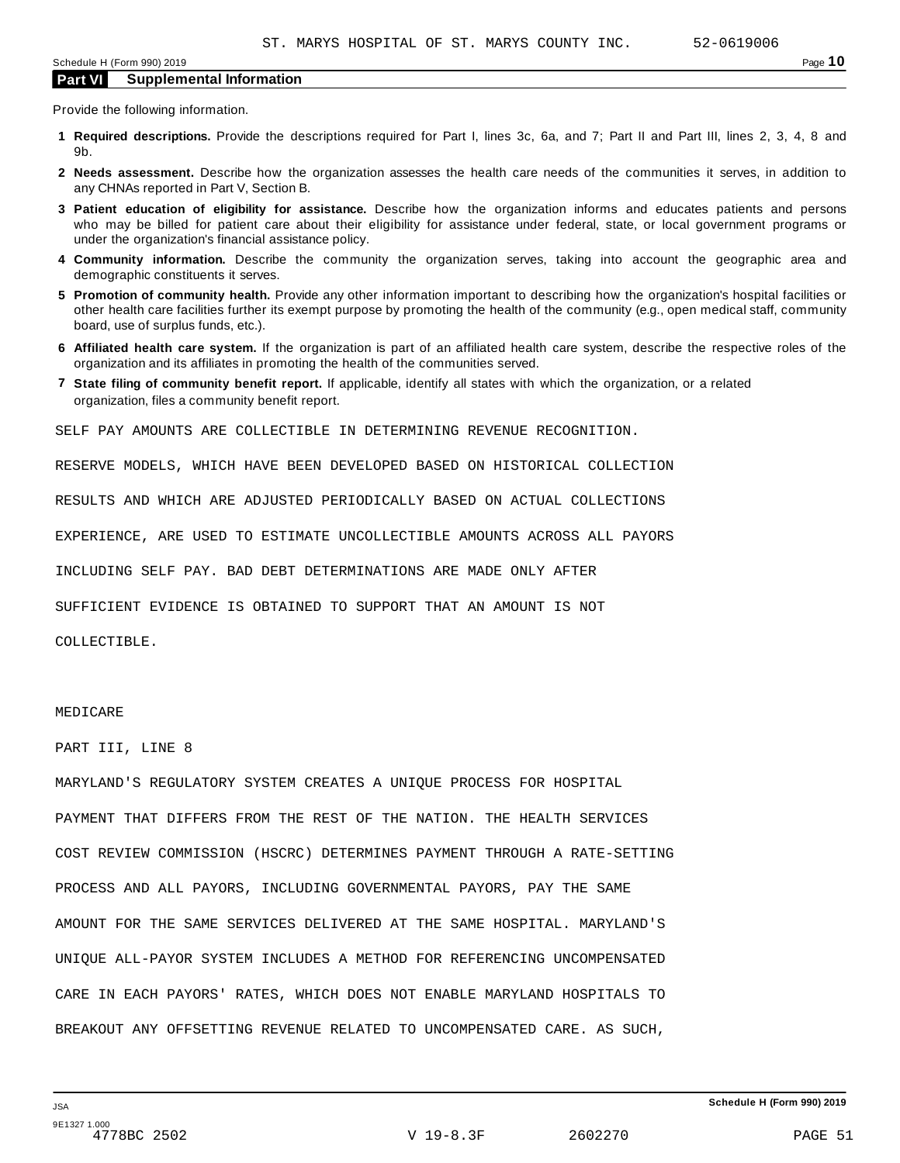Provide the following information.

- **1 Required descriptions.** Provide the descriptions required for Part I, lines 3c, 6a, and 7; Part II and Part III, lines 2, 3, 4, 8 and 9b.
- **2 Needs assessment.** Describe how the organization assesses the health care needs of the communities it serves, in addition to any CHNAs reported in Part V, Section B.
- **3 Patient education of eligibility for assistance.** Describe how the organization informs and educates patients and persons who may be billed for patient care about their eligibility for assistance under federal, state, or local government programs or under the organization's financial assistance policy.
- **4 Community information.** Describe the community the organization serves, taking into account the geographic area and demographic constituents it serves.
- **5 Promotion of community health.** Provide any other information important to describing how the organization's hospital facilities or other health care facilities further its exempt purpose by promoting the health of the community (e.g., open medical staff, community board, use of surplus funds, etc.).
- **6 Affiliated health care system.** If the organization is part of an affiliated health care system, describe the respective roles of the organization and its affiliates in promoting the health of the communities served.
- **7 State filing of community benefit report.** If applicable, identify all states with which the organization, or a related organization, files a community benefit report.

SELF PAY AMOUNTS ARE COLLECTIBLE IN DETERMINING REVENUE RECOGNITION.

RESERVE MODELS, WHICH HAVE BEEN DEVELOPED BASED ON HISTORICAL COLLECTION

RESULTS AND WHICH ARE ADJUSTED PERIODICALLY BASED ON ACTUAL COLLECTIONS

EXPERIENCE, ARE USED TO ESTIMATE UNCOLLECTIBLE AMOUNTS ACROSS ALL PAYORS

INCLUDING SELF PAY. BAD DEBT DETERMINATIONS ARE MADE ONLY AFTER

SUFFICIENT EVIDENCE IS OBTAINED TO SUPPORT THAT AN AMOUNT IS NOT

COLLECTIBLE.

#### MEDICARE

PART III, LINE 8

MARYLAND'S REGULATORY SYSTEM CREATES A UNIQUE PROCESS FOR HOSPITAL PAYMENT THAT DIFFERS FROM THE REST OF THE NATION. THE HEALTH SERVICES COST REVIEW COMMISSION (HSCRC) DETERMINES PAYMENT THROUGH A RATE-SETTING PROCESS AND ALL PAYORS, INCLUDING GOVERNMENTAL PAYORS, PAY THE SAME AMOUNT FOR THE SAME SERVICES DELIVERED AT THE SAME HOSPITAL. MARYLAND'S UNIQUE ALL-PAYOR SYSTEM INCLUDES A METHOD FOR REFERENCING UNCOMPENSATED CARE IN EACH PAYORS' RATES, WHICH DOES NOT ENABLE MARYLAND HOSPITALS TO BREAKOUT ANY OFFSETTING REVENUE RELATED TO UNCOMPENSATED CARE. AS SUCH,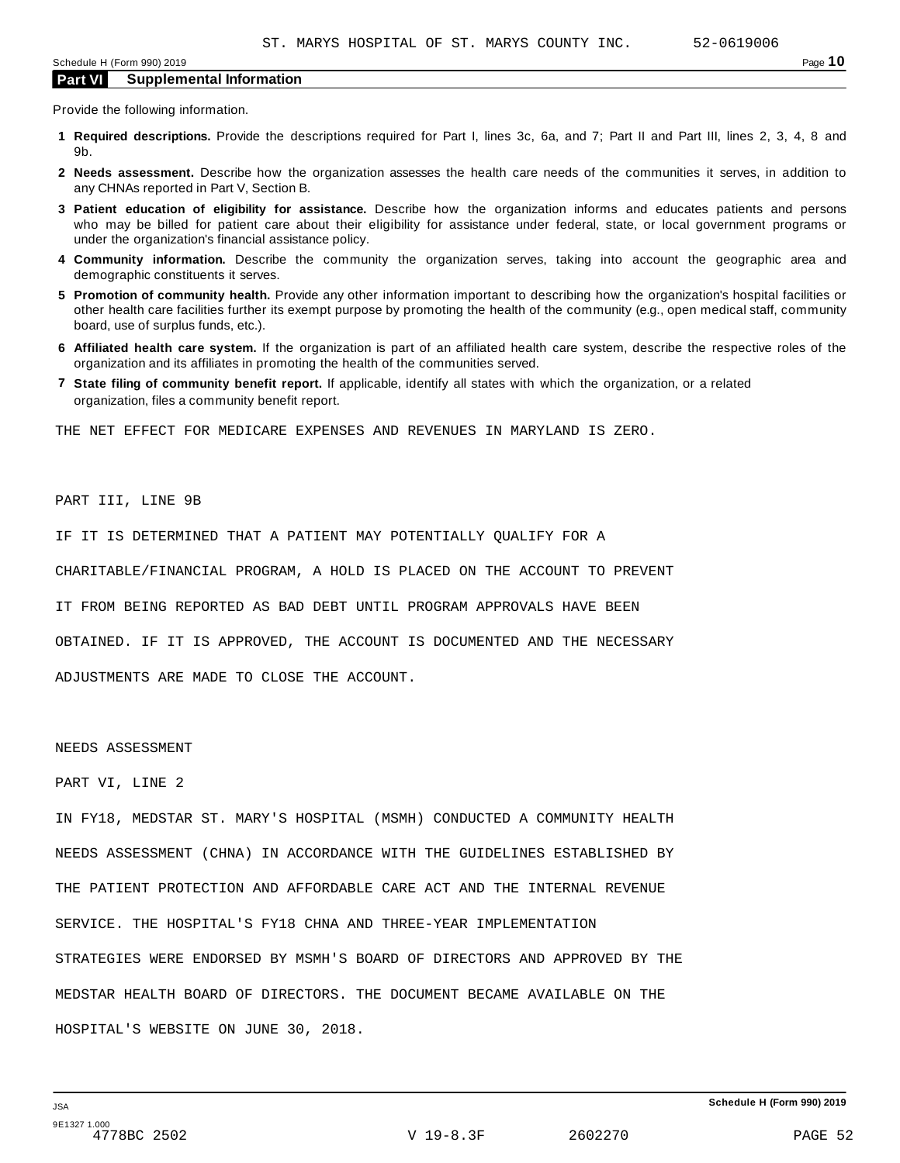Provide the following information.

- **1 Required descriptions.** Provide the descriptions required for Part I, lines 3c, 6a, and 7; Part II and Part III, lines 2, 3, 4, 8 and 9b.
- **2 Needs assessment.** Describe how the organization assesses the health care needs of the communities it serves, in addition to any CHNAs reported in Part V, Section B.
- **3 Patient education of eligibility for assistance.** Describe how the organization informs and educates patients and persons who may be billed for patient care about their eligibility for assistance under federal, state, or local government programs or under the organization's financial assistance policy.
- **4 Community information.** Describe the community the organization serves, taking into account the geographic area and demographic constituents it serves.
- **5 Promotion of community health.** Provide any other information important to describing how the organization's hospital facilities or other health care facilities further its exempt purpose by promoting the health of the community (e.g., open medical staff, community board, use of surplus funds, etc.).
- **6 Affiliated health care system.** If the organization is part of an affiliated health care system, describe the respective roles of the organization and its affiliates in promoting the health of the communities served.
- **7 State filing of community benefit report.** If applicable, identify all states with which the organization, or a related organization, files a community benefit report.

THE NET EFFECT FOR MEDICARE EXPENSES AND REVENUES IN MARYLAND IS ZERO.

#### PART III, LINE 9B

IF IT IS DETERMINED THAT A PATIENT MAY POTENTIALLY QUALIFY FOR A

CHARITABLE/FINANCIAL PROGRAM, A HOLD IS PLACED ON THE ACCOUNT TO PREVENT

IT FROM BEING REPORTED AS BAD DEBT UNTIL PROGRAM APPROVALS HAVE BEEN

OBTAINED. IF IT IS APPROVED, THE ACCOUNT IS DOCUMENTED AND THE NECESSARY

ADJUSTMENTS ARE MADE TO CLOSE THE ACCOUNT.

#### NEEDS ASSESSMENT

#### PART VI, LINE 2

IN FY18, MEDSTAR ST. MARY'S HOSPITAL (MSMH) CONDUCTED A COMMUNITY HEALTH NEEDS ASSESSMENT (CHNA) IN ACCORDANCE WITH THE GUIDELINES ESTABLISHED BY THE PATIENT PROTECTION AND AFFORDABLE CARE ACT AND THE INTERNAL REVENUE SERVICE. THE HOSPITAL'S FY18 CHNA AND THREE-YEAR IMPLEMENTATION STRATEGIES WERE ENDORSED BY MSMH'S BOARD OF DIRECTORS AND APPROVED BY THE MEDSTAR HEALTH BOARD OF DIRECTORS. THE DOCUMENT BECAME AVAILABLE ON THE HOSPITAL'S WEBSITE ON JUNE 30, 2018.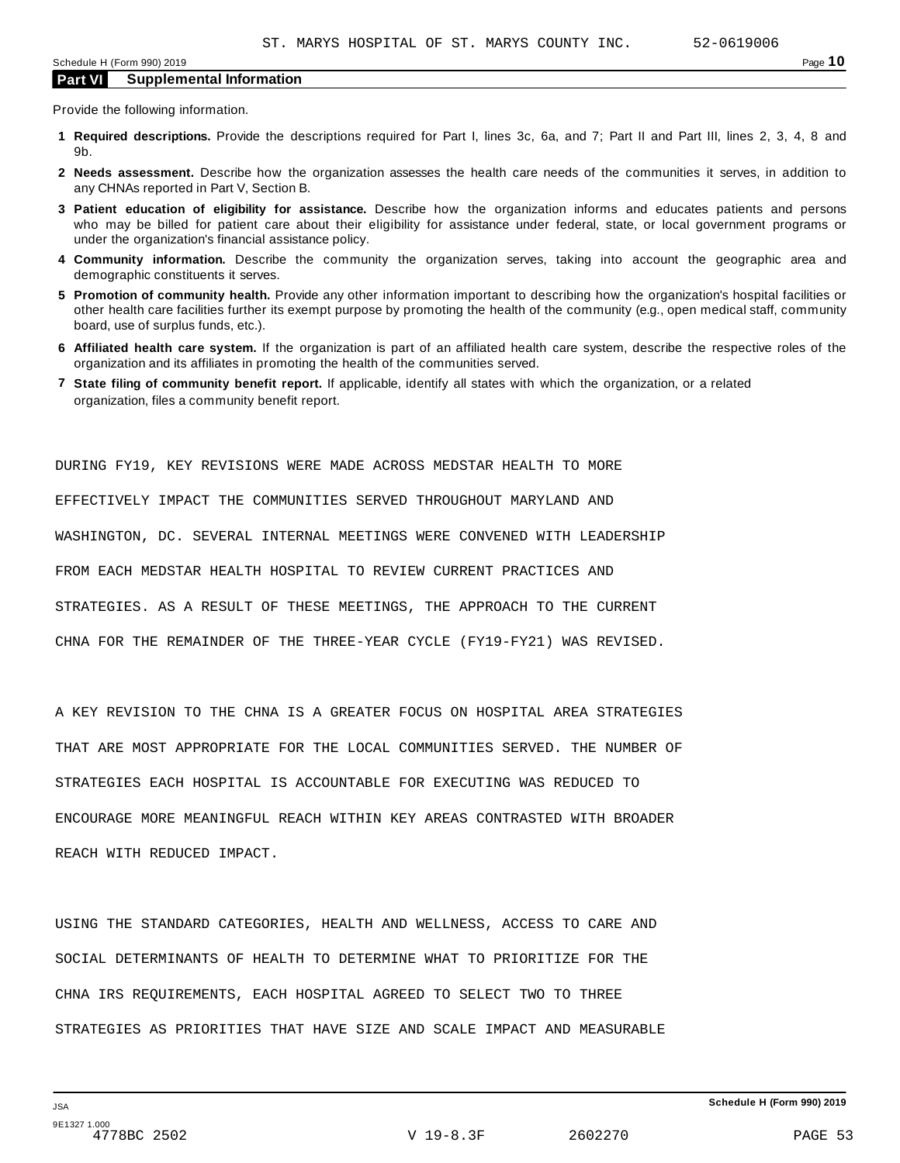Provide the following information.

- **1 Required descriptions.** Provide the descriptions required for Part I, lines 3c, 6a, and 7; Part II and Part III, lines 2, 3, 4, 8 and 9b.
- **2 Needs assessment.** Describe how the organization assesses the health care needs of the communities it serves, in addition to any CHNAs reported in Part V, Section B.
- **3 Patient education of eligibility for assistance.** Describe how the organization informs and educates patients and persons who may be billed for patient care about their eligibility for assistance under federal, state, or local government programs or under the organization's financial assistance policy.
- **4 Community information.** Describe the community the organization serves, taking into account the geographic area and demographic constituents it serves.
- **5 Promotion of community health.** Provide any other information important to describing how the organization's hospital facilities or other health care facilities further its exempt purpose by promoting the health of the community (e.g., open medical staff, community board, use of surplus funds, etc.).
- **6 Affiliated health care system.** If the organization is part of an affiliated health care system, describe the respective roles of the organization and its affiliates in promoting the health of the communities served.
- **7 State filing of community benefit report.** If applicable, identify all states with which the organization, or a related organization, files a community benefit report.

DURING FY19, KEY REVISIONS WERE MADE ACROSS MEDSTAR HEALTH TO MORE EFFECTIVELY IMPACT THE COMMUNITIES SERVED THROUGHOUT MARYLAND AND WASHINGTON, DC. SEVERAL INTERNAL MEETINGS WERE CONVENED WITH LEADERSHIP FROM EACH MEDSTAR HEALTH HOSPITAL TO REVIEW CURRENT PRACTICES AND STRATEGIES. AS A RESULT OF THESE MEETINGS, THE APPROACH TO THE CURRENT CHNA FOR THE REMAINDER OF THE THREE-YEAR CYCLE (FY19-FY21) WAS REVISED.

A KEY REVISION TO THE CHNA IS A GREATER FOCUS ON HOSPITAL AREA STRATEGIES THAT ARE MOST APPROPRIATE FOR THE LOCAL COMMUNITIES SERVED. THE NUMBER OF STRATEGIES EACH HOSPITAL IS ACCOUNTABLE FOR EXECUTING WAS REDUCED TO ENCOURAGE MORE MEANINGFUL REACH WITHIN KEY AREAS CONTRASTED WITH BROADER REACH WITH REDUCED IMPACT.

USING THE STANDARD CATEGORIES, HEALTH AND WELLNESS, ACCESS TO CARE AND SOCIAL DETERMINANTS OF HEALTH TO DETERMINE WHAT TO PRIORITIZE FOR THE CHNA IRS REQUIREMENTS, EACH HOSPITAL AGREED TO SELECT TWO TO THREE STRATEGIES AS PRIORITIES THAT HAVE SIZE AND SCALE IMPACT AND MEASURABLE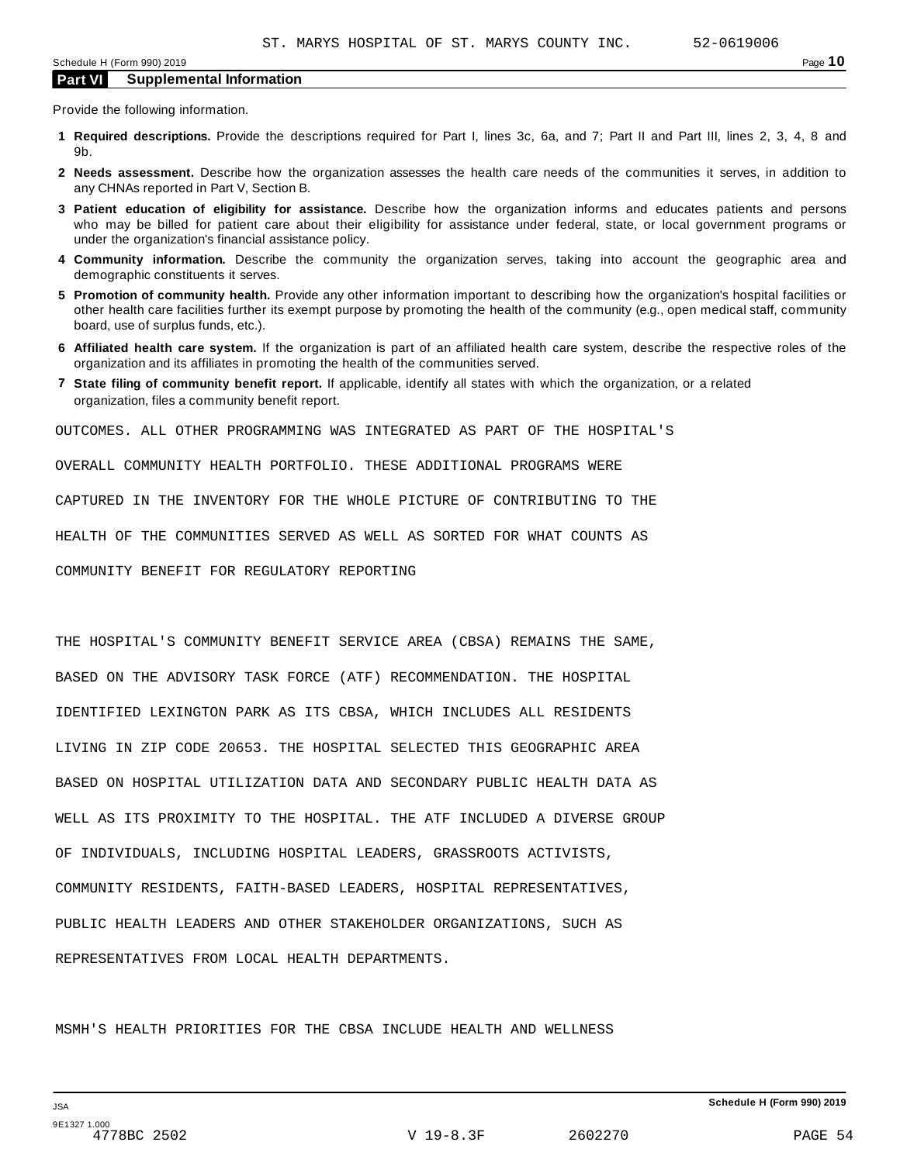Provide the following information.

- **1 Required descriptions.** Provide the descriptions required for Part I, lines 3c, 6a, and 7; Part II and Part III, lines 2, 3, 4, 8 and 9b.
- **2 Needs assessment.** Describe how the organization assesses the health care needs of the communities it serves, in addition to any CHNAs reported in Part V, Section B.
- **3 Patient education of eligibility for assistance.** Describe how the organization informs and educates patients and persons who may be billed for patient care about their eligibility for assistance under federal, state, or local government programs or under the organization's financial assistance policy.
- **4 Community information.** Describe the community the organization serves, taking into account the geographic area and demographic constituents it serves.
- **5 Promotion of community health.** Provide any other information important to describing how the organization's hospital facilities or other health care facilities further its exempt purpose by promoting the health of the community (e.g., open medical staff, community board, use of surplus funds, etc.).
- **6 Affiliated health care system.** If the organization is part of an affiliated health care system, describe the respective roles of the organization and its affiliates in promoting the health of the communities served.
- **7 State filing of community benefit report.** If applicable, identify all states with which the organization, or a related organization, files a community benefit report.

OUTCOMES. ALL OTHER PROGRAMMING WAS INTEGRATED AS PART OF THE HOSPITAL'S

OVERALL COMMUNITY HEALTH PORTFOLIO. THESE ADDITIONAL PROGRAMS WERE

CAPTURED IN THE INVENTORY FOR THE WHOLE PICTURE OF CONTRIBUTING TO THE

HEALTH OF THE COMMUNITIES SERVED AS WELL AS SORTED FOR WHAT COUNTS AS

COMMUNITY BENEFIT FOR REGULATORY REPORTING

THE HOSPITAL'S COMMUNITY BENEFIT SERVICE AREA (CBSA) REMAINS THE SAME, BASED ON THE ADVISORY TASK FORCE (ATF) RECOMMENDATION. THE HOSPITAL IDENTIFIED LEXINGTON PARK AS ITS CBSA, WHICH INCLUDES ALL RESIDENTS LIVING IN ZIP CODE 20653. THE HOSPITAL SELECTED THIS GEOGRAPHIC AREA BASED ON HOSPITAL UTILIZATION DATA AND SECONDARY PUBLIC HEALTH DATA AS WELL AS ITS PROXIMITY TO THE HOSPITAL. THE ATF INCLUDED A DIVERSE GROUP OF INDIVIDUALS, INCLUDING HOSPITAL LEADERS, GRASSROOTS ACTIVISTS, COMMUNITY RESIDENTS, FAITH-BASED LEADERS, HOSPITAL REPRESENTATIVES, PUBLIC HEALTH LEADERS AND OTHER STAKEHOLDER ORGANIZATIONS, SUCH AS REPRESENTATIVES FROM LOCAL HEALTH DEPARTMENTS.

MSMH'S HEALTH PRIORITIES FOR THE CBSA INCLUDE HEALTH AND WELLNESS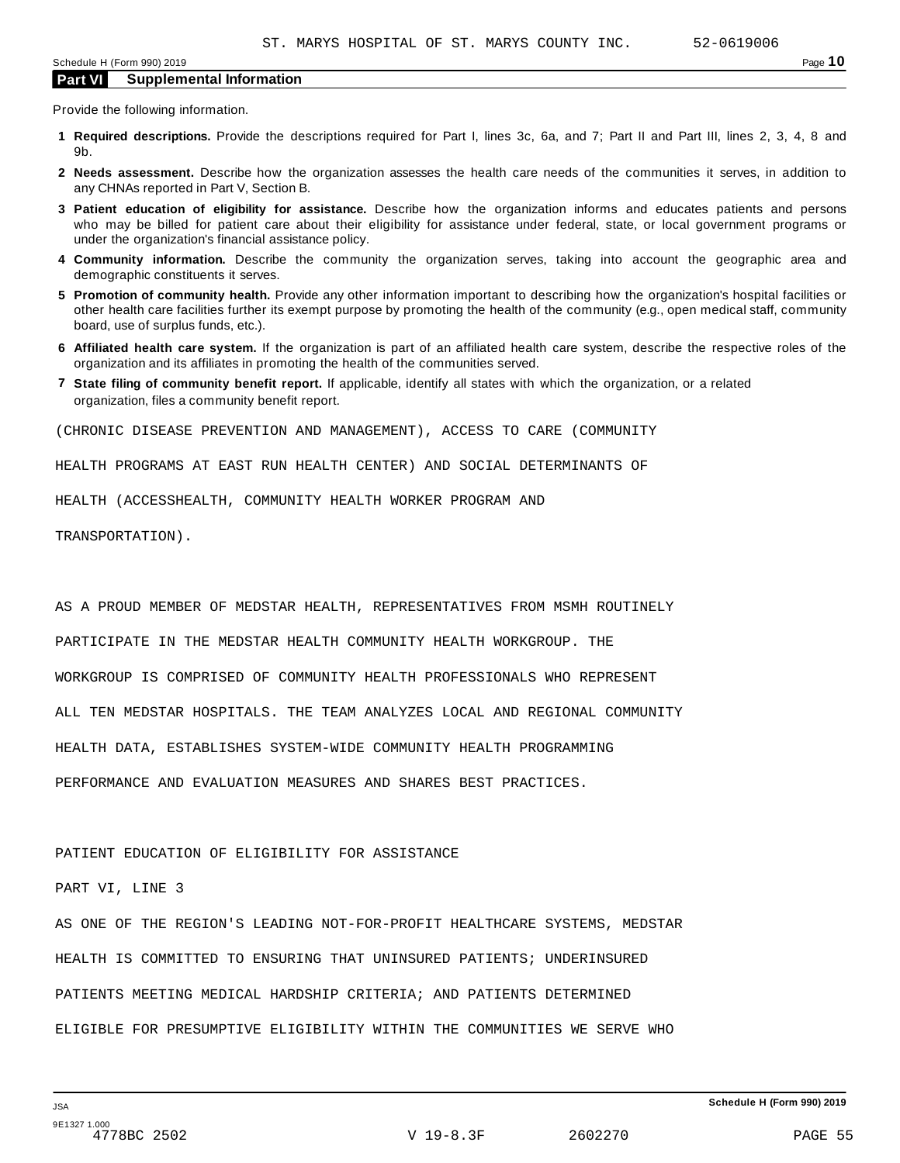Provide the following information.

- **1 Required descriptions.** Provide the descriptions required for Part I, lines 3c, 6a, and 7; Part II and Part III, lines 2, 3, 4, 8 and 9b.
- **2 Needs assessment.** Describe how the organization assesses the health care needs of the communities it serves, in addition to any CHNAs reported in Part V, Section B.
- **3 Patient education of eligibility for assistance.** Describe how the organization informs and educates patients and persons who may be billed for patient care about their eligibility for assistance under federal, state, or local government programs or under the organization's financial assistance policy.
- **4 Community information.** Describe the community the organization serves, taking into account the geographic area and demographic constituents it serves.
- **5 Promotion of community health.** Provide any other information important to describing how the organization's hospital facilities or other health care facilities further its exempt purpose by promoting the health of the community (e.g., open medical staff, community board, use of surplus funds, etc.).
- **6 Affiliated health care system.** If the organization is part of an affiliated health care system, describe the respective roles of the organization and its affiliates in promoting the health of the communities served.
- **7 State filing of community benefit report.** If applicable, identify all states with which the organization, or a related organization, files a community benefit report.

(CHRONIC DISEASE PREVENTION AND MANAGEMENT), ACCESS TO CARE (COMMUNITY

HEALTH PROGRAMS AT EAST RUN HEALTH CENTER) AND SOCIAL DETERMINANTS OF

HEALTH (ACCESSHEALTH, COMMUNITY HEALTH WORKER PROGRAM AND

TRANSPORTATION).

AS A PROUD MEMBER OF MEDSTAR HEALTH, REPRESENTATIVES FROM MSMH ROUTINELY

PARTICIPATE IN THE MEDSTAR HEALTH COMMUNITY HEALTH WORKGROUP. THE

WORKGROUP IS COMPRISED OF COMMUNITY HEALTH PROFESSIONALS WHO REPRESENT

ALL TEN MEDSTAR HOSPITALS. THE TEAM ANALYZES LOCAL AND REGIONAL COMMUNITY

HEALTH DATA, ESTABLISHES SYSTEM-WIDE COMMUNITY HEALTH PROGRAMMING

PERFORMANCE AND EVALUATION MEASURES AND SHARES BEST PRACTICES.

#### PATIENT EDUCATION OF ELIGIBILITY FOR ASSISTANCE

#### PART VI, LINE 3

AS ONE OF THE REGION'S LEADING NOT-FOR-PROFIT HEALTHCARE SYSTEMS, MEDSTAR HEALTH IS COMMITTED TO ENSURING THAT UNINSURED PATIENTS; UNDERINSURED PATIENTS MEETING MEDICAL HARDSHIP CRITERIA; AND PATIENTS DETERMINED ELIGIBLE FOR PRESUMPTIVE ELIGIBILITY WITHIN THE COMMUNITIES WE SERVE WHO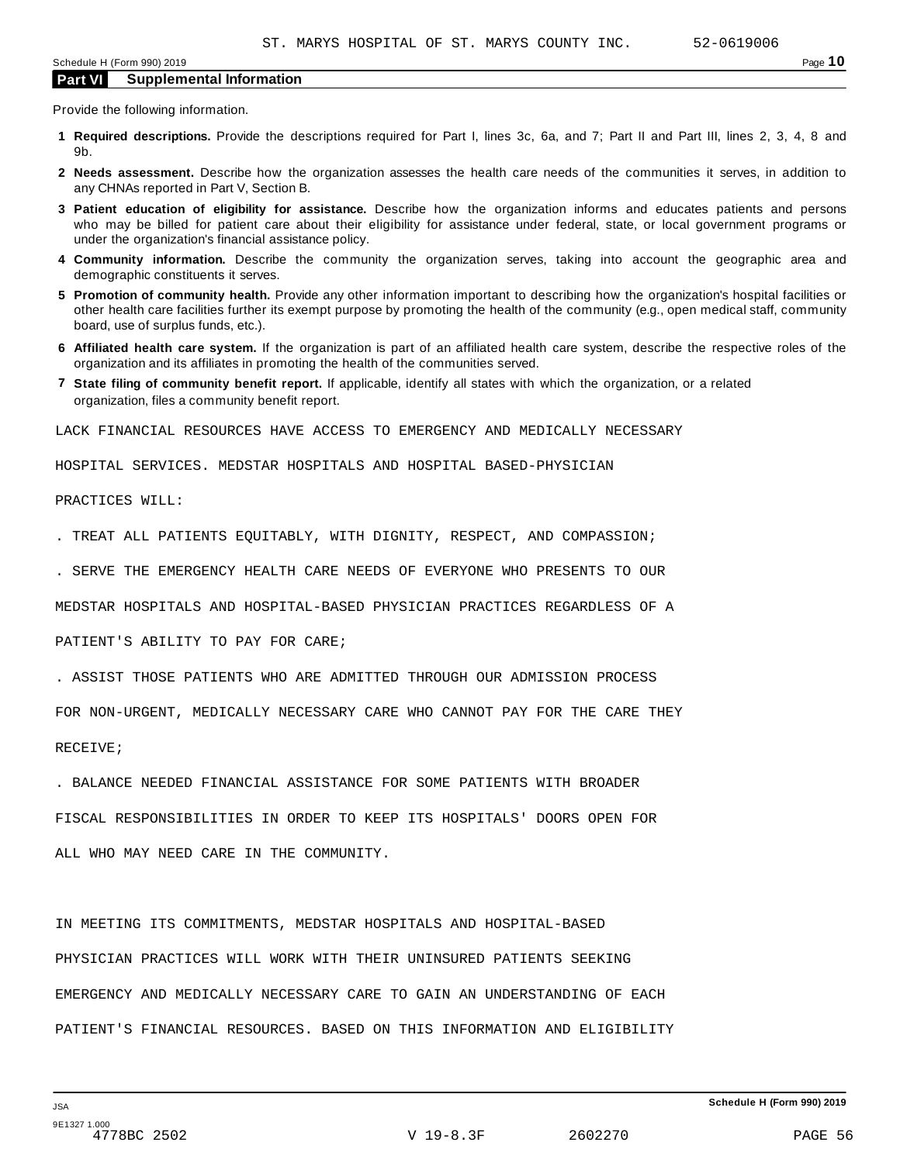Provide the following information.

- **1 Required descriptions.** Provide the descriptions required for Part I, lines 3c, 6a, and 7; Part II and Part III, lines 2, 3, 4, 8 and 9b.
- **2 Needs assessment.** Describe how the organization assesses the health care needs of the communities it serves, in addition to any CHNAs reported in Part V, Section B.
- **3 Patient education of eligibility for assistance.** Describe how the organization informs and educates patients and persons who may be billed for patient care about their eligibility for assistance under federal, state, or local government programs or under the organization's financial assistance policy.
- **4 Community information.** Describe the community the organization serves, taking into account the geographic area and demographic constituents it serves.
- **5 Promotion of community health.** Provide any other information important to describing how the organization's hospital facilities or other health care facilities further its exempt purpose by promoting the health of the community (e.g., open medical staff, community board, use of surplus funds, etc.).
- **6 Affiliated health care system.** If the organization is part of an affiliated health care system, describe the respective roles of the organization and its affiliates in promoting the health of the communities served.
- **7 State filing of community benefit report.** If applicable, identify all states with which the organization, or a related organization, files a community benefit report.

LACK FINANCIAL RESOURCES HAVE ACCESS TO EMERGENCY AND MEDICALLY NECESSARY

HOSPITAL SERVICES. MEDSTAR HOSPITALS AND HOSPITAL BASED-PHYSICIAN

#### PRACTICES WILL:

- . TREAT ALL PATIENTS EQUITABLY, WITH DIGNITY, RESPECT, AND COMPASSION;
- . SERVE THE EMERGENCY HEALTH CARE NEEDS OF EVERYONE WHO PRESENTS TO OUR

MEDSTAR HOSPITALS AND HOSPITAL-BASED PHYSICIAN PRACTICES REGARDLESS OF A

PATIENT'S ABILITY TO PAY FOR CARE;

. ASSIST THOSE PATIENTS WHO ARE ADMITTED THROUGH OUR ADMISSION PROCESS

FOR NON-URGENT, MEDICALLY NECESSARY CARE WHO CANNOT PAY FOR THE CARE THEY

RECEIVE;

. BALANCE NEEDED FINANCIAL ASSISTANCE FOR SOME PATIENTS WITH BROADER

FISCAL RESPONSIBILITIES IN ORDER TO KEEP ITS HOSPITALS' DOORS OPEN FOR

ALL WHO MAY NEED CARE IN THE COMMUNITY.

IN MEETING ITS COMMITMENTS, MEDSTAR HOSPITALS AND HOSPITAL-BASED PHYSICIAN PRACTICES WILL WORK WITH THEIR UNINSURED PATIENTS SEEKING EMERGENCY AND MEDICALLY NECESSARY CARE TO GAIN AN UNDERSTANDING OF EACH PATIENT'S FINANCIAL RESOURCES. BASED ON THIS INFORMATION AND ELIGIBILITY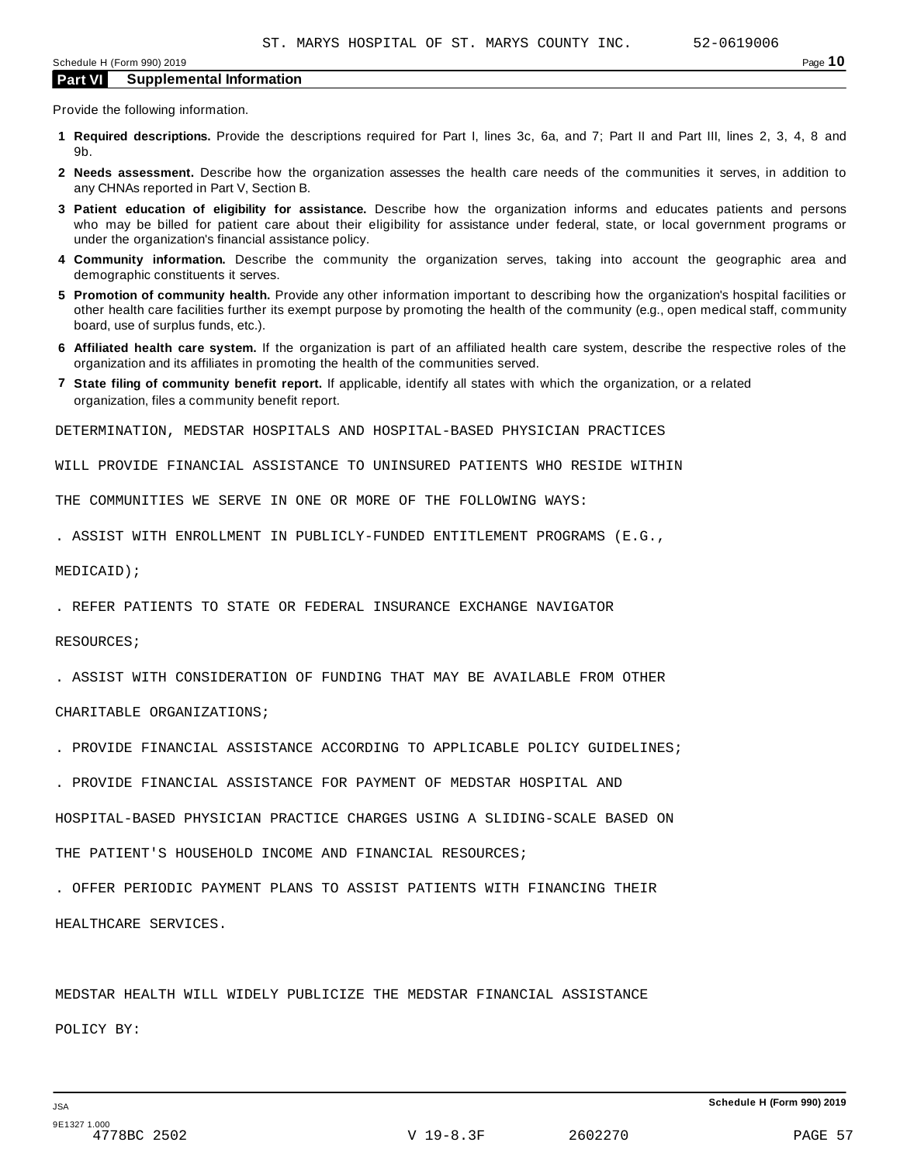Provide the following information.

- **1 Required descriptions.** Provide the descriptions required for Part I, lines 3c, 6a, and 7; Part II and Part III, lines 2, 3, 4, 8 and 9b.
- **2 Needs assessment.** Describe how the organization assesses the health care needs of the communities it serves, in addition to any CHNAs reported in Part V, Section B.
- **3 Patient education of eligibility for assistance.** Describe how the organization informs and educates patients and persons who may be billed for patient care about their eligibility for assistance under federal, state, or local government programs or under the organization's financial assistance policy.
- **4 Community information.** Describe the community the organization serves, taking into account the geographic area and demographic constituents it serves.
- **5 Promotion of community health.** Provide any other information important to describing how the organization's hospital facilities or other health care facilities further its exempt purpose by promoting the health of the community (e.g., open medical staff, community board, use of surplus funds, etc.).
- **6 Affiliated health care system.** If the organization is part of an affiliated health care system, describe the respective roles of the organization and its affiliates in promoting the health of the communities served.
- **7 State filing of community benefit report.** If applicable, identify all states with which the organization, or a related organization, files a community benefit report.

DETERMINATION, MEDSTAR HOSPITALS AND HOSPITAL-BASED PHYSICIAN PRACTICES

WILL PROVIDE FINANCIAL ASSISTANCE TO UNINSURED PATIENTS WHO RESIDE WITHIN

THE COMMUNITIES WE SERVE IN ONE OR MORE OF THE FOLLOWING WAYS:

. ASSIST WITH ENROLLMENT IN PUBLICLY-FUNDED ENTITLEMENT PROGRAMS (E.G.,

MEDICAID);

. REFER PATIENTS TO STATE OR FEDERAL INSURANCE EXCHANGE NAVIGATOR

RESOURCES;

. ASSIST WITH CONSIDERATION OF FUNDING THAT MAY BE AVAILABLE FROM OTHER

CHARITABLE ORGANIZATIONS;

- . PROVIDE FINANCIAL ASSISTANCE ACCORDING TO APPLICABLE POLICY GUIDELINES;
- . PROVIDE FINANCIAL ASSISTANCE FOR PAYMENT OF MEDSTAR HOSPITAL AND

HOSPITAL-BASED PHYSICIAN PRACTICE CHARGES USING A SLIDING-SCALE BASED ON

THE PATIENT'S HOUSEHOLD INCOME AND FINANCIAL RESOURCES;

. OFFER PERIODIC PAYMENT PLANS TO ASSIST PATIENTS WITH FINANCING THEIR

HEALTHCARE SERVICES.

MEDSTAR HEALTH WILL WIDELY PUBLICIZE THE MEDSTAR FINANCIAL ASSISTANCE POLICY BY: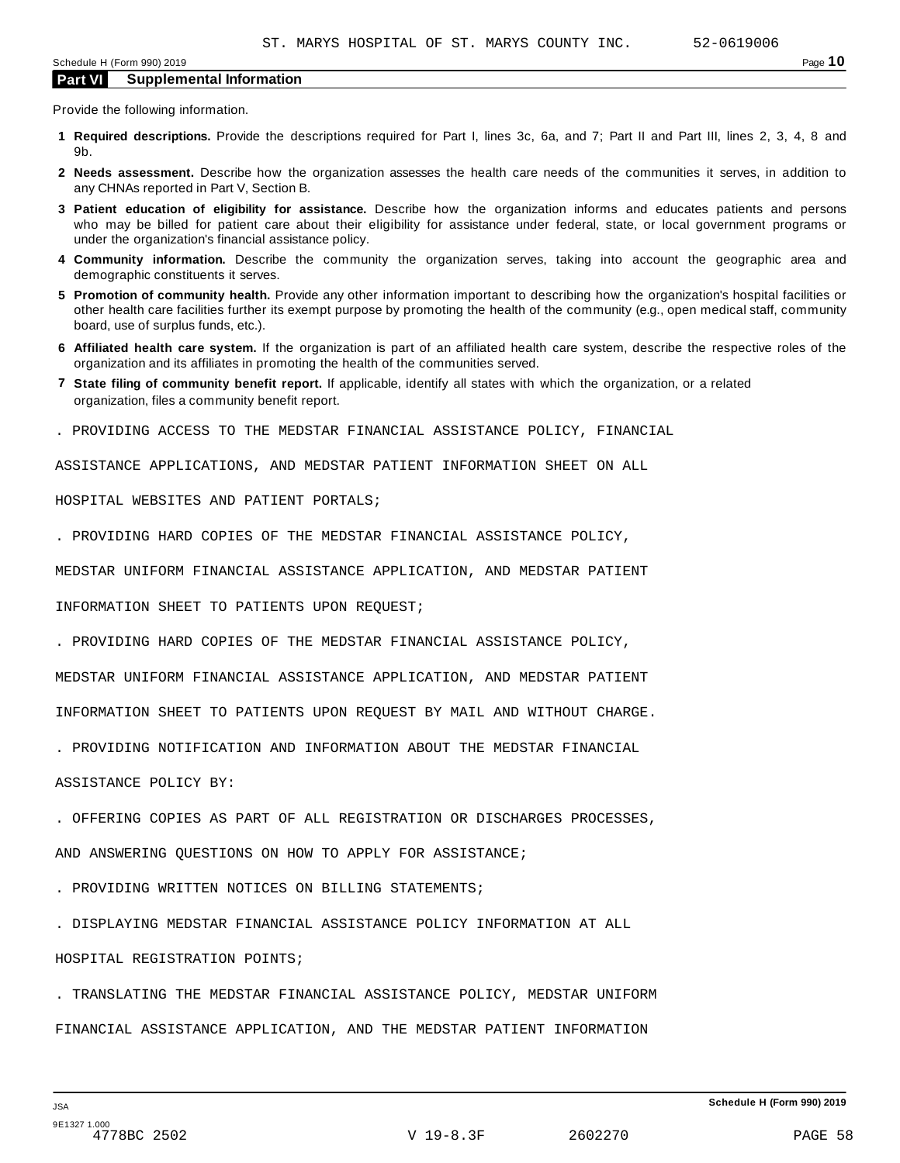Provide the following information.

- **1 Required descriptions.** Provide the descriptions required for Part I, lines 3c, 6a, and 7; Part II and Part III, lines 2, 3, 4, 8 and 9b.
- **2 Needs assessment.** Describe how the organization assesses the health care needs of the communities it serves, in addition to any CHNAs reported in Part V, Section B.
- **3 Patient education of eligibility for assistance.** Describe how the organization informs and educates patients and persons who may be billed for patient care about their eligibility for assistance under federal, state, or local government programs or under the organization's financial assistance policy.
- **4 Community information.** Describe the community the organization serves, taking into account the geographic area and demographic constituents it serves.
- **5 Promotion of community health.** Provide any other information important to describing how the organization's hospital facilities or other health care facilities further its exempt purpose by promoting the health of the community (e.g., open medical staff, community board, use of surplus funds, etc.).
- **6 Affiliated health care system.** If the organization is part of an affiliated health care system, describe the respective roles of the organization and its affiliates in promoting the health of the communities served.
- **7 State filing of community benefit report.** If applicable, identify all states with which the organization, or a related organization, files a community benefit report.
- . PROVIDING ACCESS TO THE MEDSTAR FINANCIAL ASSISTANCE POLICY, FINANCIAL

ASSISTANCE APPLICATIONS, AND MEDSTAR PATIENT INFORMATION SHEET ON ALL

HOSPITAL WEBSITES AND PATIENT PORTALS;

. PROVIDING HARD COPIES OF THE MEDSTAR FINANCIAL ASSISTANCE POLICY,

MEDSTAR UNIFORM FINANCIAL ASSISTANCE APPLICATION, AND MEDSTAR PATIENT

INFORMATION SHEET TO PATIENTS UPON REQUEST;

. PROVIDING HARD COPIES OF THE MEDSTAR FINANCIAL ASSISTANCE POLICY,

MEDSTAR UNIFORM FINANCIAL ASSISTANCE APPLICATION, AND MEDSTAR PATIENT

INFORMATION SHEET TO PATIENTS UPON REQUEST BY MAIL AND WITHOUT CHARGE.

. PROVIDING NOTIFICATION AND INFORMATION ABOUT THE MEDSTAR FINANCIAL

ASSISTANCE POLICY BY:

. OFFERING COPIES AS PART OF ALL REGISTRATION OR DISCHARGES PROCESSES,

AND ANSWERING QUESTIONS ON HOW TO APPLY FOR ASSISTANCE;

. PROVIDING WRITTEN NOTICES ON BILLING STATEMENTS;

. DISPLAYING MEDSTAR FINANCIAL ASSISTANCE POLICY INFORMATION AT ALL

#### HOSPITAL REGISTRATION POINTS;

. TRANSLATING THE MEDSTAR FINANCIAL ASSISTANCE POLICY, MEDSTAR UNIFORM FINANCIAL ASSISTANCE APPLICATION, AND THE MEDSTAR PATIENT INFORMATION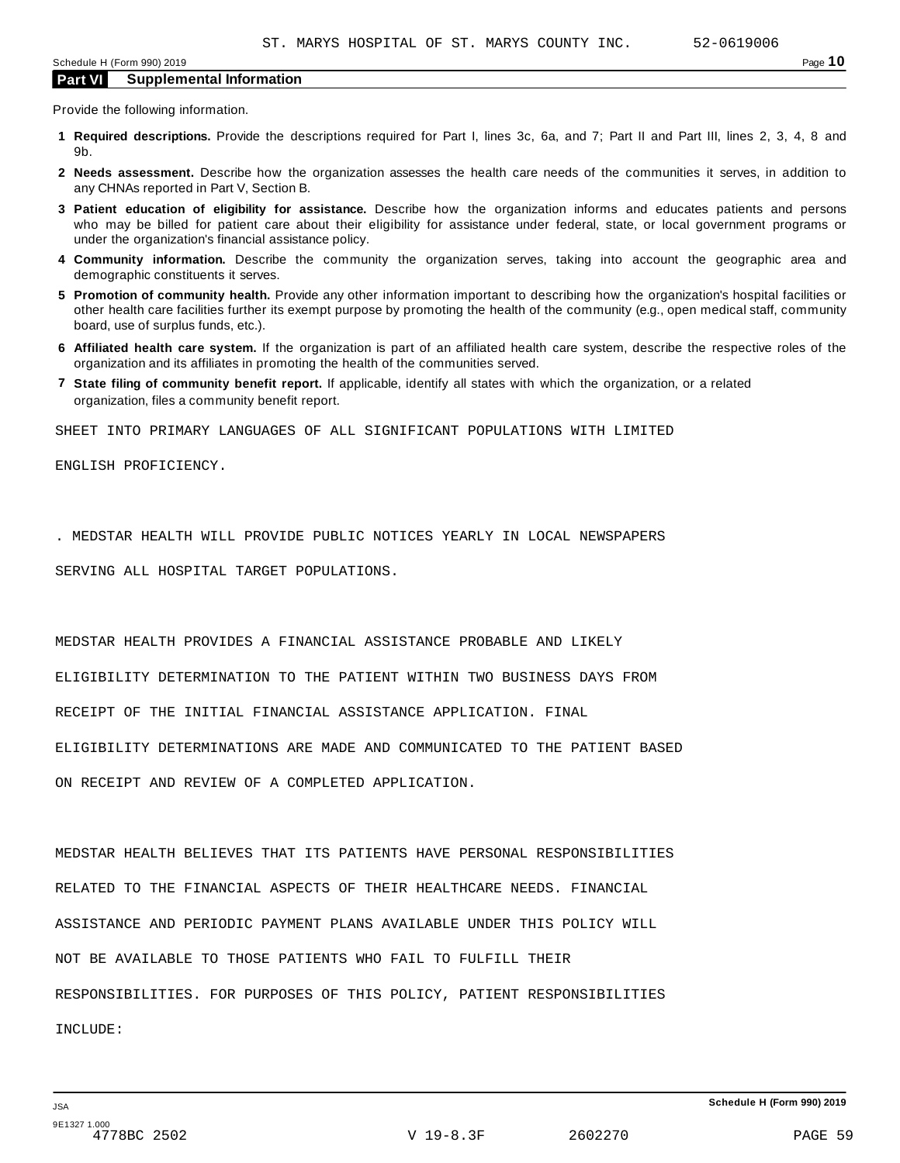Provide the following information.

- **1 Required descriptions.** Provide the descriptions required for Part I, lines 3c, 6a, and 7; Part II and Part III, lines 2, 3, 4, 8 and 9b.
- **2 Needs assessment.** Describe how the organization assesses the health care needs of the communities it serves, in addition to any CHNAs reported in Part V, Section B.
- **3 Patient education of eligibility for assistance.** Describe how the organization informs and educates patients and persons who may be billed for patient care about their eligibility for assistance under federal, state, or local government programs or under the organization's financial assistance policy.
- **4 Community information.** Describe the community the organization serves, taking into account the geographic area and demographic constituents it serves.
- **5 Promotion of community health.** Provide any other information important to describing how the organization's hospital facilities or other health care facilities further its exempt purpose by promoting the health of the community (e.g., open medical staff, community board, use of surplus funds, etc.).
- **6 Affiliated health care system.** If the organization is part of an affiliated health care system, describe the respective roles of the organization and its affiliates in promoting the health of the communities served.
- **7 State filing of community benefit report.** If applicable, identify all states with which the organization, or a related organization, files a community benefit report.

SHEET INTO PRIMARY LANGUAGES OF ALL SIGNIFICANT POPULATIONS WITH LIMITED

ENGLISH PROFICIENCY.

. MEDSTAR HEALTH WILL PROVIDE PUBLIC NOTICES YEARLY IN LOCAL NEWSPAPERS

SERVING ALL HOSPITAL TARGET POPULATIONS.

MEDSTAR HEALTH PROVIDES A FINANCIAL ASSISTANCE PROBABLE AND LIKELY

ELIGIBILITY DETERMINATION TO THE PATIENT WITHIN TWO BUSINESS DAYS FROM

RECEIPT OF THE INITIAL FINANCIAL ASSISTANCE APPLICATION. FINAL

ELIGIBILITY DETERMINATIONS ARE MADE AND COMMUNICATED TO THE PATIENT BASED

ON RECEIPT AND REVIEW OF A COMPLETED APPLICATION.

MEDSTAR HEALTH BELIEVES THAT ITS PATIENTS HAVE PERSONAL RESPONSIBILITIES RELATED TO THE FINANCIAL ASPECTS OF THEIR HEALTHCARE NEEDS. FINANCIAL ASSISTANCE AND PERIODIC PAYMENT PLANS AVAILABLE UNDER THIS POLICY WILL NOT BE AVAILABLE TO THOSE PATIENTS WHO FAIL TO FULFILL THEIR RESPONSIBILITIES. FOR PURPOSES OF THIS POLICY, PATIENT RESPONSIBILITIES INCLUDE: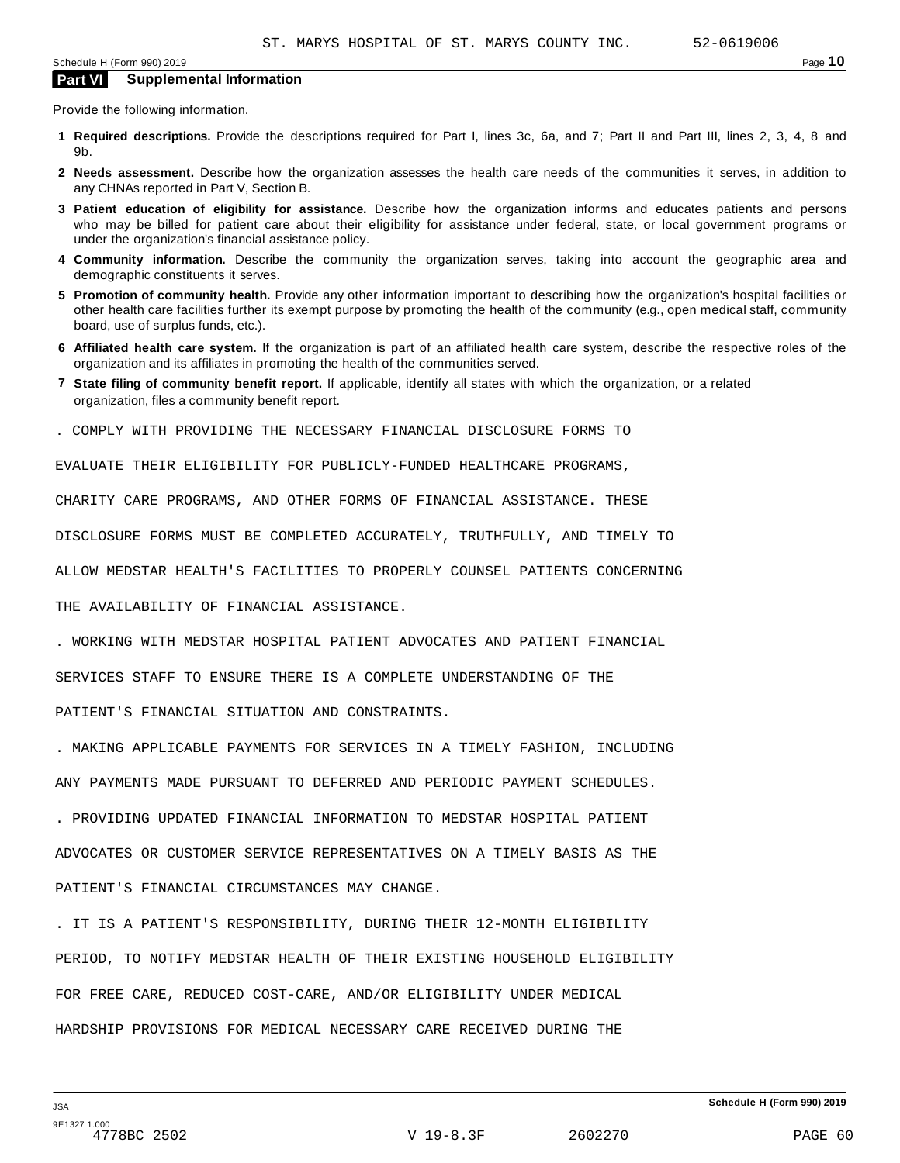Provide the following information.

- **1 Required descriptions.** Provide the descriptions required for Part I, lines 3c, 6a, and 7; Part II and Part III, lines 2, 3, 4, 8 and 9b.
- **2 Needs assessment.** Describe how the organization assesses the health care needs of the communities it serves, in addition to any CHNAs reported in Part V, Section B.
- **3 Patient education of eligibility for assistance.** Describe how the organization informs and educates patients and persons who may be billed for patient care about their eligibility for assistance under federal, state, or local government programs or under the organization's financial assistance policy.
- **4 Community information.** Describe the community the organization serves, taking into account the geographic area and demographic constituents it serves.
- **5 Promotion of community health.** Provide any other information important to describing how the organization's hospital facilities or other health care facilities further its exempt purpose by promoting the health of the community (e.g., open medical staff, community board, use of surplus funds, etc.).
- **6 Affiliated health care system.** If the organization is part of an affiliated health care system, describe the respective roles of the organization and its affiliates in promoting the health of the communities served.
- **7 State filing of community benefit report.** If applicable, identify all states with which the organization, or a related organization, files a community benefit report.
- . COMPLY WITH PROVIDING THE NECESSARY FINANCIAL DISCLOSURE FORMS TO

EVALUATE THEIR ELIGIBILITY FOR PUBLICLY-FUNDED HEALTHCARE PROGRAMS,

CHARITY CARE PROGRAMS, AND OTHER FORMS OF FINANCIAL ASSISTANCE. THESE

DISCLOSURE FORMS MUST BE COMPLETED ACCURATELY, TRUTHFULLY, AND TIMELY TO

ALLOW MEDSTAR HEALTH'S FACILITIES TO PROPERLY COUNSEL PATIENTS CONCERNING

THE AVAILABILITY OF FINANCIAL ASSISTANCE.

. WORKING WITH MEDSTAR HOSPITAL PATIENT ADVOCATES AND PATIENT FINANCIAL

SERVICES STAFF TO ENSURE THERE IS A COMPLETE UNDERSTANDING OF THE

PATIENT'S FINANCIAL SITUATION AND CONSTRAINTS.

. MAKING APPLICABLE PAYMENTS FOR SERVICES IN A TIMELY FASHION, INCLUDING

ANY PAYMENTS MADE PURSUANT TO DEFERRED AND PERIODIC PAYMENT SCHEDULES.

. PROVIDING UPDATED FINANCIAL INFORMATION TO MEDSTAR HOSPITAL PATIENT

ADVOCATES OR CUSTOMER SERVICE REPRESENTATIVES ON A TIMELY BASIS AS THE

PATIENT'S FINANCIAL CIRCUMSTANCES MAY CHANGE.

. IT IS A PATIENT'S RESPONSIBILITY, DURING THEIR 12-MONTH ELIGIBILITY PERIOD, TO NOTIFY MEDSTAR HEALTH OF THEIR EXISTING HOUSEHOLD ELIGIBILITY FOR FREE CARE, REDUCED COST-CARE, AND/OR ELIGIBILITY UNDER MEDICAL HARDSHIP PROVISIONS FOR MEDICAL NECESSARY CARE RECEIVED DURING THE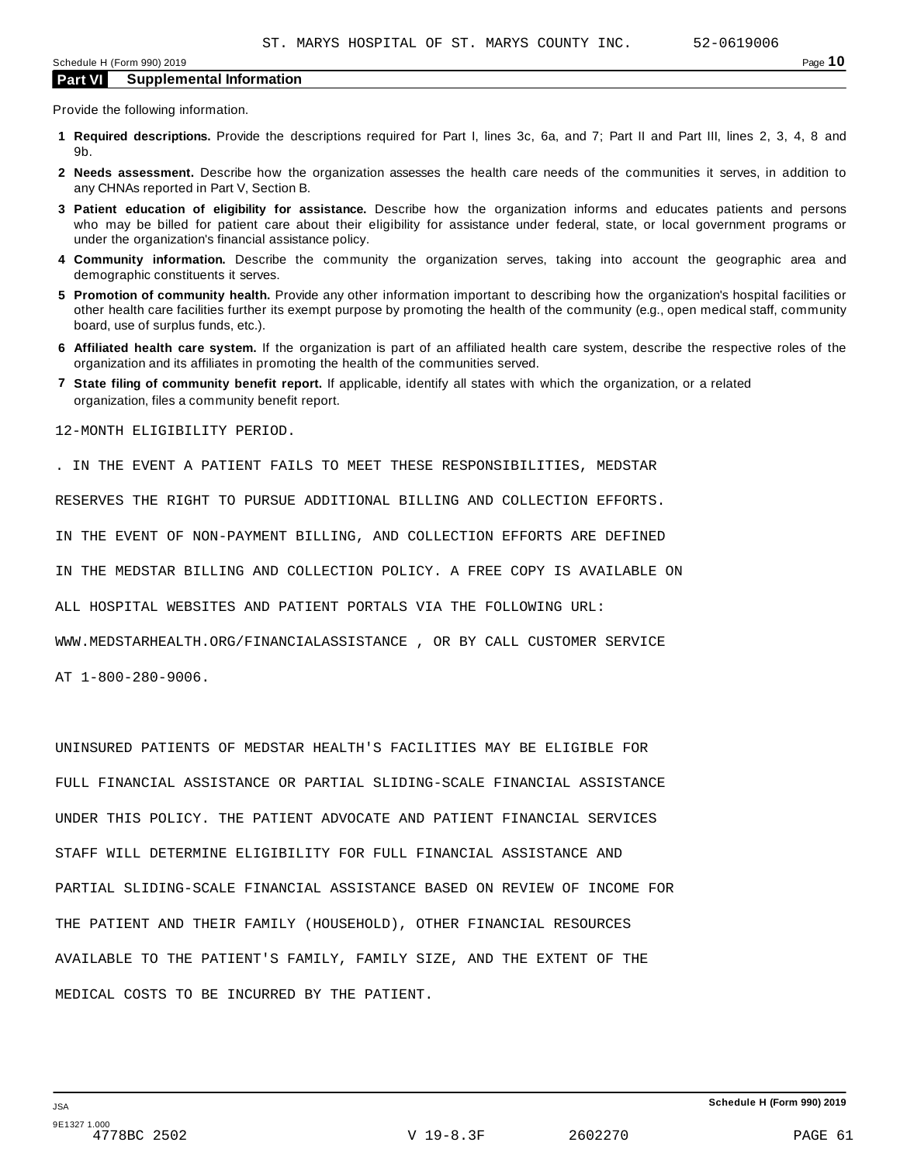Provide the following information.

- **1 Required descriptions.** Provide the descriptions required for Part I, lines 3c, 6a, and 7; Part II and Part III, lines 2, 3, 4, 8 and 9b.
- **2 Needs assessment.** Describe how the organization assesses the health care needs of the communities it serves, in addition to any CHNAs reported in Part V, Section B.
- **3 Patient education of eligibility for assistance.** Describe how the organization informs and educates patients and persons who may be billed for patient care about their eligibility for assistance under federal, state, or local government programs or under the organization's financial assistance policy.
- **4 Community information.** Describe the community the organization serves, taking into account the geographic area and demographic constituents it serves.
- **5 Promotion of community health.** Provide any other information important to describing how the organization's hospital facilities or other health care facilities further its exempt purpose by promoting the health of the community (e.g., open medical staff, community board, use of surplus funds, etc.).
- **6 Affiliated health care system.** If the organization is part of an affiliated health care system, describe the respective roles of the organization and its affiliates in promoting the health of the communities served.
- **7 State filing of community benefit report.** If applicable, identify all states with which the organization, or a related organization, files a community benefit report.

12-MONTH ELIGIBILITY PERIOD.

. IN THE EVENT A PATIENT FAILS TO MEET THESE RESPONSIBILITIES, MEDSTAR

RESERVES THE RIGHT TO PURSUE ADDITIONAL BILLING AND COLLECTION EFFORTS.

IN THE EVENT OF NON-PAYMENT BILLING, AND COLLECTION EFFORTS ARE DEFINED

IN THE MEDSTAR BILLING AND COLLECTION POLICY. A FREE COPY IS AVAILABLE ON

ALL HOSPITAL WEBSITES AND PATIENT PORTALS VIA THE FOLLOWING URL:

WWW.MEDSTARHEALTH.ORG/FINANCIALASSISTANCE , OR BY CALL CUSTOMER SERVICE

AT 1-800-280-9006.

UNINSURED PATIENTS OF MEDSTAR HEALTH'S FACILITIES MAY BE ELIGIBLE FOR FULL FINANCIAL ASSISTANCE OR PARTIAL SLIDING-SCALE FINANCIAL ASSISTANCE UNDER THIS POLICY. THE PATIENT ADVOCATE AND PATIENT FINANCIAL SERVICES STAFF WILL DETERMINE ELIGIBILITY FOR FULL FINANCIAL ASSISTANCE AND PARTIAL SLIDING-SCALE FINANCIAL ASSISTANCE BASED ON REVIEW OF INCOME FOR THE PATIENT AND THEIR FAMILY (HOUSEHOLD), OTHER FINANCIAL RESOURCES AVAILABLE TO THE PATIENT'S FAMILY, FAMILY SIZE, AND THE EXTENT OF THE MEDICAL COSTS TO BE INCURRED BY THE PATIENT.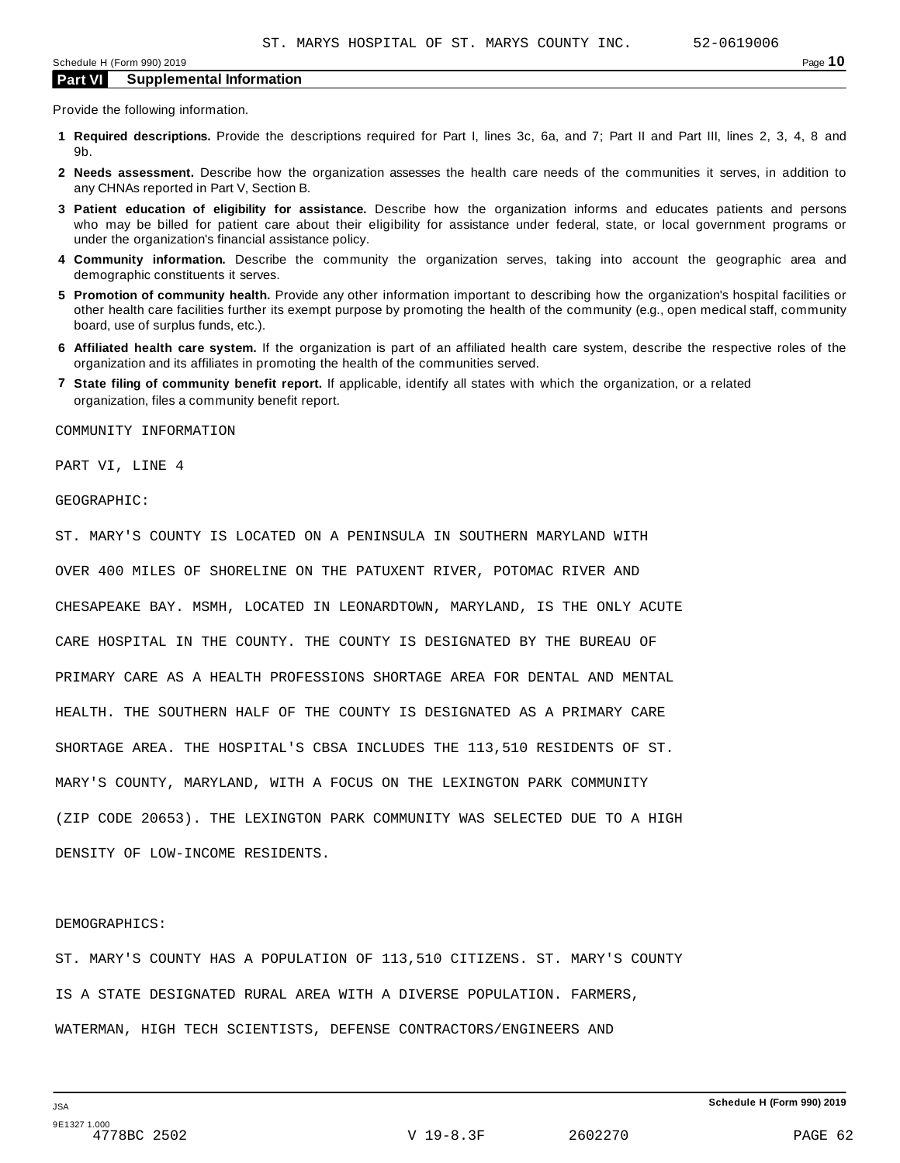Provide the following information.

- **1 Required descriptions.** Provide the descriptions required for Part I, lines 3c, 6a, and 7; Part II and Part III, lines 2, 3, 4, 8 and 9b.
- **2 Needs assessment.** Describe how the organization assesses the health care needs of the communities it serves, in addition to any CHNAs reported in Part V, Section B.
- **3 Patient education of eligibility for assistance.** Describe how the organization informs and educates patients and persons who may be billed for patient care about their eligibility for assistance under federal, state, or local government programs or under the organization's financial assistance policy.
- **4 Community information.** Describe the community the organization serves, taking into account the geographic area and demographic constituents it serves.
- **5 Promotion of community health.** Provide any other information important to describing how the organization's hospital facilities or other health care facilities further its exempt purpose by promoting the health of the community (e.g., open medical staff, community board, use of surplus funds, etc.).
- **6 Affiliated health care system.** If the organization is part of an affiliated health care system, describe the respective roles of the organization and its affiliates in promoting the health of the communities served.
- **7 State filing of community benefit report.** If applicable, identify all states with which the organization, or a related organization, files a community benefit report.

COMMUNITY INFORMATION

PART VI, LINE 4

GEOGRAPHIC:

ST. MARY'S COUNTY IS LOCATED ON A PENINSULA IN SOUTHERN MARYLAND WITH OVER 400 MILES OF SHORELINE ON THE PATUXENT RIVER, POTOMAC RIVER AND CHESAPEAKE BAY. MSMH, LOCATED IN LEONARDTOWN, MARYLAND, IS THE ONLY ACUTE CARE HOSPITAL IN THE COUNTY. THE COUNTY IS DESIGNATED BY THE BUREAU OF PRIMARY CARE AS A HEALTH PROFESSIONS SHORTAGE AREA FOR DENTAL AND MENTAL HEALTH. THE SOUTHERN HALF OF THE COUNTY IS DESIGNATED AS A PRIMARY CARE SHORTAGE AREA. THE HOSPITAL'S CBSA INCLUDES THE 113,510 RESIDENTS OF ST. MARY'S COUNTY, MARYLAND, WITH A FOCUS ON THE LEXINGTON PARK COMMUNITY (ZIP CODE 20653). THE LEXINGTON PARK COMMUNITY WAS SELECTED DUE TO A HIGH DENSITY OF LOW-INCOME RESIDENTS.

#### DEMOGRAPHICS:

ST. MARY'S COUNTY HAS A POPULATION OF 113,510 CITIZENS. ST. MARY'S COUNTY IS A STATE DESIGNATED RURAL AREA WITH A DIVERSE POPULATION. FARMERS, WATERMAN, HIGH TECH SCIENTISTS, DEFENSE CONTRACTORS/ENGINEERS AND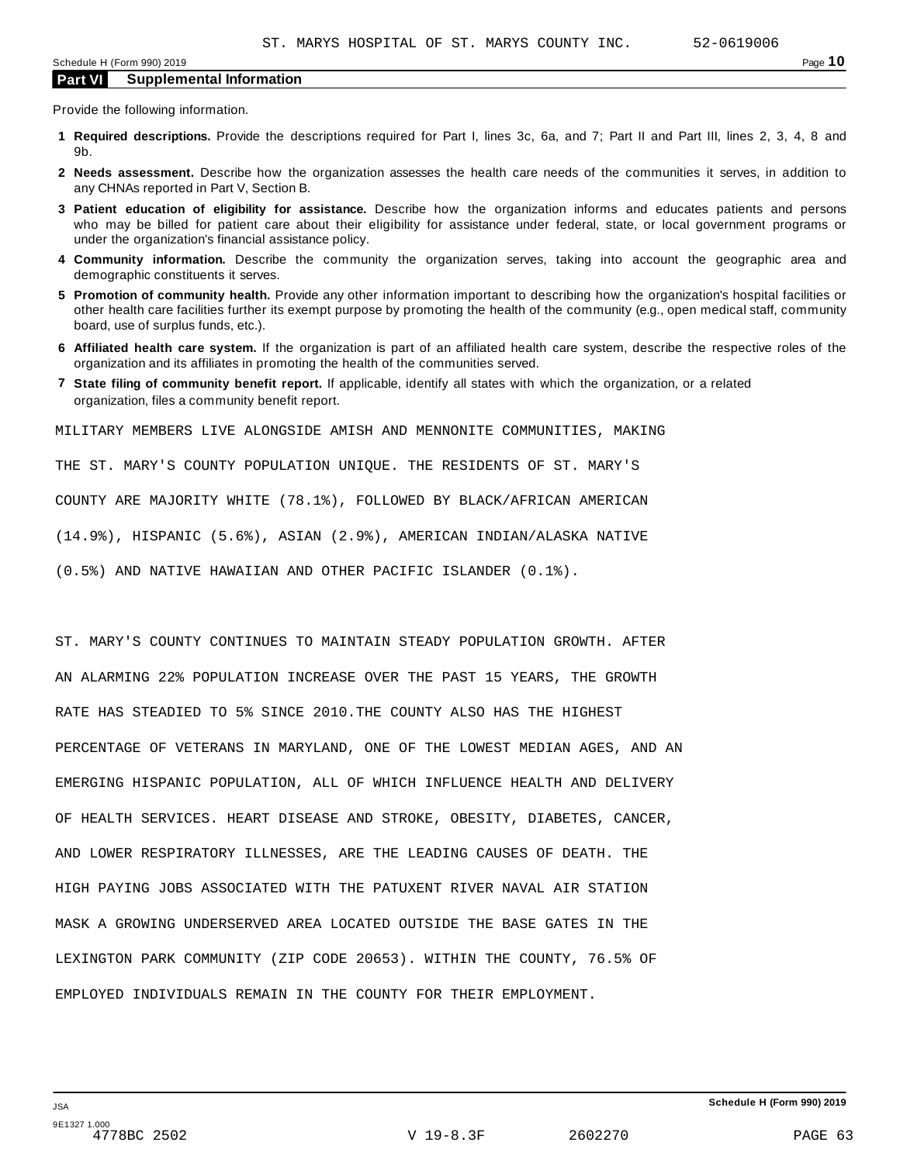Provide the following information.

- **1 Required descriptions.** Provide the descriptions required for Part I, lines 3c, 6a, and 7; Part II and Part III, lines 2, 3, 4, 8 and 9b.
- **2 Needs assessment.** Describe how the organization assesses the health care needs of the communities it serves, in addition to any CHNAs reported in Part V, Section B.
- **3 Patient education of eligibility for assistance.** Describe how the organization informs and educates patients and persons who may be billed for patient care about their eligibility for assistance under federal, state, or local government programs or under the organization's financial assistance policy.
- **4 Community information.** Describe the community the organization serves, taking into account the geographic area and demographic constituents it serves.
- **5 Promotion of community health.** Provide any other information important to describing how the organization's hospital facilities or other health care facilities further its exempt purpose by promoting the health of the community (e.g., open medical staff, community board, use of surplus funds, etc.).
- **6 Affiliated health care system.** If the organization is part of an affiliated health care system, describe the respective roles of the organization and its affiliates in promoting the health of the communities served.
- **7 State filing of community benefit report.** If applicable, identify all states with which the organization, or a related organization, files a community benefit report.

MILITARY MEMBERS LIVE ALONGSIDE AMISH AND MENNONITE COMMUNITIES, MAKING

THE ST. MARY'S COUNTY POPULATION UNIQUE. THE RESIDENTS OF ST. MARY'S

COUNTY ARE MAJORITY WHITE (78.1%), FOLLOWED BY BLACK/AFRICAN AMERICAN

(14.9%), HISPANIC (5.6%), ASIAN (2.9%), AMERICAN INDIAN/ALASKA NATIVE

(0.5%) AND NATIVE HAWAIIAN AND OTHER PACIFIC ISLANDER (0.1%).

ST. MARY'S COUNTY CONTINUES TO MAINTAIN STEADY POPULATION GROWTH. AFTER AN ALARMING 22% POPULATION INCREASE OVER THE PAST 15 YEARS, THE GROWTH RATE HAS STEADIED TO 5% SINCE 2010.THE COUNTY ALSO HAS THE HIGHEST PERCENTAGE OF VETERANS IN MARYLAND, ONE OF THE LOWEST MEDIAN AGES, AND AN EMERGING HISPANIC POPULATION, ALL OF WHICH INFLUENCE HEALTH AND DELIVERY OF HEALTH SERVICES. HEART DISEASE AND STROKE, OBESITY, DIABETES, CANCER, AND LOWER RESPIRATORY ILLNESSES, ARE THE LEADING CAUSES OF DEATH. THE HIGH PAYING JOBS ASSOCIATED WITH THE PATUXENT RIVER NAVAL AIR STATION MASK A GROWING UNDERSERVED AREA LOCATED OUTSIDE THE BASE GATES IN THE LEXINGTON PARK COMMUNITY (ZIP CODE 20653). WITHIN THE COUNTY, 76.5% OF EMPLOYED INDIVIDUALS REMAIN IN THE COUNTY FOR THEIR EMPLOYMENT.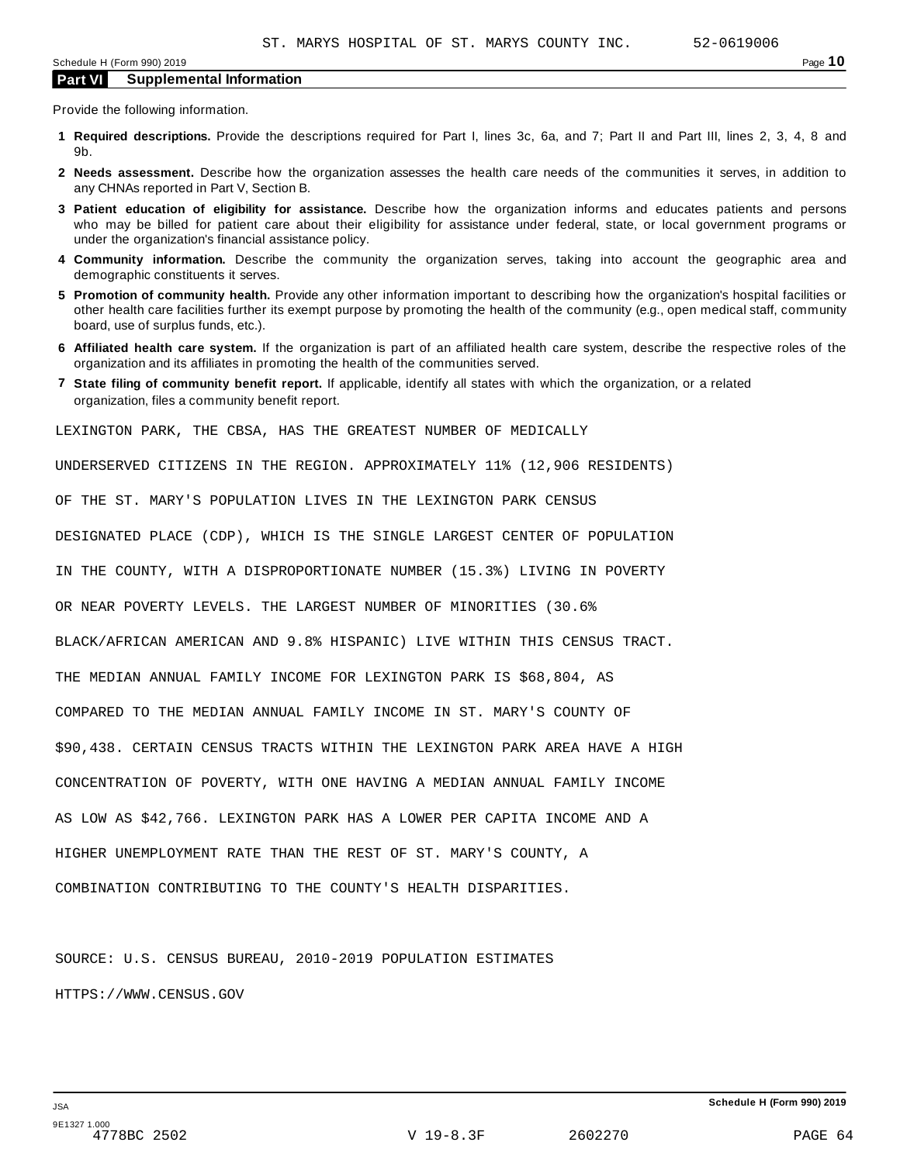Provide the following information.

- **1 Required descriptions.** Provide the descriptions required for Part I, lines 3c, 6a, and 7; Part II and Part III, lines 2, 3, 4, 8 and 9b.
- **2 Needs assessment.** Describe how the organization assesses the health care needs of the communities it serves, in addition to any CHNAs reported in Part V, Section B.
- **3 Patient education of eligibility for assistance.** Describe how the organization informs and educates patients and persons who may be billed for patient care about their eligibility for assistance under federal, state, or local government programs or under the organization's financial assistance policy.
- **4 Community information.** Describe the community the organization serves, taking into account the geographic area and demographic constituents it serves.
- **5 Promotion of community health.** Provide any other information important to describing how the organization's hospital facilities or other health care facilities further its exempt purpose by promoting the health of the community (e.g., open medical staff, community board, use of surplus funds, etc.).
- **6 Affiliated health care system.** If the organization is part of an affiliated health care system, describe the respective roles of the organization and its affiliates in promoting the health of the communities served.
- **7 State filing of community benefit report.** If applicable, identify all states with which the organization, or a related organization, files a community benefit report.

LEXINGTON PARK, THE CBSA, HAS THE GREATEST NUMBER OF MEDICALLY

UNDERSERVED CITIZENS IN THE REGION. APPROXIMATELY 11% (12,906 RESIDENTS)

OF THE ST. MARY'S POPULATION LIVES IN THE LEXINGTON PARK CENSUS

DESIGNATED PLACE (CDP), WHICH IS THE SINGLE LARGEST CENTER OF POPULATION

IN THE COUNTY, WITH A DISPROPORTIONATE NUMBER (15.3%) LIVING IN POVERTY

OR NEAR POVERTY LEVELS. THE LARGEST NUMBER OF MINORITIES (30.6%

BLACK/AFRICAN AMERICAN AND 9.8% HISPANIC) LIVE WITHIN THIS CENSUS TRACT.

THE MEDIAN ANNUAL FAMILY INCOME FOR LEXINGTON PARK IS \$68,804, AS

COMPARED TO THE MEDIAN ANNUAL FAMILY INCOME IN ST. MARY'S COUNTY OF

\$90,438. CERTAIN CENSUS TRACTS WITHIN THE LEXINGTON PARK AREA HAVE A HIGH

CONCENTRATION OF POVERTY, WITH ONE HAVING A MEDIAN ANNUAL FAMILY INCOME

AS LOW AS \$42,766. LEXINGTON PARK HAS A LOWER PER CAPITA INCOME AND A

HIGHER UNEMPLOYMENT RATE THAN THE REST OF ST. MARY'S COUNTY, A

COMBINATION CONTRIBUTING TO THE COUNTY'S HEALTH DISPARITIES.

SOURCE: U.S. CENSUS BUREAU, 2010-2019 POPULATION ESTIMATES HTTPS://WWW.CENSUS.GOV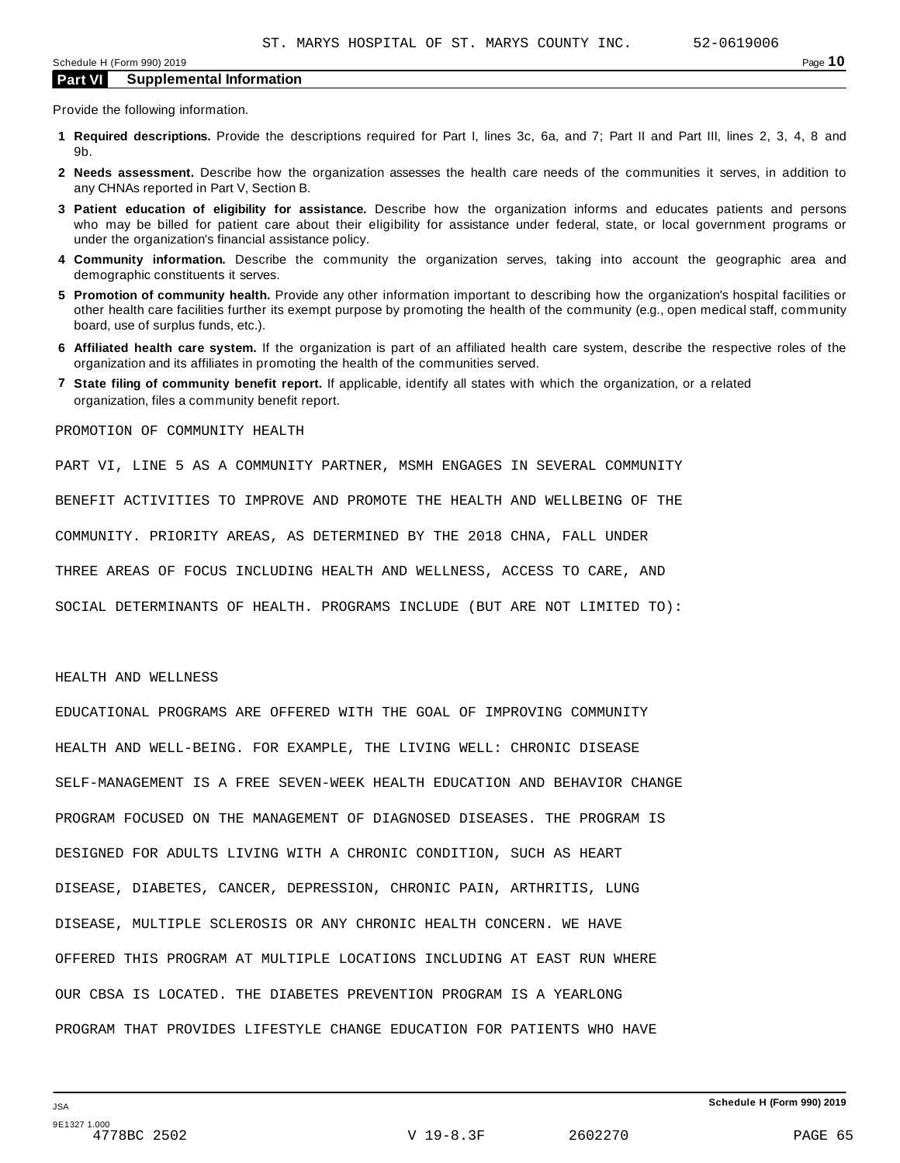Provide the following information.

- **1 Required descriptions.** Provide the descriptions required for Part I, lines 3c, 6a, and 7; Part II and Part III, lines 2, 3, 4, 8 and 9b.
- **2 Needs assessment.** Describe how the organization assesses the health care needs of the communities it serves, in addition to any CHNAs reported in Part V, Section B.
- **3 Patient education of eligibility for assistance.** Describe how the organization informs and educates patients and persons who may be billed for patient care about their eligibility for assistance under federal, state, or local government programs or under the organization's financial assistance policy.
- **4 Community information.** Describe the community the organization serves, taking into account the geographic area and demographic constituents it serves.
- **5 Promotion of community health.** Provide any other information important to describing how the organization's hospital facilities or other health care facilities further its exempt purpose by promoting the health of the community (e.g., open medical staff, community board, use of surplus funds, etc.).
- **6 Affiliated health care system.** If the organization is part of an affiliated health care system, describe the respective roles of the organization and its affiliates in promoting the health of the communities served.
- **7 State filing of community benefit report.** If applicable, identify all states with which the organization, or a related organization, files a community benefit report.

PROMOTION OF COMMUNITY HEALTH

PART VI, LINE 5 AS A COMMUNITY PARTNER, MSMH ENGAGES IN SEVERAL COMMUNITY

BENEFIT ACTIVITIES TO IMPROVE AND PROMOTE THE HEALTH AND WELLBEING OF THE

COMMUNITY. PRIORITY AREAS, AS DETERMINED BY THE 2018 CHNA, FALL UNDER

THREE AREAS OF FOCUS INCLUDING HEALTH AND WELLNESS, ACCESS TO CARE, AND

SOCIAL DETERMINANTS OF HEALTH. PROGRAMS INCLUDE (BUT ARE NOT LIMITED TO):

#### HEALTH AND WELLNESS

EDUCATIONAL PROGRAMS ARE OFFERED WITH THE GOAL OF IMPROVING COMMUNITY HEALTH AND WELL-BEING. FOR EXAMPLE, THE LIVING WELL: CHRONIC DISEASE SELF-MANAGEMENT IS A FREE SEVEN-WEEK HEALTH EDUCATION AND BEHAVIOR CHANGE PROGRAM FOCUSED ON THE MANAGEMENT OF DIAGNOSED DISEASES. THE PROGRAM IS DESIGNED FOR ADULTS LIVING WITH A CHRONIC CONDITION, SUCH AS HEART DISEASE, DIABETES, CANCER, DEPRESSION, CHRONIC PAIN, ARTHRITIS, LUNG DISEASE, MULTIPLE SCLEROSIS OR ANY CHRONIC HEALTH CONCERN. WE HAVE OFFERED THIS PROGRAM AT MULTIPLE LOCATIONS INCLUDING AT EAST RUN WHERE OUR CBSA IS LOCATED. THE DIABETES PREVENTION PROGRAM IS A YEARLONG PROGRAM THAT PROVIDES LIFESTYLE CHANGE EDUCATION FOR PATIENTS WHO HAVE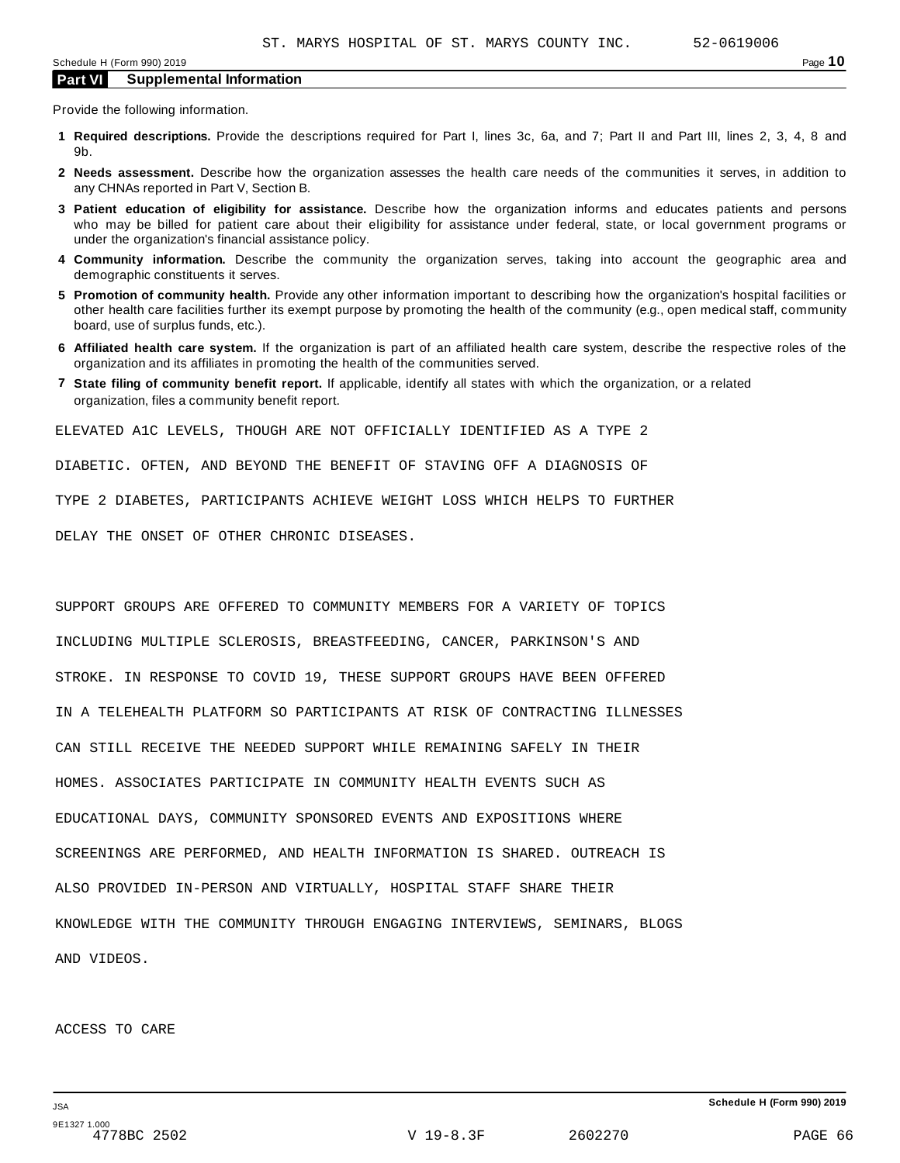Provide the following information.

- **1 Required descriptions.** Provide the descriptions required for Part I, lines 3c, 6a, and 7; Part II and Part III, lines 2, 3, 4, 8 and 9b.
- **2 Needs assessment.** Describe how the organization assesses the health care needs of the communities it serves, in addition to any CHNAs reported in Part V, Section B.
- **3 Patient education of eligibility for assistance.** Describe how the organization informs and educates patients and persons who may be billed for patient care about their eligibility for assistance under federal, state, or local government programs or under the organization's financial assistance policy.
- **4 Community information.** Describe the community the organization serves, taking into account the geographic area and demographic constituents it serves.
- **5 Promotion of community health.** Provide any other information important to describing how the organization's hospital facilities or other health care facilities further its exempt purpose by promoting the health of the community (e.g., open medical staff, community board, use of surplus funds, etc.).
- **6 Affiliated health care system.** If the organization is part of an affiliated health care system, describe the respective roles of the organization and its affiliates in promoting the health of the communities served.
- **7 State filing of community benefit report.** If applicable, identify all states with which the organization, or a related organization, files a community benefit report.

ELEVATED A1C LEVELS, THOUGH ARE NOT OFFICIALLY IDENTIFIED AS A TYPE 2

DIABETIC. OFTEN, AND BEYOND THE BENEFIT OF STAVING OFF A DIAGNOSIS OF

TYPE 2 DIABETES, PARTICIPANTS ACHIEVE WEIGHT LOSS WHICH HELPS TO FURTHER

DELAY THE ONSET OF OTHER CHRONIC DISEASES.

SUPPORT GROUPS ARE OFFERED TO COMMUNITY MEMBERS FOR A VARIETY OF TOPICS INCLUDING MULTIPLE SCLEROSIS, BREASTFEEDING, CANCER, PARKINSON'S AND STROKE. IN RESPONSE TO COVID 19, THESE SUPPORT GROUPS HAVE BEEN OFFERED IN A TELEHEALTH PLATFORM SO PARTICIPANTS AT RISK OF CONTRACTING ILLNESSES CAN STILL RECEIVE THE NEEDED SUPPORT WHILE REMAINING SAFELY IN THEIR HOMES. ASSOCIATES PARTICIPATE IN COMMUNITY HEALTH EVENTS SUCH AS EDUCATIONAL DAYS, COMMUNITY SPONSORED EVENTS AND EXPOSITIONS WHERE SCREENINGS ARE PERFORMED, AND HEALTH INFORMATION IS SHARED. OUTREACH IS ALSO PROVIDED IN-PERSON AND VIRTUALLY, HOSPITAL STAFF SHARE THEIR KNOWLEDGE WITH THE COMMUNITY THROUGH ENGAGING INTERVIEWS, SEMINARS, BLOGS AND VIDEOS.

#### ACCESS TO CARE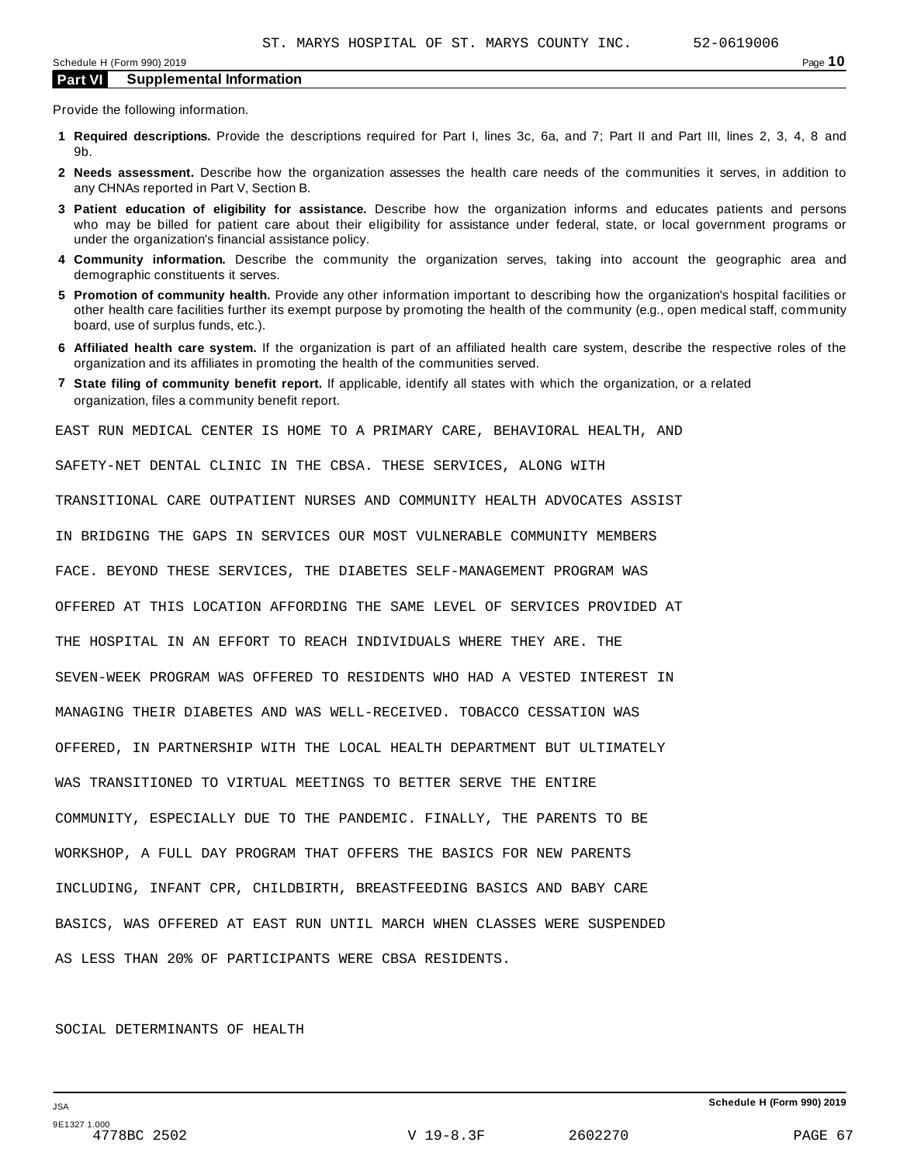Provide the following information.

- **1 Required descriptions.** Provide the descriptions required for Part I, lines 3c, 6a, and 7; Part II and Part III, lines 2, 3, 4, 8 and 9b.
- **2 Needs assessment.** Describe how the organization assesses the health care needs of the communities it serves, in addition to any CHNAs reported in Part V, Section B.
- **3 Patient education of eligibility for assistance.** Describe how the organization informs and educates patients and persons who may be billed for patient care about their eligibility for assistance under federal, state, or local government programs or under the organization's financial assistance policy.
- **4 Community information.** Describe the community the organization serves, taking into account the geographic area and demographic constituents it serves.
- **5 Promotion of community health.** Provide any other information important to describing how the organization's hospital facilities or other health care facilities further its exempt purpose by promoting the health of the community (e.g., open medical staff, community board, use of surplus funds, etc.).
- **6 Affiliated health care system.** If the organization is part of an affiliated health care system, describe the respective roles of the organization and its affiliates in promoting the health of the communities served.
- **7 State filing of community benefit report.** If applicable, identify all states with which the organization, or a related organization, files a community benefit report.

EAST RUN MEDICAL CENTER IS HOME TO A PRIMARY CARE, BEHAVIORAL HEALTH, AND

SAFETY-NET DENTAL CLINIC IN THE CBSA. THESE SERVICES, ALONG WITH

TRANSITIONAL CARE OUTPATIENT NURSES AND COMMUNITY HEALTH ADVOCATES ASSIST

IN BRIDGING THE GAPS IN SERVICES OUR MOST VULNERABLE COMMUNITY MEMBERS

FACE. BEYOND THESE SERVICES, THE DIABETES SELF-MANAGEMENT PROGRAM WAS

OFFERED AT THIS LOCATION AFFORDING THE SAME LEVEL OF SERVICES PROVIDED AT

THE HOSPITAL IN AN EFFORT TO REACH INDIVIDUALS WHERE THEY ARE. THE

SEVEN-WEEK PROGRAM WAS OFFERED TO RESIDENTS WHO HAD A VESTED INTEREST IN

MANAGING THEIR DIABETES AND WAS WELL-RECEIVED. TOBACCO CESSATION WAS

OFFERED, IN PARTNERSHIP WITH THE LOCAL HEALTH DEPARTMENT BUT ULTIMATELY

WAS TRANSITIONED TO VIRTUAL MEETINGS TO BETTER SERVE THE ENTIRE

COMMUNITY, ESPECIALLY DUE TO THE PANDEMIC. FINALLY, THE PARENTS TO BE

WORKSHOP, A FULL DAY PROGRAM THAT OFFERS THE BASICS FOR NEW PARENTS

INCLUDING, INFANT CPR, CHILDBIRTH, BREASTFEEDING BASICS AND BABY CARE

BASICS, WAS OFFERED AT EAST RUN UNTIL MARCH WHEN CLASSES WERE SUSPENDED

AS LESS THAN 20% OF PARTICIPANTS WERE CBSA RESIDENTS.

#### SOCIAL DETERMINANTS OF HEALTH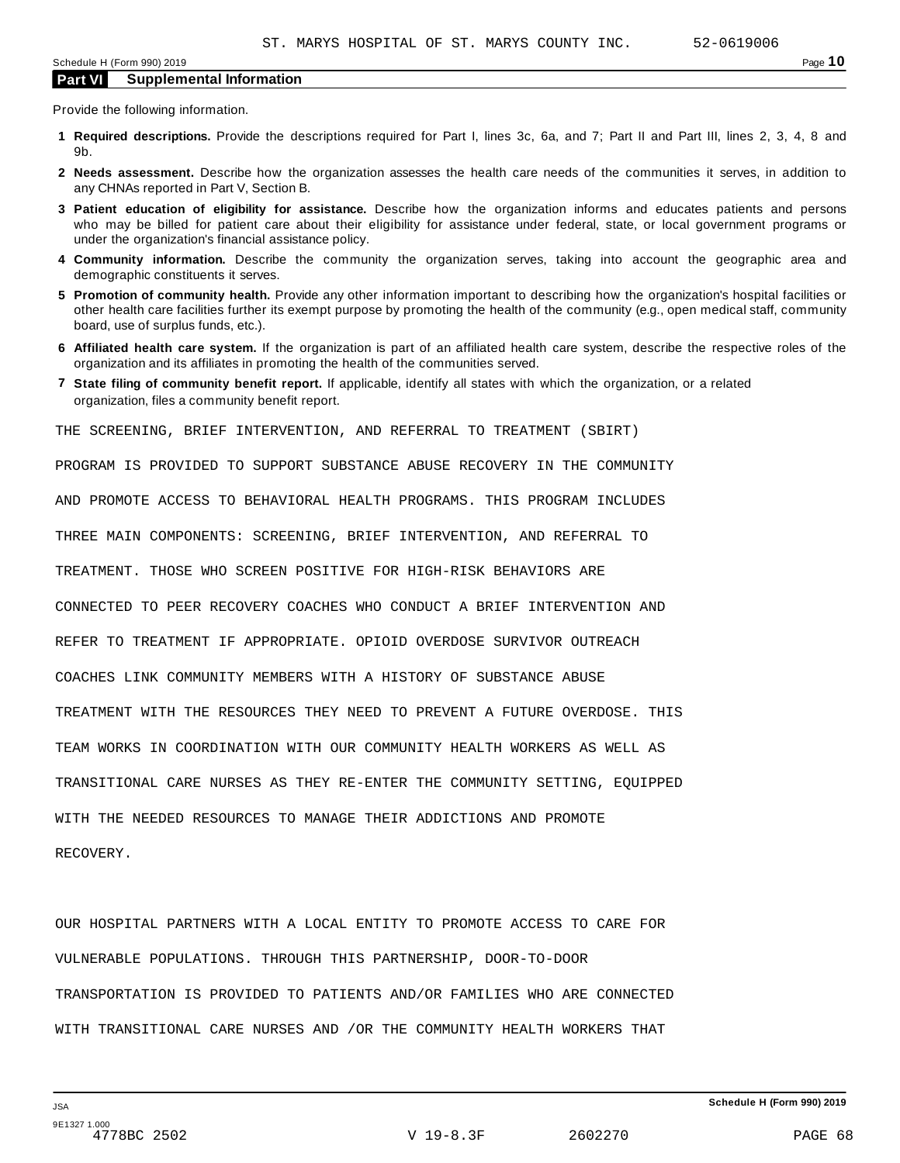Provide the following information.

- **1 Required descriptions.** Provide the descriptions required for Part I, lines 3c, 6a, and 7; Part II and Part III, lines 2, 3, 4, 8 and 9b.
- **2 Needs assessment.** Describe how the organization assesses the health care needs of the communities it serves, in addition to any CHNAs reported in Part V, Section B.
- **3 Patient education of eligibility for assistance.** Describe how the organization informs and educates patients and persons who may be billed for patient care about their eligibility for assistance under federal, state, or local government programs or under the organization's financial assistance policy.
- **4 Community information.** Describe the community the organization serves, taking into account the geographic area and demographic constituents it serves.
- **5 Promotion of community health.** Provide any other information important to describing how the organization's hospital facilities or other health care facilities further its exempt purpose by promoting the health of the community (e.g., open medical staff, community board, use of surplus funds, etc.).
- **6 Affiliated health care system.** If the organization is part of an affiliated health care system, describe the respective roles of the organization and its affiliates in promoting the health of the communities served.
- **7 State filing of community benefit report.** If applicable, identify all states with which the organization, or a related organization, files a community benefit report.

THE SCREENING, BRIEF INTERVENTION, AND REFERRAL TO TREATMENT (SBIRT)

PROGRAM IS PROVIDED TO SUPPORT SUBSTANCE ABUSE RECOVERY IN THE COMMUNITY

AND PROMOTE ACCESS TO BEHAVIORAL HEALTH PROGRAMS. THIS PROGRAM INCLUDES

THREE MAIN COMPONENTS: SCREENING, BRIEF INTERVENTION, AND REFERRAL TO

TREATMENT. THOSE WHO SCREEN POSITIVE FOR HIGH-RISK BEHAVIORS ARE

CONNECTED TO PEER RECOVERY COACHES WHO CONDUCT A BRIEF INTERVENTION AND

REFER TO TREATMENT IF APPROPRIATE. OPIOID OVERDOSE SURVIVOR OUTREACH

COACHES LINK COMMUNITY MEMBERS WITH A HISTORY OF SUBSTANCE ABUSE

TREATMENT WITH THE RESOURCES THEY NEED TO PREVENT A FUTURE OVERDOSE. THIS

TEAM WORKS IN COORDINATION WITH OUR COMMUNITY HEALTH WORKERS AS WELL AS

TRANSITIONAL CARE NURSES AS THEY RE-ENTER THE COMMUNITY SETTING, EQUIPPED

WITH THE NEEDED RESOURCES TO MANAGE THEIR ADDICTIONS AND PROMOTE

RECOVERY.

OUR HOSPITAL PARTNERS WITH A LOCAL ENTITY TO PROMOTE ACCESS TO CARE FOR VULNERABLE POPULATIONS. THROUGH THIS PARTNERSHIP, DOOR-TO-DOOR TRANSPORTATION IS PROVIDED TO PATIENTS AND/OR FAMILIES WHO ARE CONNECTED WITH TRANSITIONAL CARE NURSES AND /OR THE COMMUNITY HEALTH WORKERS THAT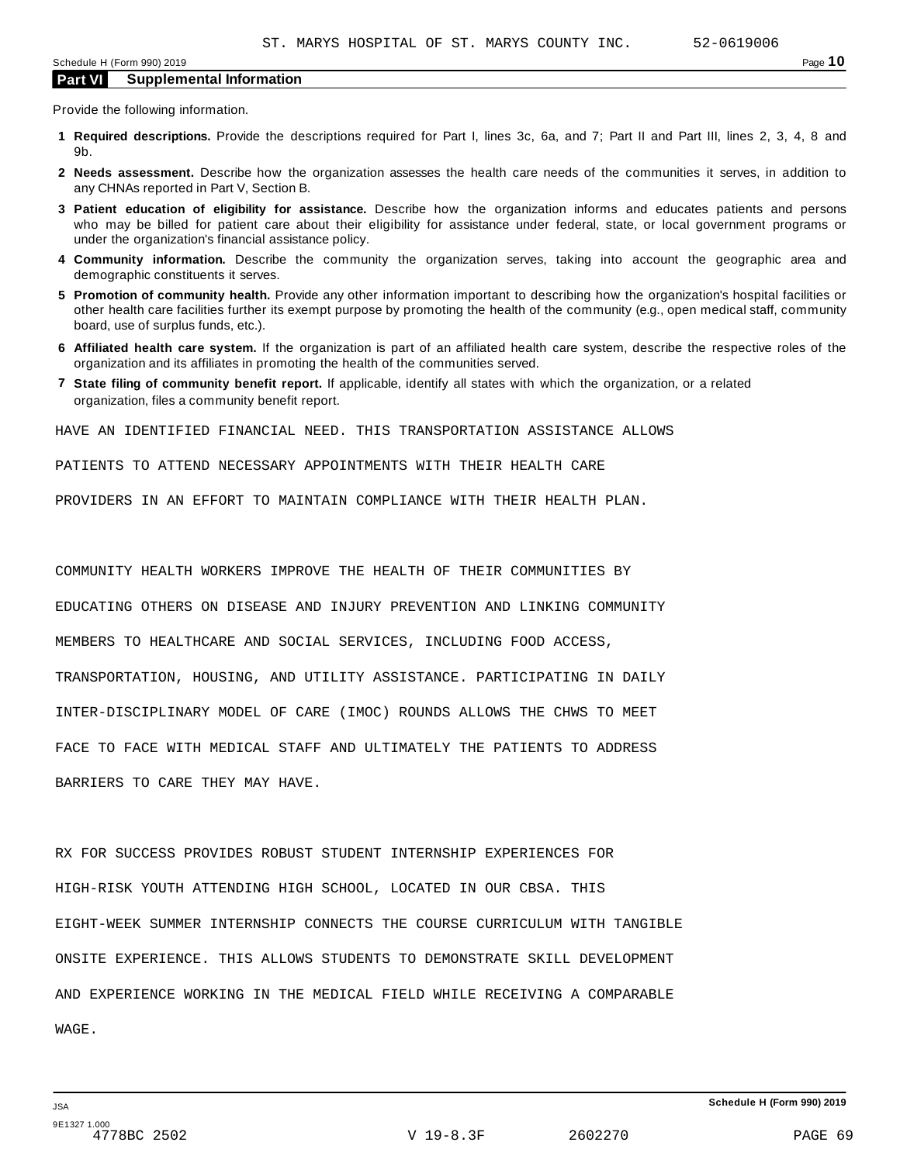Provide the following information.

- **1 Required descriptions.** Provide the descriptions required for Part I, lines 3c, 6a, and 7; Part II and Part III, lines 2, 3, 4, 8 and 9b.
- **2 Needs assessment.** Describe how the organization assesses the health care needs of the communities it serves, in addition to any CHNAs reported in Part V, Section B.
- **3 Patient education of eligibility for assistance.** Describe how the organization informs and educates patients and persons who may be billed for patient care about their eligibility for assistance under federal, state, or local government programs or under the organization's financial assistance policy.
- **4 Community information.** Describe the community the organization serves, taking into account the geographic area and demographic constituents it serves.
- **5 Promotion of community health.** Provide any other information important to describing how the organization's hospital facilities or other health care facilities further its exempt purpose by promoting the health of the community (e.g., open medical staff, community board, use of surplus funds, etc.).
- **6 Affiliated health care system.** If the organization is part of an affiliated health care system, describe the respective roles of the organization and its affiliates in promoting the health of the communities served.
- **7 State filing of community benefit report.** If applicable, identify all states with which the organization, or a related organization, files a community benefit report.

HAVE AN IDENTIFIED FINANCIAL NEED. THIS TRANSPORTATION ASSISTANCE ALLOWS

PATIENTS TO ATTEND NECESSARY APPOINTMENTS WITH THEIR HEALTH CARE

PROVIDERS IN AN EFFORT TO MAINTAIN COMPLIANCE WITH THEIR HEALTH PLAN.

COMMUNITY HEALTH WORKERS IMPROVE THE HEALTH OF THEIR COMMUNITIES BY EDUCATING OTHERS ON DISEASE AND INJURY PREVENTION AND LINKING COMMUNITY MEMBERS TO HEALTHCARE AND SOCIAL SERVICES, INCLUDING FOOD ACCESS, TRANSPORTATION, HOUSING, AND UTILITY ASSISTANCE. PARTICIPATING IN DAILY INTER-DISCIPLINARY MODEL OF CARE (IMOC) ROUNDS ALLOWS THE CHWS TO MEET FACE TO FACE WITH MEDICAL STAFF AND ULTIMATELY THE PATIENTS TO ADDRESS

BARRIERS TO CARE THEY MAY HAVE.

RX FOR SUCCESS PROVIDES ROBUST STUDENT INTERNSHIP EXPERIENCES FOR HIGH-RISK YOUTH ATTENDING HIGH SCHOOL, LOCATED IN OUR CBSA. THIS EIGHT-WEEK SUMMER INTERNSHIP CONNECTS THE COURSE CURRICULUM WITH TANGIBLE ONSITE EXPERIENCE. THIS ALLOWS STUDENTS TO DEMONSTRATE SKILL DEVELOPMENT AND EXPERIENCE WORKING IN THE MEDICAL FIELD WHILE RECEIVING A COMPARABLE WAGE.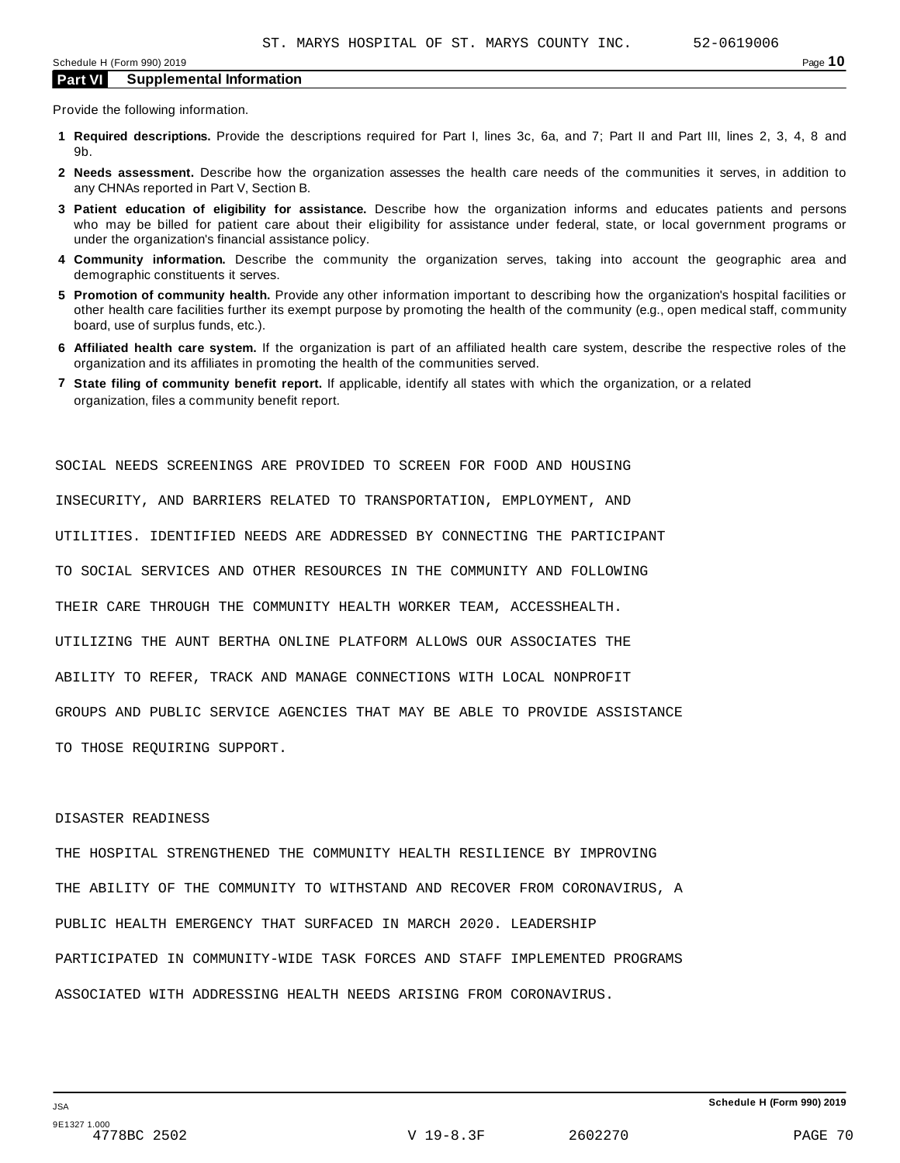Provide the following information.

- **1 Required descriptions.** Provide the descriptions required for Part I, lines 3c, 6a, and 7; Part II and Part III, lines 2, 3, 4, 8 and 9b.
- **2 Needs assessment.** Describe how the organization assesses the health care needs of the communities it serves, in addition to any CHNAs reported in Part V, Section B.
- **3 Patient education of eligibility for assistance.** Describe how the organization informs and educates patients and persons who may be billed for patient care about their eligibility for assistance under federal, state, or local government programs or under the organization's financial assistance policy.
- **4 Community information.** Describe the community the organization serves, taking into account the geographic area and demographic constituents it serves.
- **5 Promotion of community health.** Provide any other information important to describing how the organization's hospital facilities or other health care facilities further its exempt purpose by promoting the health of the community (e.g., open medical staff, community board, use of surplus funds, etc.).
- **6 Affiliated health care system.** If the organization is part of an affiliated health care system, describe the respective roles of the organization and its affiliates in promoting the health of the communities served.
- **7 State filing of community benefit report.** If applicable, identify all states with which the organization, or a related organization, files a community benefit report.

INSECURITY, AND BARRIERS RELATED TO TRANSPORTATION, EMPLOYMENT, AND UTILITIES. IDENTIFIED NEEDS ARE ADDRESSED BY CONNECTING THE PARTICIPANT TO SOCIAL SERVICES AND OTHER RESOURCES IN THE COMMUNITY AND FOLLOWING THEIR CARE THROUGH THE COMMUNITY HEALTH WORKER TEAM, ACCESSHEALTH. UTILIZING THE AUNT BERTHA ONLINE PLATFORM ALLOWS OUR ASSOCIATES THE ABILITY TO REFER, TRACK AND MANAGE CONNECTIONS WITH LOCAL NONPROFIT GROUPS AND PUBLIC SERVICE AGENCIES THAT MAY BE ABLE TO PROVIDE ASSISTANCE TO THOSE REQUIRING SUPPORT.

SOCIAL NEEDS SCREENINGS ARE PROVIDED TO SCREEN FOR FOOD AND HOUSING

#### DISASTER READINESS

THE HOSPITAL STRENGTHENED THE COMMUNITY HEALTH RESILIENCE BY IMPROVING THE ABILITY OF THE COMMUNITY TO WITHSTAND AND RECOVER FROM CORONAVIRUS, A PUBLIC HEALTH EMERGENCY THAT SURFACED IN MARCH 2020. LEADERSHIP PARTICIPATED IN COMMUNITY-WIDE TASK FORCES AND STAFF IMPLEMENTED PROGRAMS ASSOCIATED WITH ADDRESSING HEALTH NEEDS ARISING FROM CORONAVIRUS.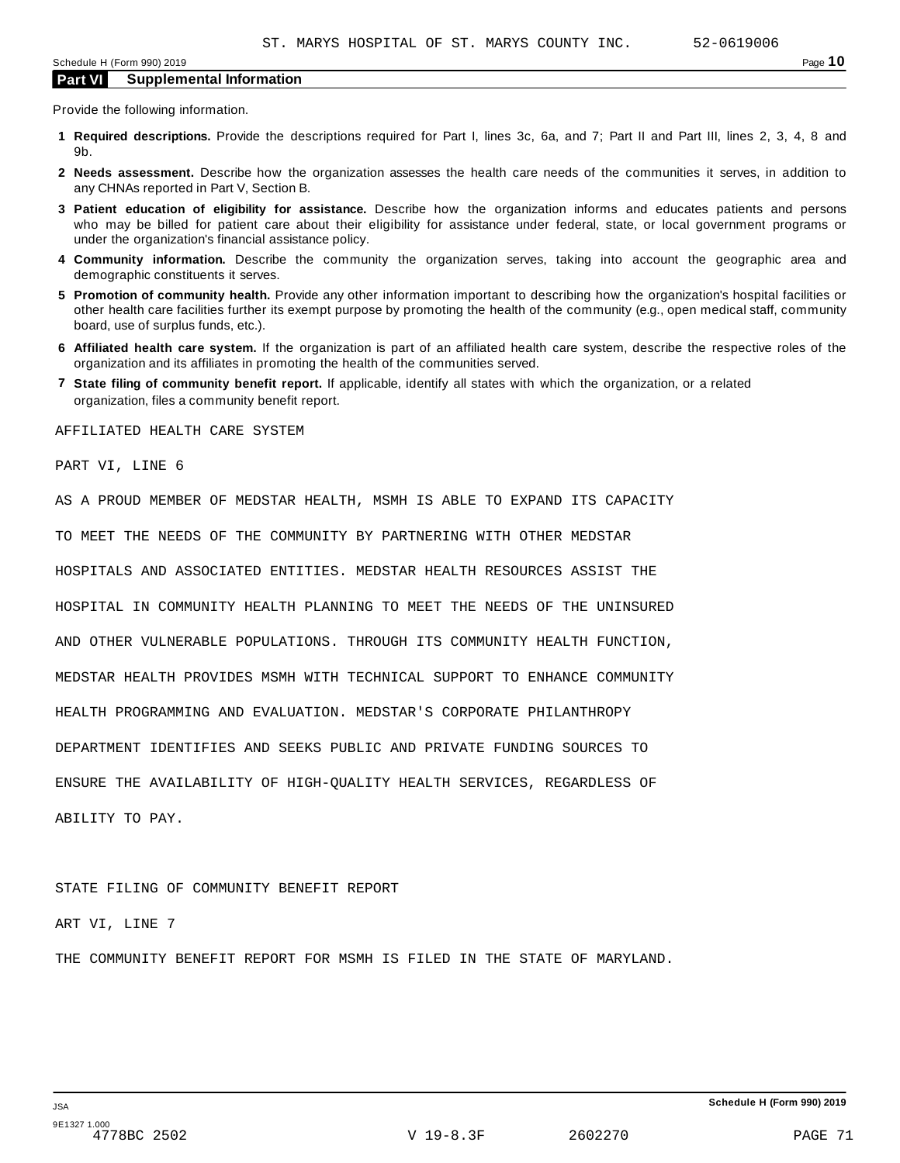Provide the following information.

- **1 Required descriptions.** Provide the descriptions required for Part I, lines 3c, 6a, and 7; Part II and Part III, lines 2, 3, 4, 8 and 9b.
- **2 Needs assessment.** Describe how the organization assesses the health care needs of the communities it serves, in addition to any CHNAs reported in Part V, Section B.
- **3 Patient education of eligibility for assistance.** Describe how the organization informs and educates patients and persons who may be billed for patient care about their eligibility for assistance under federal, state, or local government programs or under the organization's financial assistance policy.
- **4 Community information.** Describe the community the organization serves, taking into account the geographic area and demographic constituents it serves.
- **5 Promotion of community health.** Provide any other information important to describing how the organization's hospital facilities or other health care facilities further its exempt purpose by promoting the health of the community (e.g., open medical staff, community board, use of surplus funds, etc.).
- **6 Affiliated health care system.** If the organization is part of an affiliated health care system, describe the respective roles of the organization and its affiliates in promoting the health of the communities served.
- **7 State filing of community benefit report.** If applicable, identify all states with which the organization, or a related organization, files a community benefit report.

AFFILIATED HEALTH CARE SYSTEM

PART VI, LINE 6

AS A PROUD MEMBER OF MEDSTAR HEALTH, MSMH IS ABLE TO EXPAND ITS CAPACITY TO MEET THE NEEDS OF THE COMMUNITY BY PARTNERING WITH OTHER MEDSTAR HOSPITALS AND ASSOCIATED ENTITIES. MEDSTAR HEALTH RESOURCES ASSIST THE HOSPITAL IN COMMUNITY HEALTH PLANNING TO MEET THE NEEDS OF THE UNINSURED AND OTHER VULNERABLE POPULATIONS. THROUGH ITS COMMUNITY HEALTH FUNCTION, MEDSTAR HEALTH PROVIDES MSMH WITH TECHNICAL SUPPORT TO ENHANCE COMMUNITY HEALTH PROGRAMMING AND EVALUATION. MEDSTAR'S CORPORATE PHILANTHROPY DEPARTMENT IDENTIFIES AND SEEKS PUBLIC AND PRIVATE FUNDING SOURCES TO ENSURE THE AVAILABILITY OF HIGH-QUALITY HEALTH SERVICES, REGARDLESS OF ABILITY TO PAY.

STATE FILING OF COMMUNITY BENEFIT REPORT

ART VI, LINE 7

THE COMMUNITY BENEFIT REPORT FOR MSMH IS FILED IN THE STATE OF MARYLAND.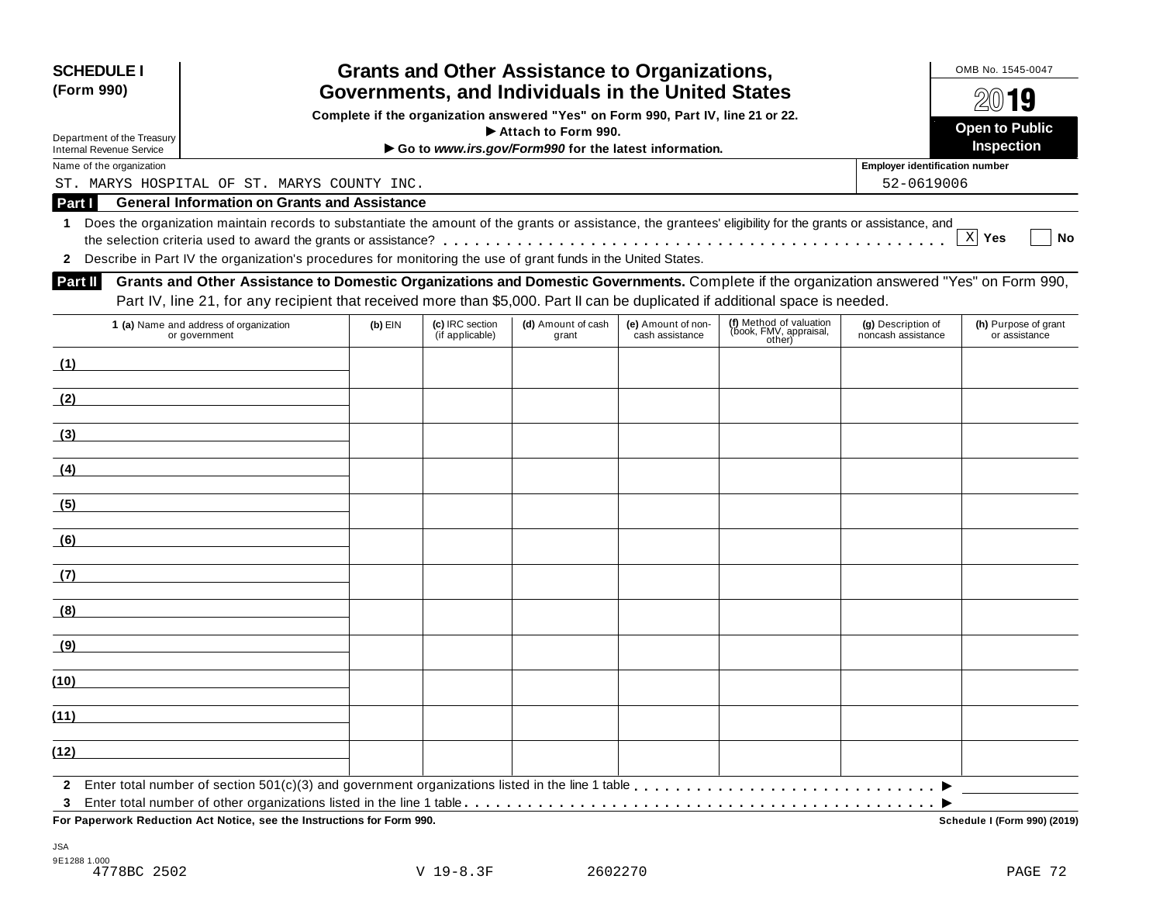| <b>SCHEDULE I</b><br>(Form 990)                             |                                                                                                                                                                                                                                                                           |           |                                    | <b>Grants and Other Assistance to Organizations,</b><br>Governments, and Individuals in the United States |                                       |                                                             |                                          | OMB No. 1545-0047                     |
|-------------------------------------------------------------|---------------------------------------------------------------------------------------------------------------------------------------------------------------------------------------------------------------------------------------------------------------------------|-----------|------------------------------------|-----------------------------------------------------------------------------------------------------------|---------------------------------------|-------------------------------------------------------------|------------------------------------------|---------------------------------------|
|                                                             |                                                                                                                                                                                                                                                                           |           |                                    | Complete if the organization answered "Yes" on Form 990, Part IV, line 21 or 22.                          |                                       |                                                             |                                          | $20$ 19                               |
| Department of the Treasury                                  |                                                                                                                                                                                                                                                                           |           |                                    | Attach to Form 990.                                                                                       |                                       |                                                             |                                          | <b>Open to Public</b><br>Inspection   |
| <b>Internal Revenue Service</b><br>Name of the organization |                                                                                                                                                                                                                                                                           |           |                                    | Go to www.irs.gov/Form990 for the latest information.                                                     |                                       |                                                             | <b>Employer identification number</b>    |                                       |
|                                                             | ST. MARYS HOSPITAL OF ST. MARYS COUNTY INC.                                                                                                                                                                                                                               |           |                                    |                                                                                                           |                                       |                                                             | 52-0619006                               |                                       |
| Part I                                                      | <b>General Information on Grants and Assistance</b>                                                                                                                                                                                                                       |           |                                    |                                                                                                           |                                       |                                                             |                                          |                                       |
| $\mathbf 1$                                                 | Does the organization maintain records to substantiate the amount of the grants or assistance, the grantees' eligibility for the grants or assistance, and                                                                                                                |           |                                    |                                                                                                           |                                       |                                                             |                                          |                                       |
|                                                             |                                                                                                                                                                                                                                                                           |           |                                    |                                                                                                           |                                       |                                                             |                                          | X Yes<br>No                           |
|                                                             | 2 Describe in Part IV the organization's procedures for monitoring the use of grant funds in the United States.                                                                                                                                                           |           |                                    |                                                                                                           |                                       |                                                             |                                          |                                       |
| Part II                                                     | Grants and Other Assistance to Domestic Organizations and Domestic Governments. Complete if the organization answered "Yes" on Form 990,<br>Part IV, line 21, for any recipient that received more than \$5,000. Part II can be duplicated if additional space is needed. |           |                                    |                                                                                                           |                                       |                                                             |                                          |                                       |
|                                                             | 1 (a) Name and address of organization<br>or government                                                                                                                                                                                                                   | $(b)$ EIN | (c) IRC section<br>(if applicable) | (d) Amount of cash<br>grant                                                                               | (e) Amount of non-<br>cash assistance | (f) Method of valuation<br>(book, FMV, appraisal,<br>other) | (g) Description of<br>noncash assistance | (h) Purpose of grant<br>or assistance |
| (1)                                                         |                                                                                                                                                                                                                                                                           |           |                                    |                                                                                                           |                                       |                                                             |                                          |                                       |
| (2)                                                         | <u> 1989 - John Stein, Amerikaansk politiker (</u>                                                                                                                                                                                                                        |           |                                    |                                                                                                           |                                       |                                                             |                                          |                                       |
| (3)                                                         |                                                                                                                                                                                                                                                                           |           |                                    |                                                                                                           |                                       |                                                             |                                          |                                       |
| (4)                                                         |                                                                                                                                                                                                                                                                           |           |                                    |                                                                                                           |                                       |                                                             |                                          |                                       |
| (5)                                                         |                                                                                                                                                                                                                                                                           |           |                                    |                                                                                                           |                                       |                                                             |                                          |                                       |
| (6)                                                         |                                                                                                                                                                                                                                                                           |           |                                    |                                                                                                           |                                       |                                                             |                                          |                                       |
| (7)                                                         |                                                                                                                                                                                                                                                                           |           |                                    |                                                                                                           |                                       |                                                             |                                          |                                       |
| (8)                                                         |                                                                                                                                                                                                                                                                           |           |                                    |                                                                                                           |                                       |                                                             |                                          |                                       |
| <u>(9)</u>                                                  |                                                                                                                                                                                                                                                                           |           |                                    |                                                                                                           |                                       |                                                             |                                          |                                       |
| (10)                                                        |                                                                                                                                                                                                                                                                           |           |                                    |                                                                                                           |                                       |                                                             |                                          |                                       |
| (11)                                                        |                                                                                                                                                                                                                                                                           |           |                                    |                                                                                                           |                                       |                                                             |                                          |                                       |
| (12)                                                        |                                                                                                                                                                                                                                                                           |           |                                    |                                                                                                           |                                       |                                                             |                                          |                                       |
| $\mathbf{2}$                                                |                                                                                                                                                                                                                                                                           |           |                                    |                                                                                                           |                                       |                                                             |                                          |                                       |
| 3                                                           | For Paperwork Reduction Act Notice, see the Instructions for Form 990.                                                                                                                                                                                                    |           |                                    |                                                                                                           |                                       |                                                             |                                          | <b>Schedule I (Form 990) (2019)</b>   |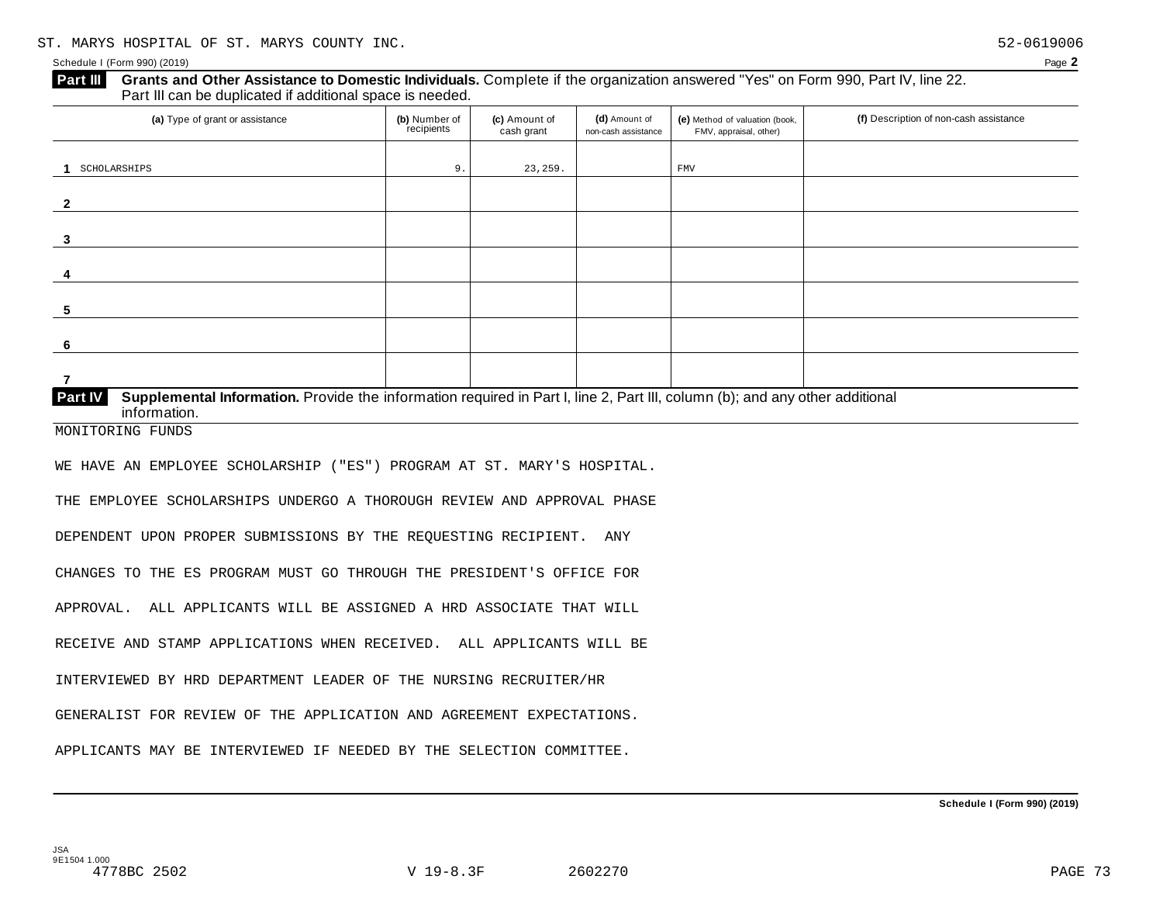#### **Grants and Other Assistance to Domestic Individuals.** Complete if the organization answered "Yes" on Form 990, Part IV, line 22. Part III can be duplicated if additional space is needed. **Part III**  (a) Type of grant or assistance **(b)** Number of **(c)** Amount of **(d)** Amount of **(e)** Method of valuation (book, **(f)** Description of non-cash assistance FMV, appraisal, other) **(b)** Number of recipients **(d)** Amount of non-cash assistance **(c)** Amount of cash grant **1 2 3 4 5 6 7 Supplemental Information.** Provide the information required in Part I, line 2, Part III, column (b); and any other additional information. **Part IV**  SCHOLARSHIPS 9. 23,259. FMV

MONITORING FUNDS

WE HAVE AN EMPLOYEE SCHOLARSHIP ("ES") PROGRAM AT ST. MARY'S HOSPITAL.

THE EMPLOYEE SCHOLARSHIPS UNDERGO A THOROUGH REVIEW AND APPROVAL PHASE

DEPENDENT UPON PROPER SUBMISSIONS BY THE REQUESTING RECIPIENT. ANY

CHANGES TO THE ES PROGRAM MUST GO THROUGH THE PRESIDENT'S OFFICE FOR

APPROVAL. ALL APPLICANTS WILL BE ASSIGNED A HRD ASSOCIATE THAT WILL

RECEIVE AND STAMP APPLICATIONS WHEN RECEIVED. ALL APPLICANTS WILL BE

INTERVIEWED BY HRD DEPARTMENT LEADER OF THE NURSING RECRUITER/HR

GENERALIST FOR REVIEW OF THE APPLICATION AND AGREEMENT EXPECTATIONS.

APPLICANTS MAY BE INTERVIEWED IF NEEDED BY THE SELECTION COMMITTEE.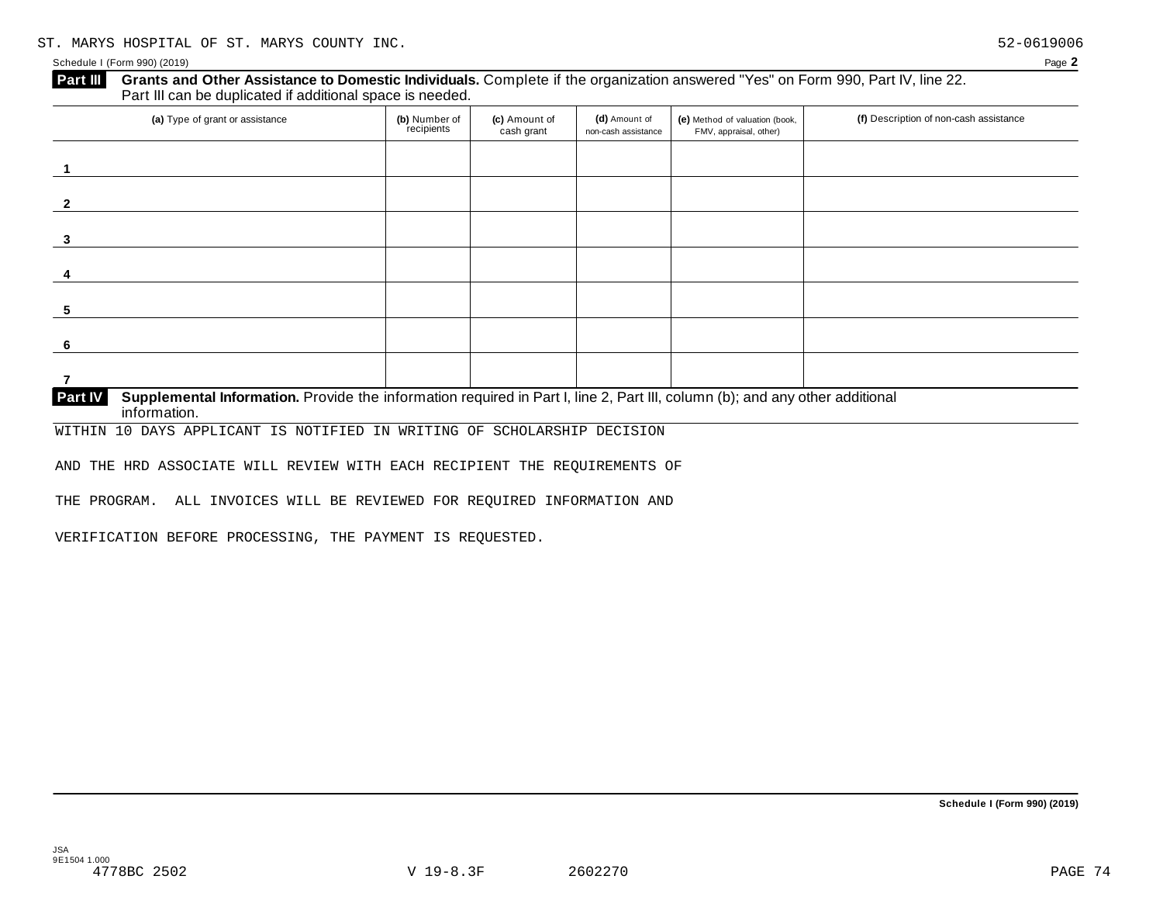| (a) Type of grant or assistance | (b) Number of<br>recipients | (c) Amount of<br>cash grant | (d) Amount of<br>non-cash assistance | (e) Method of valuation (book,<br>FMV, appraisal, other) | (f) Description of non-cash assistance |
|---------------------------------|-----------------------------|-----------------------------|--------------------------------------|----------------------------------------------------------|----------------------------------------|
|                                 |                             |                             |                                      |                                                          |                                        |
|                                 |                             |                             |                                      |                                                          |                                        |
|                                 |                             |                             |                                      |                                                          |                                        |
|                                 |                             |                             |                                      |                                                          |                                        |
|                                 |                             |                             |                                      |                                                          |                                        |
|                                 |                             |                             |                                      |                                                          |                                        |
|                                 |                             |                             |                                      |                                                          |                                        |

WITHIN 10 DAYS APPLICANT IS NOTIFIED IN WRITING OF SCHOLARSHIP DECISION

AND THE HRD ASSOCIATE WILL REVIEW WITH EACH RECIPIENT THE REQUIREMENTS OF

THE PROGRAM. ALL INVOICES WILL BE REVIEWED FOR REQUIRED INFORMATION AND

VERIFICATION BEFORE PROCESSING, THE PAYMENT IS REQUESTED.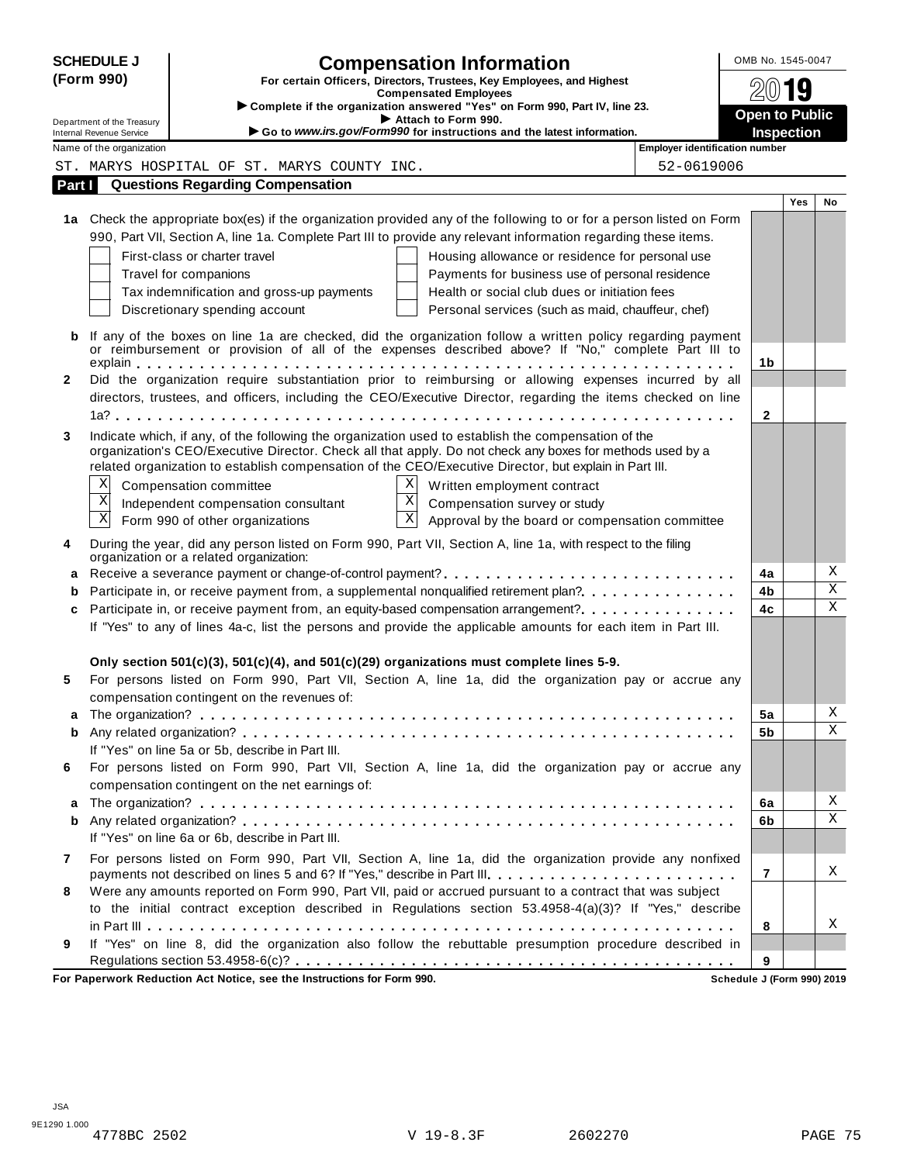|              | <b>SCHEDULE J</b>                                      | <b>Compensation Information</b>                                                                                                                                                                                   | OMB No. 1545-0047                   |     |             |
|--------------|--------------------------------------------------------|-------------------------------------------------------------------------------------------------------------------------------------------------------------------------------------------------------------------|-------------------------------------|-----|-------------|
|              | (Form 990)                                             | For certain Officers, Directors, Trustees, Key Employees, and Highest<br><b>Compensated Employees</b>                                                                                                             | 2019                                |     |             |
|              |                                                        | Complete if the organization answered "Yes" on Form 990, Part IV, line 23.                                                                                                                                        |                                     |     |             |
|              | Department of the Treasury<br>Internal Revenue Service | Attach to Form 990.<br>Go to www.irs.gov/Form990 for instructions and the latest information.                                                                                                                     | <b>Open to Public</b><br>Inspection |     |             |
|              | Name of the organization                               | <b>Employer identification number</b>                                                                                                                                                                             |                                     |     |             |
|              |                                                        | 52-0619006<br>ST. MARYS HOSPITAL OF ST. MARYS COUNTY INC.                                                                                                                                                         |                                     |     |             |
| Part I       |                                                        | <b>Questions Regarding Compensation</b>                                                                                                                                                                           |                                     |     |             |
|              |                                                        |                                                                                                                                                                                                                   |                                     | Yes | No          |
|              |                                                        | 1a Check the appropriate box(es) if the organization provided any of the following to or for a person listed on Form                                                                                              |                                     |     |             |
|              |                                                        | 990, Part VII, Section A, line 1a. Complete Part III to provide any relevant information regarding these items.                                                                                                   |                                     |     |             |
|              |                                                        | First-class or charter travel<br>Housing allowance or residence for personal use                                                                                                                                  |                                     |     |             |
|              |                                                        | Payments for business use of personal residence<br>Travel for companions                                                                                                                                          |                                     |     |             |
|              |                                                        | Health or social club dues or initiation fees<br>Tax indemnification and gross-up payments                                                                                                                        |                                     |     |             |
|              |                                                        | Discretionary spending account<br>Personal services (such as maid, chauffeur, chef)                                                                                                                               |                                     |     |             |
|              |                                                        |                                                                                                                                                                                                                   |                                     |     |             |
| b            |                                                        | If any of the boxes on line 1a are checked, did the organization follow a written policy regarding payment<br>or reimbursement or provision of all of the expenses described above? If "No," complete Part III to |                                     |     |             |
|              |                                                        |                                                                                                                                                                                                                   | 1b                                  |     |             |
| $\mathbf{2}$ |                                                        | Did the organization require substantiation prior to reimbursing or allowing expenses incurred by all                                                                                                             |                                     |     |             |
|              |                                                        | directors, trustees, and officers, including the CEO/Executive Director, regarding the items checked on line                                                                                                      |                                     |     |             |
|              |                                                        |                                                                                                                                                                                                                   | $\mathbf{2}$                        |     |             |
| 3            |                                                        | Indicate which, if any, of the following the organization used to establish the compensation of the                                                                                                               |                                     |     |             |
|              |                                                        | organization's CEO/Executive Director. Check all that apply. Do not check any boxes for methods used by a                                                                                                         |                                     |     |             |
|              |                                                        | related organization to establish compensation of the CEO/Executive Director, but explain in Part III.                                                                                                            |                                     |     |             |
|              | Χ                                                      | $\mathbf{x}$<br>Compensation committee<br>Written employment contract                                                                                                                                             |                                     |     |             |
|              | $\overline{\mathbf{x}}$                                | $\overline{\mathbf{x}}$<br>Independent compensation consultant<br>Compensation survey or study                                                                                                                    |                                     |     |             |
|              | $\overline{\mathbf{x}}$                                | $\overline{\mathbf{x}}$<br>Form 990 of other organizations<br>Approval by the board or compensation committee                                                                                                     |                                     |     |             |
| 4            |                                                        | During the year, did any person listed on Form 990, Part VII, Section A, line 1a, with respect to the filing                                                                                                      |                                     |     |             |
|              |                                                        | organization or a related organization:                                                                                                                                                                           |                                     |     |             |
| а            |                                                        |                                                                                                                                                                                                                   | 4a                                  |     | Χ           |
| b            |                                                        | Participate in, or receive payment from, a supplemental nonqualified retirement plan?.                                                                                                                            | 4b                                  |     | Χ           |
| c            |                                                        | Participate in, or receive payment from, an equity-based compensation arrangement?                                                                                                                                | 4c                                  |     | $\mathbf X$ |
|              |                                                        | If "Yes" to any of lines 4a-c, list the persons and provide the applicable amounts for each item in Part III.                                                                                                     |                                     |     |             |
|              |                                                        | Only section $501(c)(3)$ , $501(c)(4)$ , and $501(c)(29)$ organizations must complete lines 5-9.                                                                                                                  |                                     |     |             |
| 5            |                                                        | For persons listed on Form 990, Part VII, Section A, line 1a, did the organization pay or accrue any                                                                                                              |                                     |     |             |
|              |                                                        | compensation contingent on the revenues of:                                                                                                                                                                       |                                     |     |             |
| a            |                                                        |                                                                                                                                                                                                                   | 5a                                  |     | Χ           |
| b            |                                                        |                                                                                                                                                                                                                   | 5b                                  |     | Χ           |
|              |                                                        | If "Yes" on line 5a or 5b, describe in Part III.                                                                                                                                                                  |                                     |     |             |
|              |                                                        | For persons listed on Form 990, Part VII, Section A, line 1a, did the organization pay or accrue any<br>compensation contingent on the net earnings of:                                                           |                                     |     |             |
| 6            |                                                        |                                                                                                                                                                                                                   | 6a                                  |     | Χ           |
|              |                                                        |                                                                                                                                                                                                                   |                                     |     |             |
| a            |                                                        |                                                                                                                                                                                                                   |                                     |     | Χ           |
| b            |                                                        | If "Yes" on line 6a or 6b, describe in Part III.                                                                                                                                                                  | 6b                                  |     |             |
| 7            |                                                        | For persons listed on Form 990, Part VII, Section A, line 1a, did the organization provide any nonfixed                                                                                                           |                                     |     |             |
|              |                                                        | payments not described on lines 5 and 6? If "Yes," describe in Part III.                                                                                                                                          | 7                                   |     | X           |
| 8            |                                                        | Were any amounts reported on Form 990, Part VII, paid or accrued pursuant to a contract that was subject                                                                                                          |                                     |     |             |
|              |                                                        | to the initial contract exception described in Regulations section 53.4958-4(a)(3)? If "Yes," describe                                                                                                            |                                     |     |             |
|              |                                                        |                                                                                                                                                                                                                   | 8                                   |     | Χ           |
| 9            |                                                        | If "Yes" on line 8, did the organization also follow the rebuttable presumption procedure described in                                                                                                            |                                     |     |             |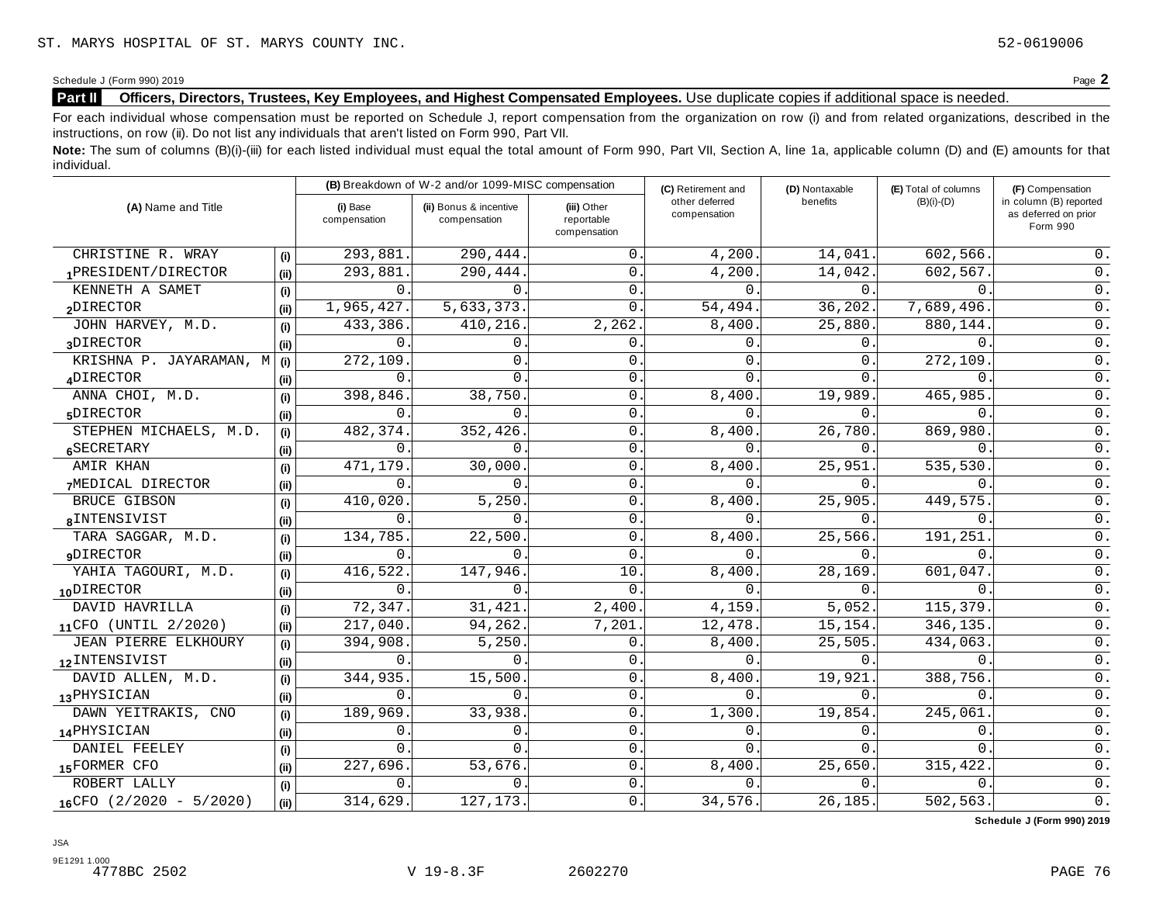#### **Part II** Officers, Directors, Trustees, Key Employees, and Highest Compensated Employees. Use duplicate copies if additional space is needed.

For each individual whose compensation must be reported on Schedule J, report compensation from the organization on row (i) and from related organizations, described in the instructions, on row (ii). Do not list any individuals that aren't listed on Form 990, Part VII.

Note: The sum of columns (B)(i)-(iii) for each listed individual must equal the total amount of Form 990, Part VII, Section A, line 1a, applicable column (D) and (E) amounts for that individual.

| (A) Name and Title           |      |                          | (B) Breakdown of W-2 and/or 1099-MISC compensation |                                           | (C) Retirement and             | (D) Nontaxable | (E) Total of columns | (F) Compensation                                           |
|------------------------------|------|--------------------------|----------------------------------------------------|-------------------------------------------|--------------------------------|----------------|----------------------|------------------------------------------------------------|
|                              |      | (i) Base<br>compensation | (ii) Bonus & incentive<br>compensation             | (iii) Other<br>reportable<br>compensation | other deferred<br>compensation | benefits       | $(B)(i)-(D)$         | in column (B) reported<br>as deferred on prior<br>Form 990 |
| CHRISTINE R. WRAY            | (i)  | 293,881                  | 290,444.                                           | $\mathbf{0}$                              | 4,200.                         | 14,041.        | 602,566.             | 0.                                                         |
| 1PRESIDENT/DIRECTOR          | (ii) | 293,881                  | 290,444.                                           | $\mathbf{0}$                              | 4,200                          | 14,042.        | 602,567.             | 0.                                                         |
| KENNETH A SAMET              | (i)  | $\Omega$                 | $\Omega$                                           | $\mathbf{0}$                              | $\Omega$                       | $\Omega$ .     | $\Omega$             | $0$ .                                                      |
| 2DIRECTOR                    | (i)  | 1,965,427.               | 5,633,373.                                         | $\Omega$ .                                | 54,494.                        | 36,202.        | 7,689,496            | 0.                                                         |
| JOHN HARVEY, M.D.            | (i)  | 433,386                  | 410,216.                                           | 2,262                                     | 8,400.                         | 25,880.        | 880,144              | $0$ .                                                      |
| 3DIRECTOR                    | (i)  | $\Omega$                 | $\Omega$                                           | 0                                         | $\mathbf 0$ .                  | 0.             | $\Omega$             | $0$ .                                                      |
| KRISHNA P. JAYARAMAN, M      | (i)  | 272,109                  | $0$ .                                              | 0                                         | $\Omega$                       | $\Omega$ .     | 272,109              | 0.                                                         |
| ADIRECTOR                    | (ii) | $\Omega$                 | $\Omega$                                           | $\mathbf 0$                               | $\Omega$                       | $\Omega$ .     | 0                    | 0.                                                         |
| ANNA CHOI, M.D.              | (i)  | 398,846                  | 38,750                                             | $\mathbf 0$                               | 8,400                          | 19,989.        | 465,985              | $0$ .                                                      |
| 5DIRECTOR                    | (i)  | $\Omega$                 | $\Omega$                                           | $\overline{0}$                            | $\Omega$ .                     | $\Omega$ .     | $\Omega$ .           | 0.                                                         |
| STEPHEN MICHAELS, M.D.       | (i)  | 482,374                  | 352,426                                            | $\mathbf 0$                               | 8,400                          | 26,780.        | 869,980.             | $0$ .                                                      |
| 6SECRETARY                   | (ii) | 0                        | 0                                                  | 0                                         | 0                              | 0.             | 0                    | $0$ .                                                      |
| AMIR KHAN                    | (i)  | 471,179                  | 30,000.                                            | 0                                         | 8,400                          | 25,951         | 535,530.             | 0.                                                         |
| 7MEDICAL DIRECTOR            | (ii) | $\Omega$                 | $\Omega$                                           | $\mathbf{0}$                              | 0                              | $\Omega$ .     | 0                    | 0.                                                         |
| BRUCE GIBSON                 | (i)  | 410,020                  | 5,250                                              | 0                                         | 8,400                          | 25,905.        | 449,575              | $0$ .                                                      |
| 8INTENSIVIST                 | (ii) | $\Omega$                 | $\Omega$                                           | 0.                                        | $\Omega$ .                     | $\Omega$ .     | $\Omega$ .           | 0.                                                         |
| TARA SAGGAR, M.D.            | (i)  | 134,785                  | 22,500                                             | 0                                         | 8,400                          | 25,566.        | 191,251              | $0$ .                                                      |
| <b>9DIRECTOR</b>             | (ii) | $\Omega$                 | $\Omega$                                           | $\mathbf 0$                               | $\Omega$                       | 0.             | $\Omega$             | $0$ .                                                      |
| YAHIA TAGOURI, M.D.          | (i)  | 416,522                  | 147,946.                                           | 10                                        | 8,400                          | 28,169.        | 601,047              | 0.                                                         |
| 10DIRECTOR                   | (ii) | $\Omega$                 | $\cap$                                             | $\Omega$ .                                | $\Omega$ .                     | $\Omega$ .     | $\Omega$ .           | $0$ .                                                      |
| DAVID HAVRILLA               | (i)  | 72,347                   | 31,421                                             | 2,400.                                    | 4,159                          | 5,052.         | 115,379              | $0$ .                                                      |
| 11CFO (UNTIL 2/2020)         | (ii) | 217,040.                 | 94,262.                                            | 7,201.                                    | 12,478.                        | 15,154.        | 346,135.             | 0.                                                         |
| JEAN PIERRE ELKHOURY         | (i)  | 394,908                  | 5,250                                              | 0                                         | 8,400                          | 25,505.        | 434,063.             | $0$ .                                                      |
| 12 INTENSIVIST               | (ii) | 0                        | 0                                                  | $\mathbf 0$                               | $\mathbf 0$ .                  | 0.             | $\mathbf{0}$ .       | $0$ .                                                      |
| DAVID ALLEN, M.D.            | (i)  | 344,935                  | 15,500.                                            | $\mathbf{0}$                              | 8,400                          | 19,921         | 388,756.             | 0.                                                         |
| 13PHYSICIAN                  | (ii) | $\Omega$                 | 0                                                  | $\mathbf{0}$                              | 0                              | 0.             | $\mathbf{0}$ .       | 0.                                                         |
| DAWN YEITRAKIS, CNO          | (i)  | 189,969                  | 33,938.                                            | $\mathbf 0$                               | 1,300                          | 19,854.        | 245,061              | $0$ .                                                      |
| 14PHYSICIAN                  | (ii) | 0                        | 0                                                  | 0.                                        | $\Omega$ .                     | $\Omega$ .     | $\Omega$ .           | 0.                                                         |
| DANIEL FEELEY                | (i)  | $\Omega$                 | $\Omega$                                           | 0                                         | $\Omega$                       | 0.             | 0                    | $0$ .                                                      |
| 15FORMER CFO                 | (ii) | 227,696                  | 53,676.                                            | 0                                         | 8,400                          | 25,650.        | 315,422              | $0$ .                                                      |
| ROBERT LALLY                 | (i)  | $\Omega$                 | $\Omega$                                           | $\mathbf{0}$                              | $\Omega$ .                     | Ο.             | $\Omega$             | 0.                                                         |
| $16$ CFO $(2/2020 - 5/2020)$ | (i)  | 314,629.                 | 127, 173.                                          | 0.                                        | 34,576.                        | 26,185.        | 502,563.             | $0$ .                                                      |

**Schedule J (Form 990) 2019**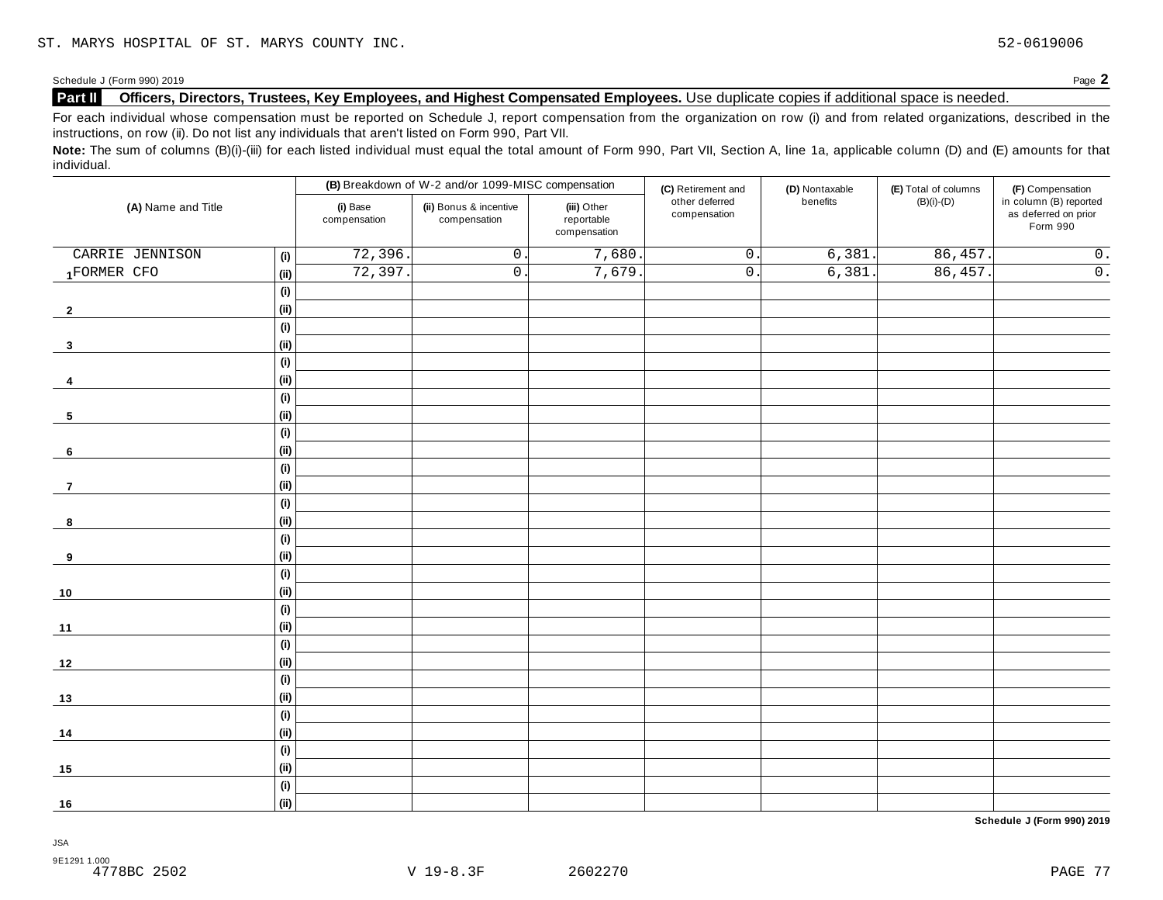#### **Part II** Officers, Directors, Trustees, Key Employees, and Highest Compensated Employees. Use duplicate copies if additional space is needed.

For each individual whose compensation must be reported on Schedule J, report compensation from the organization on row (i) and from related organizations, described in the instructions, on row (ii). Do not list any individuals that aren't listed on Form 990, Part VII.

Note: The sum of columns (B)(i)-(iii) for each listed individual must equal the total amount of Form 990, Part VII, Section A, line 1a, applicable column (D) and (E) amounts for that individual.

| (A) Name and Title      |                              |                          | (B) Breakdown of W-2 and/or 1099-MISC compensation                                  |        | (C) Retirement and             | (D) Nontaxable | (E) Total of columns | (F) Compensation                                           |
|-------------------------|------------------------------|--------------------------|-------------------------------------------------------------------------------------|--------|--------------------------------|----------------|----------------------|------------------------------------------------------------|
|                         |                              | (i) Base<br>compensation | (ii) Bonus & incentive<br>(iii) Other<br>reportable<br>compensation<br>compensation |        | other deferred<br>compensation | benefits       | $(B)(i)-(D)$         | in column (B) reported<br>as deferred on prior<br>Form 990 |
| CARRIE JENNISON         | (i)                          | 72,396.                  | $\mathsf 0$ .                                                                       | 7,680. | $\overline{0}$ .               | 6,381.         | 86,457.              | $\overline{0}$ .                                           |
| 1FORMER CFO             | (i)                          | 72,397                   | $\overline{0}$ .                                                                    | 7,679. | $\overline{0}$ .               | 6,381.         | 86,457.              | $\overline{0}$ .                                           |
|                         | (i)                          |                          |                                                                                     |        |                                |                |                      |                                                            |
| $\mathbf{2}$            | (ii)                         |                          |                                                                                     |        |                                |                |                      |                                                            |
|                         | (i)                          |                          |                                                                                     |        |                                |                |                      |                                                            |
| $\overline{\mathbf{3}}$ | (ii)                         |                          |                                                                                     |        |                                |                |                      |                                                            |
|                         | (i)                          |                          |                                                                                     |        |                                |                |                      |                                                            |
| 4                       | (ii)                         |                          |                                                                                     |        |                                |                |                      |                                                            |
|                         | $\qquad \qquad \textbf{(i)}$ |                          |                                                                                     |        |                                |                |                      |                                                            |
| 5                       | (ii)                         |                          |                                                                                     |        |                                |                |                      |                                                            |
|                         | (i)                          |                          |                                                                                     |        |                                |                |                      |                                                            |
| 6                       | (ii)                         |                          |                                                                                     |        |                                |                |                      |                                                            |
|                         | (i)                          |                          |                                                                                     |        |                                |                |                      |                                                            |
| $\overline{7}$          | (ii)                         |                          |                                                                                     |        |                                |                |                      |                                                            |
|                         | (i)                          |                          |                                                                                     |        |                                |                |                      |                                                            |
| 8                       | (i)                          |                          |                                                                                     |        |                                |                |                      |                                                            |
|                         | (i)                          |                          |                                                                                     |        |                                |                |                      |                                                            |
| 9                       | (ii)                         |                          |                                                                                     |        |                                |                |                      |                                                            |
|                         | (i)                          |                          |                                                                                     |        |                                |                |                      |                                                            |
| $10$                    | (ii)                         |                          |                                                                                     |        |                                |                |                      |                                                            |
|                         | (i)                          |                          |                                                                                     |        |                                |                |                      |                                                            |
| 11                      | (ii)                         |                          |                                                                                     |        |                                |                |                      |                                                            |
|                         | (i)                          |                          |                                                                                     |        |                                |                |                      |                                                            |
| $12$                    | (ii)                         |                          |                                                                                     |        |                                |                |                      |                                                            |
|                         | (i)                          |                          |                                                                                     |        |                                |                |                      |                                                            |
| 13                      | (ii)                         |                          |                                                                                     |        |                                |                |                      |                                                            |
|                         | (i)                          |                          |                                                                                     |        |                                |                |                      |                                                            |
| 14                      | (ii)                         |                          |                                                                                     |        |                                |                |                      |                                                            |
|                         | (i)                          |                          |                                                                                     |        |                                |                |                      |                                                            |
| 15                      | (i)                          |                          |                                                                                     |        |                                |                |                      |                                                            |
|                         | (i)                          |                          |                                                                                     |        |                                |                |                      |                                                            |
| 16                      | (ii)                         |                          |                                                                                     |        |                                |                |                      |                                                            |

**Schedule J (Form 990) 2019**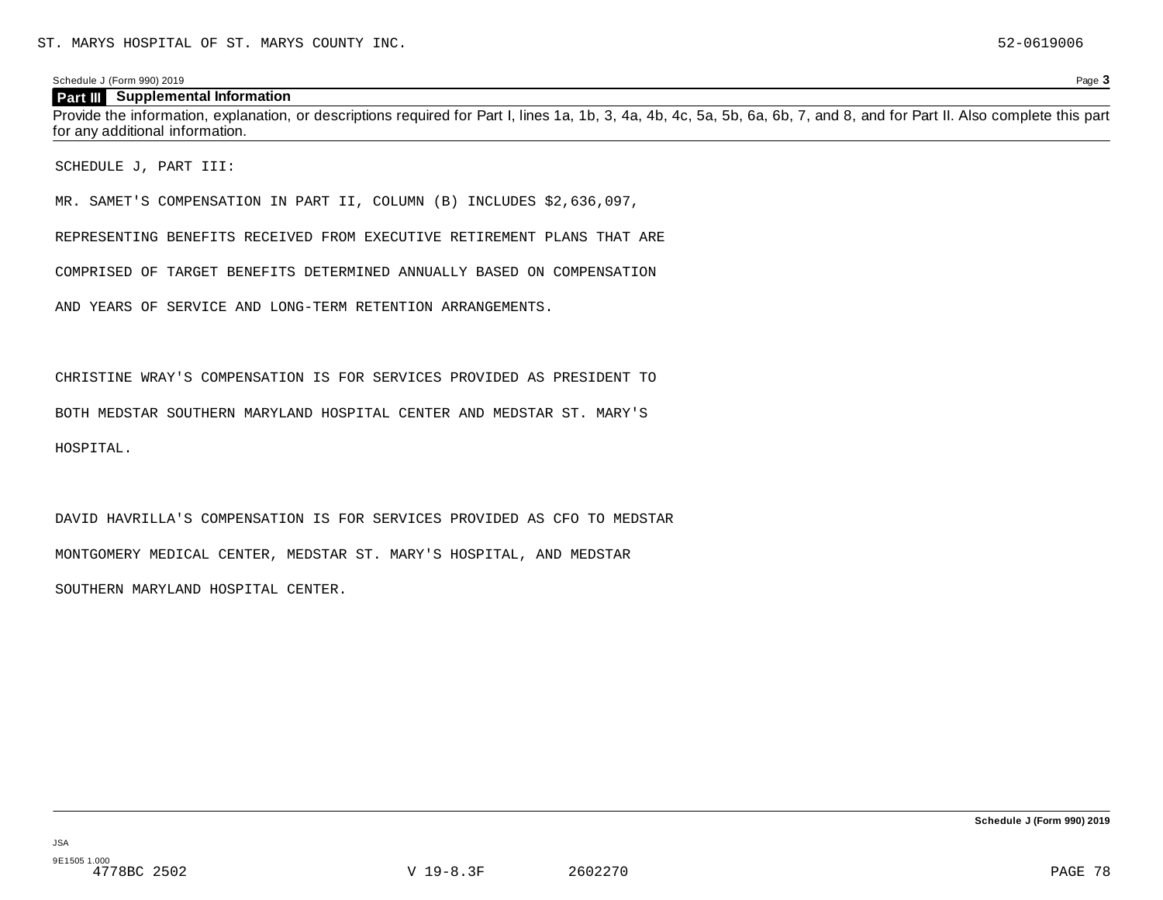#### **Part III** Supplemental Information

Provide the information, explanation, or descriptions required for Part I, lines 1a, 1b, 3, 4a, 4b, 4c, 5a, 5b, 6a, 6b, 7, and 8, and for Part II. Also complete this part for any additional information.

SCHEDULE J, PART III:

MR. SAMET'S COMPENSATION IN PART II, COLUMN (B) INCLUDES \$2,636,097,

REPRESENTING BENEFITS RECEIVED FROM EXECUTIVE RETIREMENT PLANS THAT ARE

COMPRISED OF TARGET BENEFITS DETERMINED ANNUALLY BASED ON COMPENSATION

AND YEARS OF SERVICE AND LONG-TERM RETENTION ARRANGEMENTS.

CHRISTINE WRAY'S COMPENSATION IS FOR SERVICES PROVIDED AS PRESIDENT TO

BOTH MEDSTAR SOUTHERN MARYLAND HOSPITAL CENTER AND MEDSTAR ST. MARY'S

HOSPITAL.

DAVID HAVRILLA'S COMPENSATION IS FOR SERVICES PROVIDED AS CFO TO MEDSTAR MONTGOMERY MEDICAL CENTER, MEDSTAR ST. MARY'S HOSPITAL, AND MEDSTAR SOUTHERN MARYLAND HOSPITAL CENTER.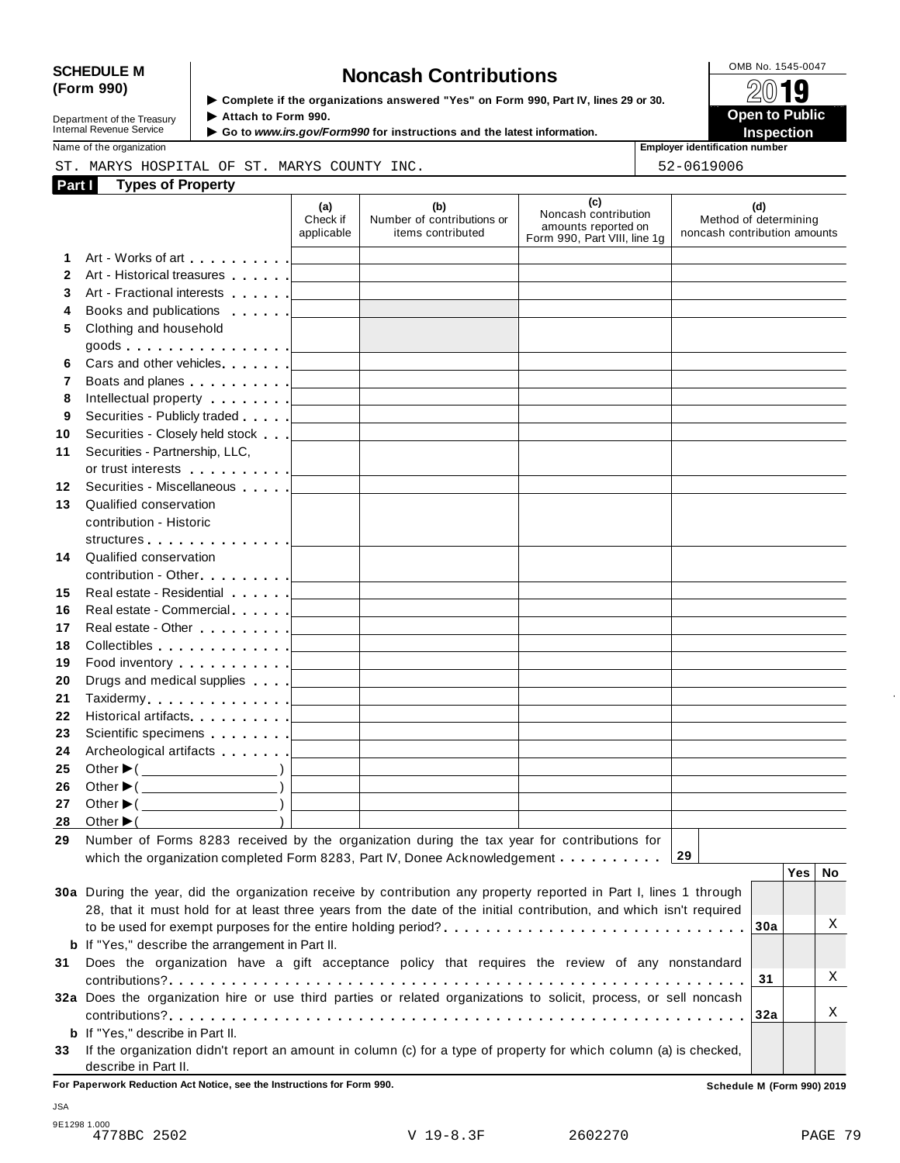# SCHEDULE M<br>
(Form 990) **Schedule is the organizations answered** "Yes" on Form 990, Part IV lines 29 or 30

▶ Complete if the organizations answered "Yes" on Form 990, Part IV, lines 29 or 30.

| Department of the Treasury |  |
|----------------------------|--|
| Internal Revenue Service   |  |

Attach to Form 990.

 **Open to Public**  ▶ Go to *www.irs.gov/Form990* for instructions and the latest information. **INSPECTION** 

Name of the organization **Employer identification number Employer identification number** 

|  | ST. MARYS HOSPITAL OF ST. MARYS COUNTY INC. |  |  |  |
|--|---------------------------------------------|--|--|--|
|  |                                             |  |  |  |

52-0619006

|              | ST. MARYS HOSPITAL OF ST. MARYS COUNTY INC.                                                                                                                                                                                    |                                                           |                                                        |                                                                                    | 52-0619006                                                   |
|--------------|--------------------------------------------------------------------------------------------------------------------------------------------------------------------------------------------------------------------------------|-----------------------------------------------------------|--------------------------------------------------------|------------------------------------------------------------------------------------|--------------------------------------------------------------|
| Part I       | <b>Types of Property</b>                                                                                                                                                                                                       |                                                           |                                                        |                                                                                    |                                                              |
|              |                                                                                                                                                                                                                                | (a)<br>Check if<br>applicable                             | (b)<br>Number of contributions or<br>items contributed | (c)<br>Noncash contribution<br>amounts reported on<br>Form 990, Part VIII, line 1g | (d)<br>Method of determining<br>noncash contribution amounts |
| 1            |                                                                                                                                                                                                                                |                                                           |                                                        |                                                                                    |                                                              |
| $\mathbf{2}$ |                                                                                                                                                                                                                                |                                                           |                                                        |                                                                                    |                                                              |
| 3            |                                                                                                                                                                                                                                |                                                           |                                                        |                                                                                    |                                                              |
| 4            | Books and publications excessively and publications and publications and publications are all the set of the summations of the set of the set of the set of the set of the set of the set of the set of the set of the set of  |                                                           |                                                        |                                                                                    |                                                              |
| 5            | Clothing and household                                                                                                                                                                                                         |                                                           |                                                        |                                                                                    |                                                              |
|              | goods $\ldots \ldots \ldots \ldots \ldots \square$                                                                                                                                                                             |                                                           |                                                        |                                                                                    |                                                              |
| 6            |                                                                                                                                                                                                                                |                                                           |                                                        |                                                                                    |                                                              |
| 7            | Boats and planes entering the state of the state of the state of the state of the state of the state of the state of the state of the state of the state of the state of the state of the state of the state of the state of t |                                                           |                                                        |                                                                                    |                                                              |
| 8            |                                                                                                                                                                                                                                |                                                           |                                                        |                                                                                    |                                                              |
| 9            |                                                                                                                                                                                                                                |                                                           |                                                        |                                                                                    |                                                              |
| 10           | Securities - Closely held stock [ _________ ]                                                                                                                                                                                  |                                                           | <u> 1980 - Johann Barbara, martxa alemaniar a</u>      |                                                                                    |                                                              |
| 11           | Securities - Partnership, LLC,                                                                                                                                                                                                 |                                                           |                                                        |                                                                                    |                                                              |
|              | or trust interests in the control of the control of the control of the control of the control of the control of the control of the control of the control of the control of the control of the control of the control of the c |                                                           |                                                        |                                                                                    |                                                              |
| 12           | Securities - Miscellaneous [100]                                                                                                                                                                                               |                                                           |                                                        |                                                                                    |                                                              |
| 13           | Qualified conservation                                                                                                                                                                                                         |                                                           |                                                        |                                                                                    |                                                              |
|              | contribution - Historic                                                                                                                                                                                                        |                                                           |                                                        |                                                                                    |                                                              |
|              | structures <u>  _ _ _ _ _</u>                                                                                                                                                                                                  |                                                           |                                                        |                                                                                    |                                                              |
| 14           | Qualified conservation                                                                                                                                                                                                         |                                                           |                                                        |                                                                                    |                                                              |
|              |                                                                                                                                                                                                                                |                                                           |                                                        |                                                                                    |                                                              |
| 15           |                                                                                                                                                                                                                                |                                                           |                                                        |                                                                                    |                                                              |
| 16           | Real estate - Commercial expansion and the commercial expansion of the commercial expansion of the commercial expansion of the commercial expansion of the commercial expansion of the commercial expansion of the commercial  |                                                           |                                                        |                                                                                    |                                                              |
| 17           |                                                                                                                                                                                                                                |                                                           |                                                        |                                                                                    |                                                              |
| 18           | $\textsf{Collectibles} \texttt{} \texttt{} \texttt{} \texttt{}$                                                                                                                                                                |                                                           |                                                        |                                                                                    |                                                              |
| 19           | Food inventory $\ldots \ldots \ldots$                                                                                                                                                                                          |                                                           |                                                        |                                                                                    |                                                              |
| 20           |                                                                                                                                                                                                                                |                                                           |                                                        |                                                                                    |                                                              |
| 21           |                                                                                                                                                                                                                                |                                                           |                                                        |                                                                                    |                                                              |
| 22           |                                                                                                                                                                                                                                |                                                           |                                                        |                                                                                    |                                                              |
| 23           |                                                                                                                                                                                                                                |                                                           |                                                        |                                                                                    |                                                              |
| 24           |                                                                                                                                                                                                                                |                                                           |                                                        |                                                                                    |                                                              |
| 25           | Other $\blacktriangleright$ ( $\_\_\_\_\_\_\_\_$ )                                                                                                                                                                             | $\mathcal{L}(\mathcal{L})$ and $\mathcal{L}(\mathcal{L})$ |                                                        |                                                                                    |                                                              |
| 26           | Other $\blacktriangleright$ ( $\_\_\_\_\_\_\_\_$ )                                                                                                                                                                             |                                                           |                                                        |                                                                                    |                                                              |
| 27           | $\rightarrow$<br>Other $\blacktriangleright$ (                                                                                                                                                                                 |                                                           |                                                        |                                                                                    |                                                              |
| 28           | Other $\blacktriangleright$ (                                                                                                                                                                                                  |                                                           |                                                        |                                                                                    |                                                              |
| 29           | Number of Forms 8283 received by the organization during the tax year for contributions for                                                                                                                                    |                                                           |                                                        |                                                                                    |                                                              |
|              | which the organization completed Form 8283, Part IV, Donee Acknowledgement                                                                                                                                                     |                                                           |                                                        |                                                                                    | 29                                                           |
|              |                                                                                                                                                                                                                                |                                                           |                                                        |                                                                                    | Yes   No                                                     |
|              | 30a During the year, did the organization receive by contribution any property reported in Part I, lines 1 through                                                                                                             |                                                           |                                                        |                                                                                    |                                                              |
|              | 28, that it must hold for at least three years from the date of the initial contribution, and which isn't required                                                                                                             |                                                           |                                                        |                                                                                    |                                                              |
|              | to be used for exempt purposes for the entire holding period?                                                                                                                                                                  |                                                           |                                                        |                                                                                    | Χ<br>30a                                                     |
|              | <b>b</b> If "Yes," describe the arrangement in Part II.                                                                                                                                                                        |                                                           |                                                        |                                                                                    |                                                              |
| 31           | Does the organization have a gift acceptance policy that requires the review of any nonstandard                                                                                                                                |                                                           |                                                        |                                                                                    |                                                              |
|              |                                                                                                                                                                                                                                |                                                           |                                                        |                                                                                    | Χ<br>31                                                      |
|              | 32a Does the organization hire or use third parties or related organizations to solicit, process, or sell noncash                                                                                                              |                                                           |                                                        |                                                                                    |                                                              |
|              |                                                                                                                                                                                                                                |                                                           |                                                        |                                                                                    | Χ<br>32a                                                     |
|              | <b>b</b> If "Yes," describe in Part II.                                                                                                                                                                                        |                                                           |                                                        |                                                                                    |                                                              |
| 33           | If the organization didn't report an amount in column (c) for a type of property for which column (a) is checked,                                                                                                              |                                                           |                                                        |                                                                                    |                                                              |
|              | describe in Part II.                                                                                                                                                                                                           |                                                           |                                                        |                                                                                    |                                                              |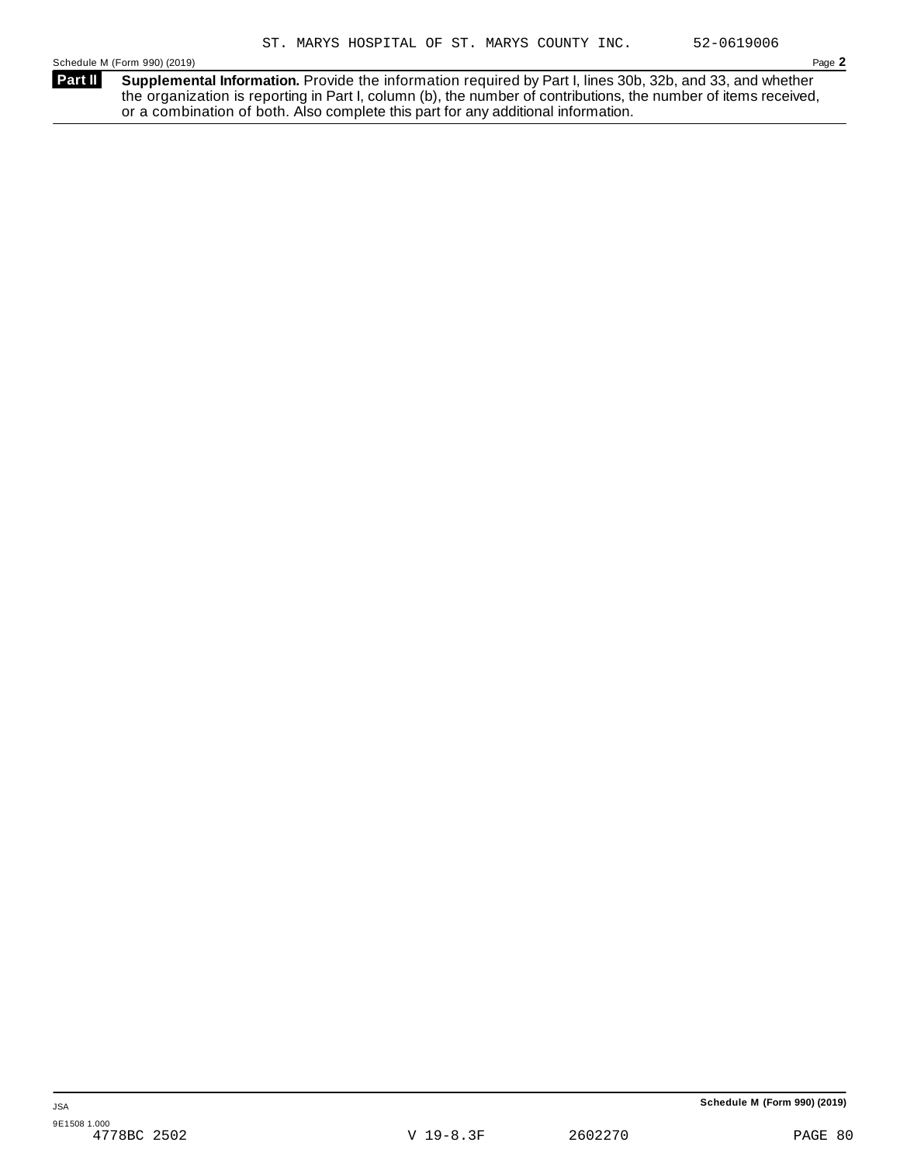**Supplemental Information.** Provide the information required by Part I, lines 30b, 32b, and 33, and whether the organization is reporting in Part I, column (b), the number of contributions, the number of items received, or a combination of both. Also complete this part for any additional information. **Part II**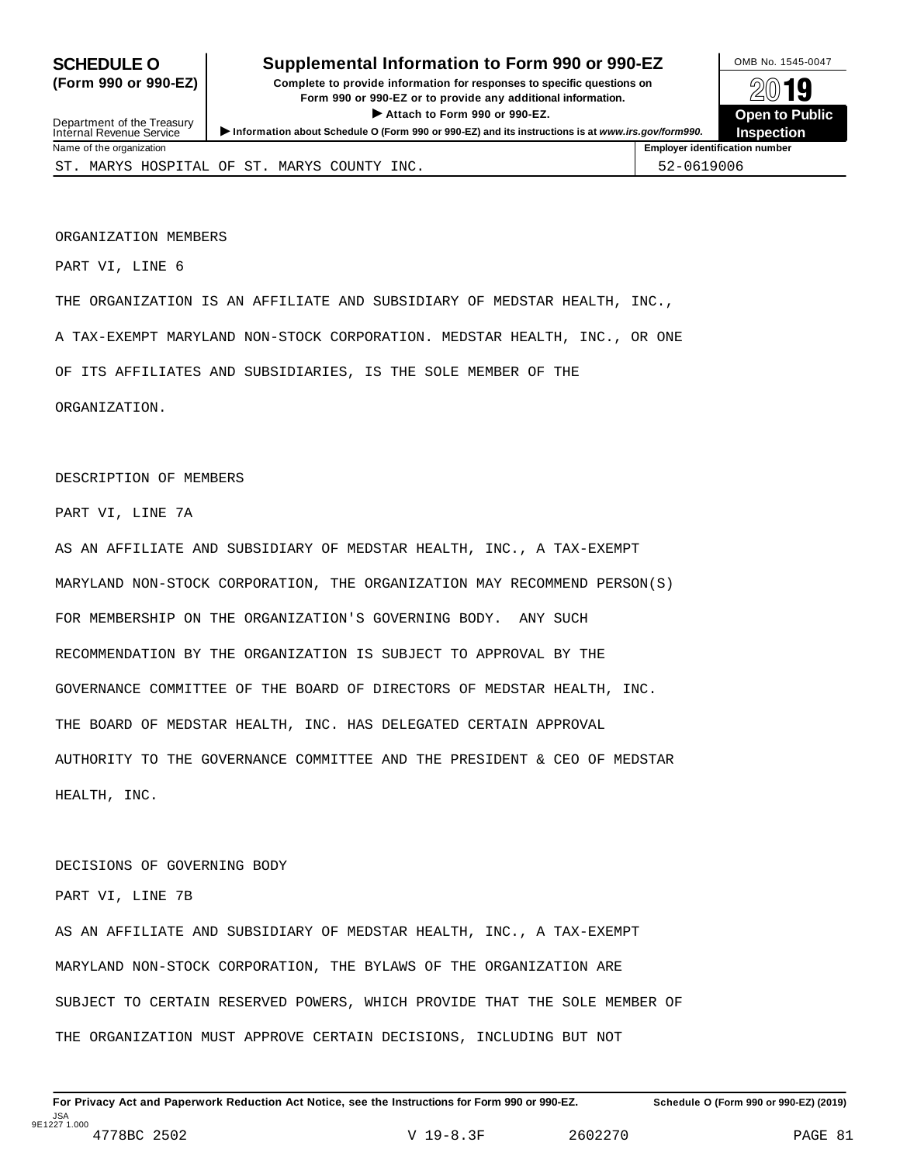### **SCHEDULE O** Supplemental Information to Form 990 or 990-EZ MB No. 1545-0047

**(Form 990 or 990-EZ) Complete to provide information for responses to specific questions on** plete to provide information for responses to specific questions on  $\mathbb{Z} \setminus \mathbb{R}$ **I Attach to Form 990 or 990-EZ.**<br>
Attach to Form 990 or 990-EZ.<br>
and a contract of Public and a contract of Public and a contract of the COP of Density of the COP of Density of A

**Employer identification number** 

| Attach to Form 990 or 990-EZ.<br>Department of the Treasury<br>Information about Schedule O (Form 990 or 990-EZ) and its instructions is at www.irs.gov/form990.<br>Internal Revenue Service |                                             |  |  |  |  |  | <b>Open to Pu</b><br><b>Inspection</b> |  |
|----------------------------------------------------------------------------------------------------------------------------------------------------------------------------------------------|---------------------------------------------|--|--|--|--|--|----------------------------------------|--|
|                                                                                                                                                                                              | Name of the organization                    |  |  |  |  |  | <b>Employer identification number</b>  |  |
|                                                                                                                                                                                              | ST. MARYS HOSPITAL OF ST. MARYS COUNTY INC. |  |  |  |  |  | 52-0619006                             |  |

ORGANIZATION MEMBERS

PART VI, LINE 6

THE ORGANIZATION IS AN AFFILIATE AND SUBSIDIARY OF MEDSTAR HEALTH, INC.,

A TAX-EXEMPT MARYLAND NON-STOCK CORPORATION. MEDSTAR HEALTH, INC., OR ONE

OF ITS AFFILIATES AND SUBSIDIARIES, IS THE SOLE MEMBER OF THE

ORGANIZATION.

DESCRIPTION OF MEMBERS

PART VI, LINE 7A

AS AN AFFILIATE AND SUBSIDIARY OF MEDSTAR HEALTH, INC., A TAX-EXEMPT MARYLAND NON-STOCK CORPORATION, THE ORGANIZATION MAY RECOMMEND PERSON(S) FOR MEMBERSHIP ON THE ORGANIZATION'S GOVERNING BODY. ANY SUCH RECOMMENDATION BY THE ORGANIZATION IS SUBJECT TO APPROVAL BY THE GOVERNANCE COMMITTEE OF THE BOARD OF DIRECTORS OF MEDSTAR HEALTH, INC. THE BOARD OF MEDSTAR HEALTH, INC. HAS DELEGATED CERTAIN APPROVAL AUTHORITY TO THE GOVERNANCE COMMITTEE AND THE PRESIDENT & CEO OF MEDSTAR HEALTH, INC.

#### DECISIONS OF GOVERNING BODY

PART VI, LINE 7B

AS AN AFFILIATE AND SUBSIDIARY OF MEDSTAR HEALTH, INC., A TAX-EXEMPT MARYLAND NON-STOCK CORPORATION, THE BYLAWS OF THE ORGANIZATION ARE SUBJECT TO CERTAIN RESERVED POWERS, WHICH PROVIDE THAT THE SOLE MEMBER OF THE ORGANIZATION MUST APPROVE CERTAIN DECISIONS, INCLUDING BUT NOT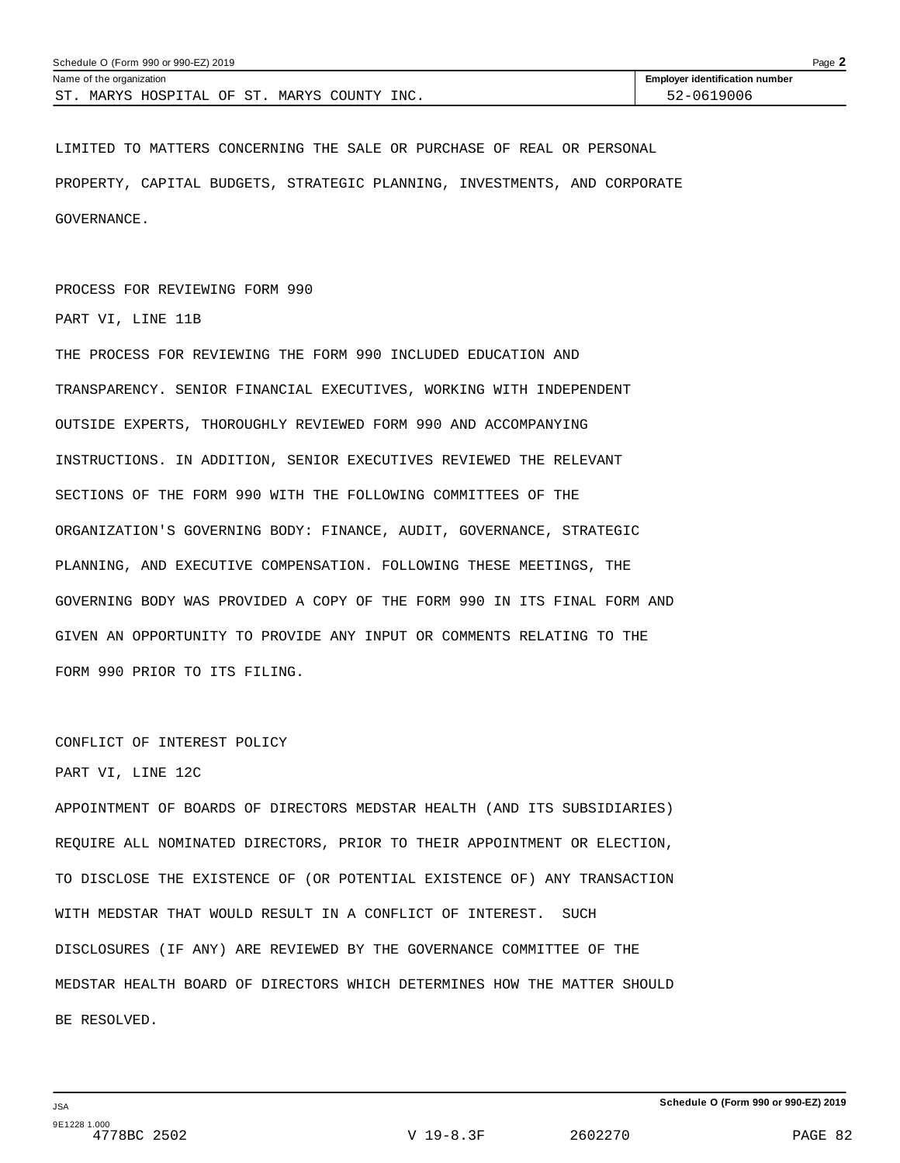| Schedule O (Form 990 or 990-EZ) 2019<br>$P$ age $\blacktriangle$ |                                       |  |  |  |  |
|------------------------------------------------------------------|---------------------------------------|--|--|--|--|
| Name of the organization                                         | <b>Employer identification number</b> |  |  |  |  |
| ST<br>MARYS COUNTY INC.<br>MARYS HOSPITAL OF ST.                 | 52-0619006                            |  |  |  |  |

LIMITED TO MATTERS CONCERNING THE SALE OR PURCHASE OF REAL OR PERSONAL PROPERTY, CAPITAL BUDGETS, STRATEGIC PLANNING, INVESTMENTS, AND CORPORATE GOVERNANCE.

#### PROCESS FOR REVIEWING FORM 990

PART VI, LINE 11B

THE PROCESS FOR REVIEWING THE FORM 990 INCLUDED EDUCATION AND TRANSPARENCY. SENIOR FINANCIAL EXECUTIVES, WORKING WITH INDEPENDENT OUTSIDE EXPERTS, THOROUGHLY REVIEWED FORM 990 AND ACCOMPANYING INSTRUCTIONS. IN ADDITION, SENIOR EXECUTIVES REVIEWED THE RELEVANT SECTIONS OF THE FORM 990 WITH THE FOLLOWING COMMITTEES OF THE ORGANIZATION'S GOVERNING BODY: FINANCE, AUDIT, GOVERNANCE, STRATEGIC PLANNING, AND EXECUTIVE COMPENSATION. FOLLOWING THESE MEETINGS, THE GOVERNING BODY WAS PROVIDED A COPY OF THE FORM 990 IN ITS FINAL FORM AND GIVEN AN OPPORTUNITY TO PROVIDE ANY INPUT OR COMMENTS RELATING TO THE FORM 990 PRIOR TO ITS FILING.

#### CONFLICT OF INTEREST POLICY

#### PART VI, LINE 12C

APPOINTMENT OF BOARDS OF DIRECTORS MEDSTAR HEALTH (AND ITS SUBSIDIARIES) REQUIRE ALL NOMINATED DIRECTORS, PRIOR TO THEIR APPOINTMENT OR ELECTION, TO DISCLOSE THE EXISTENCE OF (OR POTENTIAL EXISTENCE OF) ANY TRANSACTION WITH MEDSTAR THAT WOULD RESULT IN A CONFLICT OF INTEREST. SUCH DISCLOSURES (IF ANY) ARE REVIEWED BY THE GOVERNANCE COMMITTEE OF THE MEDSTAR HEALTH BOARD OF DIRECTORS WHICH DETERMINES HOW THE MATTER SHOULD BE RESOLVED.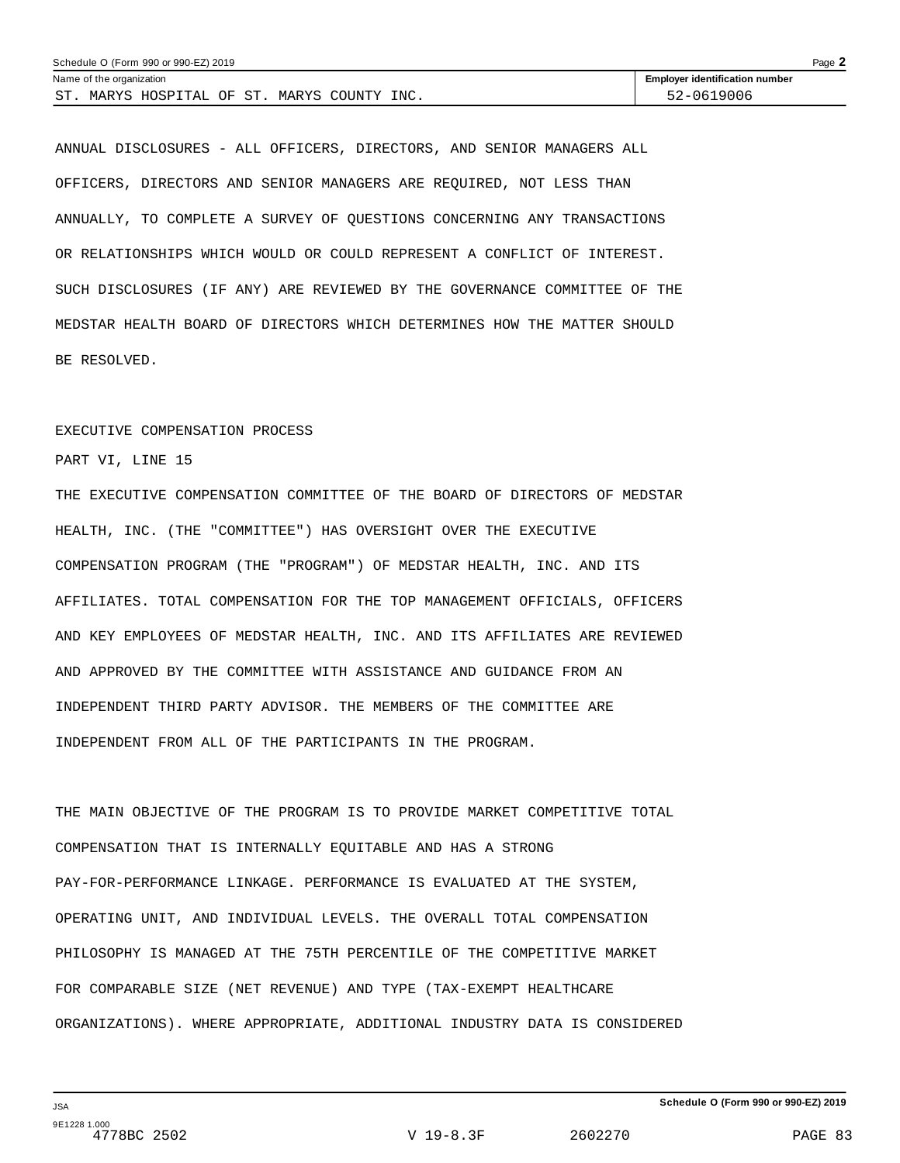| Schedule O (Form 990 or 990-EZ) 2019<br>$P$ age $\blacktriangle$ |                                       |  |  |  |
|------------------------------------------------------------------|---------------------------------------|--|--|--|
| Name of the organization                                         | <b>Employer identification number</b> |  |  |  |
| ST<br>MARYS HOSPITAL OF ST.<br>INC.<br>MARYS COUNTY              | 52-0619006                            |  |  |  |

ANNUAL DISCLOSURES - ALL OFFICERS, DIRECTORS, AND SENIOR MANAGERS ALL OFFICERS, DIRECTORS AND SENIOR MANAGERS ARE REQUIRED, NOT LESS THAN ANNUALLY, TO COMPLETE A SURVEY OF QUESTIONS CONCERNING ANY TRANSACTIONS OR RELATIONSHIPS WHICH WOULD OR COULD REPRESENT A CONFLICT OF INTEREST. SUCH DISCLOSURES (IF ANY) ARE REVIEWED BY THE GOVERNANCE COMMITTEE OF THE MEDSTAR HEALTH BOARD OF DIRECTORS WHICH DETERMINES HOW THE MATTER SHOULD BE RESOLVED.

#### EXECUTIVE COMPENSATION PROCESS

PART VI, LINE 15

THE EXECUTIVE COMPENSATION COMMITTEE OF THE BOARD OF DIRECTORS OF MEDSTAR HEALTH, INC. (THE "COMMITTEE") HAS OVERSIGHT OVER THE EXECUTIVE COMPENSATION PROGRAM (THE "PROGRAM") OF MEDSTAR HEALTH, INC. AND ITS AFFILIATES. TOTAL COMPENSATION FOR THE TOP MANAGEMENT OFFICIALS, OFFICERS AND KEY EMPLOYEES OF MEDSTAR HEALTH, INC. AND ITS AFFILIATES ARE REVIEWED AND APPROVED BY THE COMMITTEE WITH ASSISTANCE AND GUIDANCE FROM AN INDEPENDENT THIRD PARTY ADVISOR. THE MEMBERS OF THE COMMITTEE ARE INDEPENDENT FROM ALL OF THE PARTICIPANTS IN THE PROGRAM.

THE MAIN OBJECTIVE OF THE PROGRAM IS TO PROVIDE MARKET COMPETITIVE TOTAL COMPENSATION THAT IS INTERNALLY EQUITABLE AND HAS A STRONG PAY-FOR-PERFORMANCE LINKAGE. PERFORMANCE IS EVALUATED AT THE SYSTEM, OPERATING UNIT, AND INDIVIDUAL LEVELS. THE OVERALL TOTAL COMPENSATION PHILOSOPHY IS MANAGED AT THE 75TH PERCENTILE OF THE COMPETITIVE MARKET FOR COMPARABLE SIZE (NET REVENUE) AND TYPE (TAX-EXEMPT HEALTHCARE ORGANIZATIONS). WHERE APPROPRIATE, ADDITIONAL INDUSTRY DATA IS CONSIDERED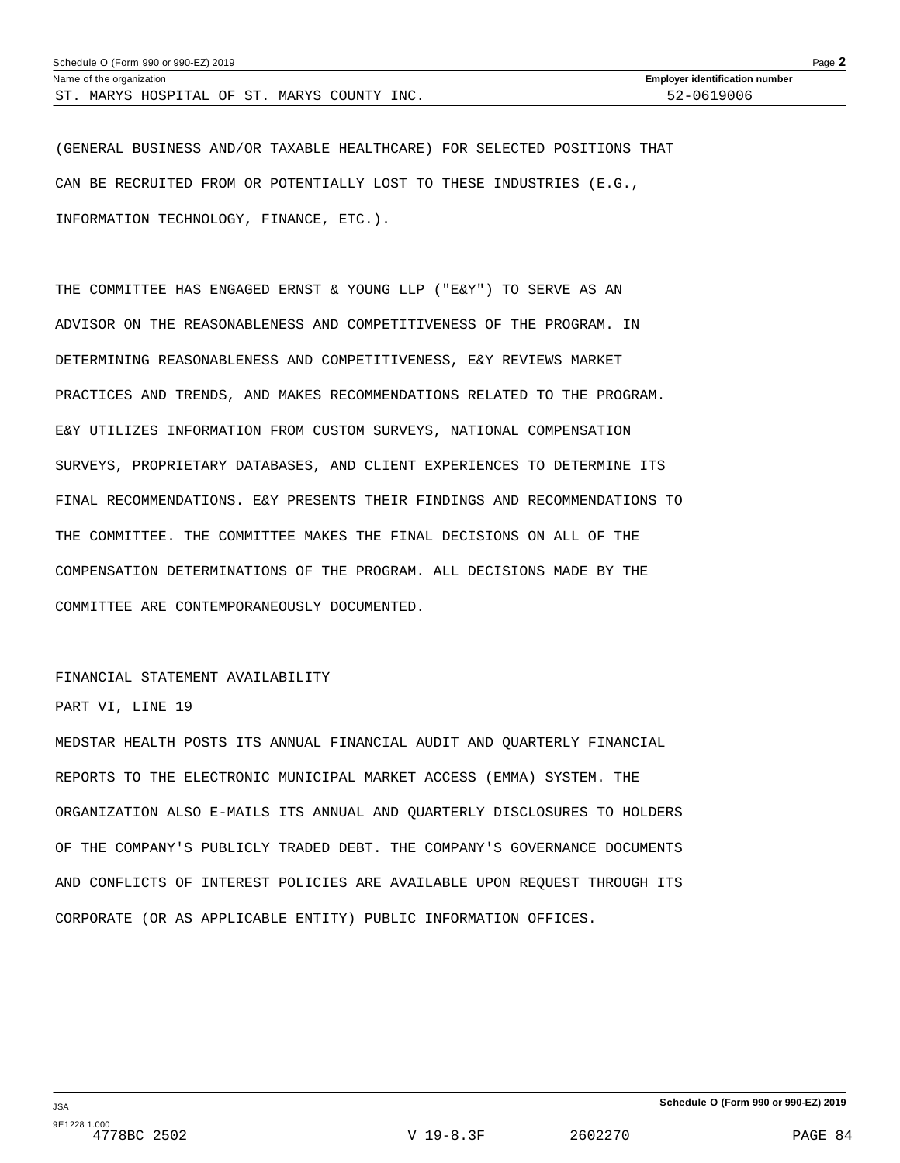| Schedule O (Form 990 or 990-EZ) 2019<br>Page $\blacktriangle$ |                                       |  |  |  |
|---------------------------------------------------------------|---------------------------------------|--|--|--|
| Name of the organization                                      | <b>Employer identification number</b> |  |  |  |
| <b>CT</b><br>MARYS HOSPITAL OF ST.<br>MARYS COUNTY INC.       | 52-0619006                            |  |  |  |

(GENERAL BUSINESS AND/OR TAXABLE HEALTHCARE) FOR SELECTED POSITIONS THAT CAN BE RECRUITED FROM OR POTENTIALLY LOST TO THESE INDUSTRIES (E.G., INFORMATION TECHNOLOGY, FINANCE, ETC.).

THE COMMITTEE HAS ENGAGED ERNST & YOUNG LLP ("E&Y") TO SERVE AS AN ADVISOR ON THE REASONABLENESS AND COMPETITIVENESS OF THE PROGRAM. IN DETERMINING REASONABLENESS AND COMPETITIVENESS, E&Y REVIEWS MARKET PRACTICES AND TRENDS, AND MAKES RECOMMENDATIONS RELATED TO THE PROGRAM. E&Y UTILIZES INFORMATION FROM CUSTOM SURVEYS, NATIONAL COMPENSATION SURVEYS, PROPRIETARY DATABASES, AND CLIENT EXPERIENCES TO DETERMINE ITS FINAL RECOMMENDATIONS. E&Y PRESENTS THEIR FINDINGS AND RECOMMENDATIONS TO THE COMMITTEE. THE COMMITTEE MAKES THE FINAL DECISIONS ON ALL OF THE COMPENSATION DETERMINATIONS OF THE PROGRAM. ALL DECISIONS MADE BY THE COMMITTEE ARE CONTEMPORANEOUSLY DOCUMENTED.

#### FINANCIAL STATEMENT AVAILABILITY

#### PART VI, LINE 19

MEDSTAR HEALTH POSTS ITS ANNUAL FINANCIAL AUDIT AND QUARTERLY FINANCIAL REPORTS TO THE ELECTRONIC MUNICIPAL MARKET ACCESS (EMMA) SYSTEM. THE ORGANIZATION ALSO E-MAILS ITS ANNUAL AND QUARTERLY DISCLOSURES TO HOLDERS OF THE COMPANY'S PUBLICLY TRADED DEBT. THE COMPANY'S GOVERNANCE DOCUMENTS AND CONFLICTS OF INTEREST POLICIES ARE AVAILABLE UPON REQUEST THROUGH ITS CORPORATE (OR AS APPLICABLE ENTITY) PUBLIC INFORMATION OFFICES.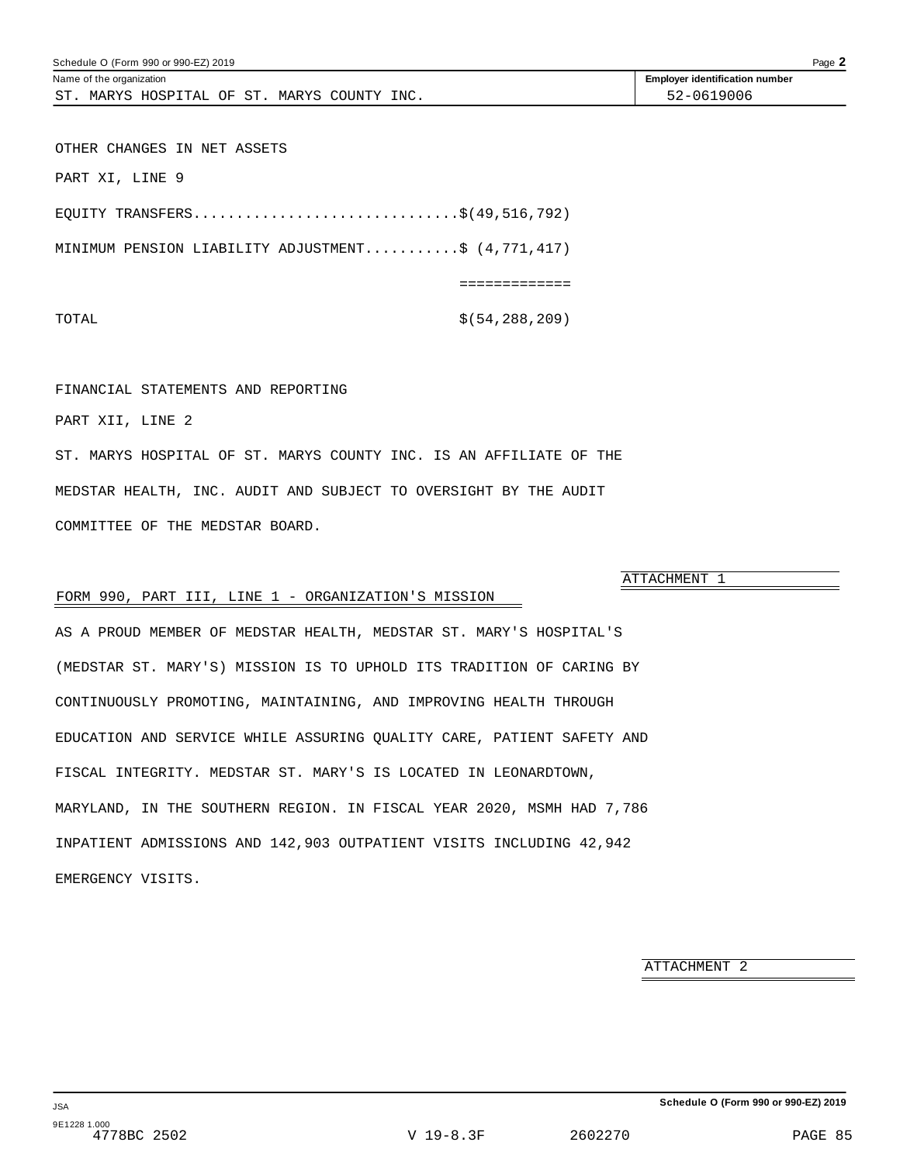OTHER CHANGES IN NET ASSETS PART XI, LINE 9

EQUITY TRANSFERS...............................\$(49,516,792) MINIMUM PENSION LIABILITY ADJUSTMENT...........\$ (4,771,417) =============

#### TOTAL  $\zeta(54,288,209)$

#### FINANCIAL STATEMENTS AND REPORTING

PART XII, LINE 2

ST. MARYS HOSPITAL OF ST. MARYS COUNTY INC. IS AN AFFILIATE OF THE MEDSTAR HEALTH, INC. AUDIT AND SUBJECT TO OVERSIGHT BY THE AUDIT COMMITTEE OF THE MEDSTAR BOARD.

#### FORM 990, PART III, LINE 1 - ORGANIZATION'S MISSION

AS A PROUD MEMBER OF MEDSTAR HEALTH, MEDSTAR ST. MARY'S HOSPITAL'S (MEDSTAR ST. MARY'S) MISSION IS TO UPHOLD ITS TRADITION OF CARING BY CONTINUOUSLY PROMOTING, MAINTAINING, AND IMPROVING HEALTH THROUGH EDUCATION AND SERVICE WHILE ASSURING QUALITY CARE, PATIENT SAFETY AND FISCAL INTEGRITY. MEDSTAR ST. MARY'S IS LOCATED IN LEONARDTOWN, MARYLAND, IN THE SOUTHERN REGION. IN FISCAL YEAR 2020, MSMH HAD 7,786 INPATIENT ADMISSIONS AND 142,903 OUTPATIENT VISITS INCLUDING 42,942 EMERGENCY VISITS.

ATTACHMENT 2

ATTACHMENT 1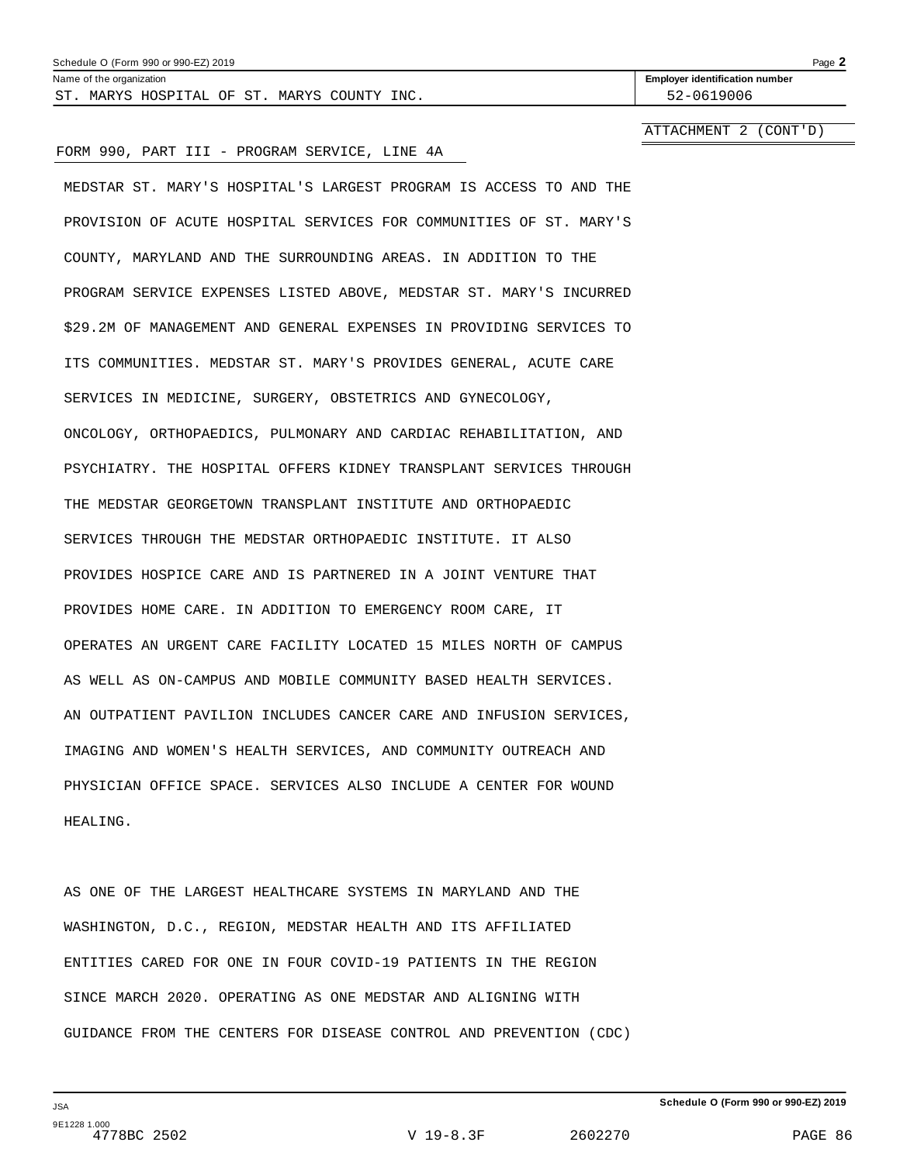| Schedule O (Form 990 or 990-EZ) 2019 | Page |
|--------------------------------------|------|
|--------------------------------------|------|

ST. MARYS HOSPITAL OF ST. MARYS COUNTY INC.  $\vert$  52-0619006

Name of the organization **Employer identification number Employer identification number** 

ATTACHMENT 2 (CONT'D)

#### FORM 990, PART III - PROGRAM SERVICE, LINE 4A

MEDSTAR ST. MARY'S HOSPITAL'S LARGEST PROGRAM IS ACCESS TO AND THE PROVISION OF ACUTE HOSPITAL SERVICES FOR COMMUNITIES OF ST. MARY'S COUNTY, MARYLAND AND THE SURROUNDING AREAS. IN ADDITION TO THE PROGRAM SERVICE EXPENSES LISTED ABOVE, MEDSTAR ST. MARY'S INCURRED \$29.2M OF MANAGEMENT AND GENERAL EXPENSES IN PROVIDING SERVICES TO ITS COMMUNITIES. MEDSTAR ST. MARY'S PROVIDES GENERAL, ACUTE CARE SERVICES IN MEDICINE, SURGERY, OBSTETRICS AND GYNECOLOGY, ONCOLOGY, ORTHOPAEDICS, PULMONARY AND CARDIAC REHABILITATION, AND PSYCHIATRY. THE HOSPITAL OFFERS KIDNEY TRANSPLANT SERVICES THROUGH THE MEDSTAR GEORGETOWN TRANSPLANT INSTITUTE AND ORTHOPAEDIC SERVICES THROUGH THE MEDSTAR ORTHOPAEDIC INSTITUTE. IT ALSO PROVIDES HOSPICE CARE AND IS PARTNERED IN A JOINT VENTURE THAT PROVIDES HOME CARE. IN ADDITION TO EMERGENCY ROOM CARE, IT OPERATES AN URGENT CARE FACILITY LOCATED 15 MILES NORTH OF CAMPUS AS WELL AS ON-CAMPUS AND MOBILE COMMUNITY BASED HEALTH SERVICES. AN OUTPATIENT PAVILION INCLUDES CANCER CARE AND INFUSION SERVICES, IMAGING AND WOMEN'S HEALTH SERVICES, AND COMMUNITY OUTREACH AND PHYSICIAN OFFICE SPACE. SERVICES ALSO INCLUDE A CENTER FOR WOUND HEALING.

AS ONE OF THE LARGEST HEALTHCARE SYSTEMS IN MARYLAND AND THE WASHINGTON, D.C., REGION, MEDSTAR HEALTH AND ITS AFFILIATED ENTITIES CARED FOR ONE IN FOUR COVID-19 PATIENTS IN THE REGION SINCE MARCH 2020. OPERATING AS ONE MEDSTAR AND ALIGNING WITH GUIDANCE FROM THE CENTERS FOR DISEASE CONTROL AND PREVENTION (CDC)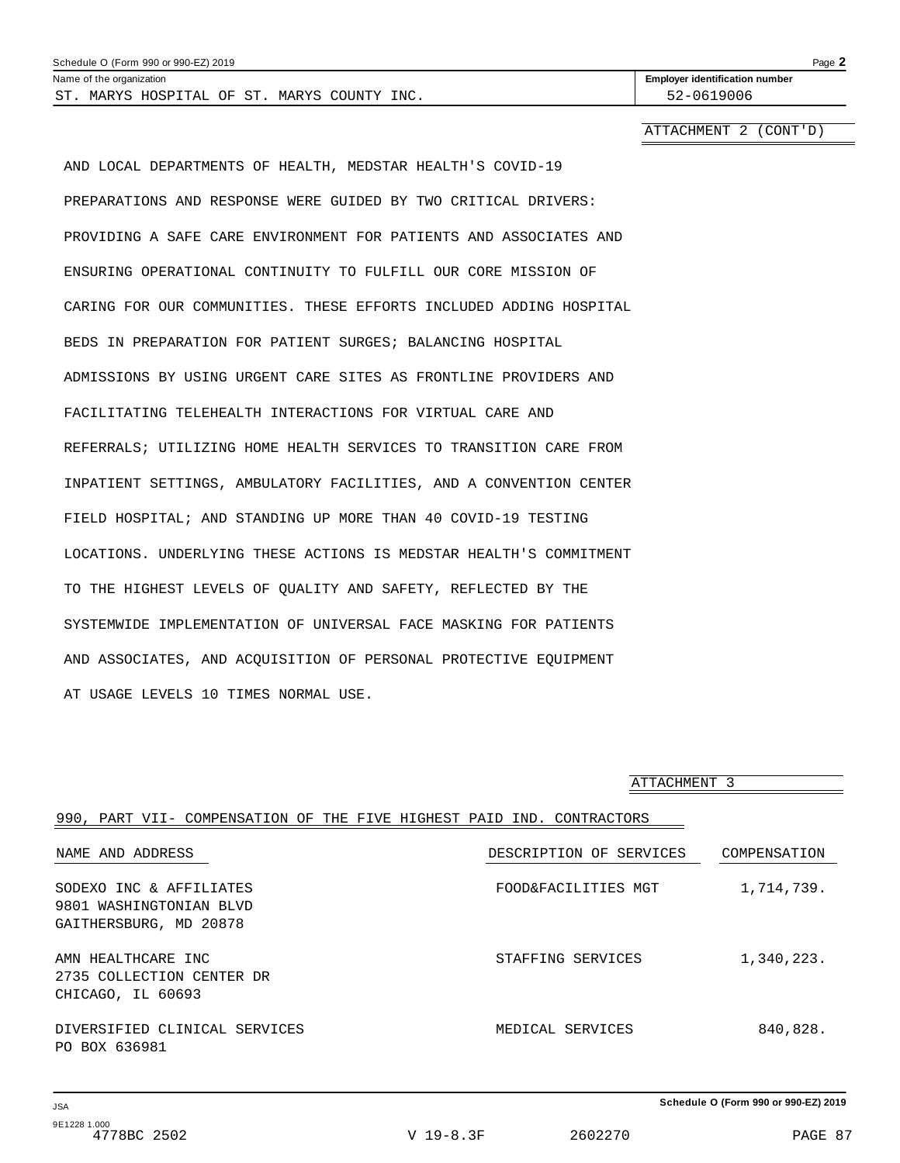| Schedule O (Form 990 or 990-EZ) 2019        | Page $\lambda$                        |
|---------------------------------------------|---------------------------------------|
| Name of the organization                    | <b>Employer identification number</b> |
| ST. MARYS HOSPITAL OF ST. MARYS COUNTY INC. | 52-0619006                            |
|                                             |                                       |

ATTACHMENT 2 (CONT'D)

AND LOCAL DEPARTMENTS OF HEALTH, MEDSTAR HEALTH'S COVID-19 PREPARATIONS AND RESPONSE WERE GUIDED BY TWO CRITICAL DRIVERS: PROVIDING A SAFE CARE ENVIRONMENT FOR PATIENTS AND ASSOCIATES AND ENSURING OPERATIONAL CONTINUITY TO FULFILL OUR CORE MISSION OF CARING FOR OUR COMMUNITIES. THESE EFFORTS INCLUDED ADDING HOSPITAL BEDS IN PREPARATION FOR PATIENT SURGES; BALANCING HOSPITAL ADMISSIONS BY USING URGENT CARE SITES AS FRONTLINE PROVIDERS AND FACILITATING TELEHEALTH INTERACTIONS FOR VIRTUAL CARE AND REFERRALS; UTILIZING HOME HEALTH SERVICES TO TRANSITION CARE FROM INPATIENT SETTINGS, AMBULATORY FACILITIES, AND A CONVENTION CENTER FIELD HOSPITAL; AND STANDING UP MORE THAN 40 COVID-19 TESTING LOCATIONS. UNDERLYING THESE ACTIONS IS MEDSTAR HEALTH'S COMMITMENT TO THE HIGHEST LEVELS OF QUALITY AND SAFETY, REFLECTED BY THE SYSTEMWIDE IMPLEMENTATION OF UNIVERSAL FACE MASKING FOR PATIENTS AND ASSOCIATES, AND ACQUISITION OF PERSONAL PROTECTIVE EQUIPMENT AT USAGE LEVELS 10 TIMES NORMAL USE.

|                                                                              | ATTACHMENT 3            |              |
|------------------------------------------------------------------------------|-------------------------|--------------|
| 990, PART VII- COMPENSATION OF THE FIVE HIGHEST PAID IND. CONTRACTORS        |                         |              |
| NAME AND ADDRESS                                                             | DESCRIPTION OF SERVICES | COMPENSATION |
| SODEXO INC & AFFILIATES<br>9801 WASHINGTONIAN BLVD<br>GAITHERSBURG, MD 20878 | FOOD&FACILITIES MGT     | 1,714,739.   |
| AMN HEALTHCARE INC<br>2735 COLLECTION CENTER DR<br>CHICAGO, IL 60693         | STAFFING SERVICES       | 1,340,223.   |
| DIVERSIFIED CLINICAL SERVICES<br>PO BOX 636981                               | MEDICAL SERVICES        | 840,828.     |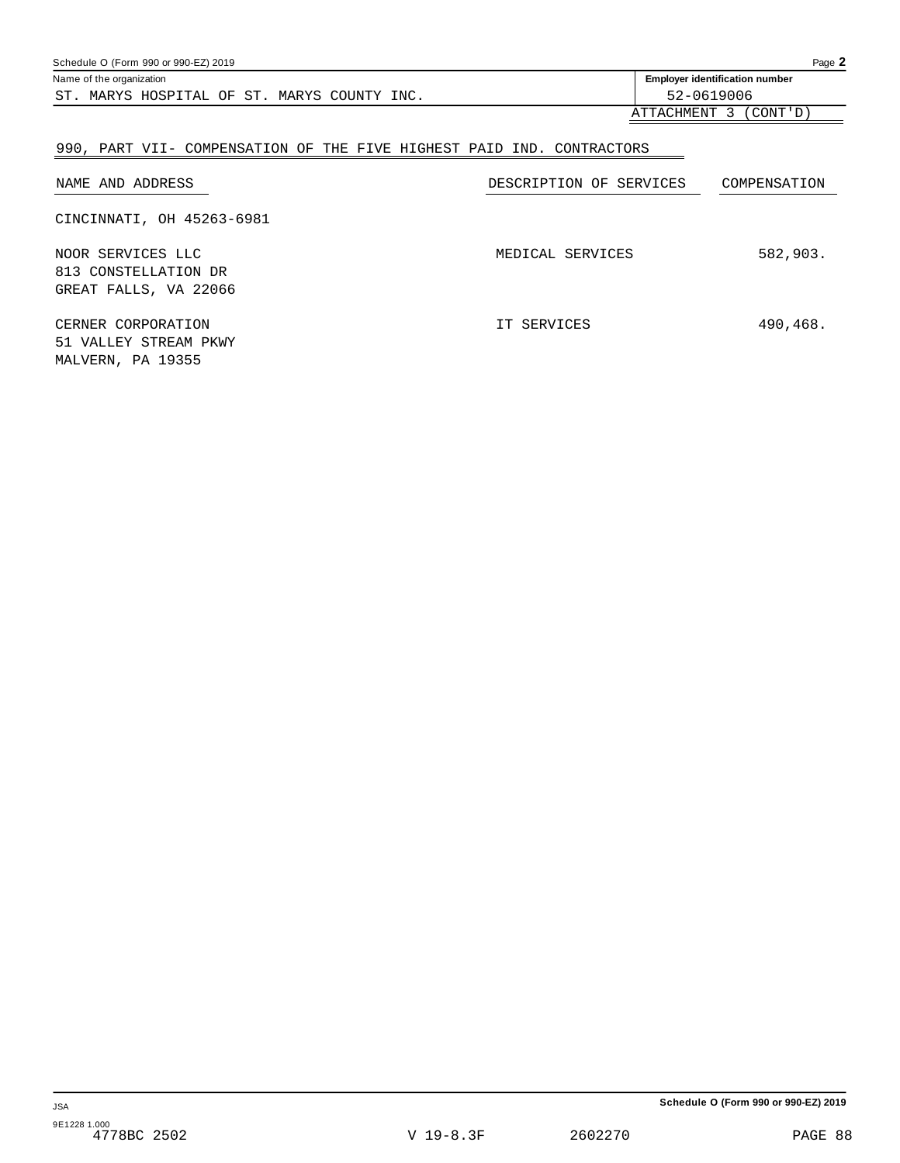| Schedule O (Form 990 or 990-EZ) 2019        | Page $2$                              |
|---------------------------------------------|---------------------------------------|
| Name of the organization                    | <b>Employer identification number</b> |
| ST. MARYS HOSPITAL OF ST. MARYS COUNTY INC. | 52-0619006                            |
|                                             | ATTACHMENT 3<br>(CONT ' D )           |

### 990, PART VII- COMPENSATION OF THE FIVE HIGHEST PAID IND. CONTRACTORS

| NAME AND ADDRESS                                                   | DESCRIPTION OF SERVICES | COMPENSATION |
|--------------------------------------------------------------------|-------------------------|--------------|
| CINCINNATI, OH 45263-6981                                          |                         |              |
| NOOR SERVICES LLC<br>813 CONSTELLATION DR<br>GREAT FALLS, VA 22066 | MEDICAL SERVICES        | 582,903.     |
| CERNER CORPORATION<br>51 VALLEY STREAM PKWY                        | IT SERVICES             | 490,468.     |

MALVERN, PA 19355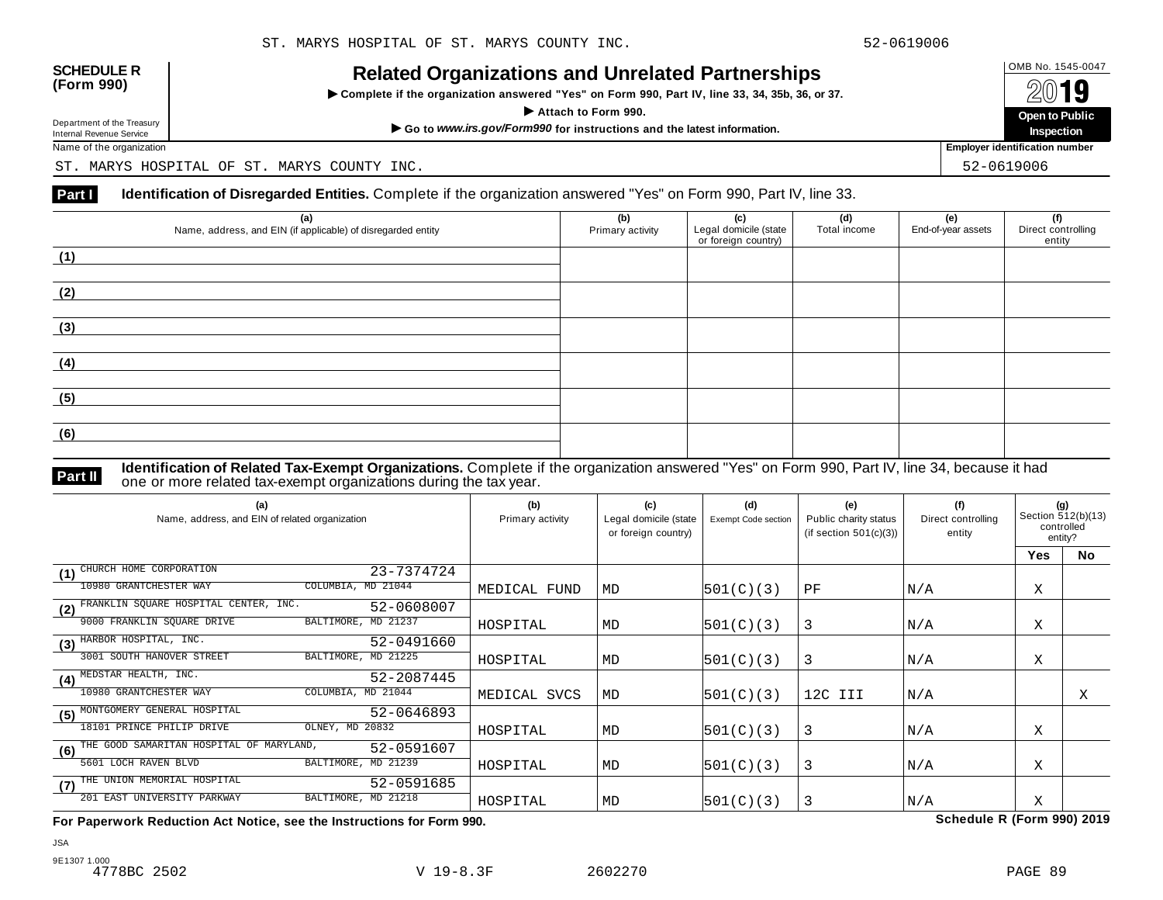

INCIALCU OF GATIZATIONS AND ON CIALCUT AFTIC STIPS<br>► Complete if the organization answered "Yes" on Form 990, Part IV, line 33, 34, 35b, 36, or 37. △ △ △ △ △



Name of the organization **Employer identification number Employer identification number** 

ST. MARYS HOSPITAL OF ST. MARYS COUNTY INC. STRAIN STRAIN STRAIN STRAIN STRAINING SECTION OF STRAINING STRAINING

#### **Part I** Identification of Disregarded Entities. Complete if the organization answered "Yes" on Form 990, Part IV, line 33.

| (a)<br>Name, address, and EIN (if applicable) of disregarded entity | (b)<br>Primary activity | (c)<br>Legal domicile (state<br>or foreign country) | (d)<br>Total income | (e)<br>End-of-year assets | (f)<br>Direct controlling<br>entity |
|---------------------------------------------------------------------|-------------------------|-----------------------------------------------------|---------------------|---------------------------|-------------------------------------|
| (1)                                                                 |                         |                                                     |                     |                           |                                     |
| (2)                                                                 |                         |                                                     |                     |                           |                                     |
| (3)                                                                 |                         |                                                     |                     |                           |                                     |
| (4)                                                                 |                         |                                                     |                     |                           |                                     |
| (5)                                                                 |                         |                                                     |                     |                           |                                     |
| (6)                                                                 |                         |                                                     |                     |                           |                                     |

**Identification of Related Tax-Exempt Organizations.** Complete if the organization answered "Yes" on Form 990, Part IV, line 34, because it had **Part II** one or more related tax-exempt organizations during the tax year.

| (a)<br>Name, address, and EIN of related organization         | (b)<br>Primary activity | (c)<br>Legal domicile (state<br>or foreign country) | (d)<br><b>Exempt Code section</b> | (e)<br>Public charity status<br>(if section $501(c)(3)$ ) | (f)<br>Direct controlling<br>entity | (g)<br>Section 512(b)(13)<br>controlled<br>entity? |           |
|---------------------------------------------------------------|-------------------------|-----------------------------------------------------|-----------------------------------|-----------------------------------------------------------|-------------------------------------|----------------------------------------------------|-----------|
|                                                               |                         |                                                     |                                   |                                                           |                                     | <b>Yes</b>                                         | <b>No</b> |
| CHURCH HOME CORPORATION<br>23-7374724<br>(1)                  |                         |                                                     |                                   |                                                           |                                     |                                                    |           |
| COLUMBIA, MD 21044<br>10980 GRANTCHESTER WAY                  | MEDICAL FUND            | MD                                                  | 501(C)(3)                         | PF                                                        | N/A                                 | Χ                                                  |           |
| FRANKLIN SQUARE HOSPITAL CENTER, INC.<br>52-0608007<br>(2)    |                         |                                                     |                                   |                                                           |                                     |                                                    |           |
| BALTIMORE, MD 21237<br>9000 FRANKLIN SQUARE DRIVE             | HOSPITAL                | MD                                                  | 501(C)(3)                         | 3                                                         | N/A                                 | Χ                                                  |           |
| HARBOR HOSPITAL, INC.<br>52-0491660<br>(3)                    |                         |                                                     |                                   |                                                           |                                     |                                                    |           |
| BALTIMORE, MD 21225<br>3001 SOUTH HANOVER STREET              | HOSPITAL                | MD                                                  | 501(C)(3)                         | 3                                                         | N/A                                 | X                                                  |           |
| MEDSTAR HEALTH, INC.<br>52-2087445<br>(4)                     |                         |                                                     |                                   |                                                           |                                     |                                                    |           |
| 10980 GRANTCHESTER WAY<br>COLUMBIA, MD 21044                  | MEDICAL SVCS            | MD                                                  | 501(C)(3)                         | 12C III                                                   | N/A                                 |                                                    | Χ         |
| MONTGOMERY GENERAL HOSPITAL<br>52-0646893<br>(5)              |                         |                                                     |                                   |                                                           |                                     |                                                    |           |
| 18101 PRINCE PHILIP DRIVE<br>OLNEY, MD 20832                  | HOSPITAL                | MD                                                  | 501(C)(3)                         | 3                                                         | N/A                                 | Χ                                                  |           |
| THE GOOD SAMARITAN HOSPITAL OF MARYLAND,<br>52-0591607<br>(6) |                         |                                                     |                                   |                                                           |                                     |                                                    |           |
| 5601 LOCH RAVEN BLVD<br>BALTIMORE, MD 21239                   | HOSPITAL                | MD                                                  | 501(C)(3)                         | 3                                                         | N/A                                 | Χ                                                  |           |
| THE UNION MEMORIAL HOSPITAL<br>52-0591685<br>(7)              |                         |                                                     |                                   |                                                           |                                     |                                                    |           |
| BALTIMORE, MD 21218<br>201 EAST UNIVERSITY PARKWAY            | HOSPITAL                | MD                                                  | 501(C)(3)                         | 3                                                         | N/A                                 | Χ                                                  |           |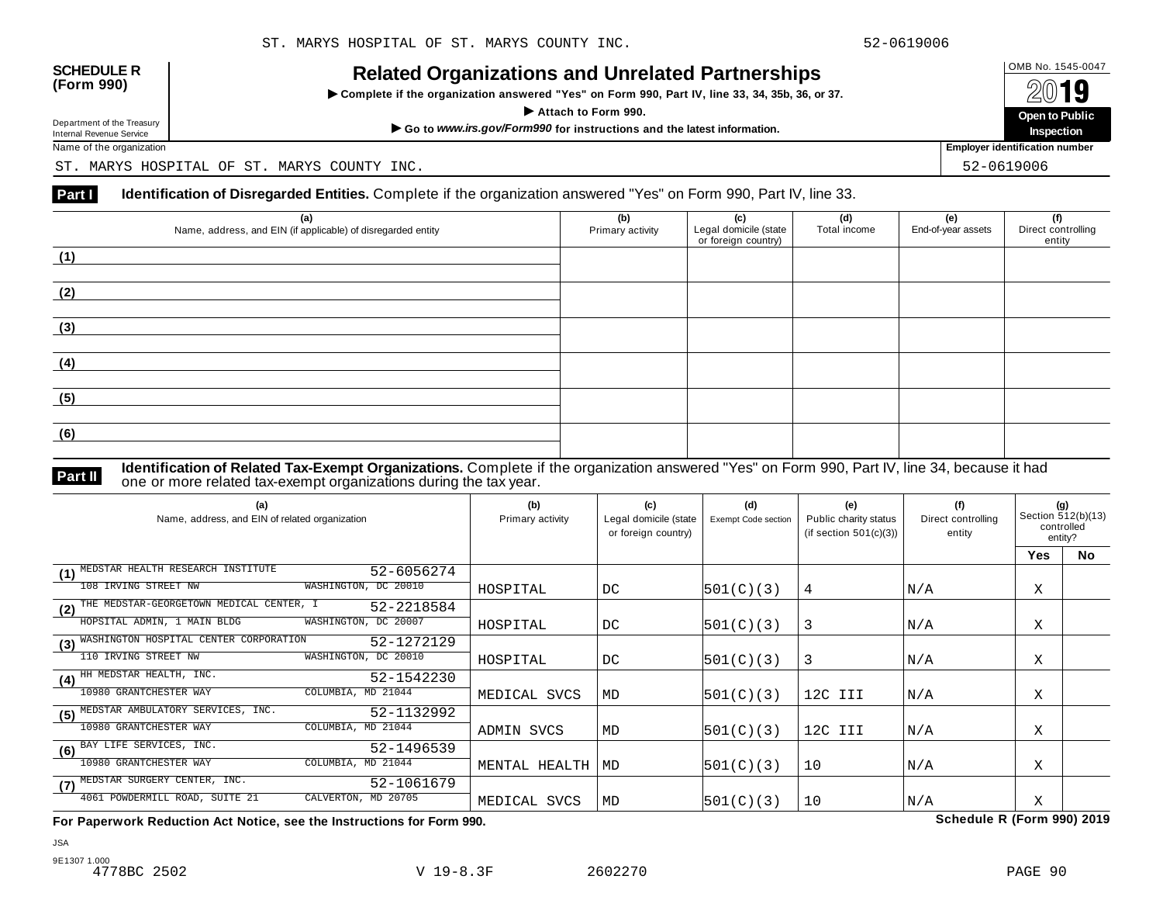

INCIALCU OF GATIZATIONS AND ON CIALCUT AFTIC STIPS<br>► Complete if the organization answered "Yes" on Form 990, Part IV, line 33, 34, 35b, 36, or 37. △ △ △ △ △



Name of the organization **Employer identification number Employer identification number** 

ST. MARYS HOSPITAL OF ST. MARYS COUNTY INC. STRAIN STRAIN STRAIN STRAIN STRAINING SECTION OF STRAINING STRAINING

#### **Part I** Identification of Disregarded Entities. Complete if the organization answered "Yes" on Form 990, Part IV, line 33.

| (a)<br>Name, address, and EIN (if applicable) of disregarded entity | (b)<br>Primary activity | (c)<br>Legal domicile (state<br>or foreign country) | (d)<br>Total income | (e)<br>End-of-year assets | (f)<br>Direct controlling<br>entity |
|---------------------------------------------------------------------|-------------------------|-----------------------------------------------------|---------------------|---------------------------|-------------------------------------|
| (1)                                                                 |                         |                                                     |                     |                           |                                     |
| (2)                                                                 |                         |                                                     |                     |                           |                                     |
| (3)                                                                 |                         |                                                     |                     |                           |                                     |
| (4)                                                                 |                         |                                                     |                     |                           |                                     |
| (5)                                                                 |                         |                                                     |                     |                           |                                     |
| (6)                                                                 |                         |                                                     |                     |                           |                                     |

**Identification of Related Tax-Exempt Organizations.** Complete if the organization answered "Yes" on Form 990, Part IV, line 34, because it had **Part II** one or more related tax-exempt organizations during the tax year.

| (a)<br>Name, address, and EIN of related organization         | (b)<br>Primary activity | (c)<br>Legal domicile (state<br>or foreign country) | (d)<br><b>Exempt Code section</b> | (e)<br>Public charity status<br>(if section $501(c)(3)$ ) | (f)<br>Direct controlling<br>entity | (g)<br>Section 512(b)(13)<br>controlled<br>entity? |           |
|---------------------------------------------------------------|-------------------------|-----------------------------------------------------|-----------------------------------|-----------------------------------------------------------|-------------------------------------|----------------------------------------------------|-----------|
|                                                               |                         |                                                     |                                   |                                                           |                                     | <b>Yes</b>                                         | <b>No</b> |
| MEDSTAR HEALTH RESEARCH INSTITUTE<br>52-6056274<br>(1)        |                         |                                                     |                                   |                                                           |                                     |                                                    |           |
| 108 IRVING STREET NW<br>WASHINGTON, DC 20010                  | HOSPITAL                | DC                                                  | 501(C)(3)                         | 4                                                         | N/A                                 | Χ                                                  |           |
| THE MEDSTAR-GEORGETOWN MEDICAL CENTER, I<br>52-2218584<br>(2) |                         |                                                     |                                   |                                                           |                                     |                                                    |           |
| WASHINGTON, DC 20007<br>HOPSITAL ADMIN, 1 MAIN BLDG           | HOSPITAL                | DC                                                  | 501(C)(3)                         | 3                                                         | N/A                                 | Χ                                                  |           |
| WASHINGTON HOSPITAL CENTER CORPORATION<br>52-1272129<br>(3)   |                         |                                                     |                                   |                                                           |                                     |                                                    |           |
| 110 IRVING STREET NW<br>WASHINGTON, DC 20010                  | HOSPITAL                | DC                                                  | 501(C)(3)                         | 3                                                         | N/A                                 | X                                                  |           |
| HH MEDSTAR HEALTH, INC.<br>52-1542230<br>(4)                  |                         |                                                     |                                   |                                                           |                                     |                                                    |           |
| 10980 GRANTCHESTER WAY<br>COLUMBIA, MD 21044                  | MEDICAL SVCS            | MD                                                  | 501(C)(3)                         | 12C III                                                   | N/A                                 | Χ                                                  |           |
| MEDSTAR AMBULATORY SERVICES, INC.<br>52-1132992<br>(5)        |                         |                                                     |                                   |                                                           |                                     |                                                    |           |
| 10980 GRANTCHESTER WAY<br>COLUMBIA, MD 21044                  | ADMIN SVCS              | MD                                                  | 501(C)(3)                         | 12C III                                                   | N/A                                 | Χ                                                  |           |
| BAY LIFE SERVICES, INC.<br>52-1496539<br>(6)                  |                         |                                                     |                                   |                                                           |                                     |                                                    |           |
| 10980 GRANTCHESTER WAY<br>COLUMBIA, MD 21044                  | MENTAL HEALTH           | MD                                                  | 501(C)(3)                         | 10                                                        | N/A                                 | Χ                                                  |           |
| MEDSTAR SURGERY CENTER, INC.<br>52-1061679<br>(7)             |                         |                                                     |                                   |                                                           |                                     |                                                    |           |
| CALVERTON, MD 20705<br>4061 POWDERMILL ROAD, SUITE 21         | MEDICAL SVCS            | MD                                                  | 501(C)(3)                         | 10                                                        | N/A                                 | Χ                                                  |           |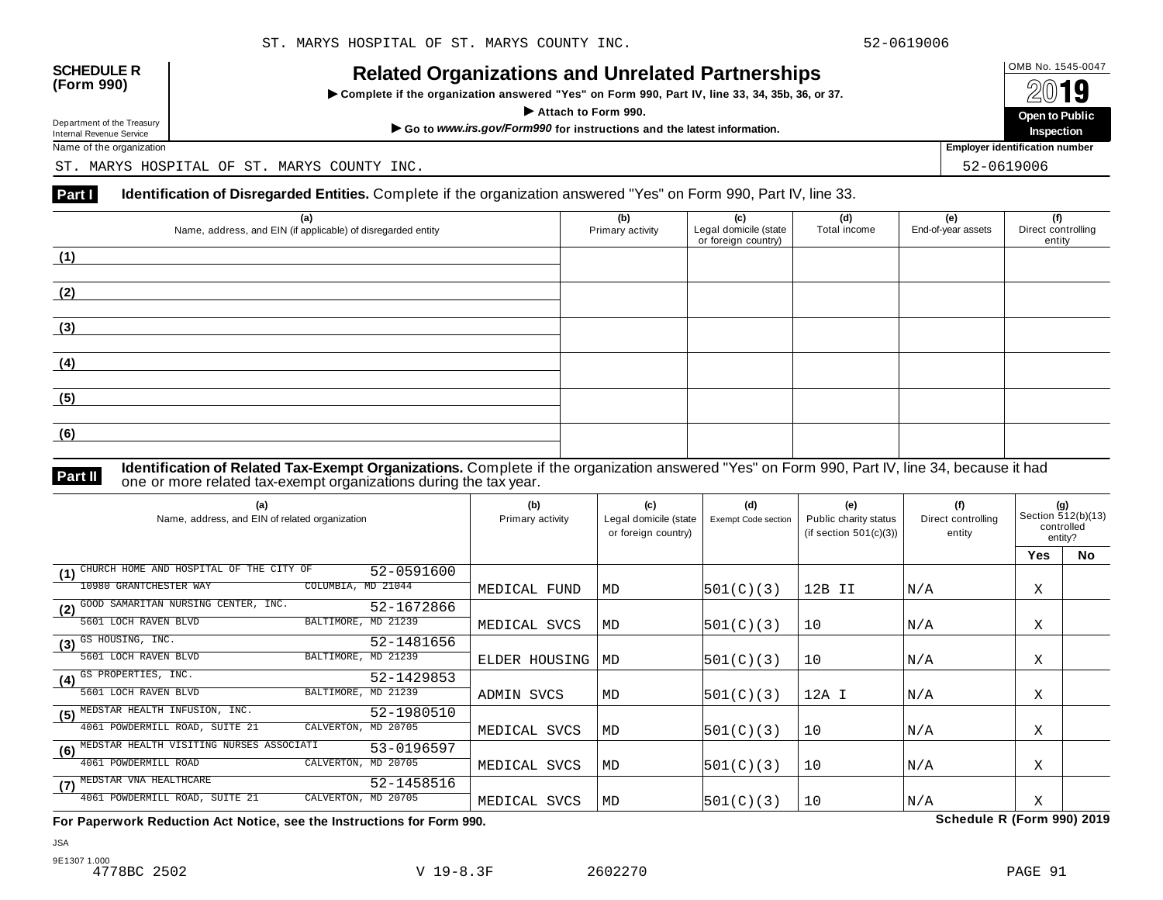

INCIALCU OF GATIZATIONS AND ON CIALCUT AFTIC STIPS<br>► Complete if the organization answered "Yes" on Form 990, Part IV, line 33, 34, 35b, 36, or 37. △ △ △ △ △



Name of the organization **Employer identification number Employer identification number** 

ST. MARYS HOSPITAL OF ST. MARYS COUNTY INC. STRAIN STRAIN STRAIN STRAIN STRAINING SECTION OF STRAINING STRAINING

#### **Part I** Identification of Disregarded Entities. Complete if the organization answered "Yes" on Form 990, Part IV, line 33.

| (a)<br>Name, address, and EIN (if applicable) of disregarded entity | (b)<br>Primary activity | (c)<br>Legal domicile (state<br>or foreign country) | (d)<br>Total income | (e)<br>End-of-year assets | (f)<br>Direct controlling<br>entity |
|---------------------------------------------------------------------|-------------------------|-----------------------------------------------------|---------------------|---------------------------|-------------------------------------|
| (1)                                                                 |                         |                                                     |                     |                           |                                     |
| (2)                                                                 |                         |                                                     |                     |                           |                                     |
| (3)                                                                 |                         |                                                     |                     |                           |                                     |
| (4)                                                                 |                         |                                                     |                     |                           |                                     |
| (5)                                                                 |                         |                                                     |                     |                           |                                     |
| (6)                                                                 |                         |                                                     |                     |                           |                                     |

**Identification of Related Tax-Exempt Organizations.** Complete if the organization answered "Yes" on Form 990, Part IV, line 34, because it had **Part II** one or more related tax-exempt organizations during the tax year.

| (a)<br>Name, address, and EIN of related organization         | (b)<br>Primary activity | (c)<br>Legal domicile (state<br>or foreign country) | (d)<br><b>Exempt Code section</b> | (e)<br>Public charity status<br>(if section $501(c)(3)$ ) | (f)<br>Direct controlling<br>entity | (q)<br>Section 512(b)(13)<br>controlled<br>entity? |           |
|---------------------------------------------------------------|-------------------------|-----------------------------------------------------|-----------------------------------|-----------------------------------------------------------|-------------------------------------|----------------------------------------------------|-----------|
|                                                               |                         |                                                     |                                   |                                                           |                                     | <b>Yes</b>                                         | <b>No</b> |
| CHURCH HOME AND HOSPITAL OF THE CITY OF<br>52-0591600<br>(1)  |                         |                                                     |                                   |                                                           |                                     |                                                    |           |
| COLUMBIA, MD 21044<br>10980 GRANTCHESTER WAY                  | MEDICAL FUND            | MD                                                  | 501(C)(3)                         | 12B II                                                    | N/A                                 | Χ                                                  |           |
| GOOD SAMARITAN NURSING CENTER, INC.<br>52-1672866<br>(2)      |                         |                                                     |                                   |                                                           |                                     |                                                    |           |
| BALTIMORE, MD 21239<br>5601 LOCH RAVEN BLVD                   | MEDICAL SVCS            | MD                                                  | 501(C)(3)                         | 10                                                        | N/A                                 | Χ                                                  |           |
| GS HOUSING, INC.<br>52-1481656<br>(3)                         |                         |                                                     |                                   |                                                           |                                     |                                                    |           |
| BALTIMORE, MD 21239<br>5601 LOCH RAVEN BLVD                   | ELDER HOUSING           | MD                                                  | 501(C)(3)                         | 10                                                        | N/A                                 | Χ                                                  |           |
| GS PROPERTIES, INC.<br>52-1429853<br>(4)                      |                         |                                                     |                                   |                                                           |                                     |                                                    |           |
| 5601 LOCH RAVEN BLVD<br>BALTIMORE, MD 21239                   | ADMIN SVCS              | MD                                                  | 501(C)(3)                         | 12A I                                                     | N/A                                 | Χ                                                  |           |
| MEDSTAR HEALTH INFUSION, INC.<br>52-1980510<br>(5)            |                         |                                                     |                                   |                                                           |                                     |                                                    |           |
| 4061 POWDERMILL ROAD, SUITE 21<br>CALVERTON,<br>MD 20705      | MEDICAL SVCS            | MD                                                  | 501(C)(3)                         | 10                                                        | N/A                                 | Χ                                                  |           |
| MEDSTAR HEALTH VISITING NURSES ASSOCIATI<br>53-0196597<br>(6) |                         |                                                     |                                   |                                                           |                                     |                                                    |           |
| 4061 POWDERMILL ROAD<br>CALVERTON, MD 20705                   | MEDICAL SVCS            | MD                                                  | 501(C)(3)                         | 10                                                        | N/A                                 | Χ                                                  |           |
| MEDSTAR VNA HEALTHCARE<br>52-1458516<br>(7)                   |                         |                                                     |                                   |                                                           |                                     |                                                    |           |
| CALVERTON, MD 20705<br>4061 POWDERMILL ROAD, SUITE 21         | MEDICAL SVCS            | MD                                                  | 501(C)(3)                         | 10                                                        | N/A                                 | X                                                  |           |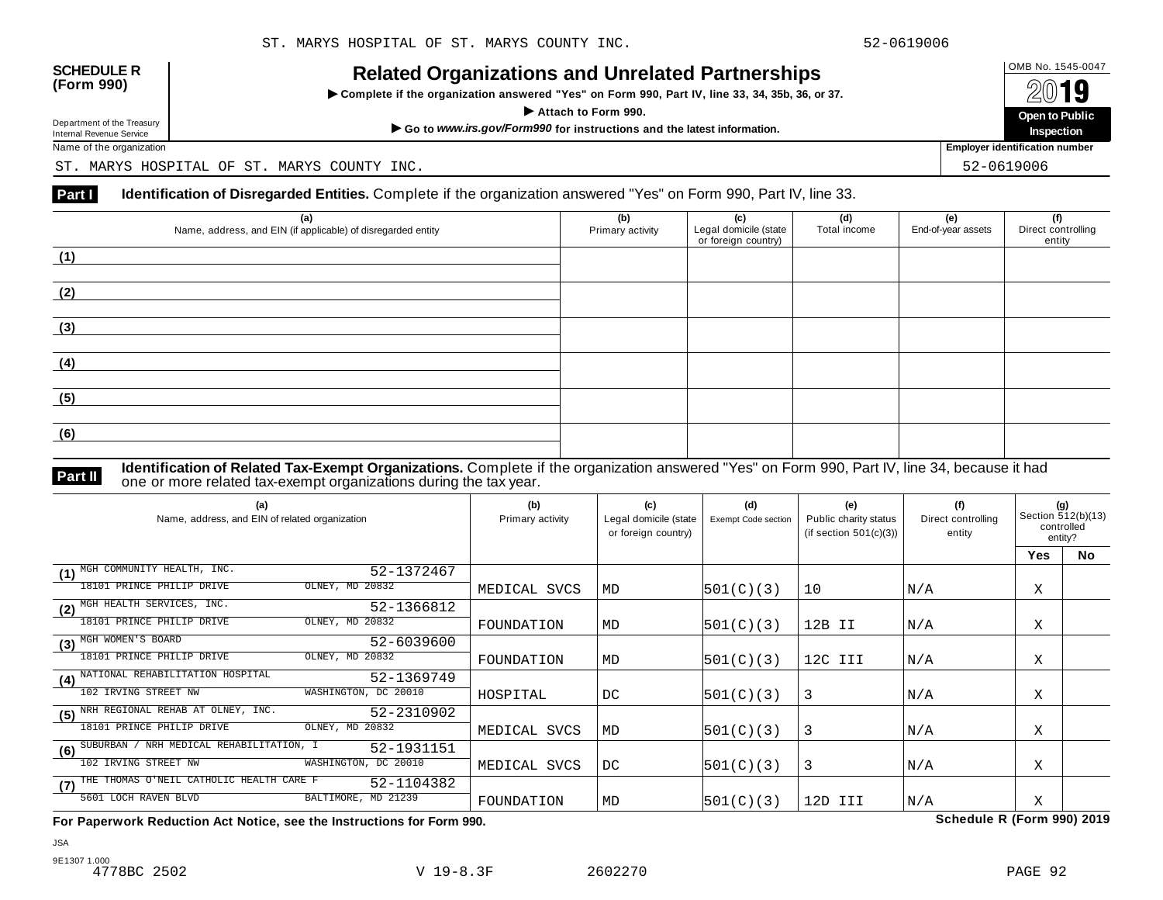| <b>SCHEDULE R</b> |  |
|-------------------|--|
| (Form 990)        |  |

INCIALCU OF GATIZATIONS AND ON CIALCUT AFTIC STIPS<br>► Complete if the organization answered "Yes" on Form 990, Part IV, line 33, 34, 35b, 36, or 37. △ △ △ △ △



Name of the organization **Employer identification number Employer identification number** 

ST. MARYS HOSPITAL OF ST. MARYS COUNTY INC. STRAIN STRAIN STRAIN STRAIN STRAINING SECTION OF STRAINING STRAINING

#### **Part I** Identification of Disregarded Entities. Complete if the organization answered "Yes" on Form 990, Part IV, line 33.

| (a)<br>Name, address, and EIN (if applicable) of disregarded entity | (b)<br>Primary activity | (c)<br>Legal domicile (state<br>or foreign country) | (d)<br>Total income | (e)<br>End-of-year assets | (f)<br>Direct controlling<br>entity |
|---------------------------------------------------------------------|-------------------------|-----------------------------------------------------|---------------------|---------------------------|-------------------------------------|
| (1)                                                                 |                         |                                                     |                     |                           |                                     |
| (2)                                                                 |                         |                                                     |                     |                           |                                     |
| (3)                                                                 |                         |                                                     |                     |                           |                                     |
| (4)                                                                 |                         |                                                     |                     |                           |                                     |
| (5)                                                                 |                         |                                                     |                     |                           |                                     |
| (6)                                                                 |                         |                                                     |                     |                           |                                     |

**Identification of Related Tax-Exempt Organizations.** Complete if the organization answered "Yes" on Form 990, Part IV, line 34, because it had **Part II** one or more related tax-exempt organizations during the tax year.

| (a)<br>Name, address, and EIN of related organization |                      | (b)<br>Primary activity | (c)<br>Legal domicile (state<br>or foreign country) | (d)<br><b>Exempt Code section</b> | (e)<br>Public charity status<br>(if section $501(c)(3)$ ) | (f)<br>Direct controlling<br>entity | (q)<br>Section 512(b)(13)<br>controlled<br>entity? |           |
|-------------------------------------------------------|----------------------|-------------------------|-----------------------------------------------------|-----------------------------------|-----------------------------------------------------------|-------------------------------------|----------------------------------------------------|-----------|
|                                                       |                      |                         |                                                     |                                   |                                                           |                                     | <b>Yes</b>                                         | <b>No</b> |
| MGH COMMUNITY HEALTH, INC.<br>(1)                     | 52-1372467           |                         |                                                     |                                   |                                                           |                                     |                                                    |           |
| 18101 PRINCE PHILIP DRIVE                             | OLNEY, MD 20832      | MEDICAL SVCS            | MD                                                  | 501(C)(3)                         | 10                                                        | N/A                                 | Χ                                                  |           |
| MGH HEALTH SERVICES, INC.<br>(2)                      | 52-1366812           |                         |                                                     |                                   |                                                           |                                     |                                                    |           |
| 18101 PRINCE PHILIP DRIVE                             | OLNEY, MD 20832      | FOUNDATION              | <b>MD</b>                                           | 501(C)(3)                         | 12B II                                                    | N/A                                 | Χ                                                  |           |
| MGH WOMEN'S BOARD<br>(3)                              | 52-6039600           |                         |                                                     |                                   |                                                           |                                     |                                                    |           |
| 18101 PRINCE PHILIP DRIVE                             | OLNEY, MD 20832      | FOUNDATION              | MD                                                  | 501(C)(3)                         | 12C III                                                   | N/A                                 | Χ                                                  |           |
| NATIONAL REHABILITATION HOSPITAL<br>(4)               | 52-1369749           |                         |                                                     |                                   |                                                           |                                     |                                                    |           |
| 102 IRVING STREET NW                                  | WASHINGTON, DC 20010 | HOSPITAL                | DC                                                  | 501(C)(3)                         | 3                                                         | N/A                                 | Χ                                                  |           |
| NRH REGIONAL REHAB AT OLNEY, INC.<br>(5)              | 52-2310902           |                         |                                                     |                                   |                                                           |                                     |                                                    |           |
| 18101 PRINCE PHILIP DRIVE                             | OLNEY, MD 20832      | MEDICAL SVCS            | MD                                                  | 501(C)(3)                         | 3                                                         | N/A                                 | Χ                                                  |           |
| NRH MEDICAL REHABILITATION, I<br>SUBURBAN<br>(6)      | 52-1931151           |                         |                                                     |                                   |                                                           |                                     |                                                    |           |
| 102 IRVING STREET NW                                  | WASHINGTON, DC 20010 | MEDICAL SVCS            | DC                                                  | 501(C)(3)                         | 3                                                         | N/A                                 | Χ                                                  |           |
| THE THOMAS O'NEIL CATHOLIC HEALTH CARE F<br>(7)       | 52-1104382           |                         |                                                     |                                   |                                                           |                                     |                                                    |           |
| 5601 LOCH RAVEN BLVD                                  | BALTIMORE, MD 21239  | FOUNDATION              | MD                                                  | 501(C)(3)                         | 12D III                                                   | N/A                                 | X                                                  |           |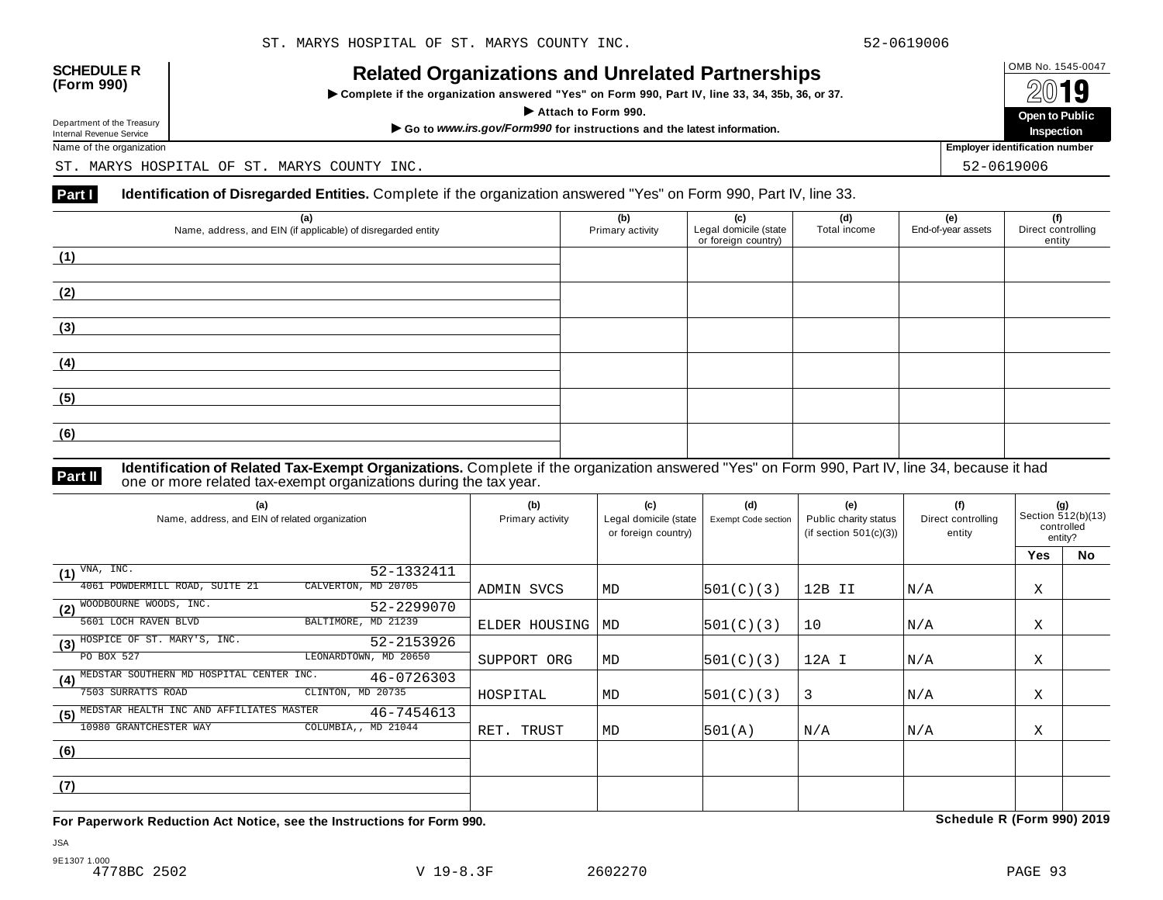| <b>SCHEDULE R</b> |  |
|-------------------|--|
| (Form 990)        |  |

INCIALCU OF GATIZATIONS AND ON CIALCUT AFTIC STIPS<br>► Complete if the organization answered "Yes" on Form 990, Part IV, line 33, 34, 35b, 36, or 37. △ △ △ △ △



Name of the organization **Employer identification number Employer identification number** 

ST. MARYS HOSPITAL OF ST. MARYS COUNTY INC. STRAIN STRAIN STRAIN STRAIN STRAINING SECTION OF STRAINING STRAINING

#### **Part I** Identification of Disregarded Entities. Complete if the organization answered "Yes" on Form 990, Part IV, line 33.

| (a)<br>Name, address, and EIN (if applicable) of disregarded entity | (b)<br>Primary activity | (c)<br>Legal domicile (state<br>or foreign country) | (d)<br>Total income | (e)<br>End-of-year assets | (f)<br>Direct controlling<br>entity |
|---------------------------------------------------------------------|-------------------------|-----------------------------------------------------|---------------------|---------------------------|-------------------------------------|
| (1)                                                                 |                         |                                                     |                     |                           |                                     |
| (2)                                                                 |                         |                                                     |                     |                           |                                     |
| (3)                                                                 |                         |                                                     |                     |                           |                                     |
| (4)                                                                 |                         |                                                     |                     |                           |                                     |
| (5)                                                                 |                         |                                                     |                     |                           |                                     |
| (6)                                                                 |                         |                                                     |                     |                           |                                     |

**Identification of Related Tax-Exempt Organizations.** Complete if the organization answered "Yes" on Form 990, Part IV, line 34, because it had **Part II** one or more related tax-exempt organizations during the tax year.

| (a)<br>Name, address, and EIN of related organization         | (b)<br>Primary activity | (c)<br>Legal domicile (state<br>or foreign country) | (d)<br>Exempt Code section | (e)<br>Public charity status<br>(if section $501(c)(3)$ ) | (f)<br>Direct controlling<br>entity | (g)<br>Section 512(b)(13)<br>controlled<br>entity? |    |
|---------------------------------------------------------------|-------------------------|-----------------------------------------------------|----------------------------|-----------------------------------------------------------|-------------------------------------|----------------------------------------------------|----|
|                                                               |                         |                                                     |                            |                                                           |                                     | <b>Yes</b>                                         | No |
| VNA, INC.<br>52-1332411<br>(1)                                |                         |                                                     |                            |                                                           |                                     |                                                    |    |
| 4061 POWDERMILL ROAD, SUITE 21<br>CALVERTON, MD 20705         | ADMIN SVCS              | MD                                                  | 501(C)(3)                  | 12B II                                                    | N/A                                 | X                                                  |    |
| (2) WOODBOURNE WOODS, INC.<br>52-2299070                      |                         |                                                     |                            |                                                           |                                     |                                                    |    |
| 5601 LOCH RAVEN BLVD<br>BALTIMORE, MD 21239                   | ELDER HOUSING           | MD                                                  | 501(C)(3)                  | 10                                                        | N/A                                 | Χ                                                  |    |
| (3) HOSPICE OF ST. MARY'S, INC.<br>52-2153926                 |                         |                                                     |                            |                                                           |                                     |                                                    |    |
| LEONARDTOWN, MD 20650<br>PO BOX 527                           | SUPPORT ORG             | MD                                                  | 501(C)(3)                  | 12A I                                                     | N/A                                 | Χ                                                  |    |
| MEDSTAR SOUTHERN MD HOSPITAL CENTER INC.<br>46-0726303<br>(4) |                         |                                                     |                            |                                                           |                                     |                                                    |    |
| 7503 SURRATTS ROAD<br>CLINTON, MD 20735                       | HOSPITAL                | MD                                                  | 501(C)(3)                  | 3                                                         | N/A                                 | Χ                                                  |    |
| MEDSTAR HEALTH INC AND AFFILIATES MASTER<br>46-7454613<br>(5) |                         |                                                     |                            |                                                           |                                     |                                                    |    |
| 10980 GRANTCHESTER WAY<br>COLUMBIA,, MD 21044                 | RET. TRUST              | MD                                                  | 501(A)                     | N/A                                                       | N/A                                 | Χ                                                  |    |
| (6)                                                           |                         |                                                     |                            |                                                           |                                     |                                                    |    |
|                                                               |                         |                                                     |                            |                                                           |                                     |                                                    |    |
| (7)                                                           |                         |                                                     |                            |                                                           |                                     |                                                    |    |
|                                                               |                         |                                                     |                            |                                                           |                                     |                                                    |    |

**For Paperwork Reduction Act Notice, see the Instructions for Form 990. Schedule R (Form 990) 2019**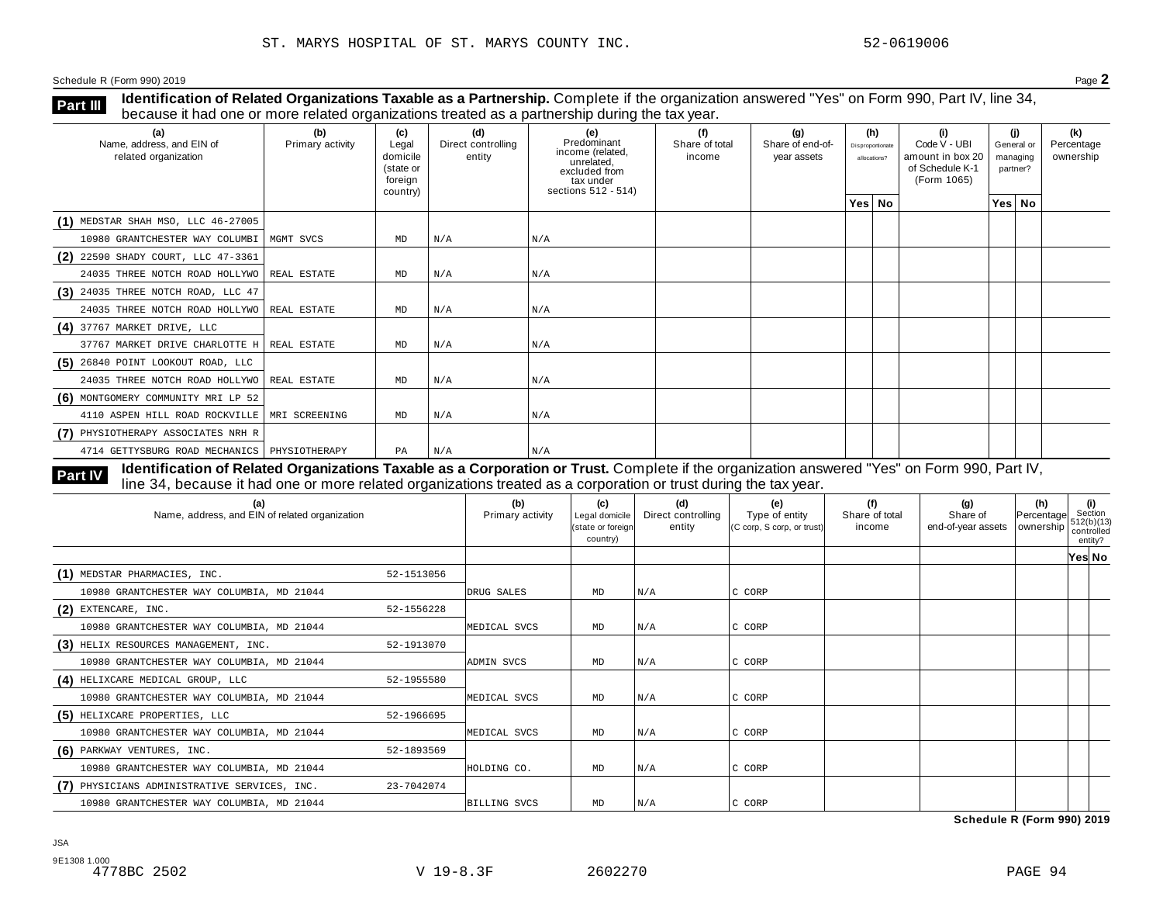**Identification of Related Organizations Taxable as a Partnership.** Complete if the organization answered "Yes" on Form 990, Part IV, line 34, **because it had one or more related organizations Taxable as a Partnership.** Complete if the organization of Related organizations treated as a partnership during the tax year.

| (a)<br>Name, address, and EIN of<br>related organization | (b)<br>Primary activity | (c)<br>Legal<br>domicile<br>(state or<br>foreign<br>country) | (d)<br>Direct controlling<br>entity | (e)<br>Predominant<br>income (related,<br>unrelated,<br>excluded from<br>tax under<br>sections 512 - 514) | (f)<br>Share of total<br>income | (g)<br>Share of end-of-<br>year assets | (h)<br>Disproportionate<br>allocations? | (i)<br>Code V - UBI<br>amount in box 20<br>of Schedule K-1<br>(Form 1065) | (j)<br>General or<br>managing<br>partner? | (k)<br>Percentage<br>ownership |
|----------------------------------------------------------|-------------------------|--------------------------------------------------------------|-------------------------------------|-----------------------------------------------------------------------------------------------------------|---------------------------------|----------------------------------------|-----------------------------------------|---------------------------------------------------------------------------|-------------------------------------------|--------------------------------|
|                                                          |                         |                                                              |                                     |                                                                                                           |                                 |                                        | Yes No                                  |                                                                           | Yes No                                    |                                |
| $(1)$ MEDSTAR SHAH MSO, LLC 46-27005                     |                         |                                                              |                                     |                                                                                                           |                                 |                                        |                                         |                                                                           |                                           |                                |
| 10980 GRANTCHESTER WAY COLUMBI                           | MGMT SVCS               | MD                                                           | N/A                                 | N/A                                                                                                       |                                 |                                        |                                         |                                                                           |                                           |                                |
| (2) 22590 SHADY COURT, LLC 47-3361                       |                         |                                                              |                                     |                                                                                                           |                                 |                                        |                                         |                                                                           |                                           |                                |
| 24035 THREE NOTCH ROAD HOLLYWO REAL ESTATE               |                         | MD                                                           | N/A                                 | N/A                                                                                                       |                                 |                                        |                                         |                                                                           |                                           |                                |
| $(3)$ 24035 THREE NOTCH ROAD, LLC 47                     |                         |                                                              |                                     |                                                                                                           |                                 |                                        |                                         |                                                                           |                                           |                                |
| 24035 THREE NOTCH ROAD HOLLYWO REAL ESTATE               |                         | MD                                                           | N/A                                 | N/A                                                                                                       |                                 |                                        |                                         |                                                                           |                                           |                                |
| $(4)$ 37767 MARKET DRIVE, LLC                            |                         |                                                              |                                     |                                                                                                           |                                 |                                        |                                         |                                                                           |                                           |                                |
| 37767 MARKET DRIVE CHARLOTTE H   REAL ESTATE             |                         | MD                                                           | N/A                                 | N/A                                                                                                       |                                 |                                        |                                         |                                                                           |                                           |                                |
| $(5)$ 26840 POINT LOOKOUT ROAD, LLC                      |                         |                                                              |                                     |                                                                                                           |                                 |                                        |                                         |                                                                           |                                           |                                |
| 24035 THREE NOTCH ROAD HOLLYWO   REAL ESTATE             |                         | MD                                                           | N/A                                 | N/A                                                                                                       |                                 |                                        |                                         |                                                                           |                                           |                                |
| (6) MONTGOMERY COMMUNITY MRI LP 52                       |                         |                                                              |                                     |                                                                                                           |                                 |                                        |                                         |                                                                           |                                           |                                |
| 4110 ASPEN HILL ROAD ROCKVILLE   MRI SCREENING           |                         | MD                                                           | N/A                                 | N/A                                                                                                       |                                 |                                        |                                         |                                                                           |                                           |                                |
| (7) PHYSIOTHERAPY ASSOCIATES NRH R                       |                         |                                                              |                                     |                                                                                                           |                                 |                                        |                                         |                                                                           |                                           |                                |
| 4714 GETTYSBURG ROAD MECHANICS   PHYSIOTHERAPY           |                         | PA                                                           | N/A                                 | N/A                                                                                                       |                                 |                                        |                                         |                                                                           |                                           |                                |

Identification of Related Organizations Taxable as a Corporation or Trust. Complete if the organization answered "Yes" on Form 990, Part IV, **Part IV** dentification or Related Organizations Taxable as a Corporation or Trust. Complete if the organization answer line 34, because it had one or more related organizations treated as a corporation or trust during the

| (a)<br>Name, address, and EIN of related organization |            | (b)<br>Primary activity | (c)<br>Legal domicile<br>state or foreign<br>country) | (d)<br>Direct controlling<br>entity | (e)<br>Type of entity<br>(C corp, S corp, or trust) | (f)<br>Share of total<br>income | (g)<br>Share of<br>end-of-year assets | (h)<br>Percentage<br>ownership controlled | (i)<br>Section<br>512(b)(13)<br>entity? |  |
|-------------------------------------------------------|------------|-------------------------|-------------------------------------------------------|-------------------------------------|-----------------------------------------------------|---------------------------------|---------------------------------------|-------------------------------------------|-----------------------------------------|--|
|                                                       |            |                         |                                                       |                                     |                                                     |                                 |                                       |                                           | Yes No                                  |  |
| (1) MEDSTAR PHARMACIES, INC.                          | 52-1513056 |                         |                                                       |                                     |                                                     |                                 |                                       |                                           |                                         |  |
| 10980 GRANTCHESTER WAY COLUMBIA, MD 21044             |            | DRUG SALES              | MD                                                    | N/A                                 | C CORP                                              |                                 |                                       |                                           |                                         |  |
| $(2)$ EXTENCARE, INC.                                 | 52-1556228 |                         |                                                       |                                     |                                                     |                                 |                                       |                                           |                                         |  |
| 10980 GRANTCHESTER WAY COLUMBIA, MD 21044             |            | MEDICAL SVCS            | MD                                                    | N/A                                 | C CORP                                              |                                 |                                       |                                           |                                         |  |
| (3) HELIX RESOURCES MANAGEMENT, INC.                  | 52-1913070 |                         |                                                       |                                     |                                                     |                                 |                                       |                                           |                                         |  |
| 10980 GRANTCHESTER WAY COLUMBIA, MD 21044             |            | ADMIN SVCS              | MD                                                    | N/A                                 | C CORP                                              |                                 |                                       |                                           |                                         |  |
| (4) HELIXCARE MEDICAL GROUP, LLC                      | 52-1955580 |                         |                                                       |                                     |                                                     |                                 |                                       |                                           |                                         |  |
| 10980 GRANTCHESTER WAY COLUMBIA, MD 21044             |            | MEDICAL SVCS            | MD                                                    | N/A                                 | C CORP                                              |                                 |                                       |                                           |                                         |  |
| (5) HELIXCARE PROPERTIES, LLC                         | 52-1966695 |                         |                                                       |                                     |                                                     |                                 |                                       |                                           |                                         |  |
| 10980 GRANTCHESTER WAY COLUMBIA, MD 21044             |            | MEDICAL SVCS            | MD                                                    | N/A                                 | C CORP                                              |                                 |                                       |                                           |                                         |  |
| (6) PARKWAY VENTURES, INC.                            | 52-1893569 |                         |                                                       |                                     |                                                     |                                 |                                       |                                           |                                         |  |
| 10980 GRANTCHESTER WAY COLUMBIA, MD 21044             |            | HOLDING CO.             | MD                                                    | N/A                                 | C CORP                                              |                                 |                                       |                                           |                                         |  |
| (7) PHYSICIANS ADMINISTRATIVE SERVICES, INC.          | 23-7042074 |                         |                                                       |                                     |                                                     |                                 |                                       |                                           |                                         |  |
| 10980 GRANTCHESTER WAY COLUMBIA, MD 21044             |            | <b>BILLING SVCS</b>     | MD                                                    | N/A                                 | C CORP                                              |                                 |                                       |                                           |                                         |  |

**Schedule R (Form 990) 2019**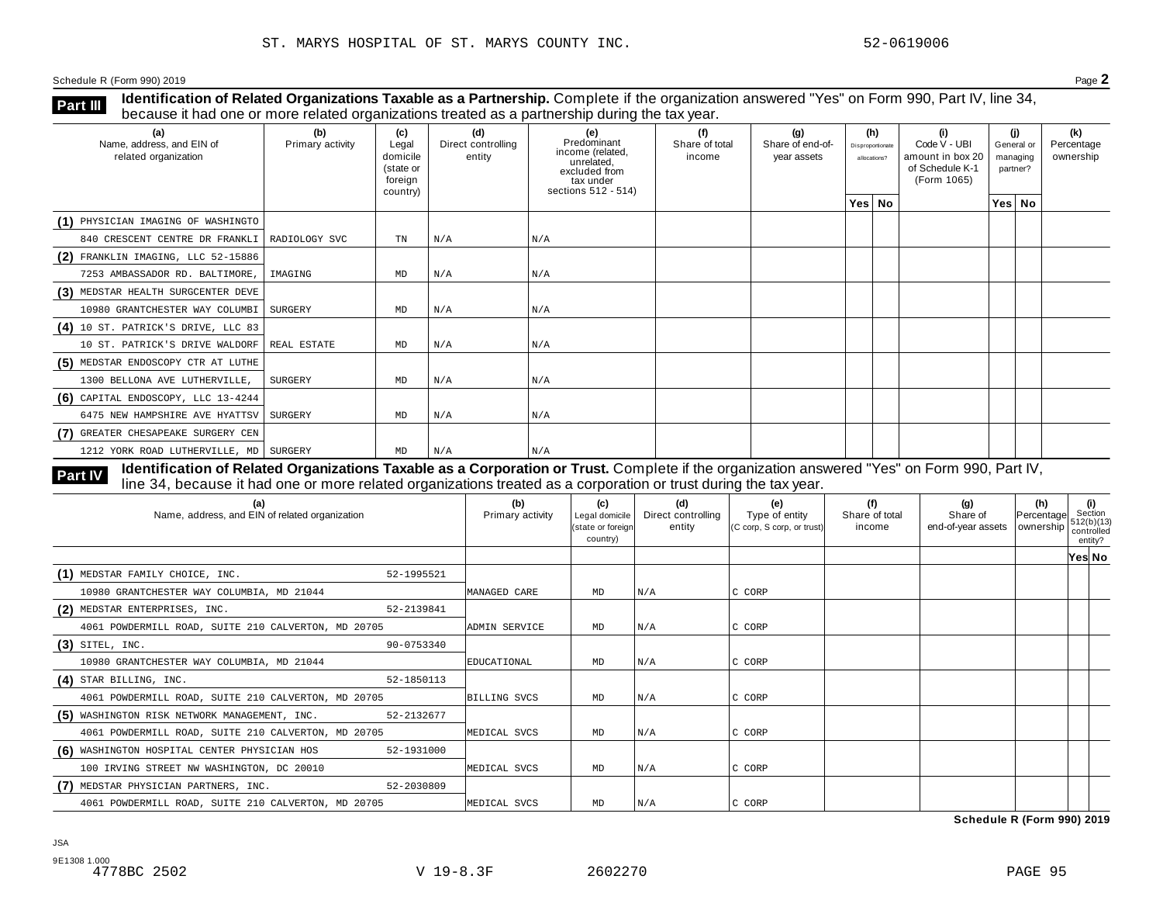**Identification of Related Organizations Taxable as a Partnership.** Complete if the organization answered "Yes" on Form 990, Part IV, line 34, **because it had one or more related organizations Taxable as a Partnership.** Complete if the organization of Related organizations treated as a partnership during the tax year.

| (a)<br>Name, address, and EIN of<br>related organization | (b)<br>Primary activity | (c)<br>Legal<br>domicile<br>(state or<br>foreign<br>country) | (d)<br>Direct controlling<br>entity | (e)<br>Predominant<br>income (related,<br>unrelated,<br>excluded from<br>tax under<br>sections 512 - 514) | (f)<br>Share of total<br>income | (q)<br>Share of end-of-<br>year assets | (h)<br>Disproportionate<br>allocations? | (i)<br>Code V - UBI<br>amount in box 20<br>of Schedule K-1<br>(Form 1065) | (i)<br>General or<br>managing<br>partner? | (k)<br>Percentage<br>ownership |
|----------------------------------------------------------|-------------------------|--------------------------------------------------------------|-------------------------------------|-----------------------------------------------------------------------------------------------------------|---------------------------------|----------------------------------------|-----------------------------------------|---------------------------------------------------------------------------|-------------------------------------------|--------------------------------|
|                                                          |                         |                                                              |                                     |                                                                                                           |                                 |                                        | Yes No                                  |                                                                           | Yes No                                    |                                |
| (1) PHYSICIAN IMAGING OF WASHINGTO                       |                         |                                                              |                                     |                                                                                                           |                                 |                                        |                                         |                                                                           |                                           |                                |
| 840 CRESCENT CENTRE DR FRANKLI   RADIOLOGY SVC           |                         | TN                                                           | N/A                                 | N/A                                                                                                       |                                 |                                        |                                         |                                                                           |                                           |                                |
| $(2)$ FRANKLIN IMAGING, LLC 52-15886                     |                         |                                                              |                                     |                                                                                                           |                                 |                                        |                                         |                                                                           |                                           |                                |
| 7253 AMBASSADOR RD. BALTIMORE,                           | IMAGING                 | MD                                                           | N/A                                 | N/A                                                                                                       |                                 |                                        |                                         |                                                                           |                                           |                                |
| (3) MEDSTAR HEALTH SURGCENTER DEVE                       |                         |                                                              |                                     |                                                                                                           |                                 |                                        |                                         |                                                                           |                                           |                                |
| 10980 GRANTCHESTER WAY COLUMBI SURGERY                   |                         | MD                                                           | N/A                                 | N/A                                                                                                       |                                 |                                        |                                         |                                                                           |                                           |                                |
| (4) 10 ST. PATRICK'S DRIVE, LLC 83                       |                         |                                                              |                                     |                                                                                                           |                                 |                                        |                                         |                                                                           |                                           |                                |
| 10 ST. PATRICK'S DRIVE WALDORF                           | REAL ESTATE             | MD                                                           | N/A                                 | N/A                                                                                                       |                                 |                                        |                                         |                                                                           |                                           |                                |
| (5) MEDSTAR ENDOSCOPY CTR AT LUTHE                       |                         |                                                              |                                     |                                                                                                           |                                 |                                        |                                         |                                                                           |                                           |                                |
| 1300 BELLONA AVE LUTHERVILLE,                            | SURGERY                 | MD                                                           | N/A                                 | N/A                                                                                                       |                                 |                                        |                                         |                                                                           |                                           |                                |
| $(6)$ CAPITAL ENDOSCOPY, LLC 13-4244                     |                         |                                                              |                                     |                                                                                                           |                                 |                                        |                                         |                                                                           |                                           |                                |
| 6475 NEW HAMPSHIRE AVE HYATTSV                           | SURGERY                 | MD                                                           | N/A                                 | N/A                                                                                                       |                                 |                                        |                                         |                                                                           |                                           |                                |
| (7) GREATER CHESAPEAKE SURGERY CEN                       |                         |                                                              |                                     |                                                                                                           |                                 |                                        |                                         |                                                                           |                                           |                                |
| 1212 YORK ROAD LUTHERVILLE, MD   SURGERY                 |                         | MD                                                           | N/A                                 | N/A                                                                                                       |                                 |                                        |                                         |                                                                           |                                           |                                |

**Identification of Related Organizations Taxable as a Corporation or Trust.** Complete if the organization answered "Yes" on Form 990, Part IV, **Part IV** dentification of Related Organizations Taxable as a Corporation or Trust. Complete if the organization answer line 34, because it had one or more related organizations treated as a corporation or trust during the

| (a)<br>Name, address, and EIN of related organization      | (b)<br>Primary activity | (c)<br>Legal domicile<br>(state or foreign<br>country) | (d)<br>Direct controlling<br>entity | (e)<br>Type of entity<br>(C corp, S corp, or trust) | (f)<br>Share of total<br>income | (g)<br>Share of<br>end-of-year assets   ownership | (h)<br>Percentage | (i)<br>Section<br>512(b)(13)<br>controlled<br>entity? |
|------------------------------------------------------------|-------------------------|--------------------------------------------------------|-------------------------------------|-----------------------------------------------------|---------------------------------|---------------------------------------------------|-------------------|-------------------------------------------------------|
|                                                            |                         |                                                        |                                     |                                                     |                                 |                                                   |                   | Yes No                                                |
| (1) MEDSTAR FAMILY CHOICE, INC.<br>52-1995521              |                         |                                                        |                                     |                                                     |                                 |                                                   |                   |                                                       |
| 10980 GRANTCHESTER WAY COLUMBIA, MD 21044                  | MANAGED CARE            | MD                                                     | N/A                                 | C CORP                                              |                                 |                                                   |                   |                                                       |
| (2) MEDSTAR ENTERPRISES, INC.<br>52-2139841                |                         |                                                        |                                     |                                                     |                                 |                                                   |                   |                                                       |
| 4061 POWDERMILL ROAD, SUITE 210 CALVERTON, MD 20705        | ADMIN SERVICE           | MD                                                     | N/A                                 | C CORP                                              |                                 |                                                   |                   |                                                       |
| $(3)$ SITEL, INC.<br>90-0753340                            |                         |                                                        |                                     |                                                     |                                 |                                                   |                   |                                                       |
| 10980 GRANTCHESTER WAY COLUMBIA, MD 21044                  | EDUCATIONAL             | MD                                                     | N/A                                 | C CORP                                              |                                 |                                                   |                   |                                                       |
| $(4)$ STAR BILLING, INC.<br>52-1850113                     |                         |                                                        |                                     |                                                     |                                 |                                                   |                   |                                                       |
| 4061 POWDERMILL ROAD, SUITE 210 CALVERTON, MD 20705        | <b>BILLING SVCS</b>     | MD                                                     | N/A                                 | C CORP                                              |                                 |                                                   |                   |                                                       |
| (5) WASHINGTON RISK NETWORK MANAGEMENT, INC.<br>52-2132677 |                         |                                                        |                                     |                                                     |                                 |                                                   |                   |                                                       |
| 4061 POWDERMILL ROAD, SUITE 210 CALVERTON, MD 20705        | MEDICAL SVCS            | MD                                                     | N/A                                 | C CORP                                              |                                 |                                                   |                   |                                                       |
| (6) WASHINGTON HOSPITAL CENTER PHYSICIAN HOS<br>52-1931000 |                         |                                                        |                                     |                                                     |                                 |                                                   |                   |                                                       |
| 100 IRVING STREET NW WASHINGTON, DC 20010                  | MEDICAL SVCS            | MD                                                     | N/A                                 | C CORP                                              |                                 |                                                   |                   |                                                       |
| (7) MEDSTAR PHYSICIAN PARTNERS, INC.<br>52-2030809         |                         |                                                        |                                     |                                                     |                                 |                                                   |                   |                                                       |
| 4061 POWDERMILL ROAD, SUITE 210 CALVERTON, MD 20705        | MEDICAL SVCS            | MD                                                     | N/A                                 | C CORP                                              |                                 |                                                   |                   |                                                       |

**Schedule R (Form 990) 2019**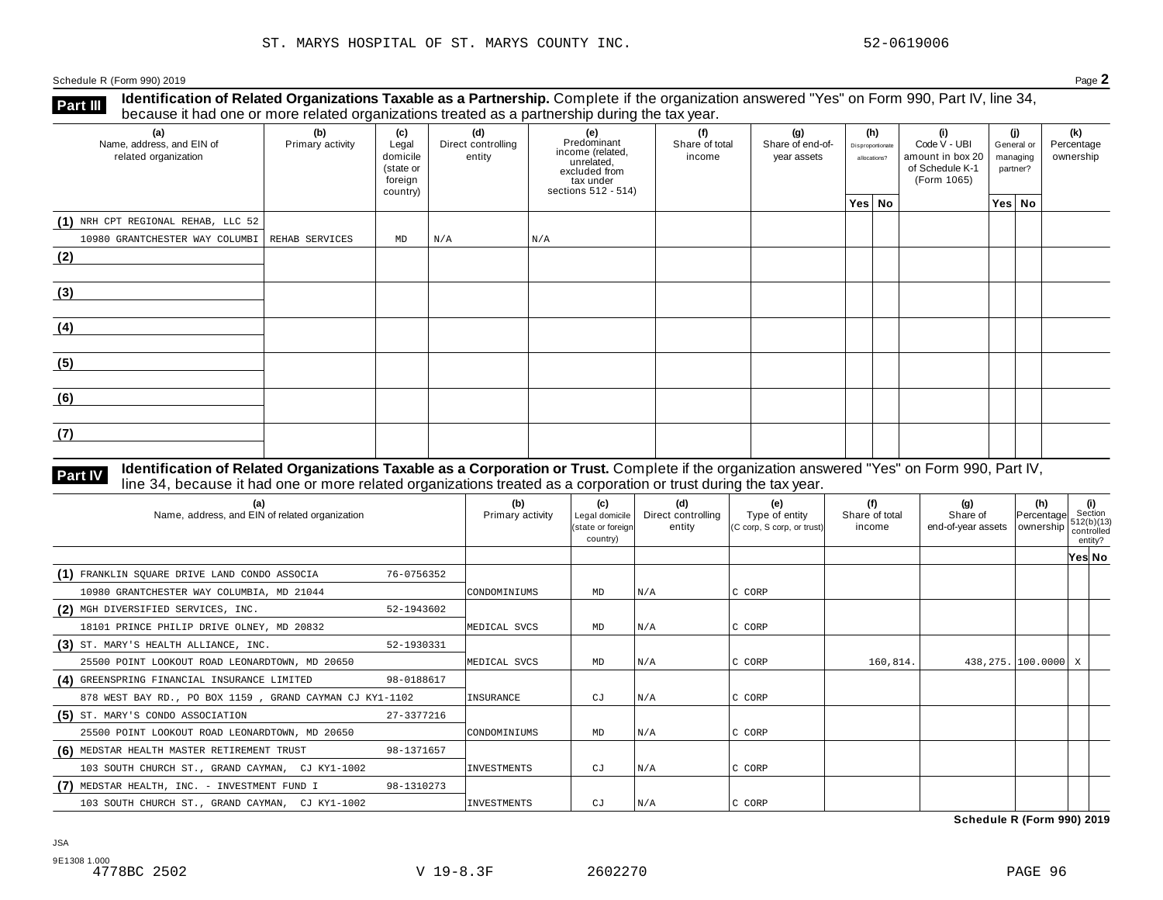**Identification of Related Organizations Taxable as a Partnership.** Complete if the organization answered "Yes" on Form 990, Part IV, line 34, **because it had one or more related organizations Taxable as a Partnership.** Complete if the organization of Related organizations treated as a partnership during the tax year.

| (a)<br>Name, address, and EIN of<br>related organization | ◡<br>(b)<br>Primary activity | (c)<br>Legal<br>domicile<br>(state or<br>foreign<br>country) | (d)<br>Direct controlling<br>entity | ັ<br>(e)<br>Predominant<br>income (related,<br>unrelated,<br>excluded from<br>$\frac{3}{10}$ tax under<br>sections 512 - 514) | (f)<br>Share of total<br>income | (g)<br>Share of end-of-<br>year assets | (h)<br>Disproportionate<br>allocations? | (i)<br>Code V - UBI<br>amount in box 20<br>of Schedule K-1<br>(Form 1065) | (i)<br>General or<br>managing<br>partner? | (k)<br>Percentage<br>ownership |
|----------------------------------------------------------|------------------------------|--------------------------------------------------------------|-------------------------------------|-------------------------------------------------------------------------------------------------------------------------------|---------------------------------|----------------------------------------|-----------------------------------------|---------------------------------------------------------------------------|-------------------------------------------|--------------------------------|
|                                                          |                              |                                                              |                                     |                                                                                                                               |                                 |                                        | Yes No                                  |                                                                           | Yes No                                    |                                |
| (1) NRH CPT REGIONAL REHAB, LLC 52                       |                              |                                                              |                                     |                                                                                                                               |                                 |                                        |                                         |                                                                           |                                           |                                |
| 10980 GRANTCHESTER WAY COLUMBI REHAB SERVICES            |                              | $\mathop{\rm MD}\nolimits$                                   | N/A                                 | N/A                                                                                                                           |                                 |                                        |                                         |                                                                           |                                           |                                |
| (2)                                                      |                              |                                                              |                                     |                                                                                                                               |                                 |                                        |                                         |                                                                           |                                           |                                |
| (3)                                                      |                              |                                                              |                                     |                                                                                                                               |                                 |                                        |                                         |                                                                           |                                           |                                |
| (4)                                                      |                              |                                                              |                                     |                                                                                                                               |                                 |                                        |                                         |                                                                           |                                           |                                |
| (5)                                                      |                              |                                                              |                                     |                                                                                                                               |                                 |                                        |                                         |                                                                           |                                           |                                |
| (6)                                                      |                              |                                                              |                                     |                                                                                                                               |                                 |                                        |                                         |                                                                           |                                           |                                |
| (7)                                                      |                              |                                                              |                                     |                                                                                                                               |                                 |                                        |                                         |                                                                           |                                           |                                |

#### Identification of Related Organizations Taxable as a Corporation or Trust. Complete if the organization answered "Yes" on Form 990, Part IV, **Part IV** dentification of Related Organizations Taxable as a Corporation or Trust. Complete if the organization answer line 34, because it had one or more related organizations treated as a corporation or trust during the

| (a)<br>Name, address, and EIN of related organization   |            | (b)<br>Primary activity | (c)<br>Legal domicile<br>(state or foreign<br>country) | (d)<br>Direct controlling<br>entity | (e)<br>Type of entity<br>(C corp, S corp, or trust) | (f)<br>Share of total<br>income | (g)<br>Share of<br>end-of-year assets   ownership | (h)<br>Percentage     | (i)<br>Section<br>512(b)(13)<br>controlled<br>entity? |  |
|---------------------------------------------------------|------------|-------------------------|--------------------------------------------------------|-------------------------------------|-----------------------------------------------------|---------------------------------|---------------------------------------------------|-----------------------|-------------------------------------------------------|--|
|                                                         |            |                         |                                                        |                                     |                                                     |                                 |                                                   |                       | Yes∣ No                                               |  |
| (1) FRANKLIN SQUARE DRIVE LAND CONDO ASSOCIA            | 76-0756352 |                         |                                                        |                                     |                                                     |                                 |                                                   |                       |                                                       |  |
| 10980 GRANTCHESTER WAY COLUMBIA, MD 21044               |            | CONDOMINIUMS            | MD                                                     | N/A                                 | C CORP                                              |                                 |                                                   |                       |                                                       |  |
| (2) MGH DIVERSIFIED SERVICES, INC.                      | 52-1943602 |                         |                                                        |                                     |                                                     |                                 |                                                   |                       |                                                       |  |
| 18101 PRINCE PHILIP DRIVE OLNEY, MD 20832               |            | MEDICAL SVCS            | MD                                                     | N/A                                 | C CORP                                              |                                 |                                                   |                       |                                                       |  |
| (3) ST. MARY'S HEALTH ALLIANCE, INC.                    | 52-1930331 |                         |                                                        |                                     |                                                     |                                 |                                                   |                       |                                                       |  |
| 25500 POINT LOOKOUT ROAD LEONARDTOWN, MD 20650          |            | MEDICAL SVCS            | MD                                                     | N/A                                 | C CORP                                              | 160,814.                        |                                                   | 438,275. 100.0000   X |                                                       |  |
| (4) GREENSPRING FINANCIAL INSURANCE LIMITED             | 98-0188617 |                         |                                                        |                                     |                                                     |                                 |                                                   |                       |                                                       |  |
| 878 WEST BAY RD., PO BOX 1159, GRAND CAYMAN CJ KY1-1102 |            | INSURANCE               | CJ                                                     | N/A                                 | C CORP                                              |                                 |                                                   |                       |                                                       |  |
| (5) ST. MARY'S CONDO ASSOCIATION                        | 27-3377216 |                         |                                                        |                                     |                                                     |                                 |                                                   |                       |                                                       |  |
| 25500 POINT LOOKOUT ROAD LEONARDTOWN, MD 20650          |            | CONDOMINIUMS            | MD                                                     | N/A                                 | C CORP                                              |                                 |                                                   |                       |                                                       |  |
| (6) MEDSTAR HEALTH MASTER RETIREMENT TRUST              | 98-1371657 |                         |                                                        |                                     |                                                     |                                 |                                                   |                       |                                                       |  |
| 103 SOUTH CHURCH ST., GRAND CAYMAN, CJ KY1-1002         |            | <b>INVESTMENTS</b>      | CJ                                                     | N/A                                 | C CORP                                              |                                 |                                                   |                       |                                                       |  |
| (7) MEDSTAR HEALTH, INC. - INVESTMENT FUND I            | 98-1310273 |                         |                                                        |                                     |                                                     |                                 |                                                   |                       |                                                       |  |
| 103 SOUTH CHURCH ST., GRAND CAYMAN, CJ KY1-1002         |            | INVESTMENTS             | СJ                                                     | N/A                                 | C CORP                                              |                                 |                                                   |                       |                                                       |  |

**Schedule R (Form 990) 2019**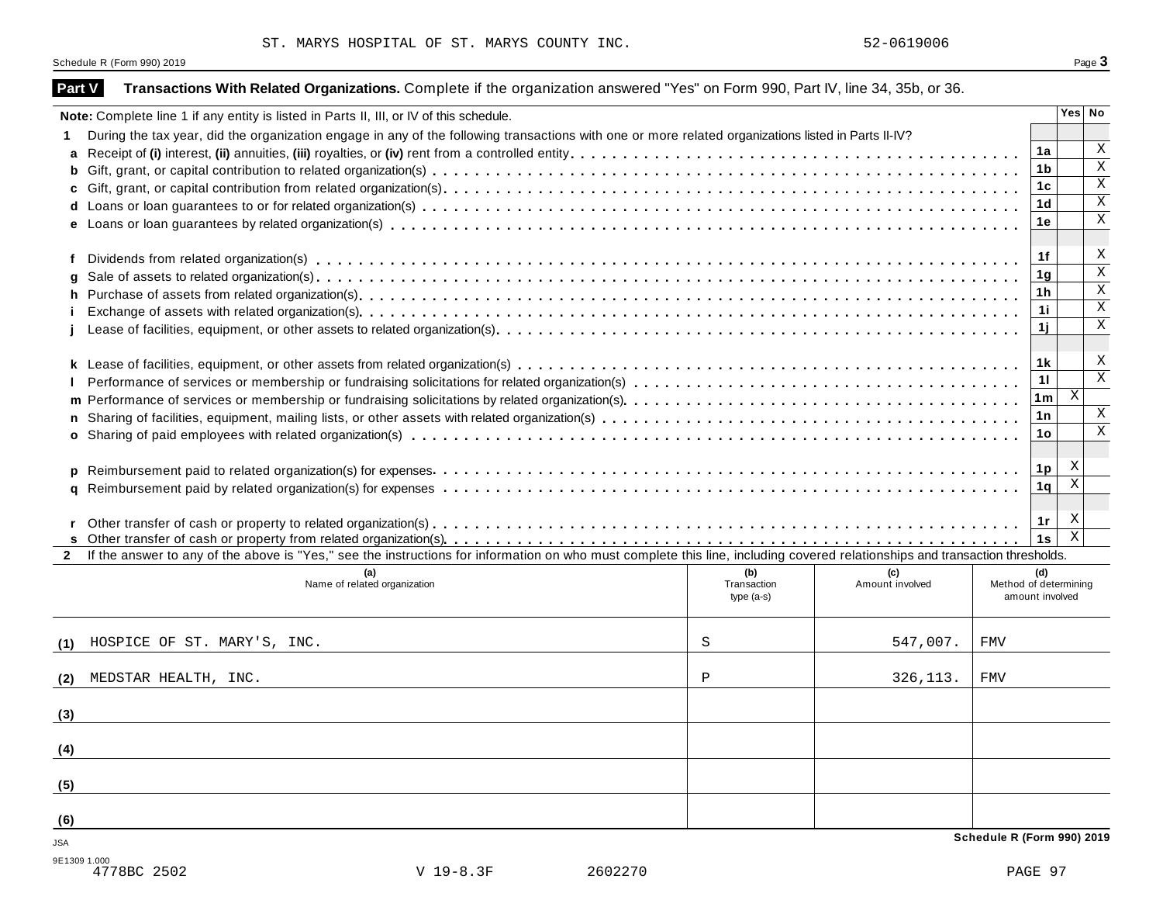|               | Schedule R (Form 990) 2019                                                                                                                                                   |                                   |                        |                            |                                                 | Page 3                  |
|---------------|------------------------------------------------------------------------------------------------------------------------------------------------------------------------------|-----------------------------------|------------------------|----------------------------|-------------------------------------------------|-------------------------|
| <b>Part V</b> | Transactions With Related Organizations. Complete if the organization answered "Yes" on Form 990, Part IV, line 34, 35b, or 36.                                              |                                   |                        |                            |                                                 |                         |
|               | Note: Complete line 1 if any entity is listed in Parts II, III, or IV of this schedule.                                                                                      |                                   |                        |                            |                                                 | Yes No                  |
|               | During the tax year, did the organization engage in any of the following transactions with one or more related organizations listed in Parts II-IV?                          |                                   |                        |                            |                                                 |                         |
| a             |                                                                                                                                                                              |                                   |                        |                            | 1a                                              | Χ                       |
| b             |                                                                                                                                                                              |                                   |                        |                            | 1b                                              | $\mathbf X$             |
| C             |                                                                                                                                                                              |                                   |                        |                            | 1c                                              | $\mathbf X$             |
|               |                                                                                                                                                                              |                                   |                        |                            | 1 <sub>d</sub>                                  | $\mathbf X$             |
|               |                                                                                                                                                                              |                                   |                        |                            | 1e                                              | Χ                       |
|               |                                                                                                                                                                              |                                   |                        |                            | 1f                                              | X                       |
| a             |                                                                                                                                                                              |                                   |                        |                            | 1g                                              | $\mathbf X$             |
| h.            |                                                                                                                                                                              |                                   |                        |                            | 1h                                              | $\mathbf X$             |
|               |                                                                                                                                                                              |                                   |                        |                            | 11                                              | $\mathbf X$             |
|               |                                                                                                                                                                              |                                   |                        |                            | 1j                                              | Χ                       |
|               |                                                                                                                                                                              |                                   |                        |                            | 1 k                                             | X                       |
|               |                                                                                                                                                                              |                                   |                        |                            | 11                                              | $\overline{\mathbf{x}}$ |
|               |                                                                                                                                                                              |                                   |                        |                            | 1m                                              | X                       |
| n             |                                                                                                                                                                              |                                   |                        |                            | 1n                                              | X                       |
|               |                                                                                                                                                                              |                                   |                        |                            | 1o                                              | $\mathbf X$             |
| D.            |                                                                                                                                                                              |                                   |                        |                            | 1p                                              | X                       |
| a             |                                                                                                                                                                              |                                   |                        |                            | 1q                                              | X                       |
|               |                                                                                                                                                                              |                                   |                        |                            | 1r                                              | X                       |
|               |                                                                                                                                                                              |                                   |                        |                            | 1s                                              | $\overline{\mathbf{x}}$ |
| $\mathbf{2}$  | If the answer to any of the above is "Yes," see the instructions for information on who must complete this line, including covered relationships and transaction thresholds. |                                   |                        |                            |                                                 |                         |
|               | Name of related organization                                                                                                                                                 | (b)<br>Transaction<br>$type(a-s)$ | (c)<br>Amount involved |                            | (d)<br>Method of determining<br>amount involved |                         |
| (1)           | HOSPICE OF ST. MARY'S, INC.                                                                                                                                                  | S                                 | 547,007.               | FMV                        |                                                 |                         |
| (2)           | MEDSTAR HEALTH, INC.                                                                                                                                                         | Ρ                                 | 326, 113.              | FMV                        |                                                 |                         |
| (3)           |                                                                                                                                                                              |                                   |                        |                            |                                                 |                         |
|               |                                                                                                                                                                              |                                   |                        |                            |                                                 |                         |
| (4)           |                                                                                                                                                                              |                                   |                        |                            |                                                 |                         |
| (5)           |                                                                                                                                                                              |                                   |                        |                            |                                                 |                         |
| (6)           |                                                                                                                                                                              |                                   |                        |                            |                                                 |                         |
| <b>JSA</b>    |                                                                                                                                                                              |                                   |                        | Schedule R (Form 990) 2019 |                                                 |                         |
| 9E1309 1.000  | 4778BC 2502<br>V 19-8.3F<br>2602270                                                                                                                                          |                                   |                        |                            | PAGE 97                                         |                         |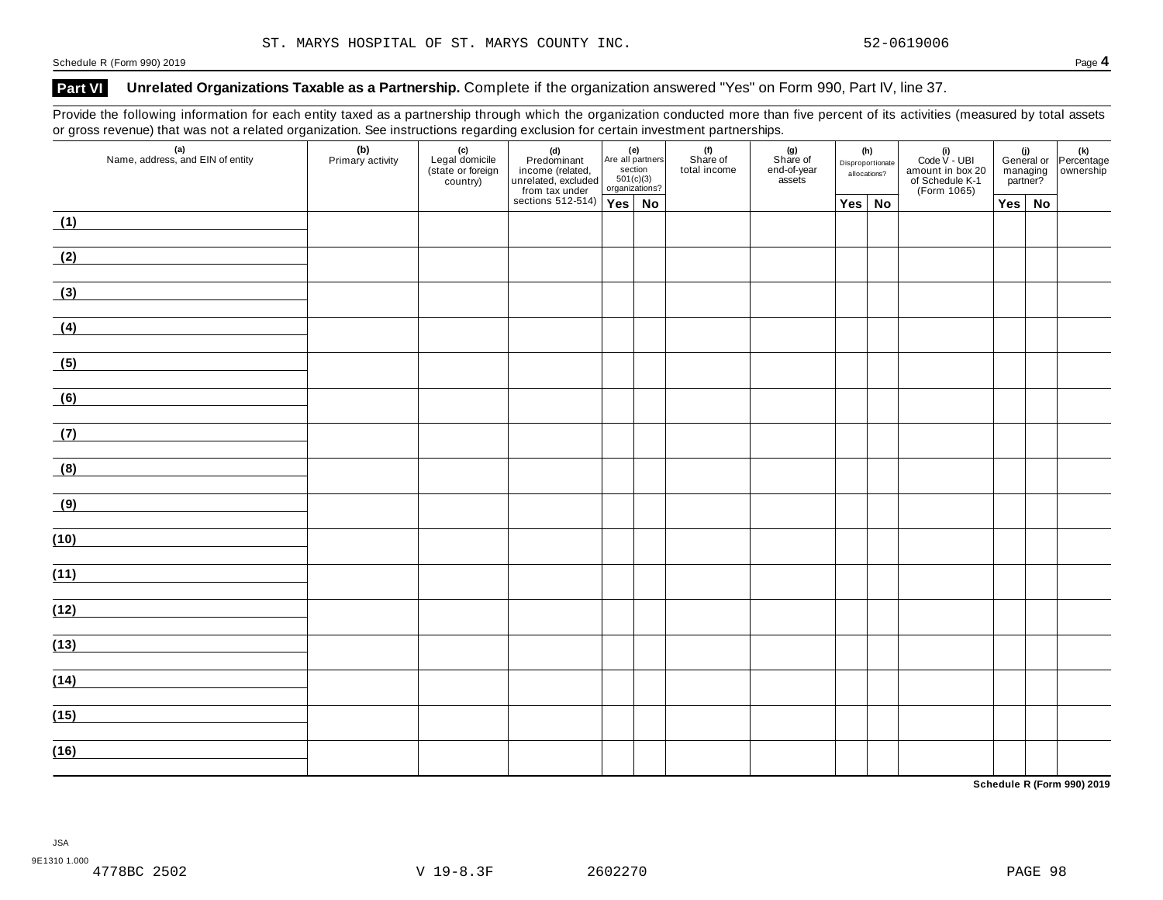#### Part VI Unrelated Organizations Taxable as a Partnership. Complete if the organization answered "Yes" on Form 990, Part IV, line 37.

Provide the following information for each entity taxed as a partnership through which the organization conducted more than five percent of its activities (measured by total assets or gross revenue) that was not a related organization. See instructions regarding exclusion for certain investment partnerships.

| $\sim$<br>(a)<br>Name, address, and EIN of entity                                                                    | (b)<br>Primary activity | (c)<br>Legal domicile<br>(state or foreign<br>country) | (d)<br>Predominant<br>income (related,<br>unrelated, excluded<br>from tax under<br>sections 512-514) | (e)<br>Are all partners<br>section<br>501(c)(3)<br>organizations? |  | (f)<br>Share of<br>total income | (g)<br>Share of<br>end-of-year<br>assets | (h)<br>Disproportionate<br>allocations? |               | (i)<br>Code $V$ - UBI<br>amount in box 20<br>of Schedule K-1<br>(Form 1065) | managing<br>partner? |               | (i)<br>General or Percentage<br>managing ownership |
|----------------------------------------------------------------------------------------------------------------------|-------------------------|--------------------------------------------------------|------------------------------------------------------------------------------------------------------|-------------------------------------------------------------------|--|---------------------------------|------------------------------------------|-----------------------------------------|---------------|-----------------------------------------------------------------------------|----------------------|---------------|----------------------------------------------------|
|                                                                                                                      |                         |                                                        |                                                                                                      | $Yes$ No                                                          |  |                                 |                                          |                                         | $Yes \mid No$ |                                                                             |                      | $Yes \mid No$ |                                                    |
| (1)                                                                                                                  |                         |                                                        |                                                                                                      |                                                                   |  |                                 |                                          |                                         |               |                                                                             |                      |               |                                                    |
| (2)                                                                                                                  |                         |                                                        |                                                                                                      |                                                                   |  |                                 |                                          |                                         |               |                                                                             |                      |               |                                                    |
| (3)                                                                                                                  |                         |                                                        |                                                                                                      |                                                                   |  |                                 |                                          |                                         |               |                                                                             |                      |               |                                                    |
| (4)                                                                                                                  |                         |                                                        |                                                                                                      |                                                                   |  |                                 |                                          |                                         |               |                                                                             |                      |               |                                                    |
| (5)                                                                                                                  |                         |                                                        |                                                                                                      |                                                                   |  |                                 |                                          |                                         |               |                                                                             |                      |               |                                                    |
| (6)<br><u> 1990 - Jan Barbara Barat, p</u>                                                                           |                         |                                                        |                                                                                                      |                                                                   |  |                                 |                                          |                                         |               |                                                                             |                      |               |                                                    |
| (7)                                                                                                                  |                         |                                                        |                                                                                                      |                                                                   |  |                                 |                                          |                                         |               |                                                                             |                      |               |                                                    |
| (8)                                                                                                                  |                         |                                                        |                                                                                                      |                                                                   |  |                                 |                                          |                                         |               |                                                                             |                      |               |                                                    |
| (9)                                                                                                                  |                         |                                                        |                                                                                                      |                                                                   |  |                                 |                                          |                                         |               |                                                                             |                      |               |                                                    |
| (10)                                                                                                                 |                         |                                                        |                                                                                                      |                                                                   |  |                                 |                                          |                                         |               |                                                                             |                      |               |                                                    |
| (11)                                                                                                                 |                         |                                                        |                                                                                                      |                                                                   |  |                                 |                                          |                                         |               |                                                                             |                      |               |                                                    |
| (12)                                                                                                                 |                         |                                                        |                                                                                                      |                                                                   |  |                                 |                                          |                                         |               |                                                                             |                      |               |                                                    |
| (13)                                                                                                                 |                         |                                                        |                                                                                                      |                                                                   |  |                                 |                                          |                                         |               |                                                                             |                      |               |                                                    |
| <u> 1999 - Jan Barbara Barat, prima popular popular popular popular popular popular popular popular popular popu</u> |                         |                                                        |                                                                                                      |                                                                   |  |                                 |                                          |                                         |               |                                                                             |                      |               |                                                    |
| (14)                                                                                                                 |                         |                                                        |                                                                                                      |                                                                   |  |                                 |                                          |                                         |               |                                                                             |                      |               |                                                    |
| (15)                                                                                                                 |                         |                                                        |                                                                                                      |                                                                   |  |                                 |                                          |                                         |               |                                                                             |                      |               |                                                    |
| (16)                                                                                                                 |                         |                                                        |                                                                                                      |                                                                   |  |                                 |                                          |                                         |               |                                                                             |                      |               |                                                    |

**Schedule R (Form 990) 2019**